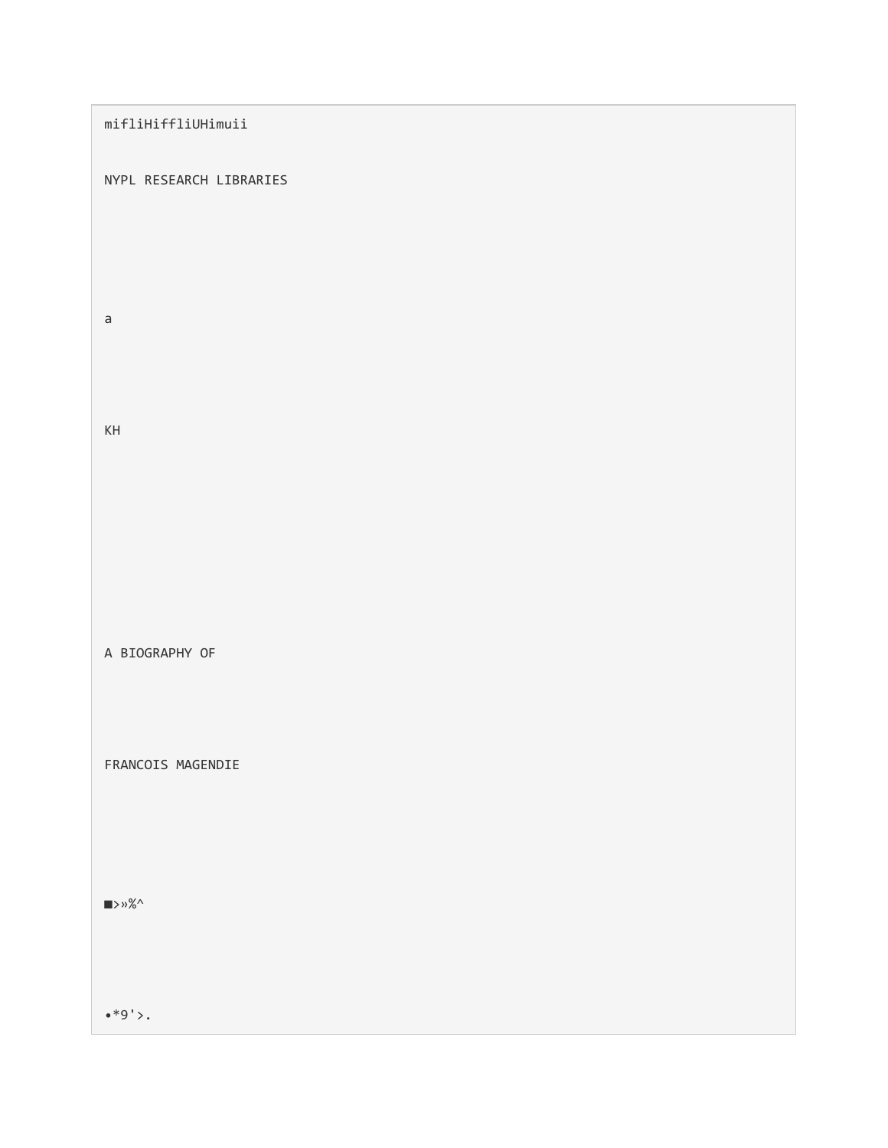# mifliHiffliUHimuii

## NYPL RESEARCH LIBRARIES

a

KH

A BIOGRAPHY OF

FRANCOIS MAGENDIE

■>»%^

 $*9'$ .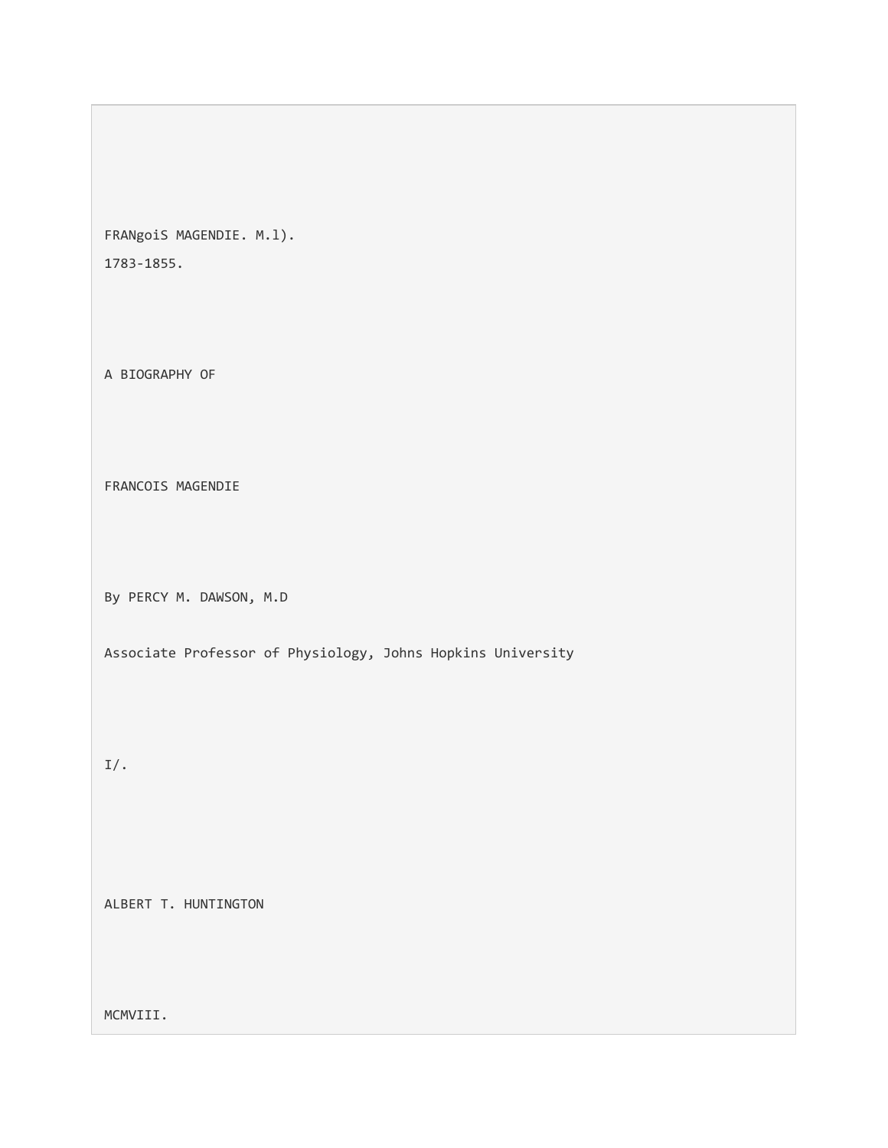FRANgoiS MAGENDIE. M.l). 1783-1855.

A BIOGRAPHY OF

FRANCOIS MAGENDIE

By PERCY M. DAWSON, M.D

Associate Professor of Physiology, Johns Hopkins University

I/.

ALBERT T. HUNTINGTON

MCMVIII.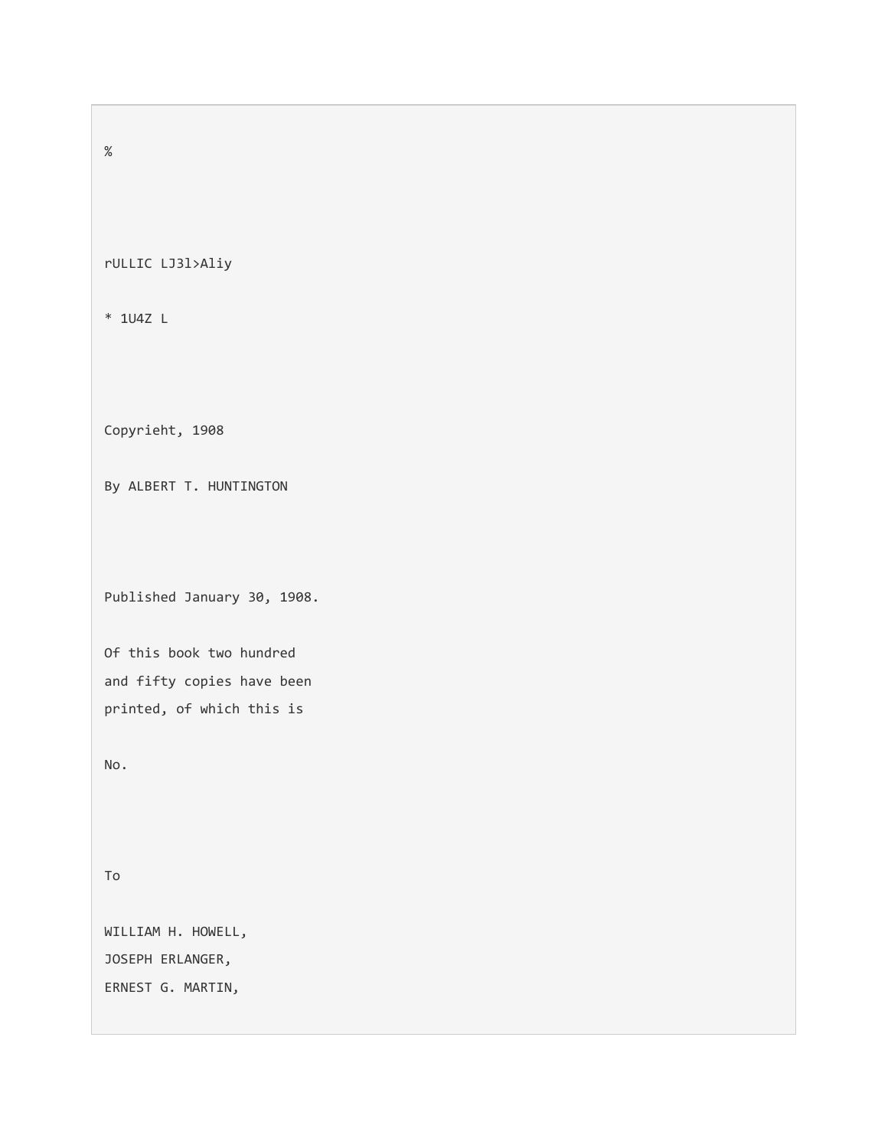%

rULLIC LJ3l>Aliy

\* 1U4Z L

Copyrieht, 1908

By ALBERT T. HUNTINGTON

Published January 30, 1908.

Of this book two hundred and fifty copies have been printed, of which this is

No.

To

WILLIAM H. HOWELL, JOSEPH ERLANGER, ERNEST G. MARTIN,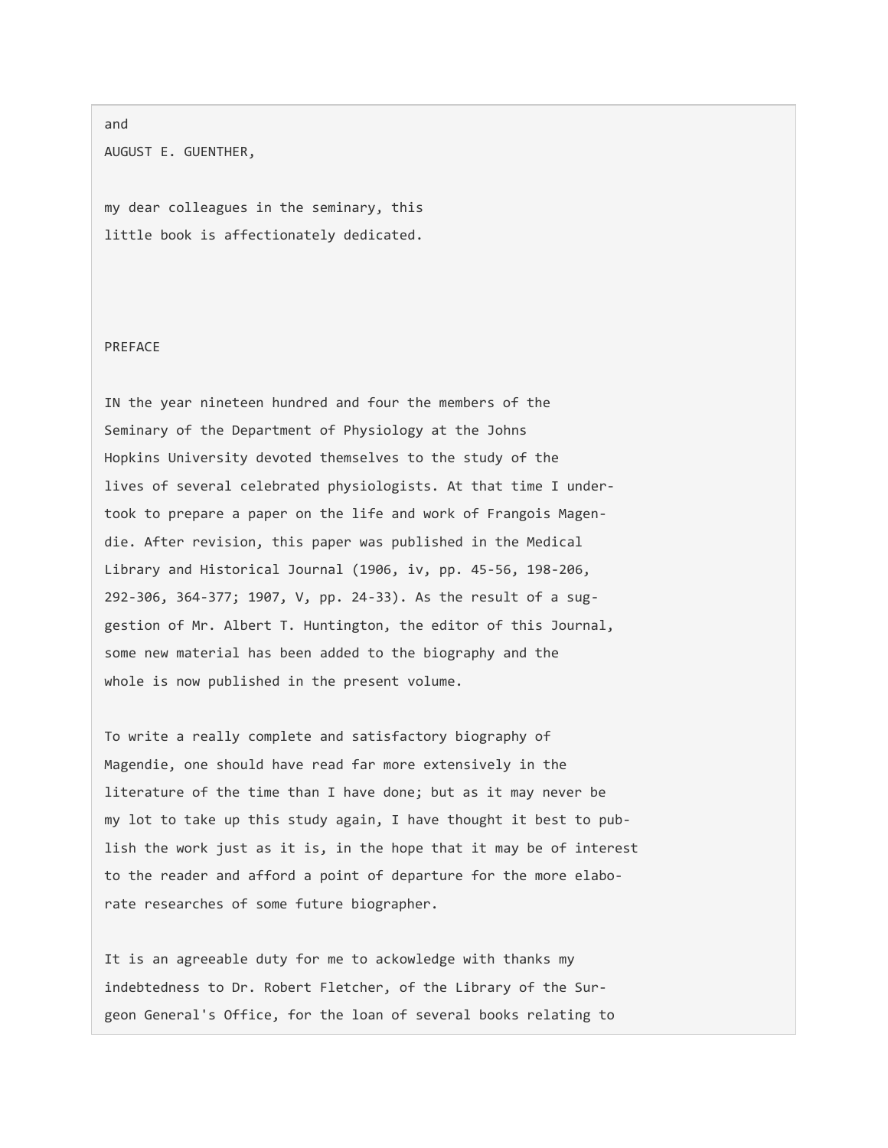#### and

AUGUST E. GUENTHER,

my dear colleagues in the seminary, this little book is affectionately dedicated.

## PREFACE

IN the year nineteen hundred and four the members of the Seminary of the Department of Physiology at the Johns Hopkins University devoted themselves to the study of the lives of several celebrated physiologists. At that time I undertook to prepare a paper on the life and work of Frangois Magendie. After revision, this paper was published in the Medical Library and Historical Journal (1906, iv, pp. 45-56, 198-206, 292-306, 364-377; 1907, V, pp. 24-33). As the result of a suggestion of Mr. Albert T. Huntington, the editor of this Journal, some new material has been added to the biography and the whole is now published in the present volume.

To write a really complete and satisfactory biography of Magendie, one should have read far more extensively in the literature of the time than I have done; but as it may never be my lot to take up this study again, I have thought it best to publish the work just as it is, in the hope that it may be of interest to the reader and afford a point of departure for the more elaborate researches of some future biographer.

It is an agreeable duty for me to ackowledge with thanks my indebtedness to Dr. Robert Fletcher, of the Library of the Surgeon General's Office, for the loan of several books relating to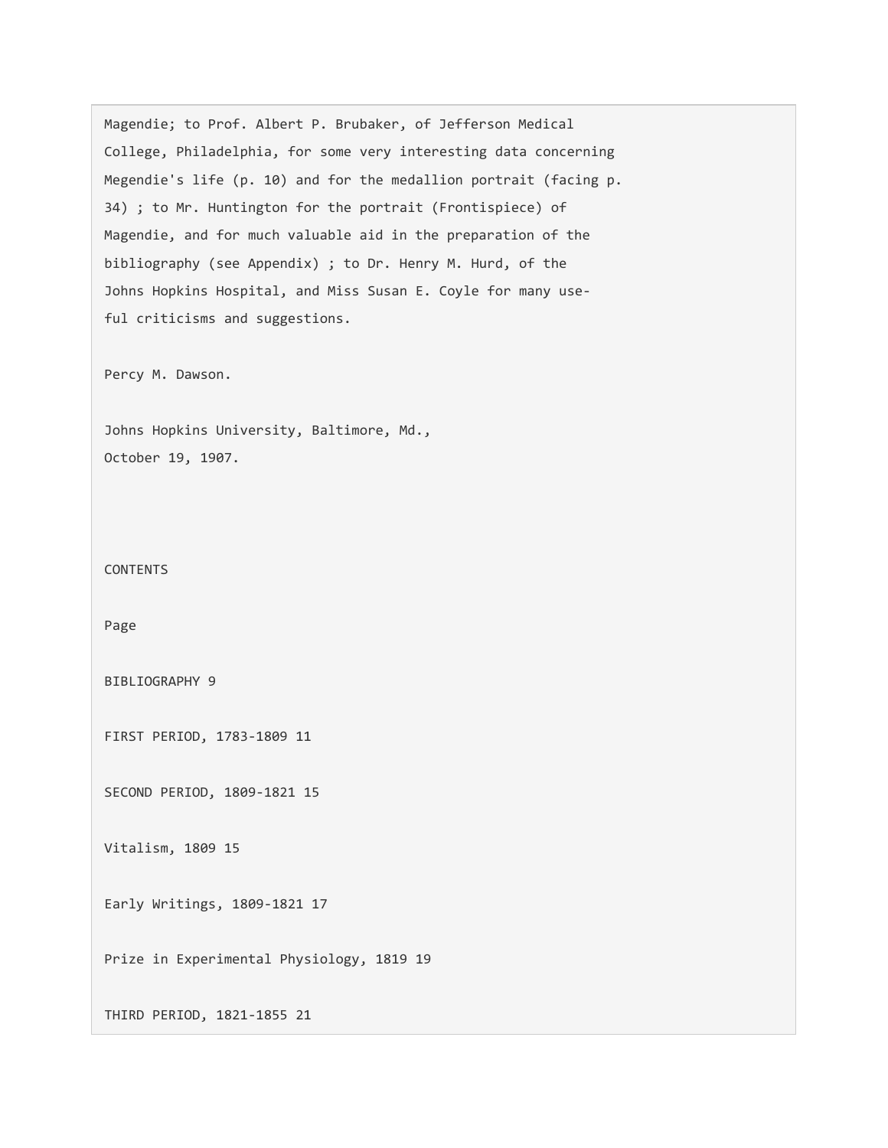Magendie; to Prof. Albert P. Brubaker, of Jefferson Medical College, Philadelphia, for some very interesting data concerning Megendie's life (p. 10) and for the medallion portrait (facing p. 34) ; to Mr. Huntington for the portrait (Frontispiece) of Magendie, and for much valuable aid in the preparation of the bibliography (see Appendix) ; to Dr. Henry M. Hurd, of the Johns Hopkins Hospital, and Miss Susan E. Coyle for many useful criticisms and suggestions.

Percy M. Dawson.

Johns Hopkins University, Baltimore, Md., October 19, 1907.

CONTENTS

Page

BIBLIOGRAPHY 9

FIRST PERIOD, 1783-1809 11

SECOND PERIOD, 1809-1821 15

Vitalism, 1809 15

Early Writings, 1809-1821 17

Prize in Experimental Physiology, 1819 19

THIRD PERIOD, 1821-1855 21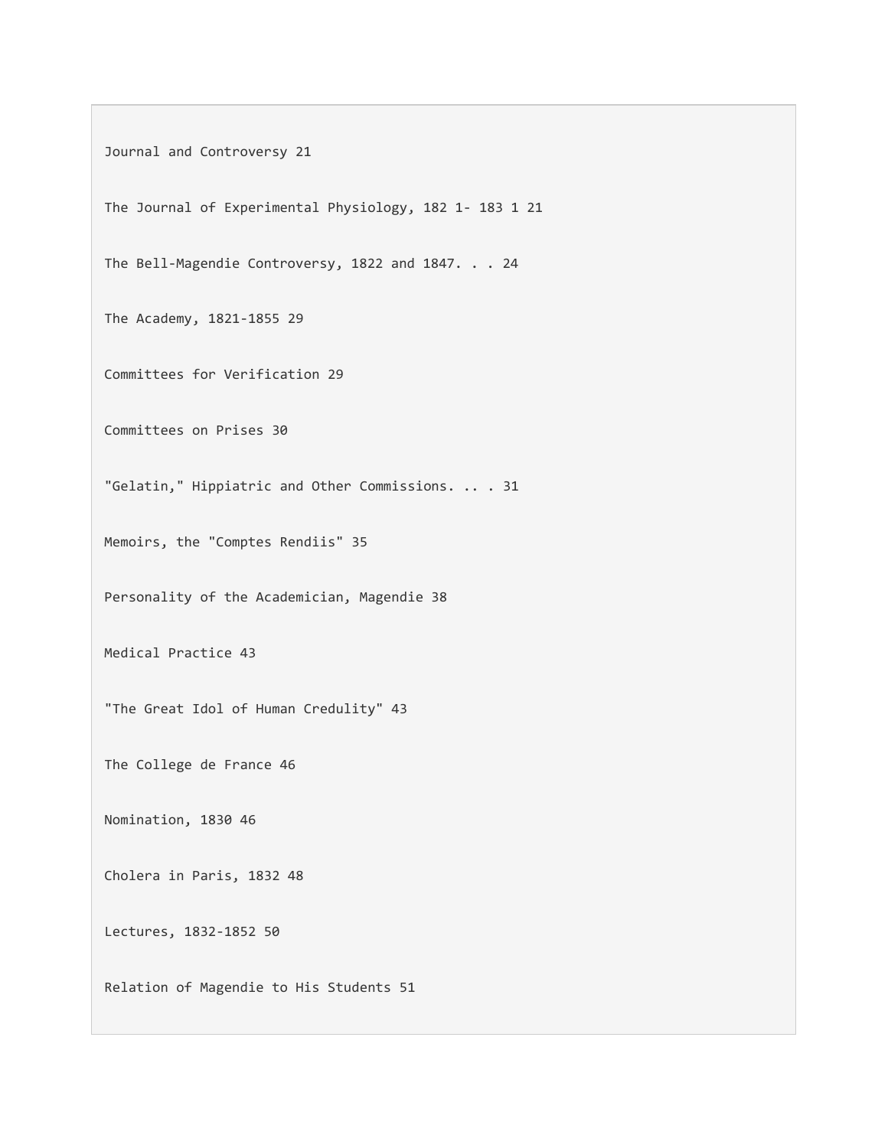Journal and Controversy 21

The Journal of Experimental Physiology, 182 1- 183 1 21

The Bell-Magendie Controversy, 1822 and 1847. . . 24

The Academy, 1821-1855 29

Committees for Verification 29

Committees on Prises 30

"Gelatin," Hippiatric and Other Commissions. .. . 31

Memoirs, the "Comptes Rendiis" 35

Personality of the Academician, Magendie 38

Medical Practice 43

"The Great Idol of Human Credulity" 43

The College de France 46

Nomination, 1830 46

Cholera in Paris, 1832 48

Lectures, 1832-1852 50

Relation of Magendie to His Students 51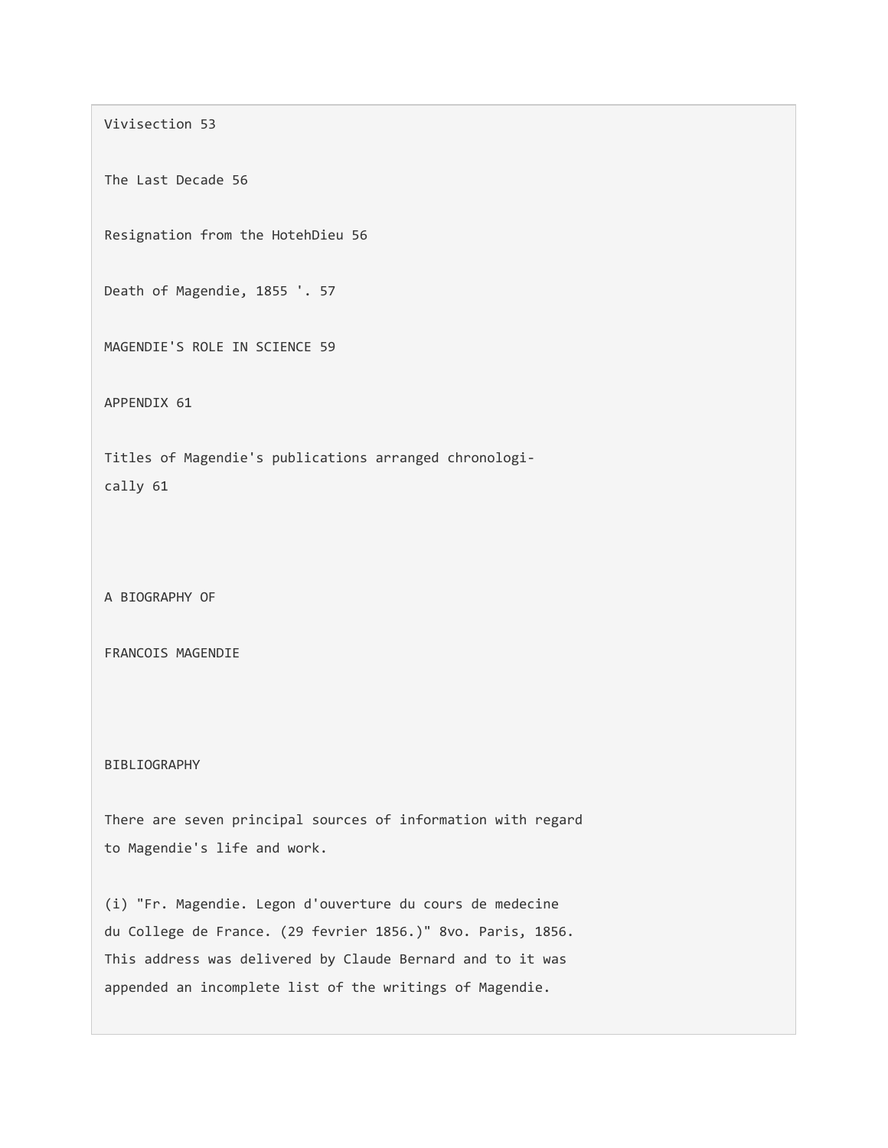Vivisection 53

The Last Decade 56

Resignation from the HotehDieu 56

Death of Magendie, 1855 '. 57

MAGENDIE'S ROLE IN SCIENCE 59

APPENDIX 61

Titles of Magendie's publications arranged chronologically 61

A BIOGRAPHY OF

FRANCOIS MAGENDIE

BIBLIOGRAPHY

There are seven principal sources of information with regard to Magendie's life and work.

(i) "Fr. Magendie. Legon d'ouverture du cours de medecine du College de France. (29 fevrier 1856.)" 8vo. Paris, 1856. This address was delivered by Claude Bernard and to it was appended an incomplete list of the writings of Magendie.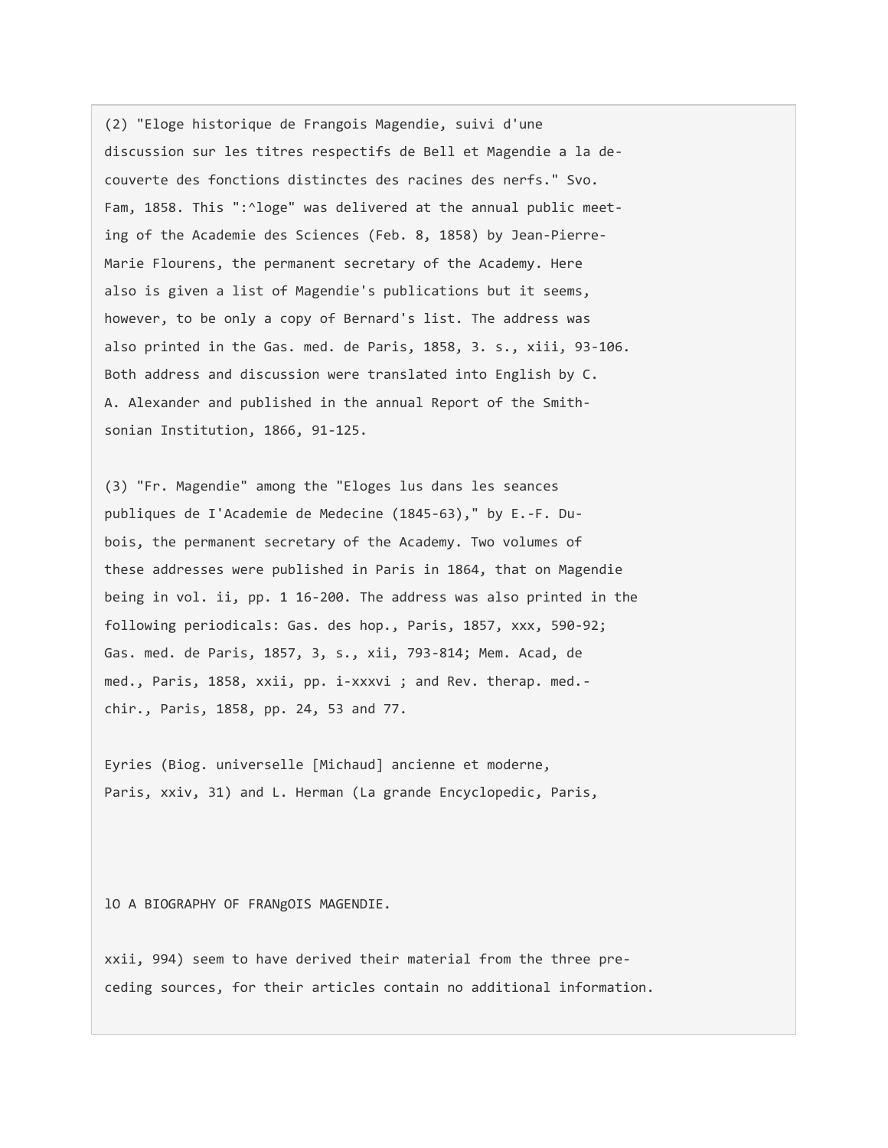(2) "Eloge historique de Frangois Magendie, suivi d'une discussion sur les titres respectifs de Bell et Magendie a la decouverte des fonctions distinctes des racines des nerfs." Svo. Fam, 1858. This ":^loge" was delivered at the annual public meeting of the Academie des Sciences (Feb. 8, 1858) by Jean-Pierre-Marie Flourens, the permanent secretary of the Academy. Here also is given a list of Magendie's publications but it seems, however, to be only a copy of Bernard's list. The address was also printed in the Gas. med. de Paris, 1858, 3. s., xiii, 93-106. Both address and discussion were translated into English by C. A. Alexander and published in the annual Report of the Smithsonian Institution, 1866, 91-125.

(3) "Fr. Magendie" among the "Eloges lus dans les seances publiques de I'Academie de Medecine (1845-63)," by E.-F. Dubois, the permanent secretary of the Academy. Two volumes of these addresses were published in Paris in 1864, that on Magendie being in vol. ii, pp. 1 16-200. The address was also printed in the following periodicals: Gas. des hop., Paris, 1857, xxx, 590-92; Gas. med. de Paris, 1857, 3, s., xii, 793-814; Mem. Acad, de med., Paris, 1858, xxii, pp. i-xxxvi ; and Rev. therap. med. chir., Paris, 1858, pp. 24, 53 and 77.

Eyries (Biog. universelle [Michaud] ancienne et moderne, Paris, xxiv, 31) and L. Herman (La grande Encyclopedic, Paris,

lO A BIOGRAPHY OF FRANgOIS MAGENDIE.

xxii, 994) seem to have derived their material from the three preceding sources, for their articles contain no additional information.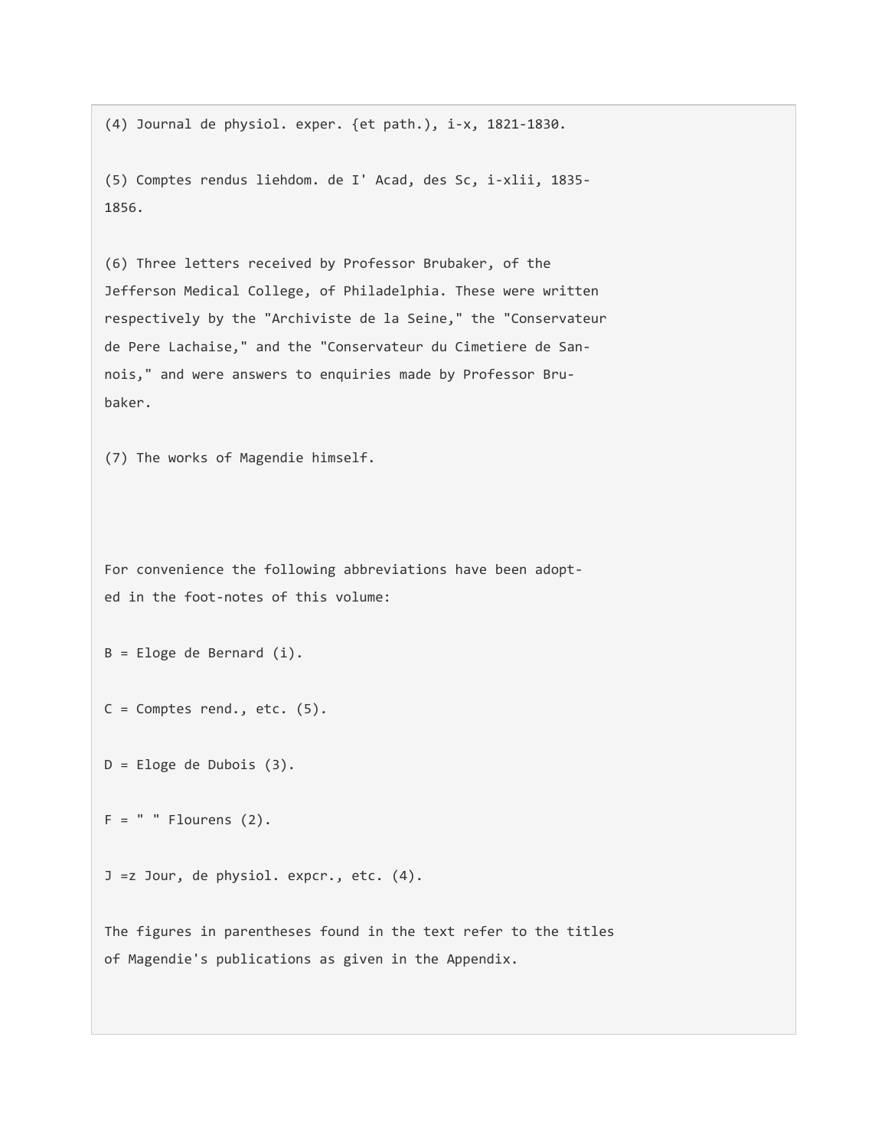(4) Journal de physiol. exper. {et path.), i-x, 1821-1830.

(5) Comptes rendus liehdom. de I' Acad, des Sc, i-xlii, 1835- 1856.

(6) Three letters received by Professor Brubaker, of the Jefferson Medical College, of Philadelphia. These were written respectively by the "Archiviste de la Seine," the "Conservateur de Pere Lachaise," and the "Conservateur du Cimetiere de Sannois," and were answers to enquiries made by Professor Brubaker.

(7) The works of Magendie himself.

For convenience the following abbreviations have been adopted in the foot-notes of this volume:

B = Eloge de Bernard (i).

 $C =$  Comptes rend., etc.  $(5)$ .

D = Eloge de Dubois (3).

 $F = " " Flourens (2).$ 

J =z Jour, de physiol. expcr., etc. (4).

The figures in parentheses found in the text refer to the titles of Magendie's publications as given in the Appendix.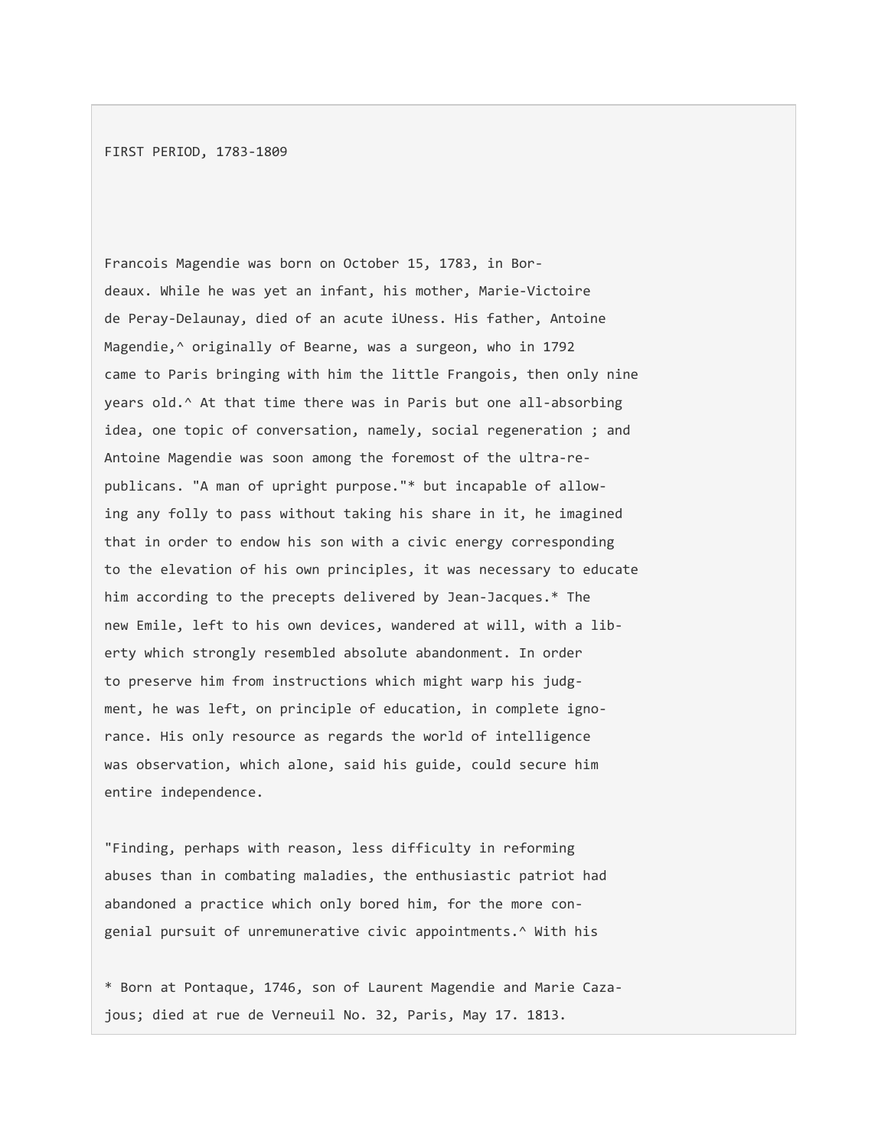FIRST PERIOD, 1783-1809

Francois Magendie was born on October 15, 1783, in Bordeaux. While he was yet an infant, his mother, Marie-Victoire de Peray-Delaunay, died of an acute iUness. His father, Antoine Magendie,^ originally of Bearne, was a surgeon, who in 1792 came to Paris bringing with him the little Frangois, then only nine years old.^ At that time there was in Paris but one all-absorbing idea, one topic of conversation, namely, social regeneration ; and Antoine Magendie was soon among the foremost of the ultra-republicans. "A man of upright purpose."\* but incapable of allowing any folly to pass without taking his share in it, he imagined that in order to endow his son with a civic energy corresponding to the elevation of his own principles, it was necessary to educate him according to the precepts delivered by Jean-Jacques.\* The new Emile, left to his own devices, wandered at will, with a liberty which strongly resembled absolute abandonment. In order to preserve him from instructions which might warp his judgment, he was left, on principle of education, in complete ignorance. His only resource as regards the world of intelligence was observation, which alone, said his guide, could secure him entire independence.

"Finding, perhaps with reason, less difficulty in reforming abuses than in combating maladies, the enthusiastic patriot had abandoned a practice which only bored him, for the more congenial pursuit of unremunerative civic appointments.^ With his

\* Born at Pontaque, 1746, son of Laurent Magendie and Marie Cazajous; died at rue de Verneuil No. 32, Paris, May 17. 1813.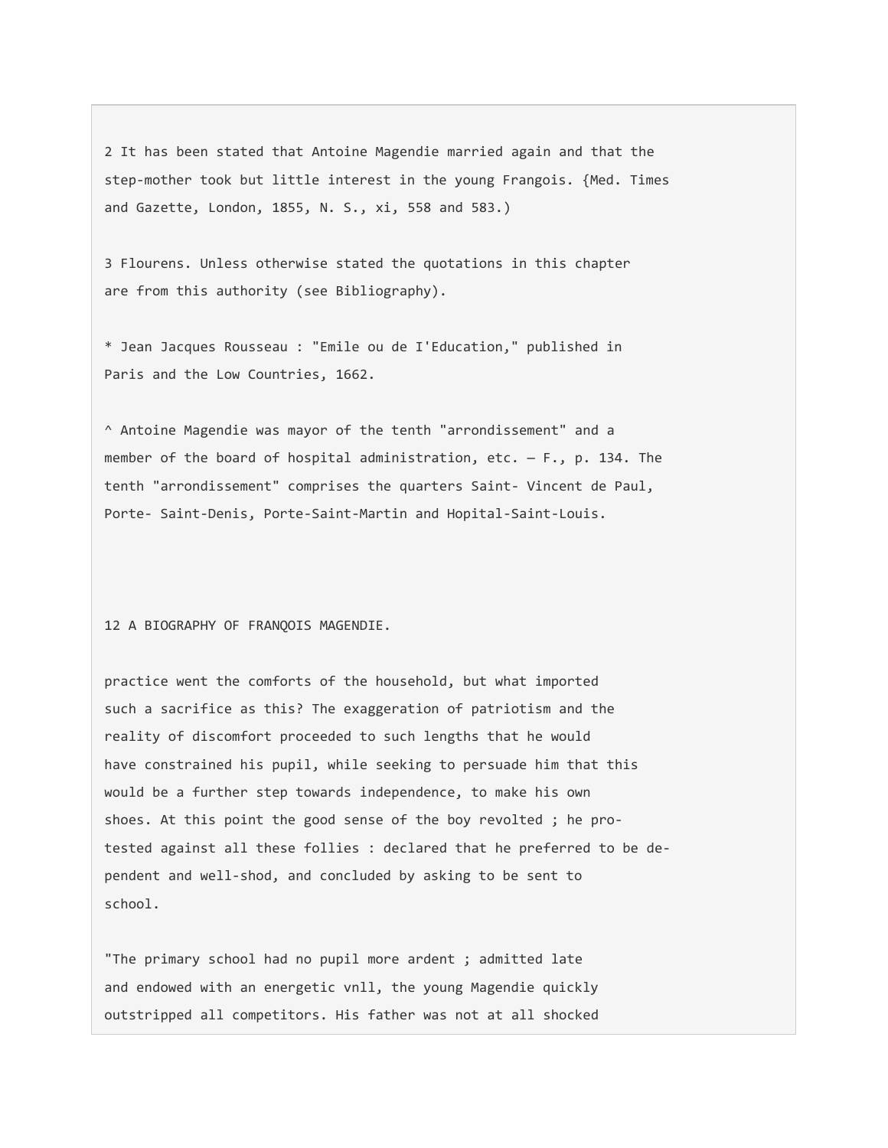2 It has been stated that Antoine Magendie married again and that the step-mother took but little interest in the young Frangois. {Med. Times and Gazette, London, 1855, N. S., xi, 558 and 583.)

3 Flourens. Unless otherwise stated the quotations in this chapter are from this authority (see Bibliography).

\* Jean Jacques Rousseau : "Emile ou de I'Education," published in Paris and the Low Countries, 1662.

^ Antoine Magendie was mayor of the tenth "arrondissement" and a member of the board of hospital administration,  $etc. - F.$ , p. 134. The tenth "arrondissement" comprises the quarters Saint- Vincent de Paul, Porte- Saint-Denis, Porte-Saint-Martin and Hopital-Saint-Louis.

12 A BIOGRAPHY OF FRANQOIS MAGENDIE.

practice went the comforts of the household, but what imported such a sacrifice as this? The exaggeration of patriotism and the reality of discomfort proceeded to such lengths that he would have constrained his pupil, while seeking to persuade him that this would be a further step towards independence, to make his own shoes. At this point the good sense of the boy revolted ; he protested against all these follies : declared that he preferred to be dependent and well-shod, and concluded by asking to be sent to school.

"The primary school had no pupil more ardent ; admitted late and endowed with an energetic vnll, the young Magendie quickly outstripped all competitors. His father was not at all shocked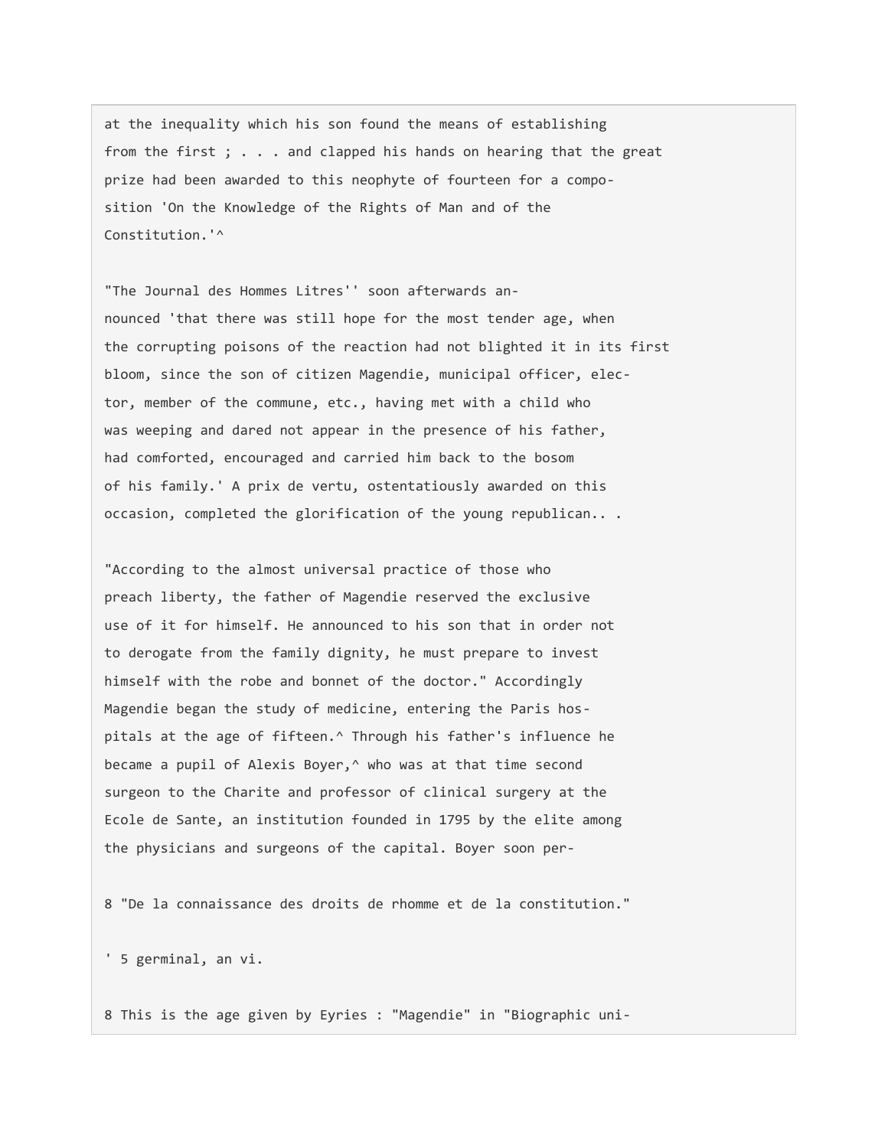at the inequality which his son found the means of establishing from the first ; . . . and clapped his hands on hearing that the great prize had been awarded to this neophyte of fourteen for a composition 'On the Knowledge of the Rights of Man and of the Constitution.'^

"The Journal des Hommes Litres'' soon afterwards announced 'that there was still hope for the most tender age, when the corrupting poisons of the reaction had not blighted it in its first bloom, since the son of citizen Magendie, municipal officer, elector, member of the commune, etc., having met with a child who was weeping and dared not appear in the presence of his father, had comforted, encouraged and carried him back to the bosom of his family.' A prix de vertu, ostentatiously awarded on this occasion, completed the glorification of the young republican.. .

"According to the almost universal practice of those who preach liberty, the father of Magendie reserved the exclusive use of it for himself. He announced to his son that in order not to derogate from the family dignity, he must prepare to invest himself with the robe and bonnet of the doctor." Accordingly Magendie began the study of medicine, entering the Paris hospitals at the age of fifteen.^ Through his father's influence he became a pupil of Alexis Boyer,<sup>^</sup> who was at that time second surgeon to the Charite and professor of clinical surgery at the Ecole de Sante, an institution founded in 1795 by the elite among the physicians and surgeons of the capital. Boyer soon per-

8 "De la connaissance des droits de rhomme et de la constitution."

' 5 germinal, an vi.

8 This is the age given by Eyries : "Magendie" in "Biographic uni-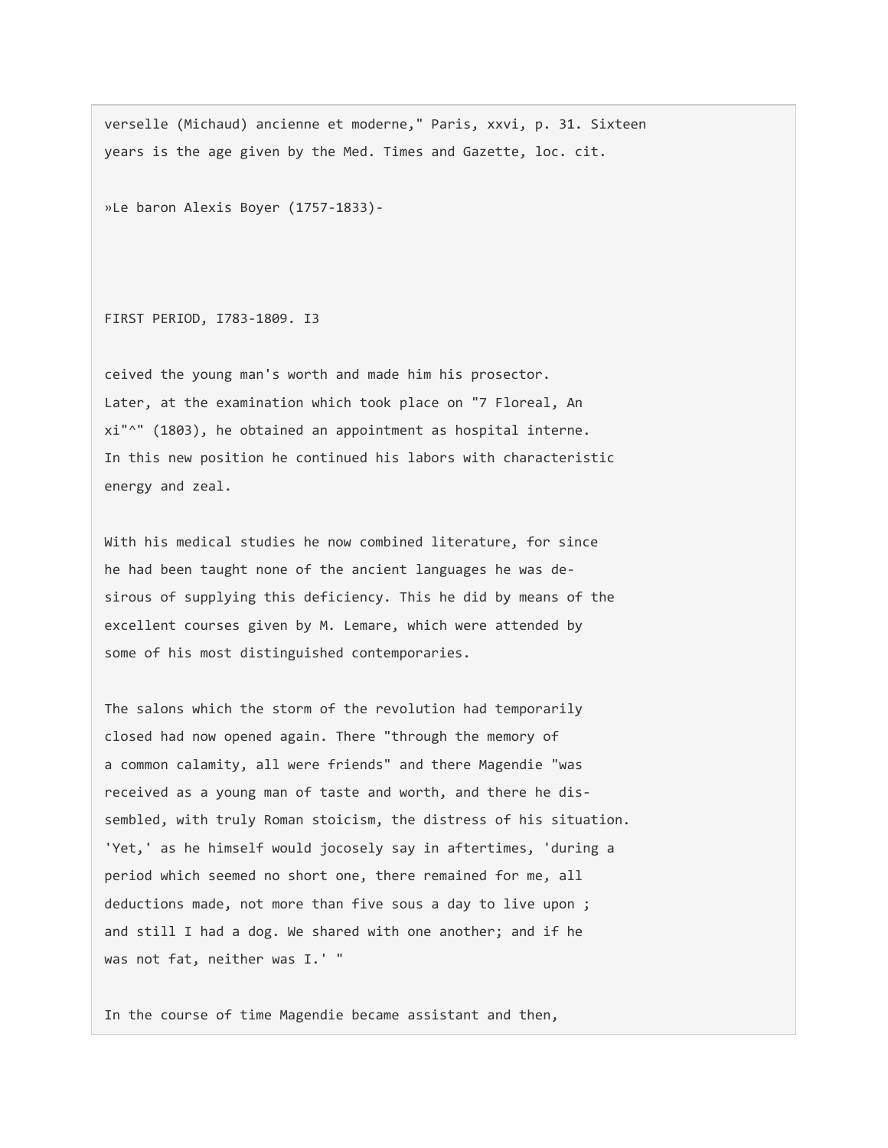verselle (Michaud) ancienne et moderne," Paris, xxvi, p. 31. Sixteen years is the age given by the Med. Times and Gazette, loc. cit.

»Le baron Alexis Boyer (1757-1833)-

FIRST PERIOD, I783-1809. I3

ceived the young man's worth and made him his prosector. Later, at the examination which took place on "7 Floreal, An xi"^" (1803), he obtained an appointment as hospital interne. In this new position he continued his labors with characteristic energy and zeal.

With his medical studies he now combined literature, for since he had been taught none of the ancient languages he was desirous of supplying this deficiency. This he did by means of the excellent courses given by M. Lemare, which were attended by some of his most distinguished contemporaries.

The salons which the storm of the revolution had temporarily closed had now opened again. There "through the memory of a common calamity, all were friends" and there Magendie "was received as a young man of taste and worth, and there he dissembled, with truly Roman stoicism, the distress of his situation. 'Yet,' as he himself would jocosely say in aftertimes, 'during a period which seemed no short one, there remained for me, all deductions made, not more than five sous a day to live upon ; and still I had a dog. We shared with one another; and if he was not fat, neither was I.' "

In the course of time Magendie became assistant and then,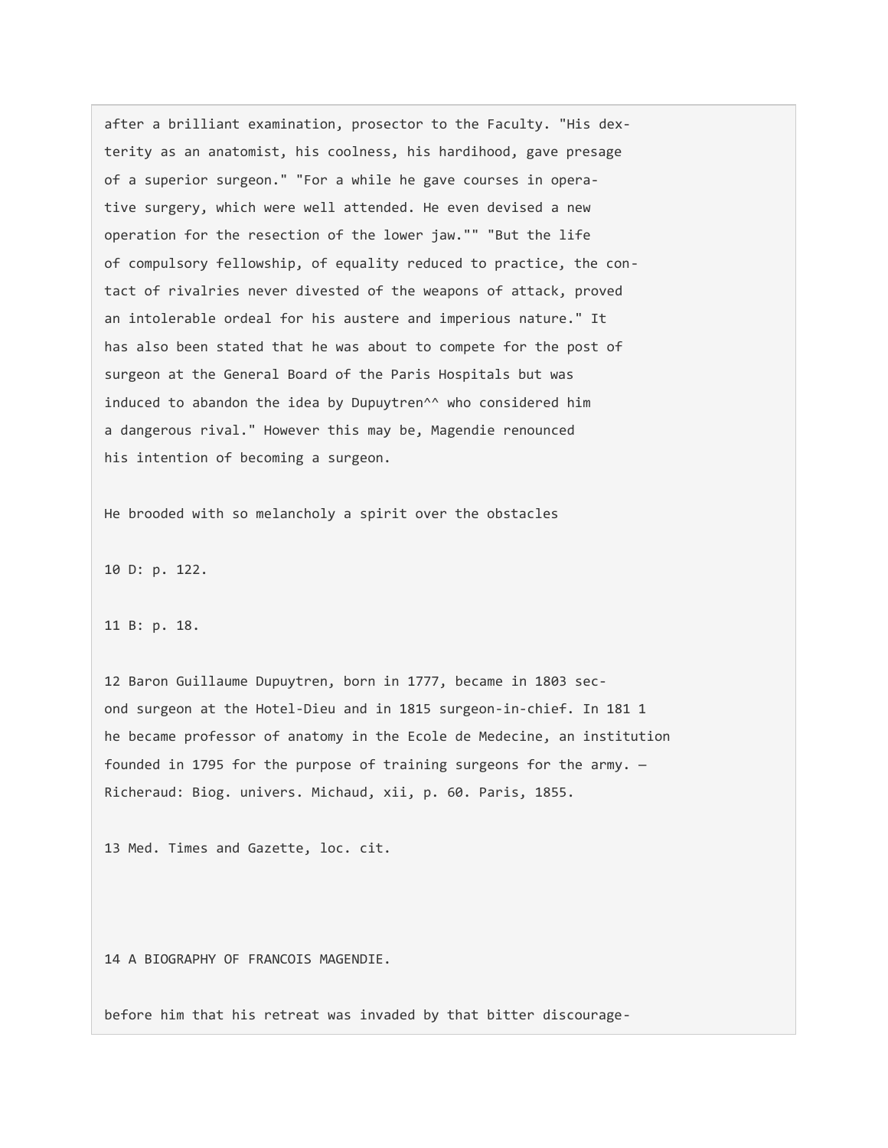after a brilliant examination, prosector to the Faculty. "His dexterity as an anatomist, his coolness, his hardihood, gave presage of a superior surgeon." "For a while he gave courses in operative surgery, which were well attended. He even devised a new operation for the resection of the lower jaw."" "But the life of compulsory fellowship, of equality reduced to practice, the contact of rivalries never divested of the weapons of attack, proved an intolerable ordeal for his austere and imperious nature." It has also been stated that he was about to compete for the post of surgeon at the General Board of the Paris Hospitals but was induced to abandon the idea by Dupuytren^^ who considered him a dangerous rival." However this may be, Magendie renounced his intention of becoming a surgeon.

He brooded with so melancholy a spirit over the obstacles

10 D: p. 122.

#### 11 B: p. 18.

12 Baron Guillaume Dupuytren, born in 1777, became in 1803 second surgeon at the Hotel-Dieu and in 1815 surgeon-in-chief. In 181 1 he became professor of anatomy in the Ecole de Medecine, an institution founded in 1795 for the purpose of training surgeons for the army. — Richeraud: Biog. univers. Michaud, xii, p. 60. Paris, 1855.

13 Med. Times and Gazette, loc. cit.

14 A BIOGRAPHY OF FRANCOIS MAGENDIE.

before him that his retreat was invaded by that bitter discourage-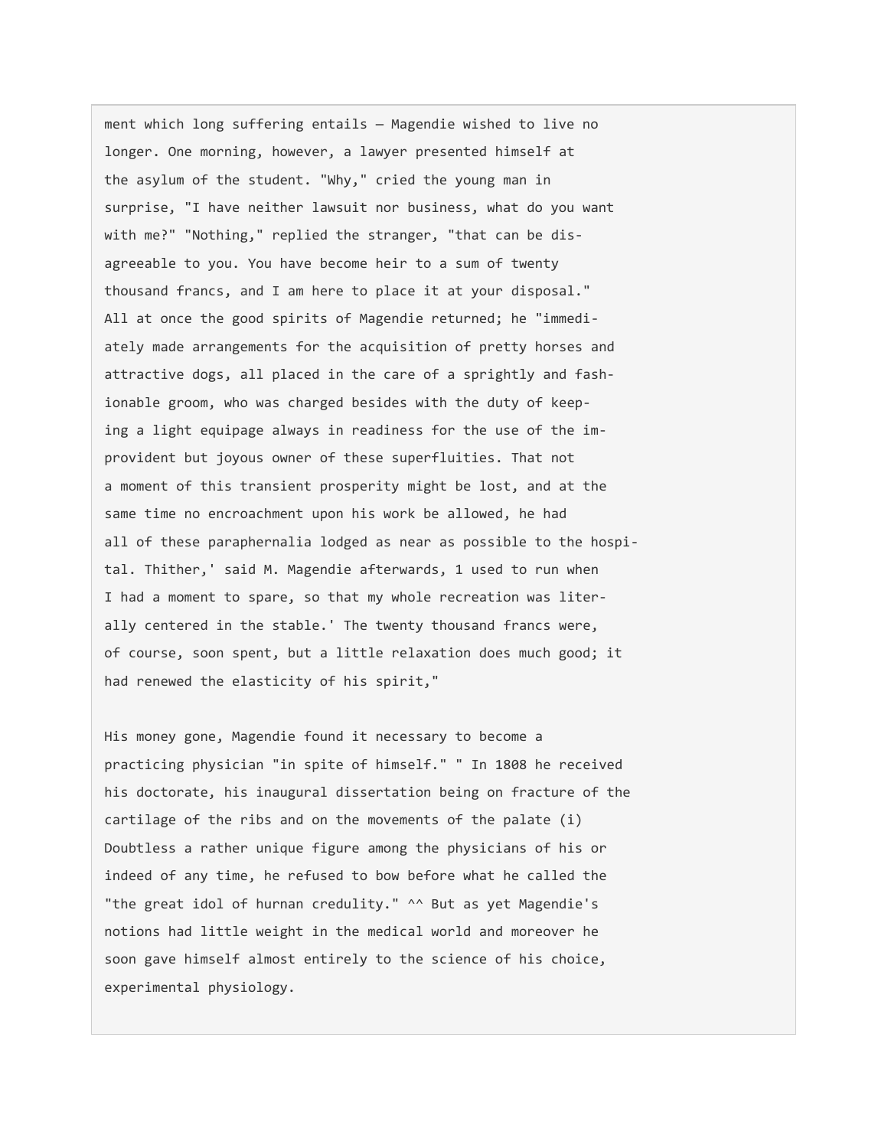ment which long suffering entails — Magendie wished to live no longer. One morning, however, a lawyer presented himself at the asylum of the student. "Why," cried the young man in surprise, "I have neither lawsuit nor business, what do you want with me?" "Nothing," replied the stranger, "that can be disagreeable to you. You have become heir to a sum of twenty thousand francs, and I am here to place it at your disposal." All at once the good spirits of Magendie returned; he "immediately made arrangements for the acquisition of pretty horses and attractive dogs, all placed in the care of a sprightly and fashionable groom, who was charged besides with the duty of keeping a light equipage always in readiness for the use of the improvident but joyous owner of these superfluities. That not a moment of this transient prosperity might be lost, and at the same time no encroachment upon his work be allowed, he had all of these paraphernalia lodged as near as possible to the hospital. Thither,' said M. Magendie afterwards, 1 used to run when I had a moment to spare, so that my whole recreation was literally centered in the stable.' The twenty thousand francs were, of course, soon spent, but a little relaxation does much good; it had renewed the elasticity of his spirit,"

His money gone, Magendie found it necessary to become a practicing physician "in spite of himself." " In 1808 he received his doctorate, his inaugural dissertation being on fracture of the cartilage of the ribs and on the movements of the palate (i) Doubtless a rather unique figure among the physicians of his or indeed of any time, he refused to bow before what he called the "the great idol of hurnan credulity." ^^ But as yet Magendie's notions had little weight in the medical world and moreover he soon gave himself almost entirely to the science of his choice, experimental physiology.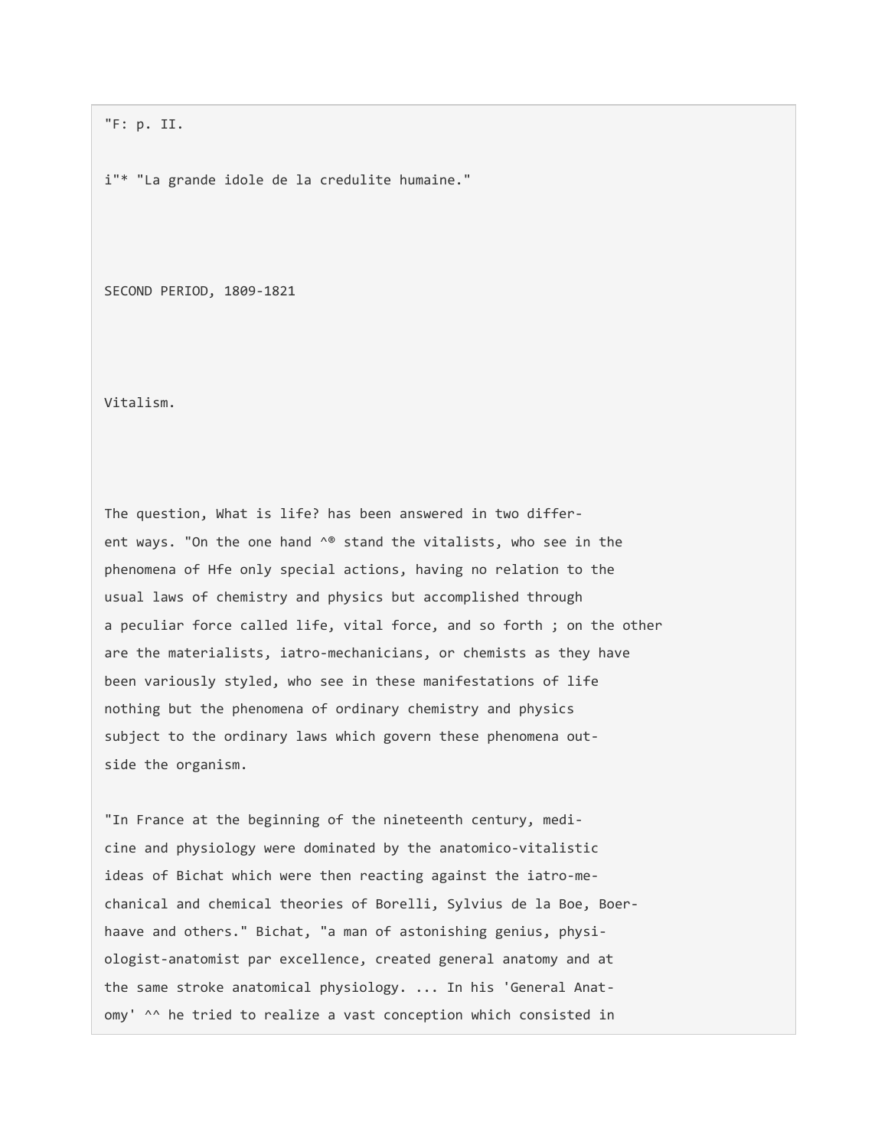"F: p. II.

i"\* "La grande idole de la credulite humaine."

SECOND PERIOD, 1809-1821

Vitalism.

The question, What is life? has been answered in two different ways. "On the one hand ^® stand the vitalists, who see in the phenomena of Hfe only special actions, having no relation to the usual laws of chemistry and physics but accomplished through a peculiar force called life, vital force, and so forth ; on the other are the materialists, iatro-mechanicians, or chemists as they have been variously styled, who see in these manifestations of life nothing but the phenomena of ordinary chemistry and physics subject to the ordinary laws which govern these phenomena outside the organism.

"In France at the beginning of the nineteenth century, medicine and physiology were dominated by the anatomico-vitalistic ideas of Bichat which were then reacting against the iatro-mechanical and chemical theories of Borelli, Sylvius de la Boe, Boerhaave and others." Bichat, "a man of astonishing genius, physiologist-anatomist par excellence, created general anatomy and at the same stroke anatomical physiology. ... In his 'General Anatomy' ^^ he tried to realize a vast conception which consisted in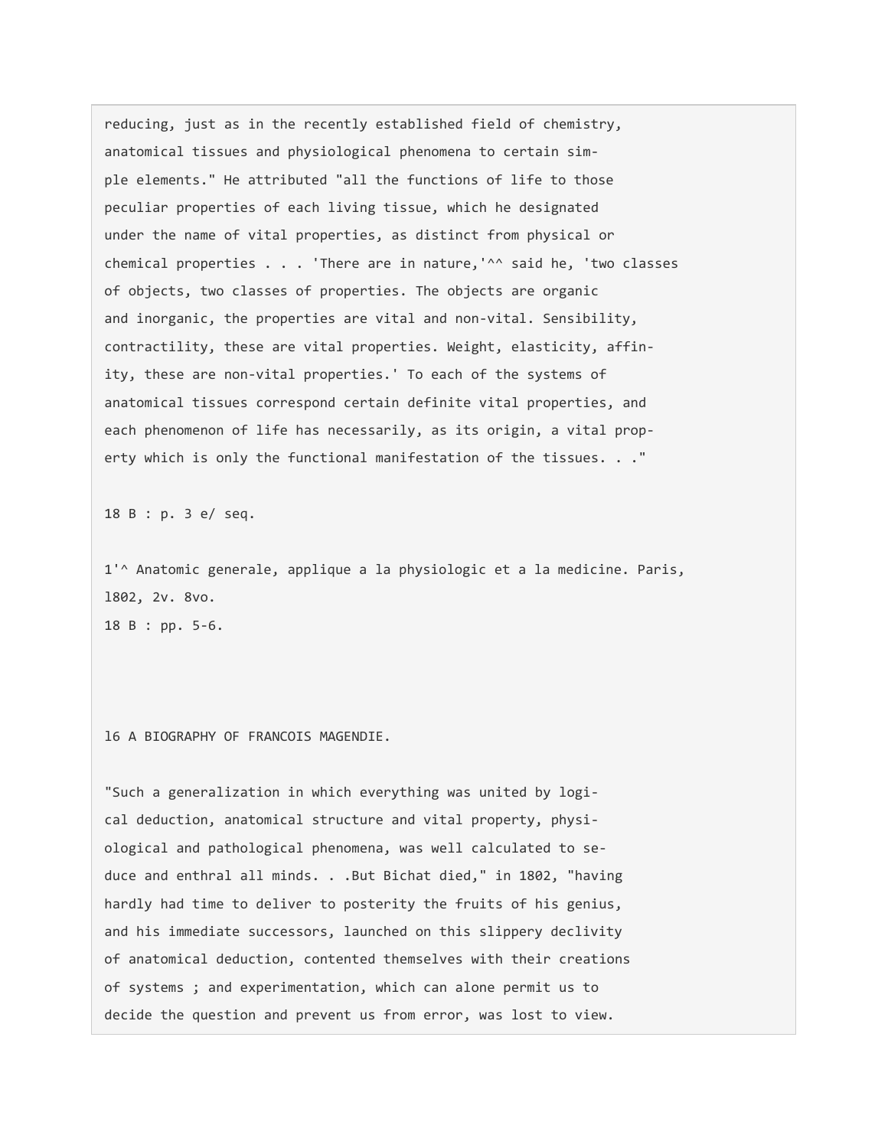reducing, just as in the recently established field of chemistry, anatomical tissues and physiological phenomena to certain simple elements." He attributed "all the functions of life to those peculiar properties of each living tissue, which he designated under the name of vital properties, as distinct from physical or chemical properties . . . 'There are in nature,'^^ said he, 'two classes of objects, two classes of properties. The objects are organic and inorganic, the properties are vital and non-vital. Sensibility, contractility, these are vital properties. Weight, elasticity, affinity, these are non-vital properties.' To each of the systems of anatomical tissues correspond certain definite vital properties, and each phenomenon of life has necessarily, as its origin, a vital property which is only the functional manifestation of the tissues. . ."

18 B : p. 3 e/ seq.

1'^ Anatomic generale, applique a la physiologic et a la medicine. Paris, l802, 2v. 8vo. 18 B : pp. 5-6.

l6 A BIOGRAPHY OF FRANCOIS MAGENDIE.

"Such a generalization in which everything was united by logical deduction, anatomical structure and vital property, physiological and pathological phenomena, was well calculated to seduce and enthral all minds. . .But Bichat died," in 1802, "having hardly had time to deliver to posterity the fruits of his genius, and his immediate successors, launched on this slippery declivity of anatomical deduction, contented themselves with their creations of systems ; and experimentation, which can alone permit us to decide the question and prevent us from error, was lost to view.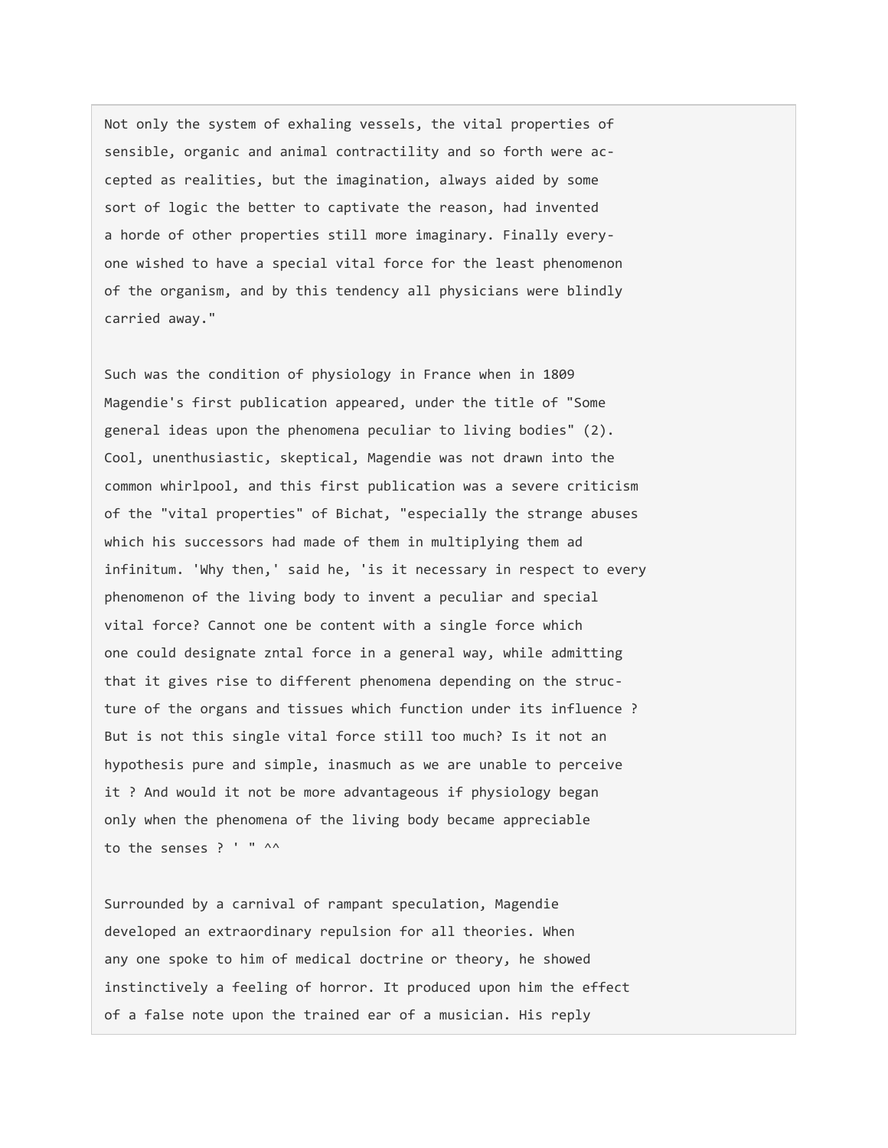Not only the system of exhaling vessels, the vital properties of sensible, organic and animal contractility and so forth were accepted as realities, but the imagination, always aided by some sort of logic the better to captivate the reason, had invented a horde of other properties still more imaginary. Finally everyone wished to have a special vital force for the least phenomenon of the organism, and by this tendency all physicians were blindly carried away."

Such was the condition of physiology in France when in 1809 Magendie's first publication appeared, under the title of "Some general ideas upon the phenomena peculiar to living bodies" (2). Cool, unenthusiastic, skeptical, Magendie was not drawn into the common whirlpool, and this first publication was a severe criticism of the "vital properties" of Bichat, "especially the strange abuses which his successors had made of them in multiplying them ad infinitum. 'Why then,' said he, 'is it necessary in respect to every phenomenon of the living body to invent a peculiar and special vital force? Cannot one be content with a single force which one could designate zntal force in a general way, while admitting that it gives rise to different phenomena depending on the structure of the organs and tissues which function under its influence ? But is not this single vital force still too much? Is it not an hypothesis pure and simple, inasmuch as we are unable to perceive it ? And would it not be more advantageous if physiology began only when the phenomena of the living body became appreciable to the senses ? ' " ^^

Surrounded by a carnival of rampant speculation, Magendie developed an extraordinary repulsion for all theories. When any one spoke to him of medical doctrine or theory, he showed instinctively a feeling of horror. It produced upon him the effect of a false note upon the trained ear of a musician. His reply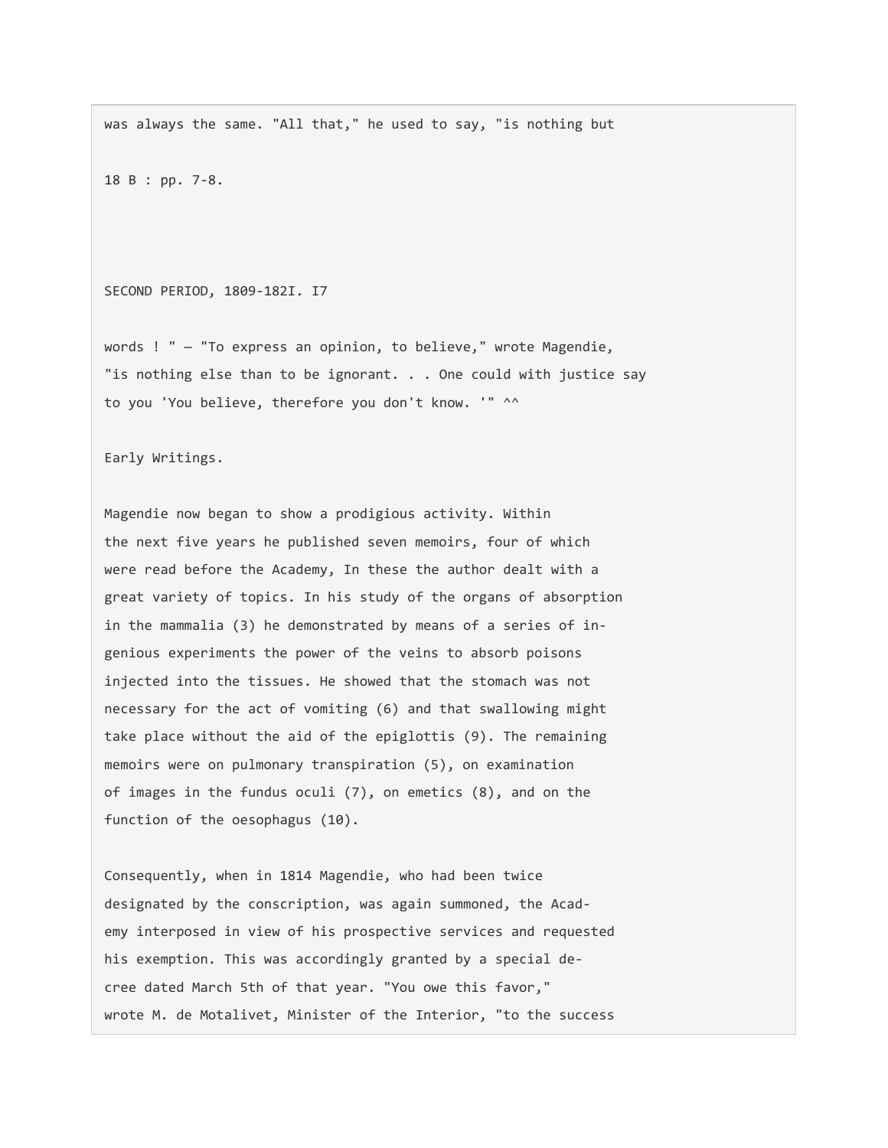was always the same. "All that," he used to say, "is nothing but

18 B : pp. 7-8.

SECOND PERIOD, 1809-182I. I7

words ! " — "To express an opinion, to believe," wrote Magendie, "is nothing else than to be ignorant. . . One could with justice say to you 'You believe, therefore you don't know. '" ^^

Early Writings.

Magendie now began to show a prodigious activity. Within the next five years he published seven memoirs, four of which were read before the Academy, In these the author dealt with a great variety of topics. In his study of the organs of absorption in the mammalia (3) he demonstrated by means of a series of ingenious experiments the power of the veins to absorb poisons injected into the tissues. He showed that the stomach was not necessary for the act of vomiting (6) and that swallowing might take place without the aid of the epiglottis (9). The remaining memoirs were on pulmonary transpiration (5), on examination of images in the fundus oculi (7), on emetics (8), and on the function of the oesophagus (10).

Consequently, when in 1814 Magendie, who had been twice designated by the conscription, was again summoned, the Academy interposed in view of his prospective services and requested his exemption. This was accordingly granted by a special decree dated March 5th of that year. "You owe this favor," wrote M. de Motalivet, Minister of the Interior, "to the success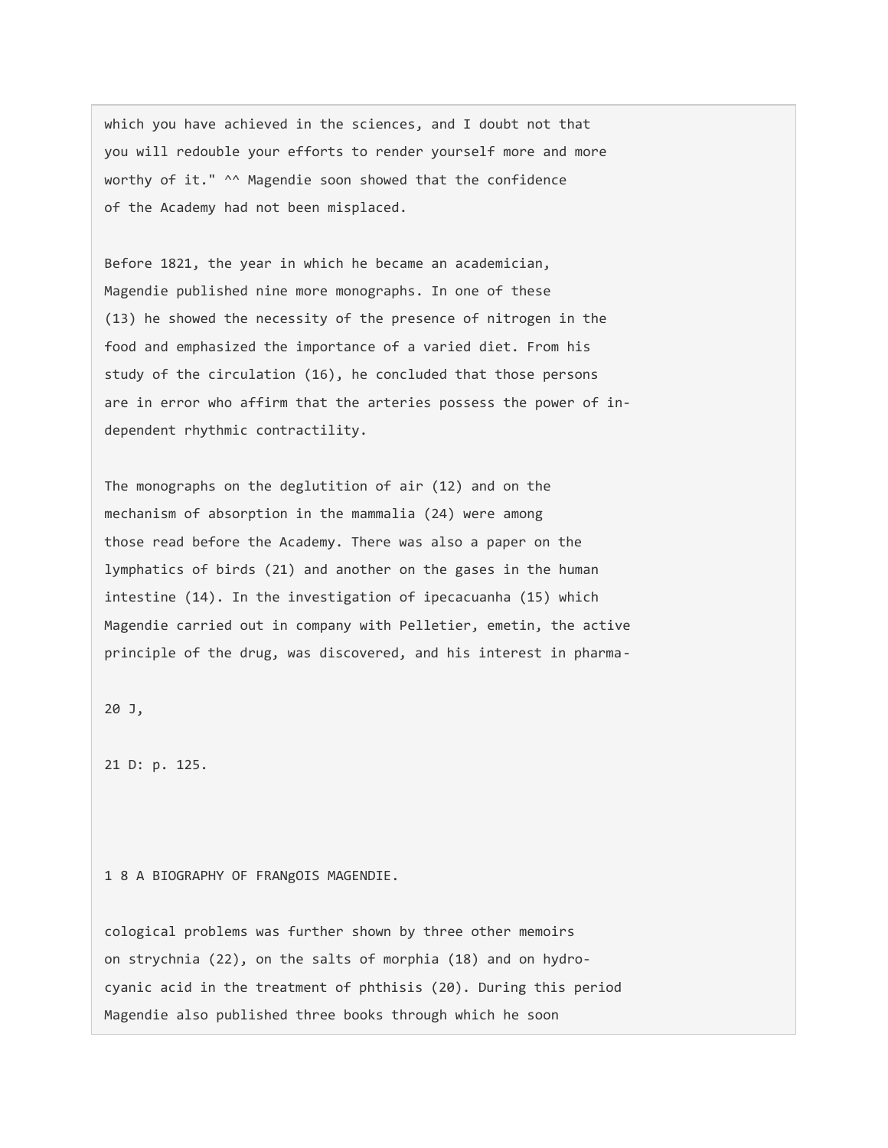which you have achieved in the sciences, and I doubt not that you will redouble your efforts to render yourself more and more worthy of it." ^^ Magendie soon showed that the confidence of the Academy had not been misplaced.

Before 1821, the year in which he became an academician, Magendie published nine more monographs. In one of these (13) he showed the necessity of the presence of nitrogen in the food and emphasized the importance of a varied diet. From his study of the circulation (16), he concluded that those persons are in error who affirm that the arteries possess the power of independent rhythmic contractility.

The monographs on the deglutition of air (12) and on the mechanism of absorption in the mammalia (24) were among those read before the Academy. There was also a paper on the lymphatics of birds (21) and another on the gases in the human intestine (14). In the investigation of ipecacuanha (15) which Magendie carried out in company with Pelletier, emetin, the active principle of the drug, was discovered, and his interest in pharma-

20 J,

21 D: p. 125.

1 8 A BIOGRAPHY OF FRANgOIS MAGENDIE.

cological problems was further shown by three other memoirs on strychnia (22), on the salts of morphia (18) and on hydrocyanic acid in the treatment of phthisis (20). During this period Magendie also published three books through which he soon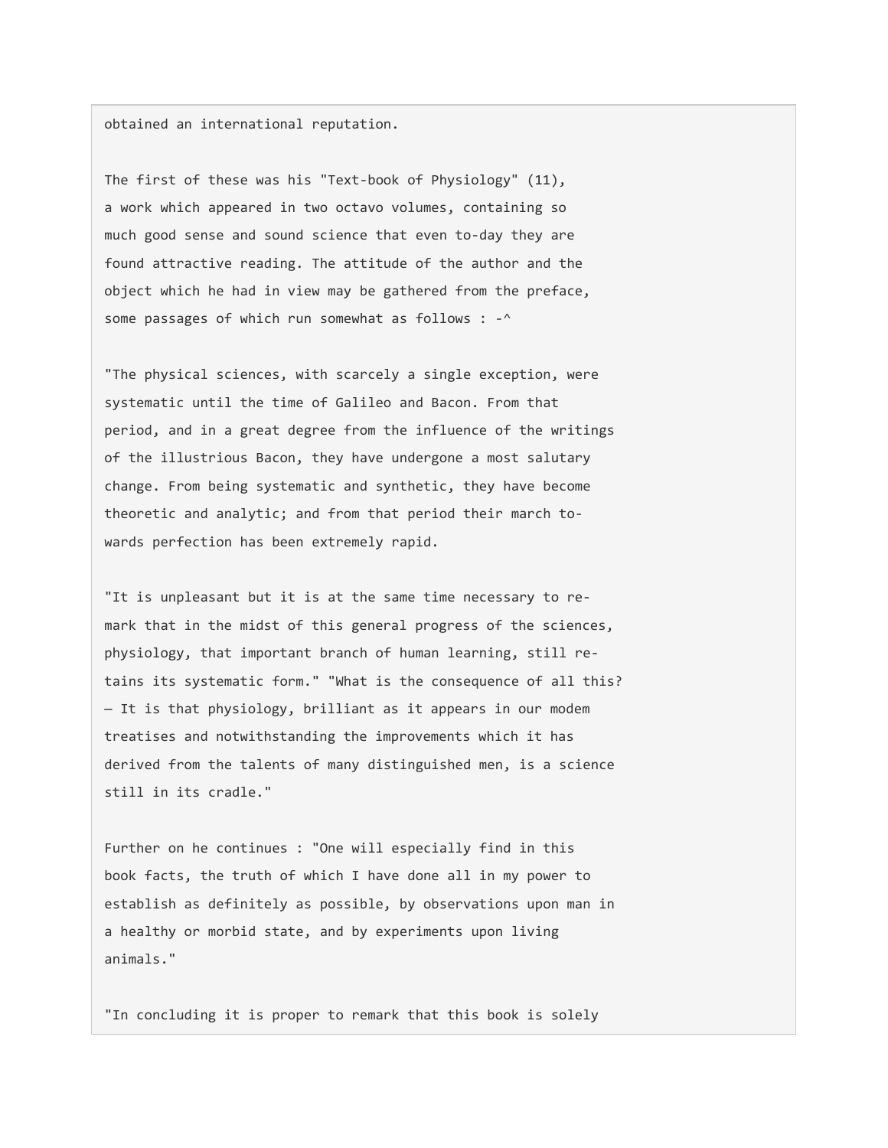obtained an international reputation.

The first of these was his "Text-book of Physiology" (11), a work which appeared in two octavo volumes, containing so much good sense and sound science that even to-day they are found attractive reading. The attitude of the author and the object which he had in view may be gathered from the preface, some passages of which run somewhat as follows : -^

"The physical sciences, with scarcely a single exception, were systematic until the time of Galileo and Bacon. From that period, and in a great degree from the influence of the writings of the illustrious Bacon, they have undergone a most salutary change. From being systematic and synthetic, they have become theoretic and analytic; and from that period their march towards perfection has been extremely rapid.

"It is unpleasant but it is at the same time necessary to remark that in the midst of this general progress of the sciences, physiology, that important branch of human learning, still retains its systematic form." "What is the consequence of all this? — It is that physiology, brilliant as it appears in our modem treatises and notwithstanding the improvements which it has derived from the talents of many distinguished men, is a science still in its cradle."

Further on he continues : "One will especially find in this book facts, the truth of which I have done all in my power to establish as definitely as possible, by observations upon man in a healthy or morbid state, and by experiments upon living animals."

"In concluding it is proper to remark that this book is solely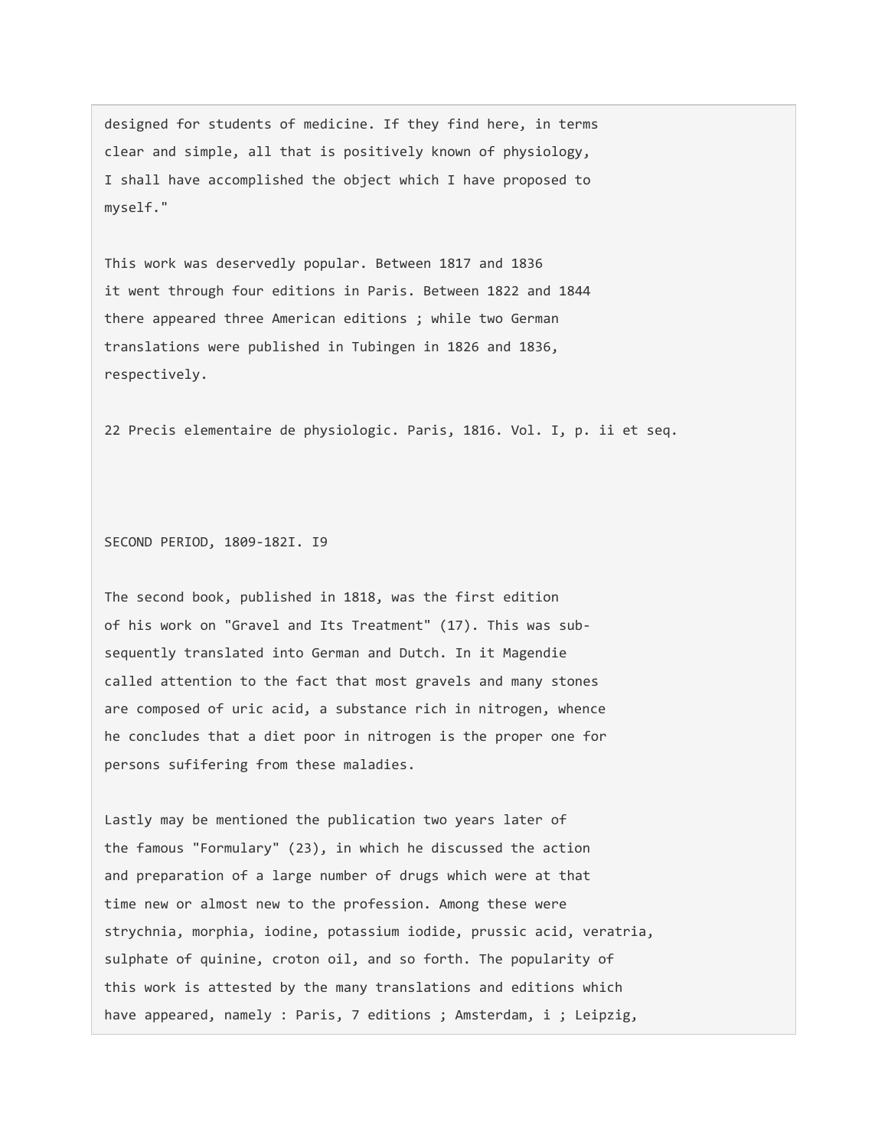designed for students of medicine. If they find here, in terms clear and simple, all that is positively known of physiology, I shall have accomplished the object which I have proposed to myself."

This work was deservedly popular. Between 1817 and 1836 it went through four editions in Paris. Between 1822 and 1844 there appeared three American editions ; while two German translations were published in Tubingen in 1826 and 1836, respectively.

22 Precis elementaire de physiologic. Paris, 1816. Vol. I, p. ii et seq.

SECOND PERIOD, 1809-182I. I9

The second book, published in 1818, was the first edition of his work on "Gravel and Its Treatment" (17). This was subsequently translated into German and Dutch. In it Magendie called attention to the fact that most gravels and many stones are composed of uric acid, a substance rich in nitrogen, whence he concludes that a diet poor in nitrogen is the proper one for persons sufifering from these maladies.

Lastly may be mentioned the publication two years later of the famous "Formulary" (23), in which he discussed the action and preparation of a large number of drugs which were at that time new or almost new to the profession. Among these were strychnia, morphia, iodine, potassium iodide, prussic acid, veratria, sulphate of quinine, croton oil, and so forth. The popularity of this work is attested by the many translations and editions which have appeared, namely : Paris, 7 editions ; Amsterdam, i ; Leipzig,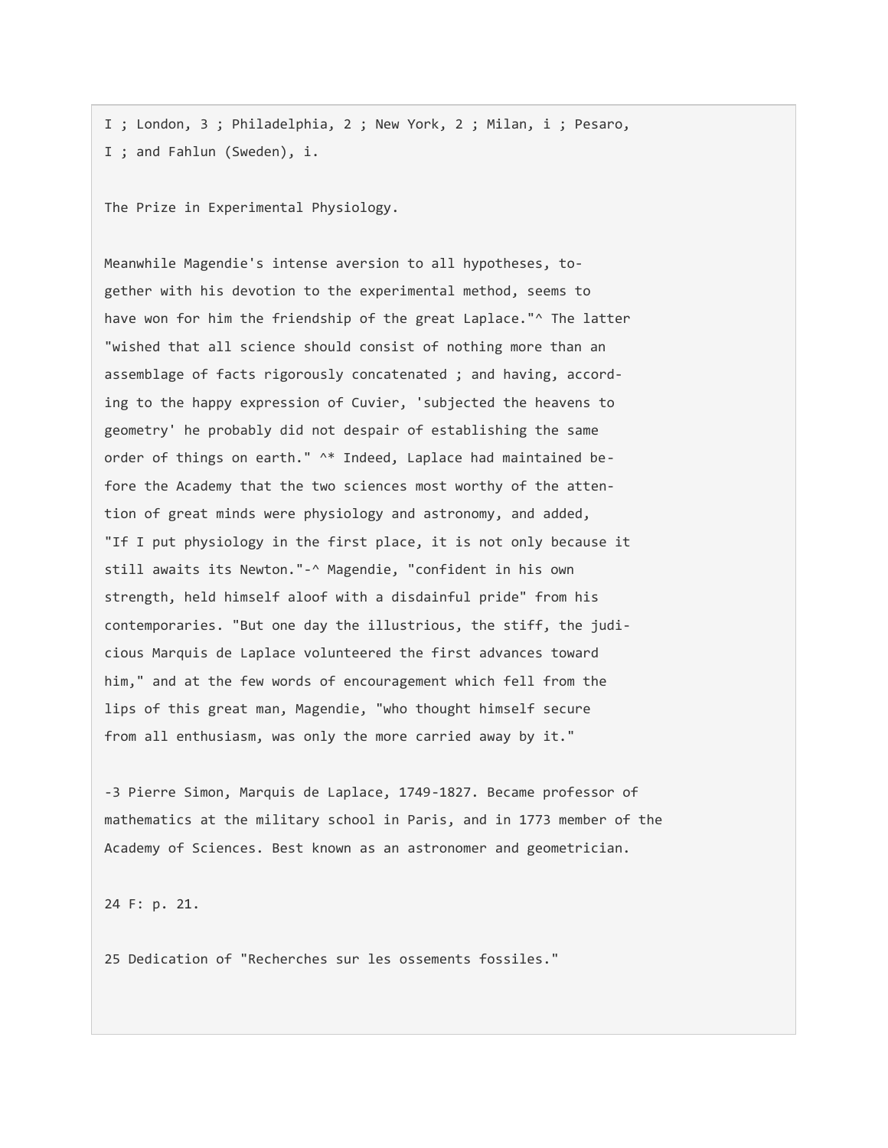I ; London, 3 ; Philadelphia, 2 ; New York, 2 ; Milan, i ; Pesaro, I ; and Fahlun (Sweden), i.

The Prize in Experimental Physiology.

Meanwhile Magendie's intense aversion to all hypotheses, together with his devotion to the experimental method, seems to have won for him the friendship of the great Laplace."^ The latter "wished that all science should consist of nothing more than an assemblage of facts rigorously concatenated ; and having, according to the happy expression of Cuvier, 'subjected the heavens to geometry' he probably did not despair of establishing the same order of things on earth." ^\* Indeed, Laplace had maintained before the Academy that the two sciences most worthy of the attention of great minds were physiology and astronomy, and added, "If I put physiology in the first place, it is not only because it still awaits its Newton."-^ Magendie, "confident in his own strength, held himself aloof with a disdainful pride" from his contemporaries. "But one day the illustrious, the stiff, the judicious Marquis de Laplace volunteered the first advances toward him," and at the few words of encouragement which fell from the lips of this great man, Magendie, "who thought himself secure from all enthusiasm, was only the more carried away by it."

-3 Pierre Simon, Marquis de Laplace, 1749-1827. Became professor of mathematics at the military school in Paris, and in 1773 member of the Academy of Sciences. Best known as an astronomer and geometrician.

24 F: p. 21.

25 Dedication of "Recherches sur les ossements fossiles."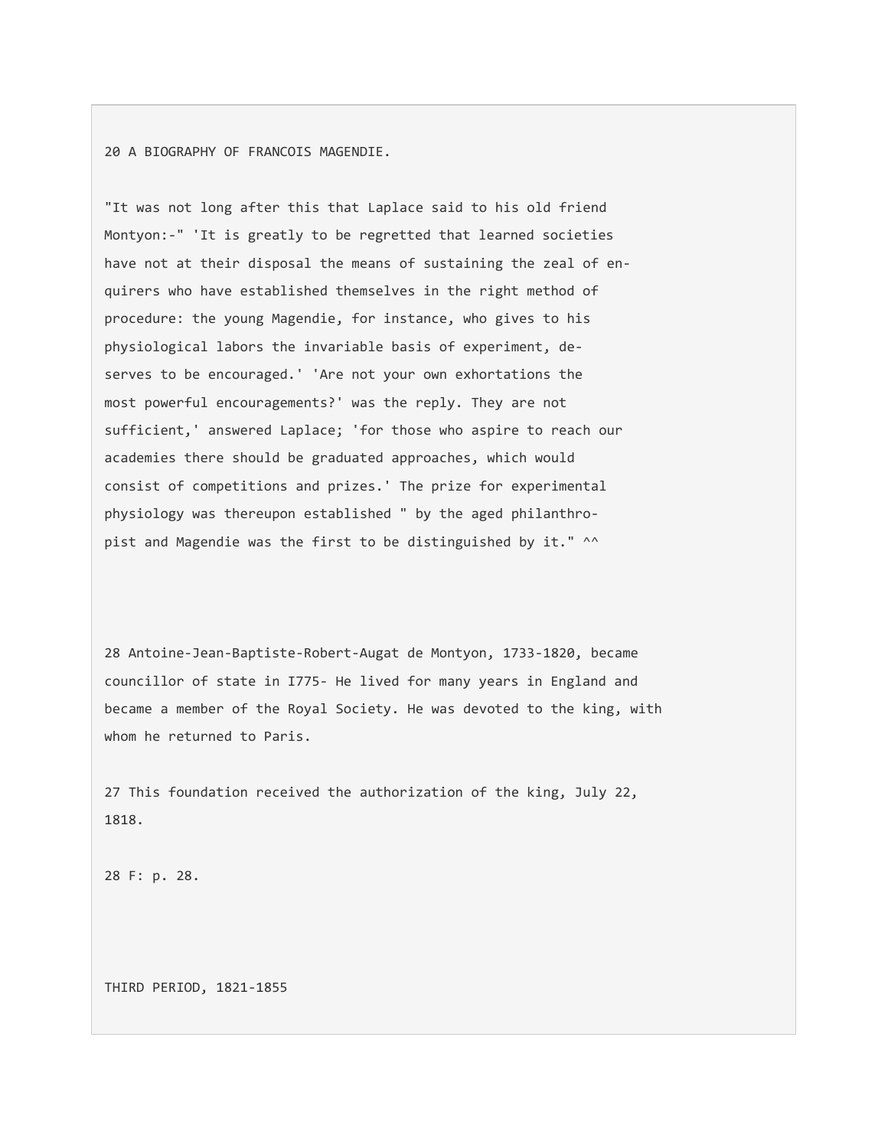20 A BIOGRAPHY OF FRANCOIS MAGENDIE.

"It was not long after this that Laplace said to his old friend Montyon:-" 'It is greatly to be regretted that learned societies have not at their disposal the means of sustaining the zeal of enquirers who have established themselves in the right method of procedure: the young Magendie, for instance, who gives to his physiological labors the invariable basis of experiment, deserves to be encouraged.' 'Are not your own exhortations the most powerful encouragements?' was the reply. They are not sufficient,' answered Laplace; 'for those who aspire to reach our academies there should be graduated approaches, which would consist of competitions and prizes.' The prize for experimental physiology was thereupon established " by the aged philanthropist and Magendie was the first to be distinguished by it." ^^

28 Antoine-Jean-Baptiste-Robert-Augat de Montyon, 1733-1820, became councillor of state in I775- He lived for many years in England and became a member of the Royal Society. He was devoted to the king, with whom he returned to Paris.

27 This foundation received the authorization of the king, July 22, 1818.

28 F: p. 28.

THIRD PERIOD, 1821-1855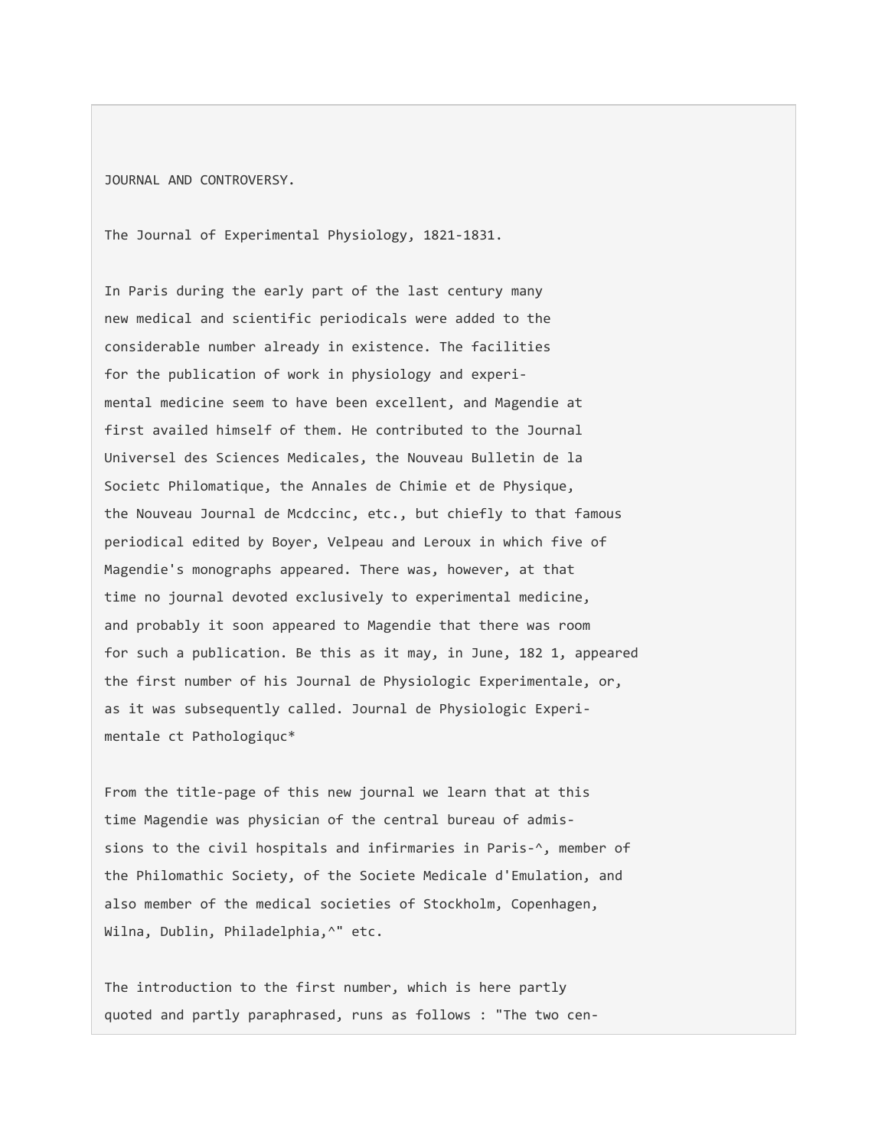JOURNAL AND CONTROVERSY.

The Journal of Experimental Physiology, 1821-1831.

In Paris during the early part of the last century many new medical and scientific periodicals were added to the considerable number already in existence. The facilities for the publication of work in physiology and experimental medicine seem to have been excellent, and Magendie at first availed himself of them. He contributed to the Journal Universel des Sciences Medicales, the Nouveau Bulletin de la Societc Philomatique, the Annales de Chimie et de Physique, the Nouveau Journal de Mcdccinc, etc., but chiefly to that famous periodical edited by Boyer, Velpeau and Leroux in which five of Magendie's monographs appeared. There was, however, at that time no journal devoted exclusively to experimental medicine, and probably it soon appeared to Magendie that there was room for such a publication. Be this as it may, in June, 182 1, appeared the first number of his Journal de Physiologic Experimentale, or, as it was subsequently called. Journal de Physiologic Experimentale ct Pathologiquc\*

From the title-page of this new journal we learn that at this time Magendie was physician of the central bureau of admissions to the civil hospitals and infirmaries in Paris-^, member of the Philomathic Society, of the Societe Medicale d'Emulation, and also member of the medical societies of Stockholm, Copenhagen, Wilna, Dublin, Philadelphia,^" etc.

The introduction to the first number, which is here partly quoted and partly paraphrased, runs as follows : "The two cen-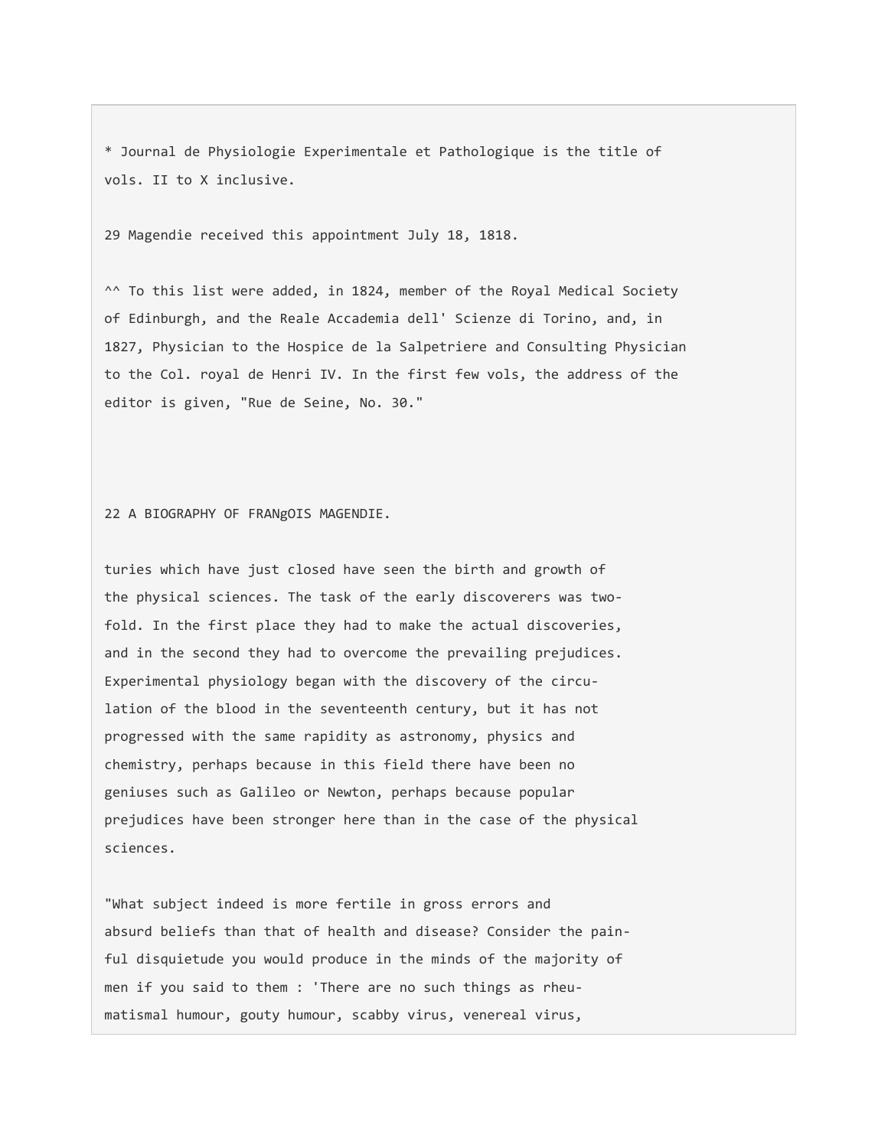\* Journal de Physiologie Experimentale et Pathologique is the title of vols. II to X inclusive.

29 Magendie received this appointment July 18, 1818.

^^ To this list were added, in 1824, member of the Royal Medical Society of Edinburgh, and the Reale Accademia dell' Scienze di Torino, and, in 1827, Physician to the Hospice de la Salpetriere and Consulting Physician to the Col. royal de Henri IV. In the first few vols, the address of the editor is given, "Rue de Seine, No. 30."

22 A BIOGRAPHY OF FRANgOIS MAGENDIE.

turies which have just closed have seen the birth and growth of the physical sciences. The task of the early discoverers was twofold. In the first place they had to make the actual discoveries, and in the second they had to overcome the prevailing prejudices. Experimental physiology began with the discovery of the circulation of the blood in the seventeenth century, but it has not progressed with the same rapidity as astronomy, physics and chemistry, perhaps because in this field there have been no geniuses such as Galileo or Newton, perhaps because popular prejudices have been stronger here than in the case of the physical sciences.

"What subject indeed is more fertile in gross errors and absurd beliefs than that of health and disease? Consider the painful disquietude you would produce in the minds of the majority of men if you said to them : 'There are no such things as rheumatismal humour, gouty humour, scabby virus, venereal virus,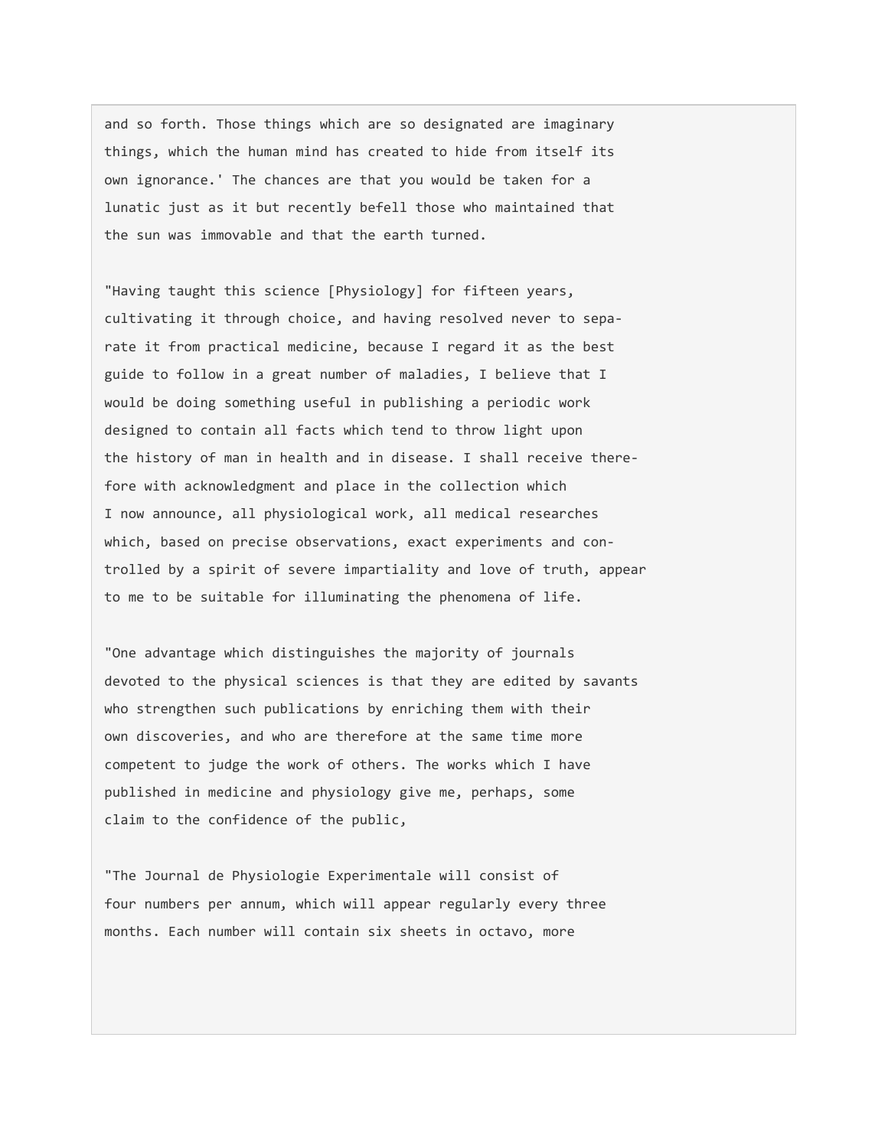and so forth. Those things which are so designated are imaginary things, which the human mind has created to hide from itself its own ignorance.' The chances are that you would be taken for a lunatic just as it but recently befell those who maintained that the sun was immovable and that the earth turned.

"Having taught this science [Physiology] for fifteen years, cultivating it through choice, and having resolved never to separate it from practical medicine, because I regard it as the best guide to follow in a great number of maladies, I believe that I would be doing something useful in publishing a periodic work designed to contain all facts which tend to throw light upon the history of man in health and in disease. I shall receive therefore with acknowledgment and place in the collection which I now announce, all physiological work, all medical researches which, based on precise observations, exact experiments and controlled by a spirit of severe impartiality and love of truth, appear to me to be suitable for illuminating the phenomena of life.

"One advantage which distinguishes the majority of journals devoted to the physical sciences is that they are edited by savants who strengthen such publications by enriching them with their own discoveries, and who are therefore at the same time more competent to judge the work of others. The works which I have published in medicine and physiology give me, perhaps, some claim to the confidence of the public,

"The Journal de Physiologie Experimentale will consist of four numbers per annum, which will appear regularly every three months. Each number will contain six sheets in octavo, more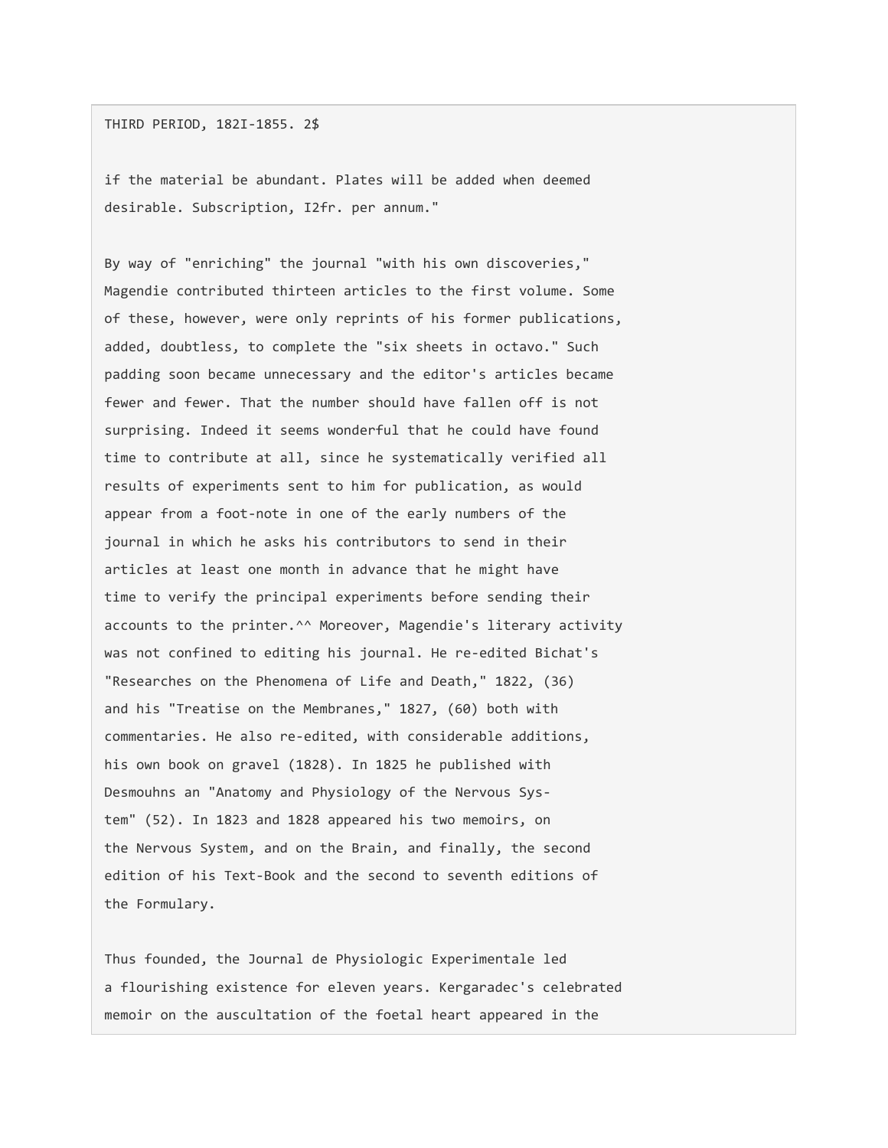## THIRD PERIOD, 182I-1855. 2\$

if the material be abundant. Plates will be added when deemed desirable. Subscription, I2fr. per annum."

By way of "enriching" the journal "with his own discoveries," Magendie contributed thirteen articles to the first volume. Some of these, however, were only reprints of his former publications, added, doubtless, to complete the "six sheets in octavo." Such padding soon became unnecessary and the editor's articles became fewer and fewer. That the number should have fallen off is not surprising. Indeed it seems wonderful that he could have found time to contribute at all, since he systematically verified all results of experiments sent to him for publication, as would appear from a foot-note in one of the early numbers of the journal in which he asks his contributors to send in their articles at least one month in advance that he might have time to verify the principal experiments before sending their accounts to the printer.^^ Moreover, Magendie's literary activity was not confined to editing his journal. He re-edited Bichat's "Researches on the Phenomena of Life and Death," 1822, (36) and his "Treatise on the Membranes," 1827, (60) both with commentaries. He also re-edited, with considerable additions, his own book on gravel (1828). In 1825 he published with Desmouhns an "Anatomy and Physiology of the Nervous System" (52). In 1823 and 1828 appeared his two memoirs, on the Nervous System, and on the Brain, and finally, the second edition of his Text-Book and the second to seventh editions of the Formulary.

Thus founded, the Journal de Physiologic Experimentale led a flourishing existence for eleven years. Kergaradec's celebrated memoir on the auscultation of the foetal heart appeared in the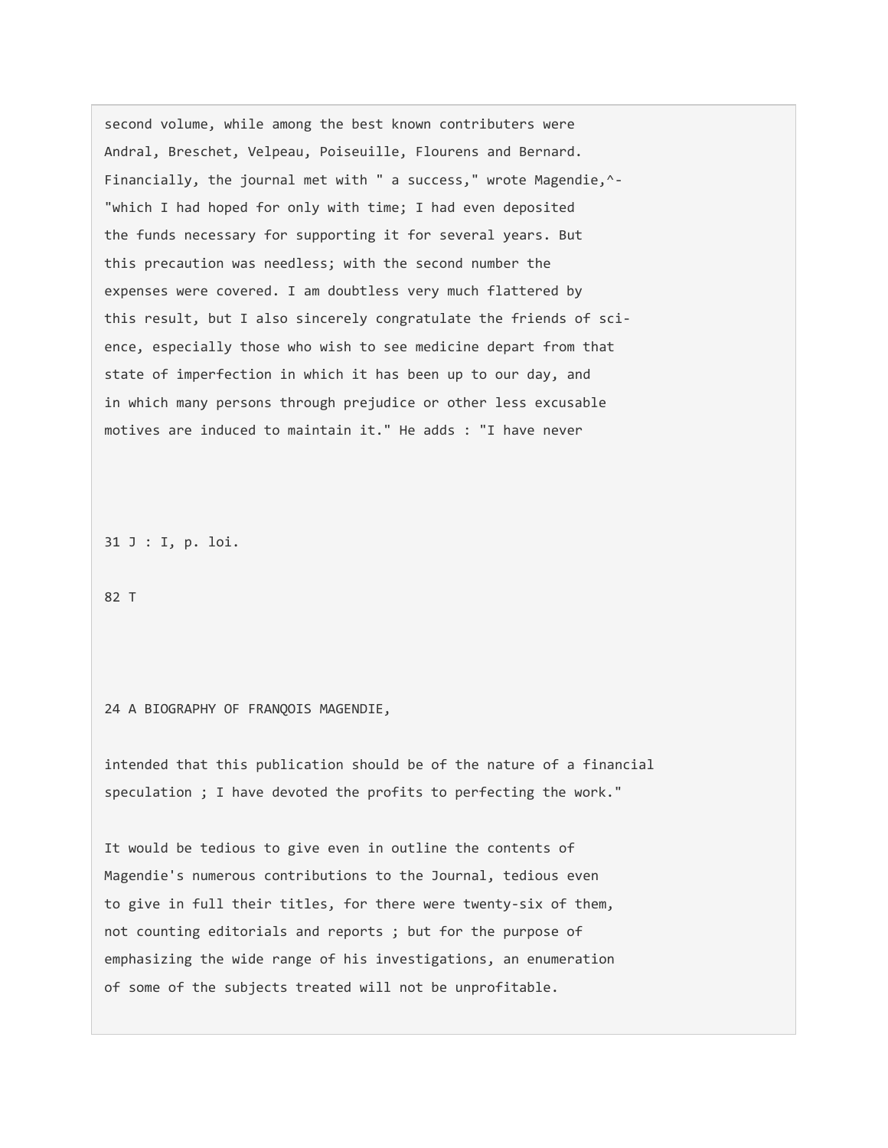second volume, while among the best known contributers were Andral, Breschet, Velpeau, Poiseuille, Flourens and Bernard. Financially, the journal met with " a success," wrote Magendie,^- "which I had hoped for only with time; I had even deposited the funds necessary for supporting it for several years. But this precaution was needless; with the second number the expenses were covered. I am doubtless very much flattered by this result, but I also sincerely congratulate the friends of science, especially those who wish to see medicine depart from that state of imperfection in which it has been up to our day, and in which many persons through prejudice or other less excusable motives are induced to maintain it." He adds : "I have never

31 J : I, p. loi.

82 T

#### 24 A BIOGRAPHY OF FRANQOIS MAGENDIE,

intended that this publication should be of the nature of a financial speculation ; I have devoted the profits to perfecting the work."

It would be tedious to give even in outline the contents of Magendie's numerous contributions to the Journal, tedious even to give in full their titles, for there were twenty-six of them, not counting editorials and reports ; but for the purpose of emphasizing the wide range of his investigations, an enumeration of some of the subjects treated will not be unprofitable.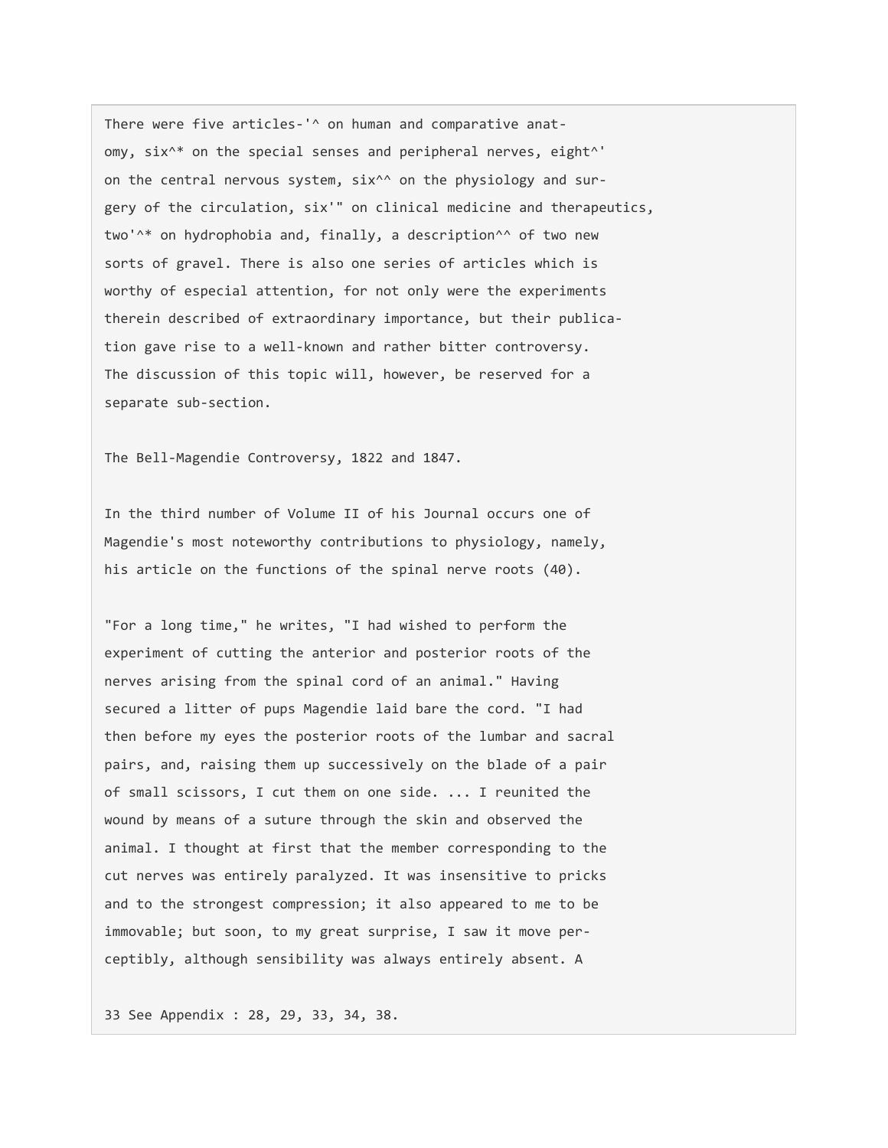There were five articles-'^ on human and comparative anatomy, six<sup>^\*</sup> on the special senses and peripheral nerves, eight<sup>^'</sup> on the central nervous system, six<sup>^^</sup> on the physiology and surgery of the circulation, six'" on clinical medicine and therapeutics, two'^\* on hydrophobia and, finally, a description^^ of two new sorts of gravel. There is also one series of articles which is worthy of especial attention, for not only were the experiments therein described of extraordinary importance, but their publication gave rise to a well-known and rather bitter controversy. The discussion of this topic will, however, be reserved for a separate sub-section.

The Bell-Magendie Controversy, 1822 and 1847.

In the third number of Volume II of his Journal occurs one of Magendie's most noteworthy contributions to physiology, namely, his article on the functions of the spinal nerve roots (40).

"For a long time," he writes, "I had wished to perform the experiment of cutting the anterior and posterior roots of the nerves arising from the spinal cord of an animal." Having secured a litter of pups Magendie laid bare the cord. "I had then before my eyes the posterior roots of the lumbar and sacral pairs, and, raising them up successively on the blade of a pair of small scissors, I cut them on one side. ... I reunited the wound by means of a suture through the skin and observed the animal. I thought at first that the member corresponding to the cut nerves was entirely paralyzed. It was insensitive to pricks and to the strongest compression; it also appeared to me to be immovable; but soon, to my great surprise, I saw it move perceptibly, although sensibility was always entirely absent. A

33 See Appendix : 28, 29, 33, 34, 38.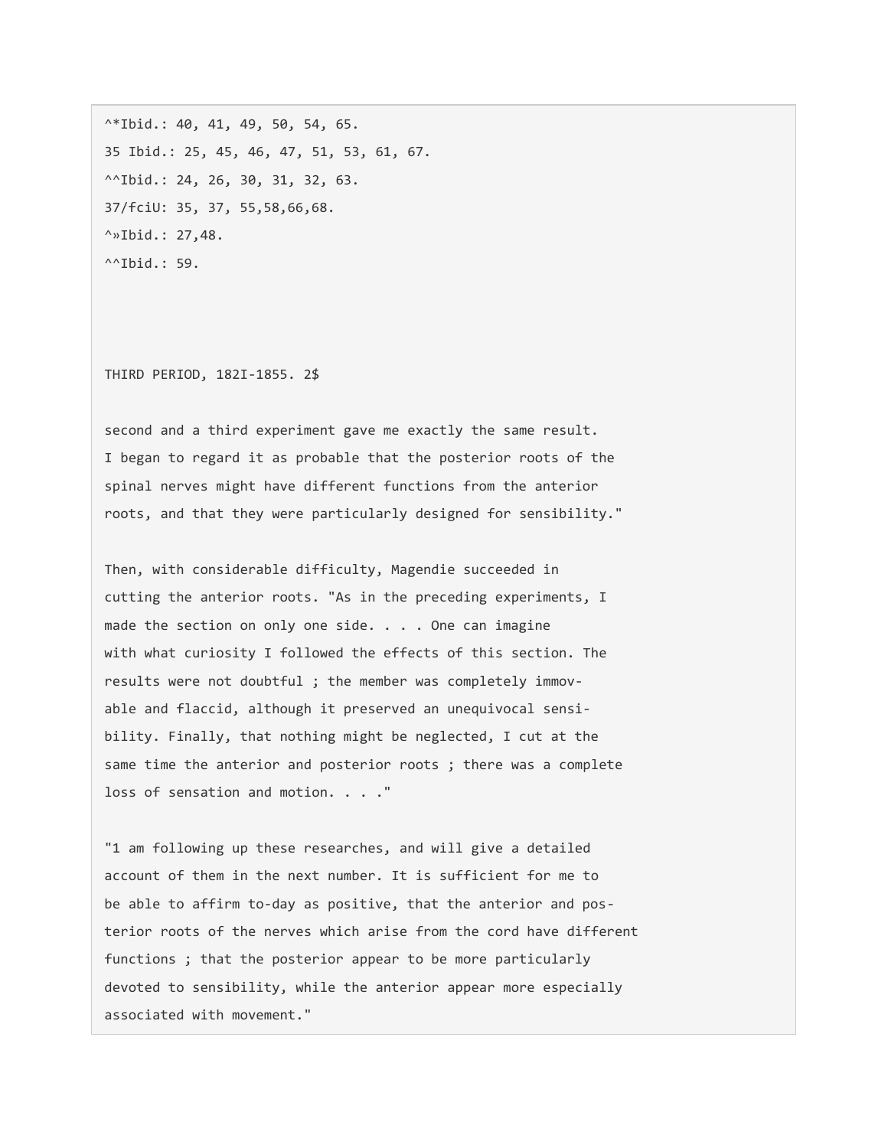$^{\wedge *}$ Ibid.: 40, 41, 49, 50, 54, 65. 35 Ibid.: 25, 45, 46, 47, 51, 53, 61, 67. ^^Ibid.: 24, 26, 30, 31, 32, 63. 37/fciU: 35, 37, 55,58,66,68.  $\sim$ »Ibid.: 27,48.  $^{\wedge\wedge}$ Ibid.: 59.

THIRD PERIOD, 182I-1855. 2\$

second and a third experiment gave me exactly the same result. I began to regard it as probable that the posterior roots of the spinal nerves might have different functions from the anterior roots, and that they were particularly designed for sensibility."

Then, with considerable difficulty, Magendie succeeded in cutting the anterior roots. "As in the preceding experiments, I made the section on only one side. . . . One can imagine with what curiosity I followed the effects of this section. The results were not doubtful ; the member was completely immovable and flaccid, although it preserved an unequivocal sensibility. Finally, that nothing might be neglected, I cut at the same time the anterior and posterior roots ; there was a complete loss of sensation and motion. . . ."

"1 am following up these researches, and will give a detailed account of them in the next number. It is sufficient for me to be able to affirm to-day as positive, that the anterior and posterior roots of the nerves which arise from the cord have different functions ; that the posterior appear to be more particularly devoted to sensibility, while the anterior appear more especially associated with movement."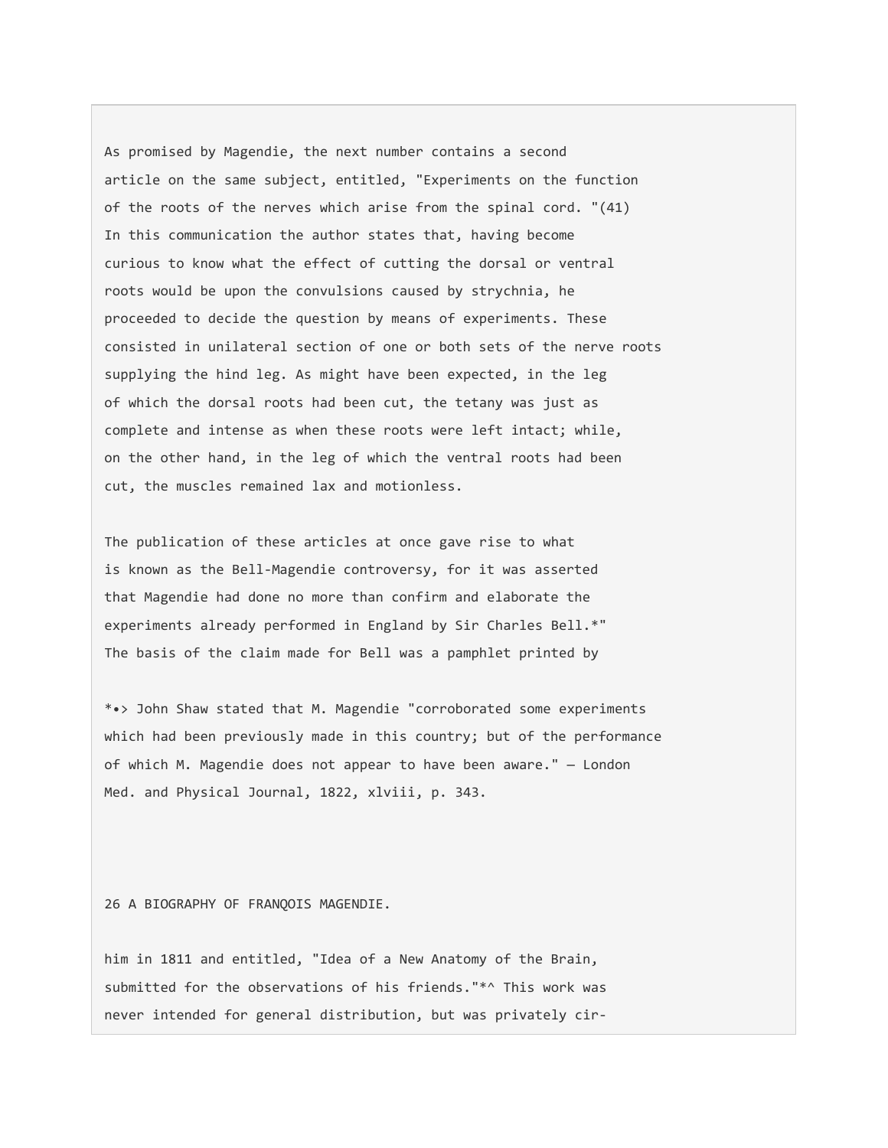As promised by Magendie, the next number contains a second article on the same subject, entitled, "Experiments on the function of the roots of the nerves which arise from the spinal cord. "(41) In this communication the author states that, having become curious to know what the effect of cutting the dorsal or ventral roots would be upon the convulsions caused by strychnia, he proceeded to decide the question by means of experiments. These consisted in unilateral section of one or both sets of the nerve roots supplying the hind leg. As might have been expected, in the leg of which the dorsal roots had been cut, the tetany was just as complete and intense as when these roots were left intact; while, on the other hand, in the leg of which the ventral roots had been cut, the muscles remained lax and motionless.

The publication of these articles at once gave rise to what is known as the Bell-Magendie controversy, for it was asserted that Magendie had done no more than confirm and elaborate the experiments already performed in England by Sir Charles Bell.\*" The basis of the claim made for Bell was a pamphlet printed by

\*•> John Shaw stated that M. Magendie "corroborated some experiments which had been previously made in this country; but of the performance of which M. Magendie does not appear to have been aware." — London Med. and Physical Journal, 1822, xlviii, p. 343.

26 A BIOGRAPHY OF FRANQOIS MAGENDIE.

him in 1811 and entitled, "Idea of a New Anatomy of the Brain, submitted for the observations of his friends."\*^ This work was never intended for general distribution, but was privately cir-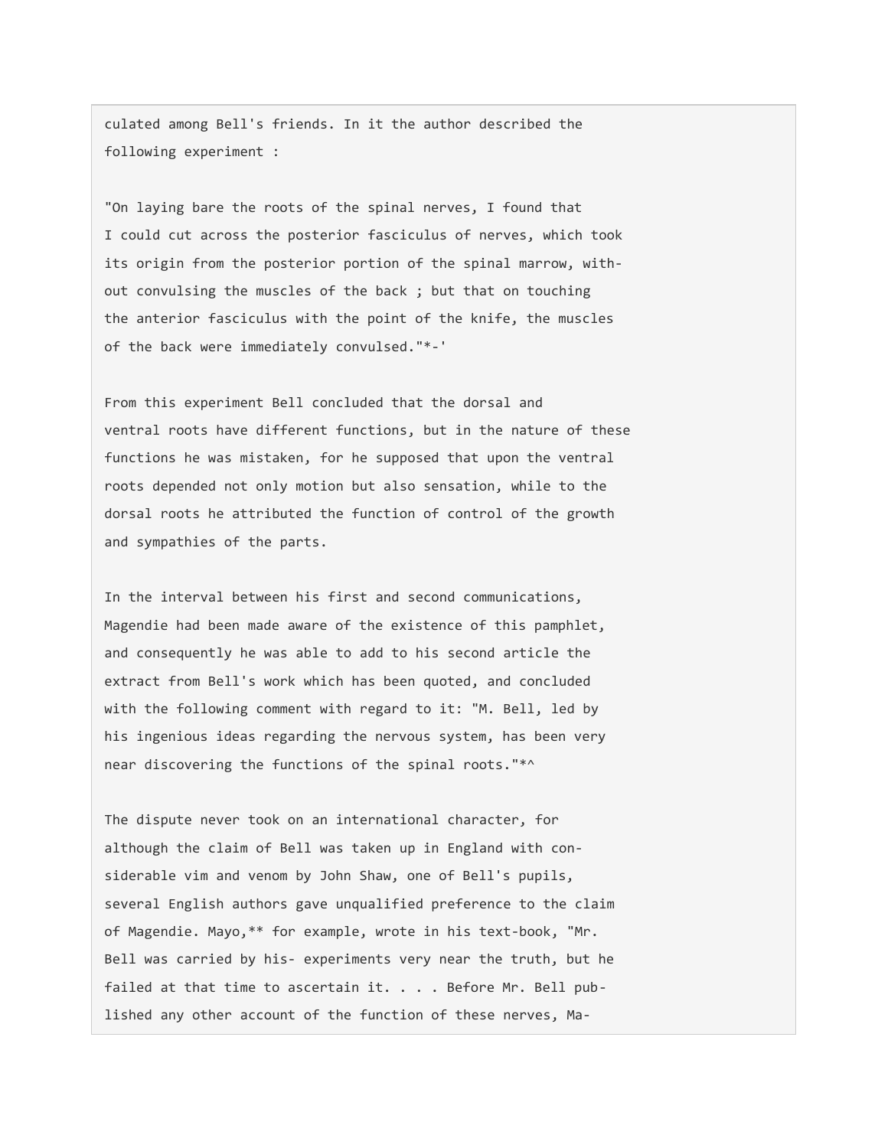culated among Bell's friends. In it the author described the following experiment :

"On laying bare the roots of the spinal nerves, I found that I could cut across the posterior fasciculus of nerves, which took its origin from the posterior portion of the spinal marrow, without convulsing the muscles of the back ; but that on touching the anterior fasciculus with the point of the knife, the muscles of the back were immediately convulsed."\*-'

From this experiment Bell concluded that the dorsal and ventral roots have different functions, but in the nature of these functions he was mistaken, for he supposed that upon the ventral roots depended not only motion but also sensation, while to the dorsal roots he attributed the function of control of the growth and sympathies of the parts.

In the interval between his first and second communications, Magendie had been made aware of the existence of this pamphlet, and consequently he was able to add to his second article the extract from Bell's work which has been quoted, and concluded with the following comment with regard to it: "M. Bell, led by his ingenious ideas regarding the nervous system, has been very near discovering the functions of the spinal roots."\*^

The dispute never took on an international character, for although the claim of Bell was taken up in England with considerable vim and venom by John Shaw, one of Bell's pupils, several English authors gave unqualified preference to the claim of Magendie. Mayo,\*\* for example, wrote in his text-book, "Mr. Bell was carried by his- experiments very near the truth, but he failed at that time to ascertain it. . . . Before Mr. Bell published any other account of the function of these nerves, Ma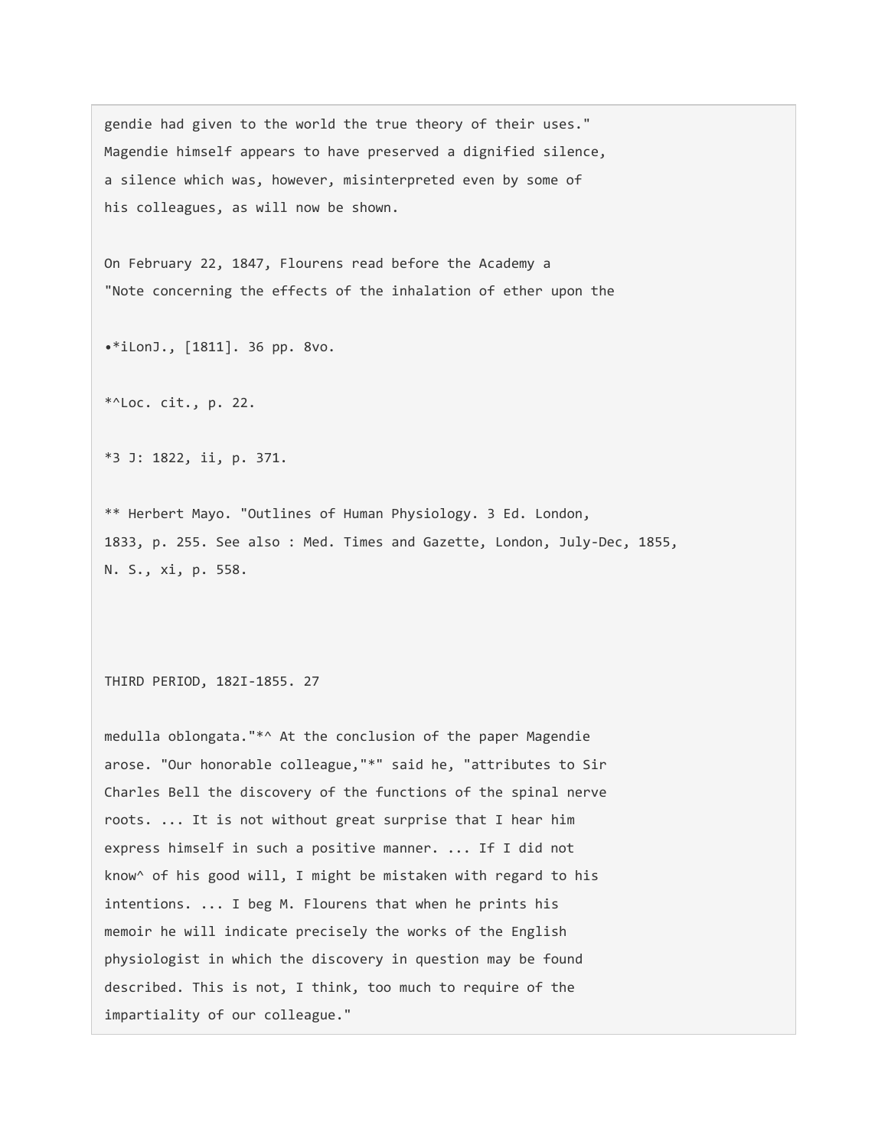gendie had given to the world the true theory of their uses." Magendie himself appears to have preserved a dignified silence, a silence which was, however, misinterpreted even by some of his colleagues, as will now be shown.

On February 22, 1847, Flourens read before the Academy a "Note concerning the effects of the inhalation of ether upon the

•\*iLonJ., [1811]. 36 pp. 8vo.

\*^Loc. cit., p. 22.

\*3 J: 1822, ii, p. 371.

\*\* Herbert Mayo. "Outlines of Human Physiology. 3 Ed. London, 1833, p. 255. See also : Med. Times and Gazette, London, July-Dec, 1855, N. S., xi, p. 558.

THIRD PERIOD, 182I-1855. 27

medulla oblongata."\*^ At the conclusion of the paper Magendie arose. "Our honorable colleague,"\*" said he, "attributes to Sir Charles Bell the discovery of the functions of the spinal nerve roots. ... It is not without great surprise that I hear him express himself in such a positive manner. ... If I did not know^ of his good will, I might be mistaken with regard to his intentions. ... I beg M. Flourens that when he prints his memoir he will indicate precisely the works of the English physiologist in which the discovery in question may be found described. This is not, I think, too much to require of the impartiality of our colleague."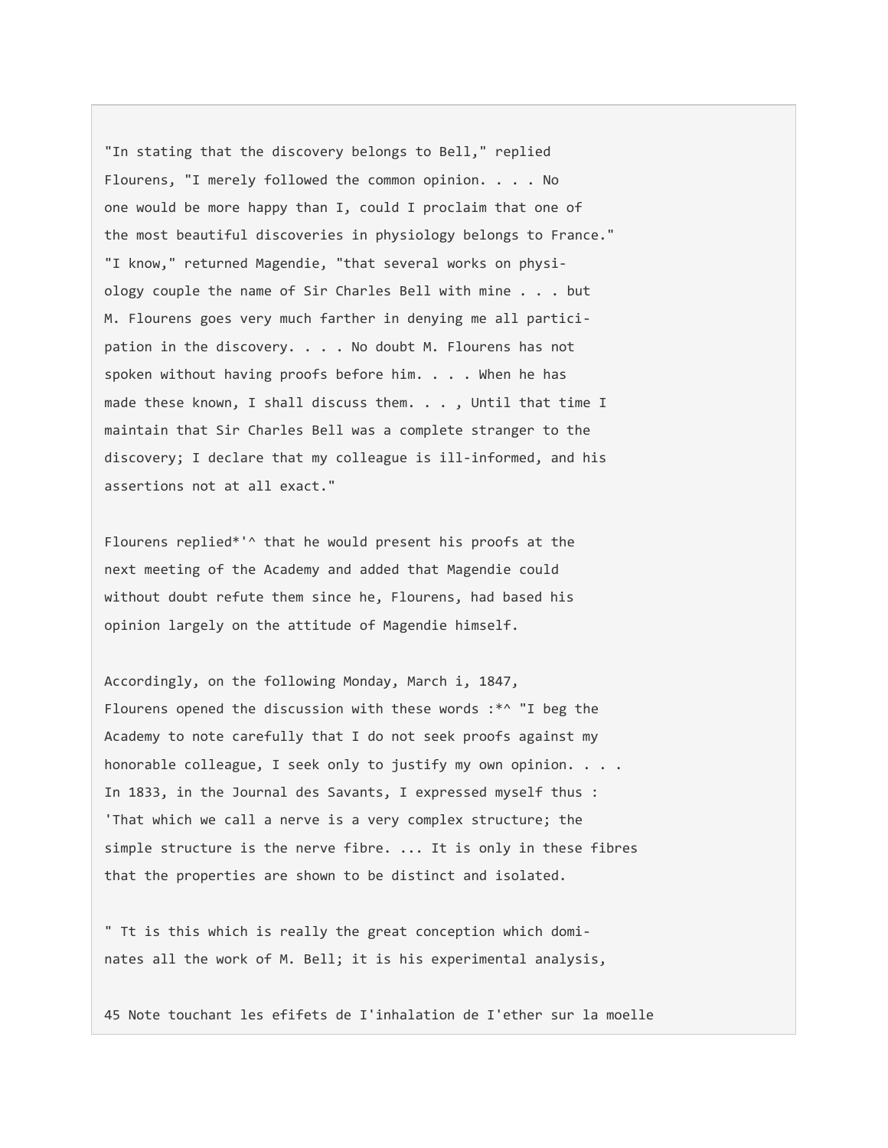"In stating that the discovery belongs to Bell," replied Flourens, "I merely followed the common opinion. . . . No one would be more happy than I, could I proclaim that one of the most beautiful discoveries in physiology belongs to France." "I know," returned Magendie, "that several works on physiology couple the name of Sir Charles Bell with mine . . . but M. Flourens goes very much farther in denying me all participation in the discovery. . . . No doubt M. Flourens has not spoken without having proofs before him. . . . When he has made these known, I shall discuss them. . . , Until that time I maintain that Sir Charles Bell was a complete stranger to the discovery; I declare that my colleague is ill-informed, and his assertions not at all exact."

Flourens replied\*'^ that he would present his proofs at the next meeting of the Academy and added that Magendie could without doubt refute them since he, Flourens, had based his opinion largely on the attitude of Magendie himself.

Accordingly, on the following Monday, March i, 1847, Flourens opened the discussion with these words :\*^ "I beg the Academy to note carefully that I do not seek proofs against my honorable colleague, I seek only to justify my own opinion. . . . In 1833, in the Journal des Savants, I expressed myself thus : 'That which we call a nerve is a very complex structure; the simple structure is the nerve fibre. ... It is only in these fibres that the properties are shown to be distinct and isolated.

" Tt is this which is really the great conception which dominates all the work of M. Bell; it is his experimental analysis,

45 Note touchant les efifets de I'inhalation de I'ether sur la moelle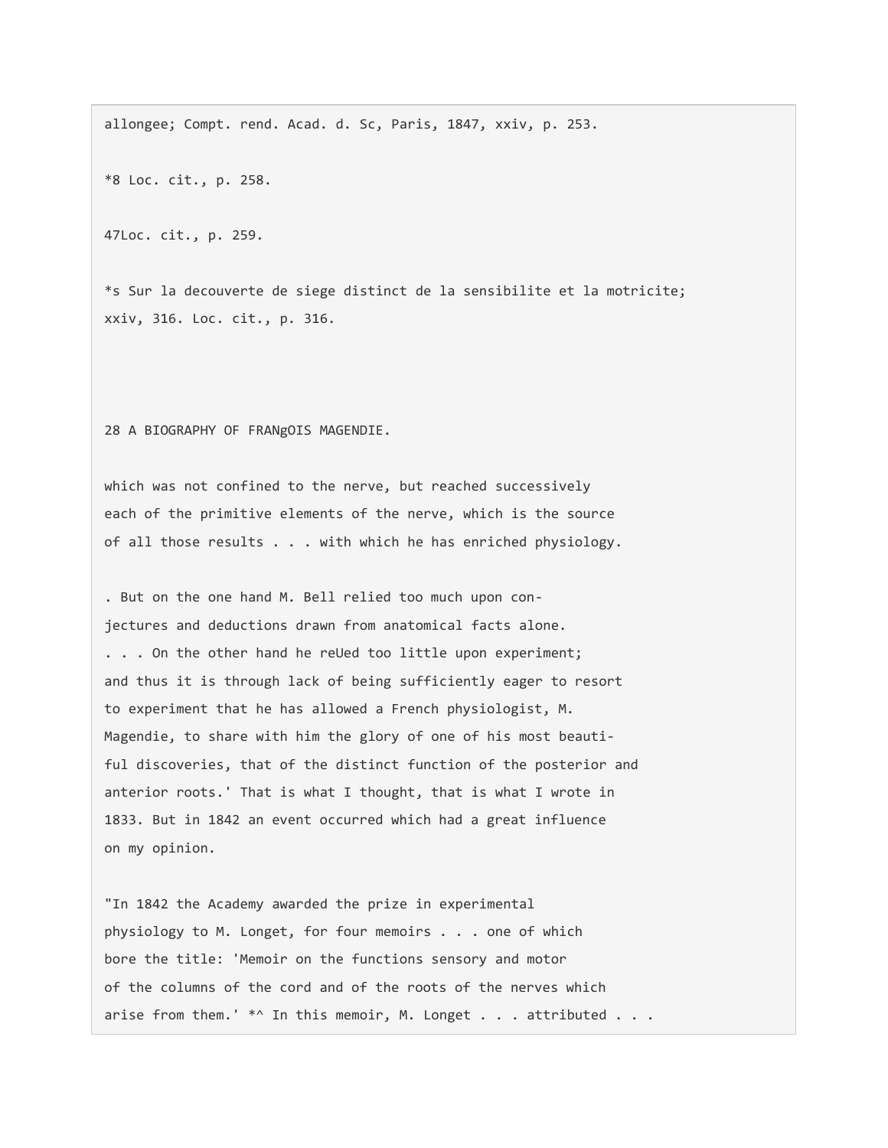allongee; Compt. rend. Acad. d. Sc, Paris, 1847, xxiv, p. 253.

\*8 Loc. cit., p. 258.

47Loc. cit., p. 259.

\*s Sur la decouverte de siege distinct de la sensibilite et la motricite; xxiv, 316. Loc. cit., p. 316.

28 A BIOGRAPHY OF FRANgOIS MAGENDIE.

which was not confined to the nerve, but reached successively each of the primitive elements of the nerve, which is the source of all those results . . . with which he has enriched physiology.

. But on the one hand M. Bell relied too much upon conjectures and deductions drawn from anatomical facts alone. . . . On the other hand he reUed too little upon experiment; and thus it is through lack of being sufficiently eager to resort to experiment that he has allowed a French physiologist, M. Magendie, to share with him the glory of one of his most beautiful discoveries, that of the distinct function of the posterior and anterior roots.' That is what I thought, that is what I wrote in 1833. But in 1842 an event occurred which had a great influence on my opinion.

"In 1842 the Academy awarded the prize in experimental physiology to M. Longet, for four memoirs . . . one of which bore the title: 'Memoir on the functions sensory and motor of the columns of the cord and of the roots of the nerves which arise from them.' \*^ In this memoir, M. Longet . . . attributed . . .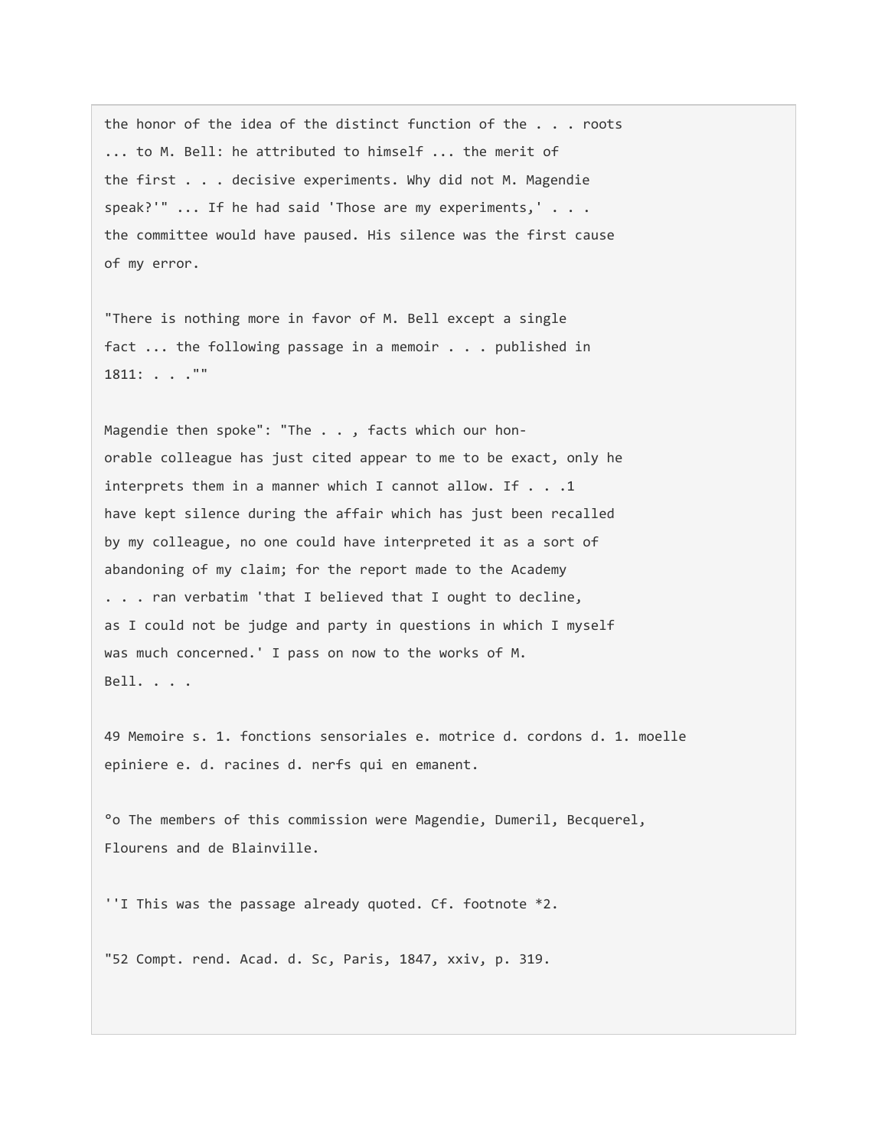the honor of the idea of the distinct function of the . . . roots ... to M. Bell: he attributed to himself ... the merit of the first . . . decisive experiments. Why did not M. Magendie speak?'" ... If he had said 'Those are my experiments,' . . . the committee would have paused. His silence was the first cause of my error.

"There is nothing more in favor of M. Bell except a single fact ... the following passage in a memoir . . . published in 1811: . . .""

Magendie then spoke": "The . . , facts which our honorable colleague has just cited appear to me to be exact, only he interprets them in a manner which I cannot allow. If . . .1 have kept silence during the affair which has just been recalled by my colleague, no one could have interpreted it as a sort of abandoning of my claim; for the report made to the Academy . . . ran verbatim 'that I believed that I ought to decline, as I could not be judge and party in questions in which I myself was much concerned.' I pass on now to the works of M. Bell. . . .

49 Memoire s. 1. fonctions sensoriales e. motrice d. cordons d. 1. moelle epiniere e. d. racines d. nerfs qui en emanent.

°o The members of this commission were Magendie, Dumeril, Becquerel, Flourens and de Blainville.

''I This was the passage already quoted. Cf. footnote \*2.

"52 Compt. rend. Acad. d. Sc, Paris, 1847, xxiv, p. 319.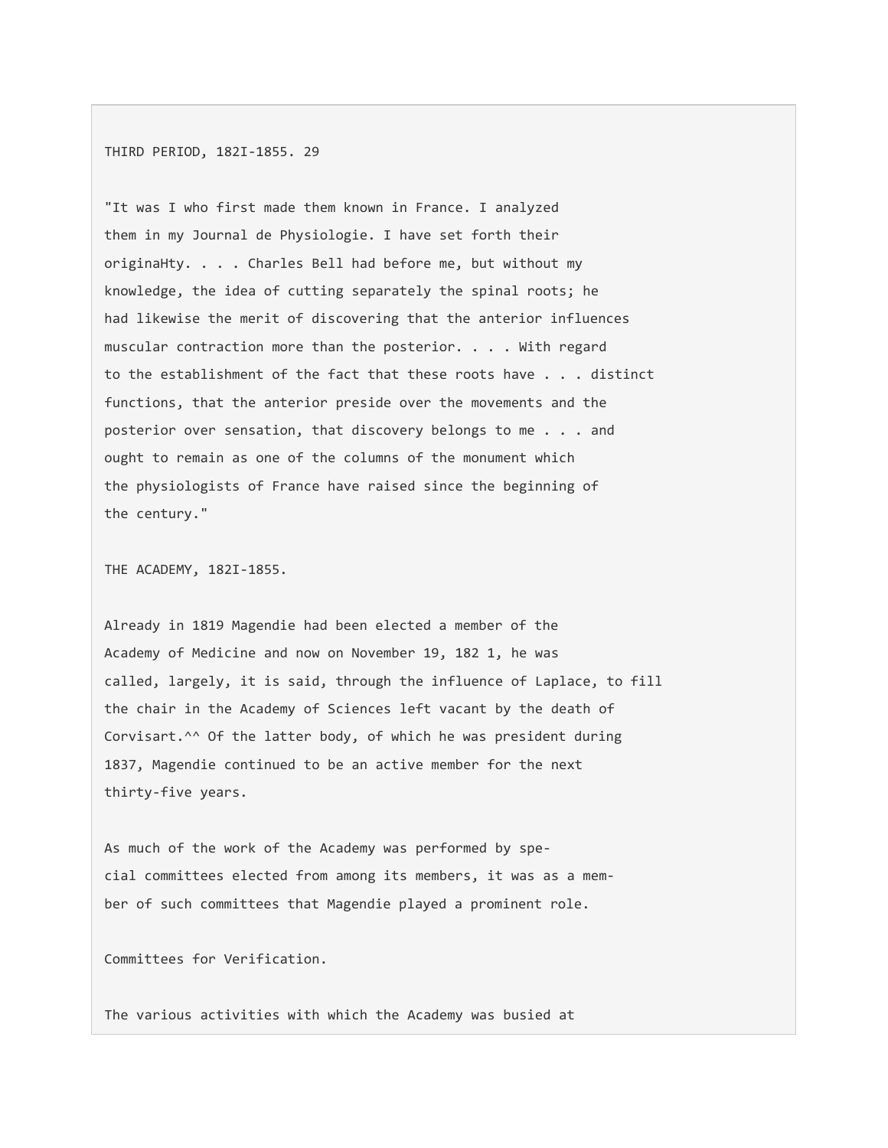THIRD PERIOD, 182I-1855. 29

"It was I who first made them known in France. I analyzed them in my Journal de Physiologie. I have set forth their originaHty. . . . Charles Bell had before me, but without my knowledge, the idea of cutting separately the spinal roots; he had likewise the merit of discovering that the anterior influences muscular contraction more than the posterior. . . . With regard to the establishment of the fact that these roots have . . . distinct functions, that the anterior preside over the movements and the posterior over sensation, that discovery belongs to me . . . and ought to remain as one of the columns of the monument which the physiologists of France have raised since the beginning of the century."

THE ACADEMY, 182I-1855.

Already in 1819 Magendie had been elected a member of the Academy of Medicine and now on November 19, 182 1, he was called, largely, it is said, through the influence of Laplace, to fill the chair in the Academy of Sciences left vacant by the death of Corvisart.^^ Of the latter body, of which he was president during 1837, Magendie continued to be an active member for the next thirty-five years.

As much of the work of the Academy was performed by special committees elected from among its members, it was as a member of such committees that Magendie played a prominent role.

Committees for Verification.

The various activities with which the Academy was busied at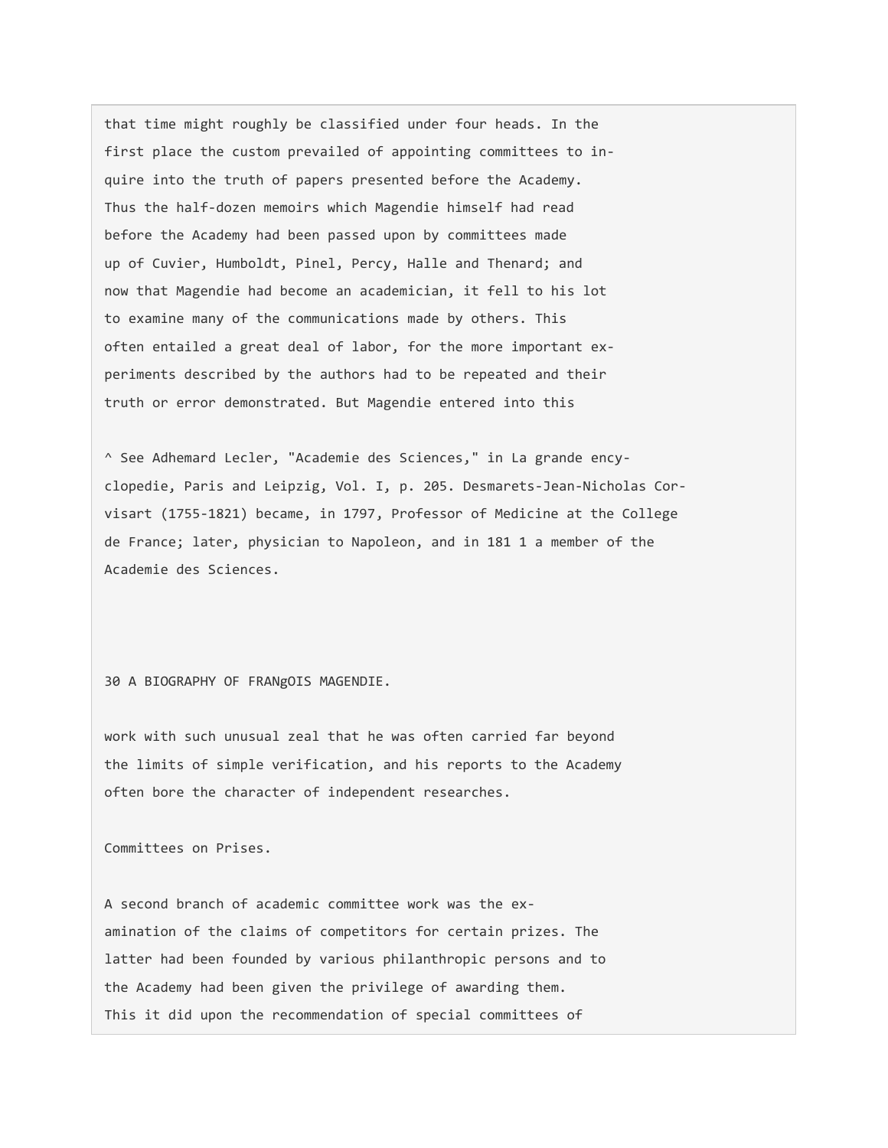that time might roughly be classified under four heads. In the first place the custom prevailed of appointing committees to inquire into the truth of papers presented before the Academy. Thus the half-dozen memoirs which Magendie himself had read before the Academy had been passed upon by committees made up of Cuvier, Humboldt, Pinel, Percy, Halle and Thenard; and now that Magendie had become an academician, it fell to his lot to examine many of the communications made by others. This often entailed a great deal of labor, for the more important experiments described by the authors had to be repeated and their truth or error demonstrated. But Magendie entered into this

^ See Adhemard Lecler, "Academie des Sciences," in La grande encyclopedie, Paris and Leipzig, Vol. I, p. 205. Desmarets-Jean-Nicholas Corvisart (1755-1821) became, in 1797, Professor of Medicine at the College de France; later, physician to Napoleon, and in 181 1 a member of the Academie des Sciences.

30 A BIOGRAPHY OF FRANgOIS MAGENDIE.

work with such unusual zeal that he was often carried far beyond the limits of simple verification, and his reports to the Academy often bore the character of independent researches.

Committees on Prises.

A second branch of academic committee work was the examination of the claims of competitors for certain prizes. The latter had been founded by various philanthropic persons and to the Academy had been given the privilege of awarding them. This it did upon the recommendation of special committees of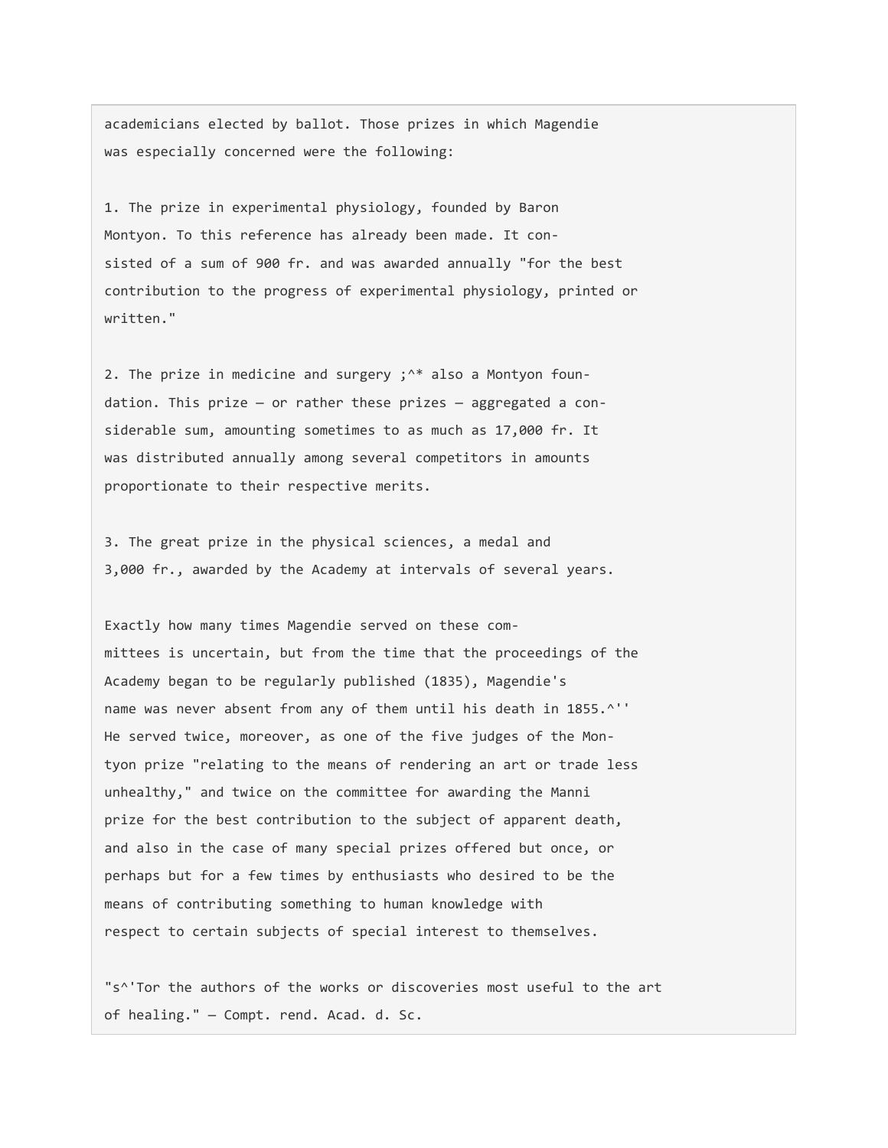academicians elected by ballot. Those prizes in which Magendie was especially concerned were the following:

1. The prize in experimental physiology, founded by Baron Montyon. To this reference has already been made. It consisted of a sum of 900 fr. and was awarded annually "for the best contribution to the progress of experimental physiology, printed or written."

2. The prize in medicine and surgery ;<sup>^\*</sup> also a Montyon foundation. This prize  $-$  or rather these prizes  $-$  aggregated a considerable sum, amounting sometimes to as much as 17,000 fr. It was distributed annually among several competitors in amounts proportionate to their respective merits.

3. The great prize in the physical sciences, a medal and 3,000 fr., awarded by the Academy at intervals of several years.

Exactly how many times Magendie served on these committees is uncertain, but from the time that the proceedings of the Academy began to be regularly published (1835), Magendie's name was never absent from any of them until his death in 1855.^'' He served twice, moreover, as one of the five judges of the Montyon prize "relating to the means of rendering an art or trade less unhealthy," and twice on the committee for awarding the Manni prize for the best contribution to the subject of apparent death, and also in the case of many special prizes offered but once, or perhaps but for a few times by enthusiasts who desired to be the means of contributing something to human knowledge with respect to certain subjects of special interest to themselves.

"s^'Tor the authors of the works or discoveries most useful to the art of healing." — Compt. rend. Acad. d. Sc.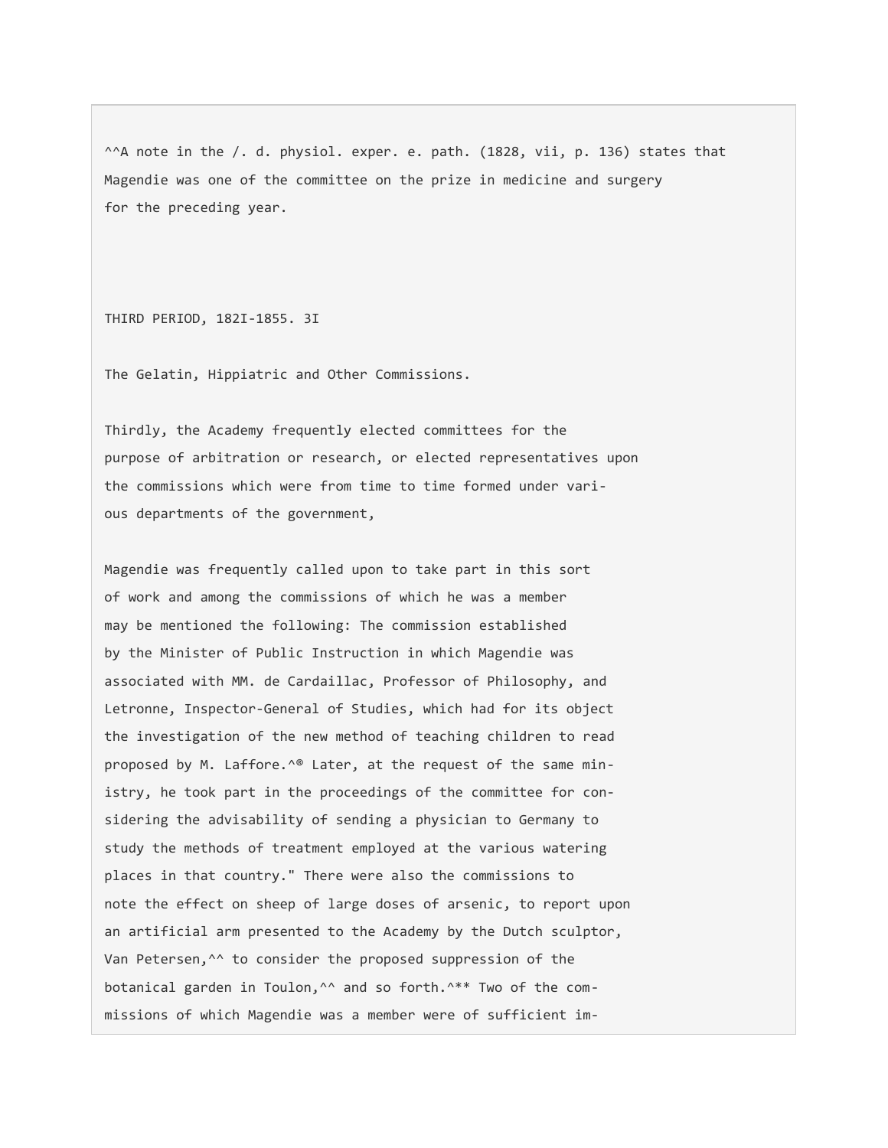^^A note in the /. d. physiol. exper. e. path. (1828, vii, p. 136) states that Magendie was one of the committee on the prize in medicine and surgery for the preceding year.

THIRD PERIOD, 182I-1855. 3I

The Gelatin, Hippiatric and Other Commissions.

Thirdly, the Academy frequently elected committees for the purpose of arbitration or research, or elected representatives upon the commissions which were from time to time formed under various departments of the government,

Magendie was frequently called upon to take part in this sort of work and among the commissions of which he was a member may be mentioned the following: The commission established by the Minister of Public Instruction in which Magendie was associated with MM. de Cardaillac, Professor of Philosophy, and Letronne, Inspector-General of Studies, which had for its object the investigation of the new method of teaching children to read proposed by M. Laffore.<sup>^®</sup> Later, at the request of the same ministry, he took part in the proceedings of the committee for considering the advisability of sending a physician to Germany to study the methods of treatment employed at the various watering places in that country." There were also the commissions to note the effect on sheep of large doses of arsenic, to report upon an artificial arm presented to the Academy by the Dutch sculptor, Van Petersen,^^ to consider the proposed suppression of the botanical garden in Toulon,<sup>^^</sup> and so forth.^\*\* Two of the commissions of which Magendie was a member were of sufficient im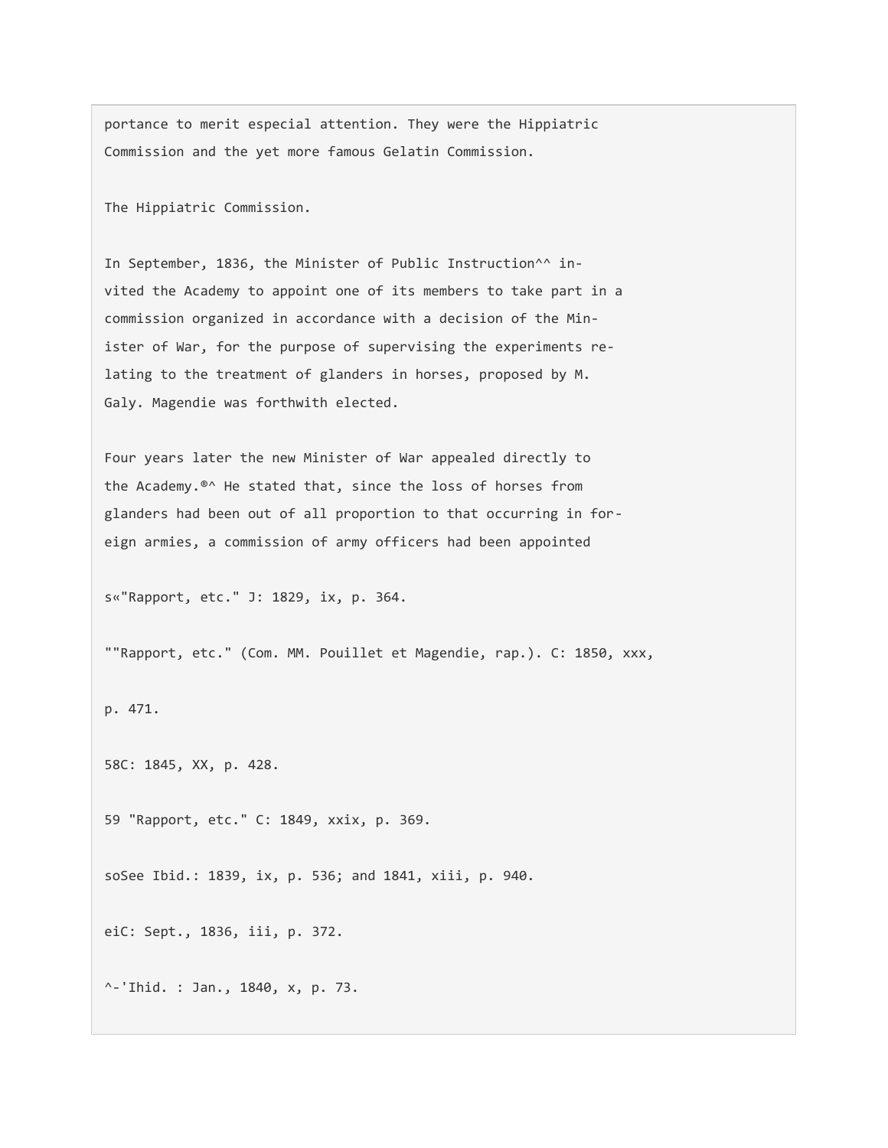portance to merit especial attention. They were the Hippiatric Commission and the yet more famous Gelatin Commission.

The Hippiatric Commission.

In September, 1836, the Minister of Public Instruction^^ invited the Academy to appoint one of its members to take part in a commission organized in accordance with a decision of the Minister of War, for the purpose of supervising the experiments relating to the treatment of glanders in horses, proposed by M. Galy. Magendie was forthwith elected.

Four years later the new Minister of War appealed directly to the Academy.®^ He stated that, since the loss of horses from glanders had been out of all proportion to that occurring in foreign armies, a commission of army officers had been appointed

s«"Rapport, etc." J: 1829, ix, p. 364.

""Rapport, etc." (Com. MM. Pouillet et Magendie, rap.). C: 1850, xxx,

p. 471.

58C: 1845, XX, p. 428.

59 "Rapport, etc." C: 1849, xxix, p. 369.

soSee Ibid.: 1839, ix, p. 536; and 1841, xiii, p. 940.

eiC: Sept., 1836, iii, p. 372.

^-'Ihid. : Jan., 1840, x, p. 73.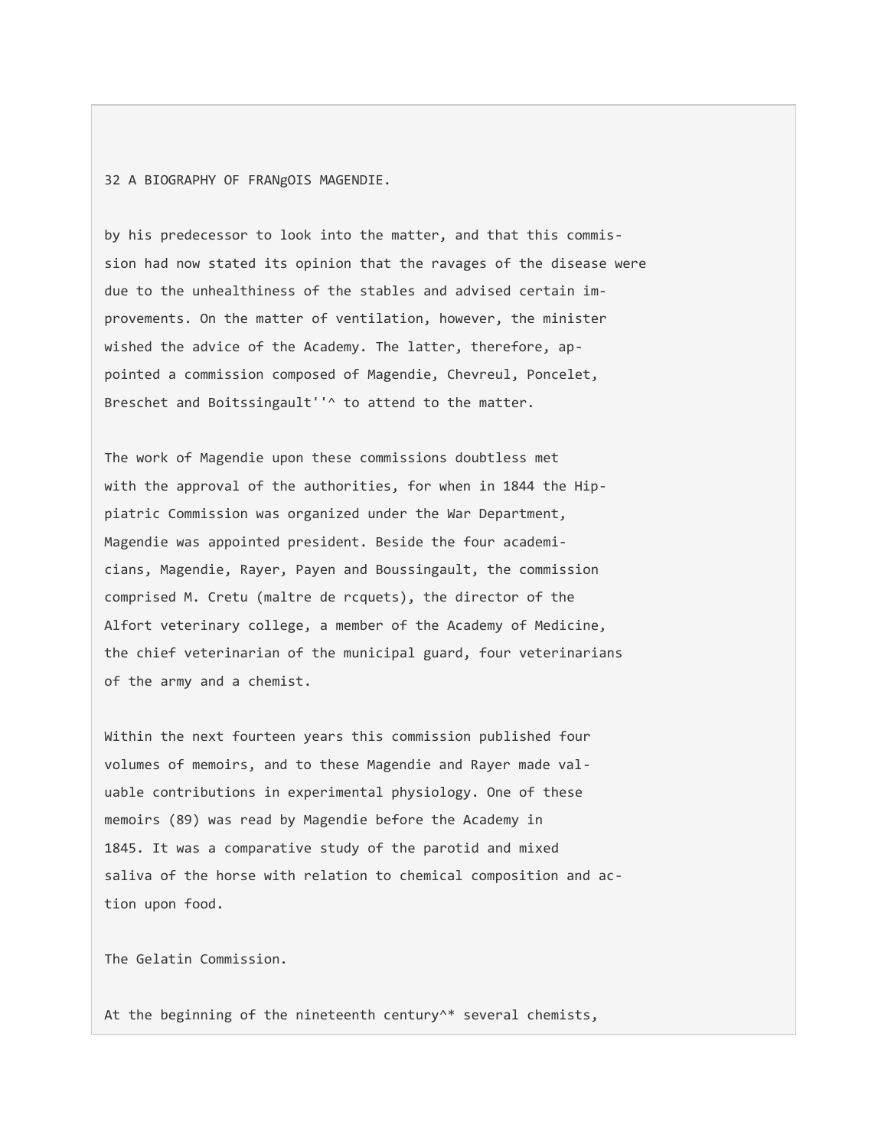32 A BIOGRAPHY OF FRANgOIS MAGENDIE.

by his predecessor to look into the matter, and that this commission had now stated its opinion that the ravages of the disease were due to the unhealthiness of the stables and advised certain improvements. On the matter of ventilation, however, the minister wished the advice of the Academy. The latter, therefore, appointed a commission composed of Magendie, Chevreul, Poncelet, Breschet and Boitssingault''^ to attend to the matter.

The work of Magendie upon these commissions doubtless met with the approval of the authorities, for when in 1844 the Hippiatric Commission was organized under the War Department, Magendie was appointed president. Beside the four academicians, Magendie, Rayer, Payen and Boussingault, the commission comprised M. Cretu (maltre de rcquets), the director of the Alfort veterinary college, a member of the Academy of Medicine, the chief veterinarian of the municipal guard, four veterinarians of the army and a chemist.

Within the next fourteen years this commission published four volumes of memoirs, and to these Magendie and Rayer made valuable contributions in experimental physiology. One of these memoirs (89) was read by Magendie before the Academy in 1845. It was a comparative study of the parotid and mixed saliva of the horse with relation to chemical composition and action upon food.

The Gelatin Commission.

At the beginning of the nineteenth century^\* several chemists,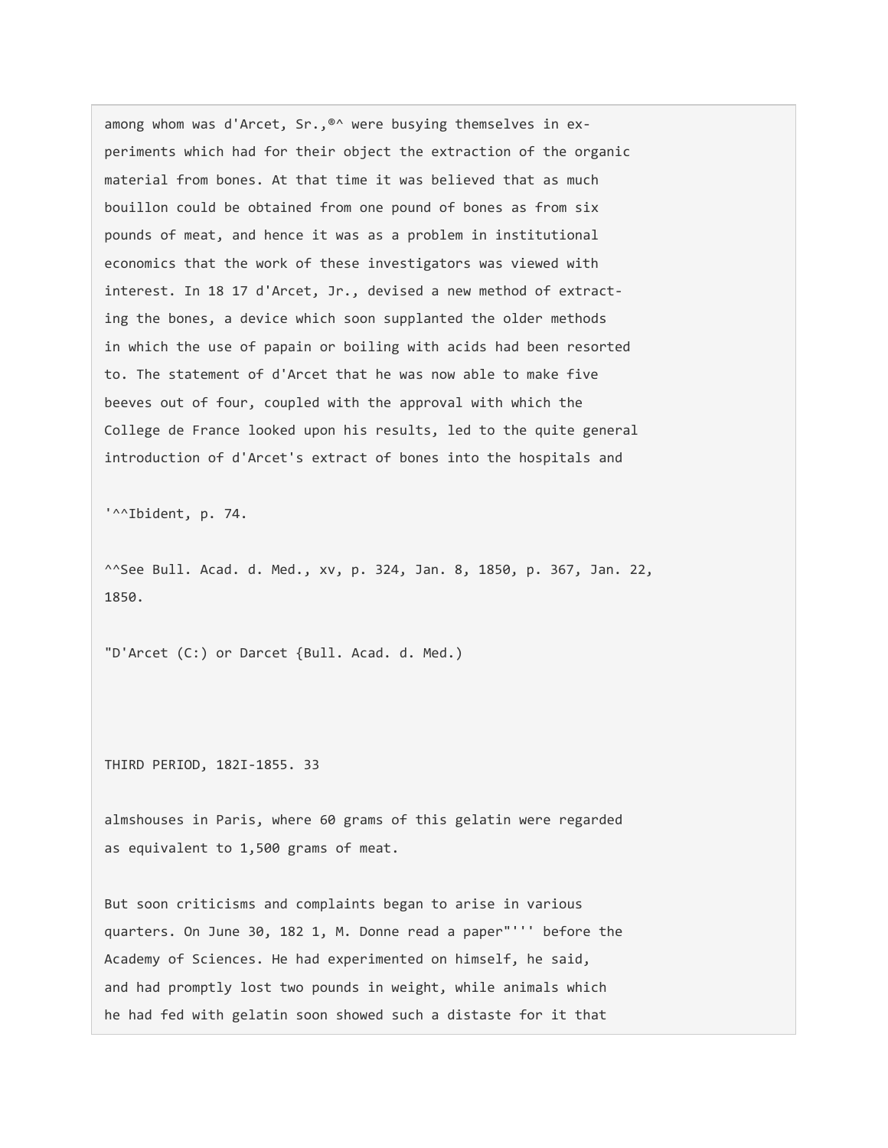among whom was d'Arcet, Sr.,<sup>®^</sup> were busying themselves in experiments which had for their object the extraction of the organic material from bones. At that time it was believed that as much bouillon could be obtained from one pound of bones as from six pounds of meat, and hence it was as a problem in institutional economics that the work of these investigators was viewed with interest. In 18 17 d'Arcet, Jr., devised a new method of extracting the bones, a device which soon supplanted the older methods in which the use of papain or boiling with acids had been resorted to. The statement of d'Arcet that he was now able to make five beeves out of four, coupled with the approval with which the College de France looked upon his results, led to the quite general introduction of d'Arcet's extract of bones into the hospitals and

'^^Ibident, p. 74.

^^See Bull. Acad. d. Med., xv, p. 324, Jan. 8, 1850, p. 367, Jan. 22, 1850.

"D'Arcet (C:) or Darcet {Bull. Acad. d. Med.)

THIRD PERIOD, 182I-1855. 33

almshouses in Paris, where 60 grams of this gelatin were regarded as equivalent to 1,500 grams of meat.

But soon criticisms and complaints began to arise in various quarters. On June 30, 182 1, M. Donne read a paper"''' before the Academy of Sciences. He had experimented on himself, he said, and had promptly lost two pounds in weight, while animals which he had fed with gelatin soon showed such a distaste for it that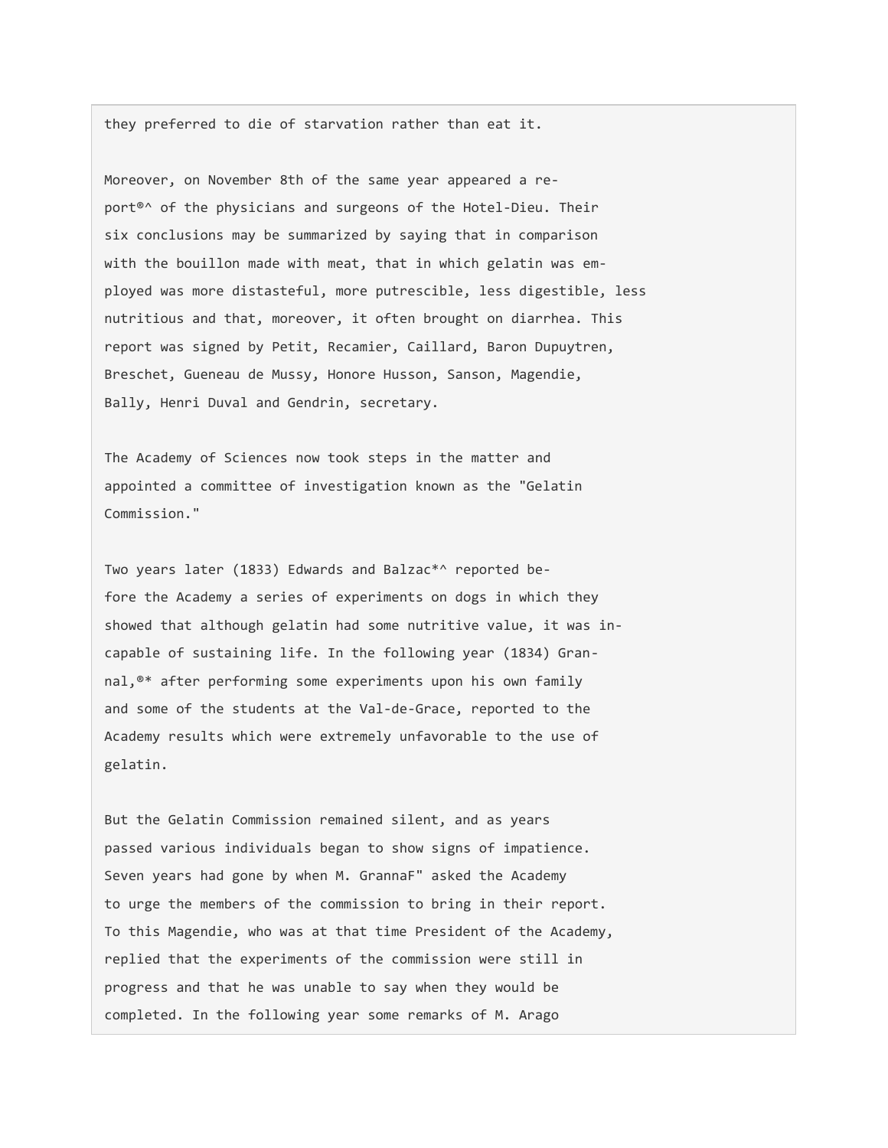they preferred to die of starvation rather than eat it.

Moreover, on November 8th of the same year appeared a report<sup>®</sup>^ of the physicians and surgeons of the Hotel-Dieu. Their six conclusions may be summarized by saying that in comparison with the bouillon made with meat, that in which gelatin was employed was more distasteful, more putrescible, less digestible, less nutritious and that, moreover, it often brought on diarrhea. This report was signed by Petit, Recamier, Caillard, Baron Dupuytren, Breschet, Gueneau de Mussy, Honore Husson, Sanson, Magendie, Bally, Henri Duval and Gendrin, secretary.

The Academy of Sciences now took steps in the matter and appointed a committee of investigation known as the "Gelatin Commission."

Two years later (1833) Edwards and Balzac\*^ reported before the Academy a series of experiments on dogs in which they showed that although gelatin had some nutritive value, it was incapable of sustaining life. In the following year (1834) Grannal,®\* after performing some experiments upon his own family and some of the students at the Val-de-Grace, reported to the Academy results which were extremely unfavorable to the use of gelatin.

But the Gelatin Commission remained silent, and as years passed various individuals began to show signs of impatience. Seven years had gone by when M. GrannaF" asked the Academy to urge the members of the commission to bring in their report. To this Magendie, who was at that time President of the Academy, replied that the experiments of the commission were still in progress and that he was unable to say when they would be completed. In the following year some remarks of M. Arago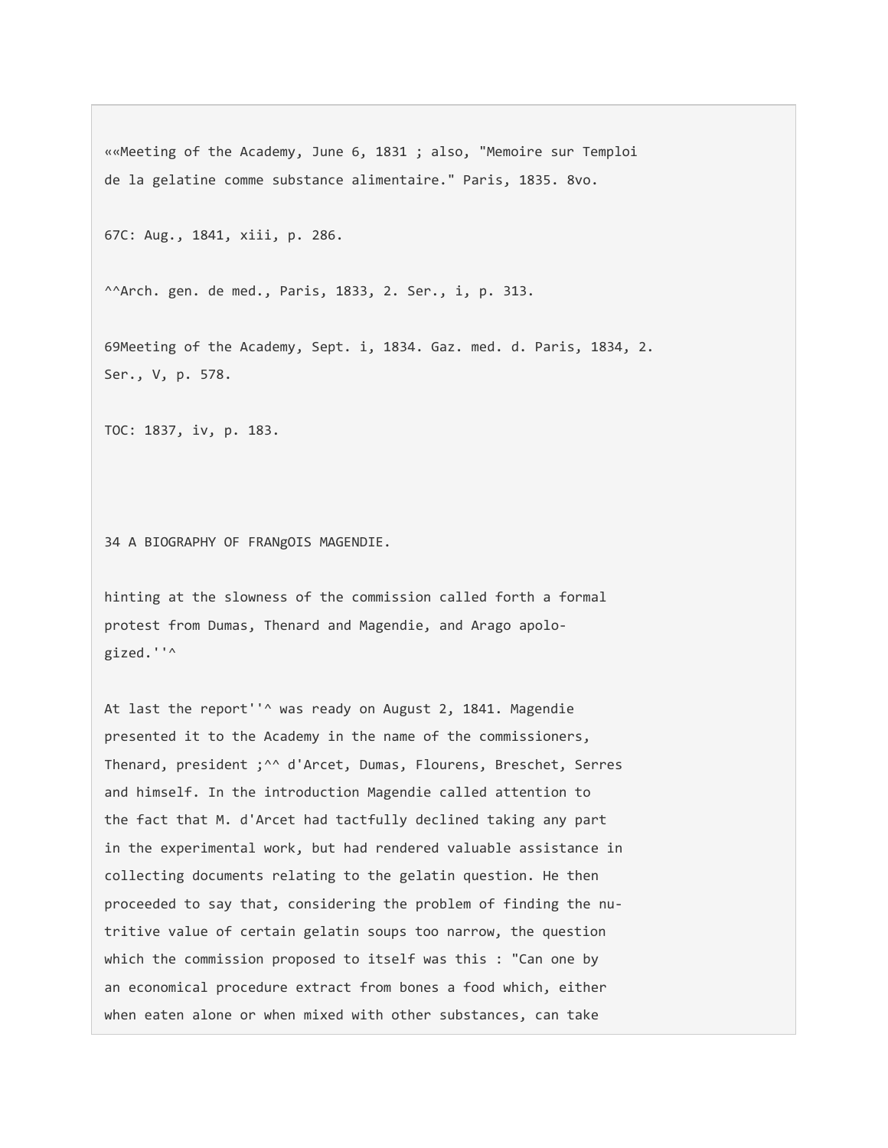««Meeting of the Academy, June 6, 1831 ; also, "Memoire sur Temploi de la gelatine comme substance alimentaire." Paris, 1835. 8vo.

67C: Aug., 1841, xiii, p. 286.

^^Arch. gen. de med., Paris, 1833, 2. Ser., i, p. 313.

69Meeting of the Academy, Sept. i, 1834. Gaz. med. d. Paris, 1834, 2. Ser., V, p. 578.

TOC: 1837, iv, p. 183.

34 A BIOGRAPHY OF FRANgOIS MAGENDIE.

hinting at the slowness of the commission called forth a formal protest from Dumas, Thenard and Magendie, and Arago apologized.''^

At last the report''^ was ready on August 2, 1841. Magendie presented it to the Academy in the name of the commissioners, Thenard, president ;^^ d'Arcet, Dumas, Flourens, Breschet, Serres and himself. In the introduction Magendie called attention to the fact that M. d'Arcet had tactfully declined taking any part in the experimental work, but had rendered valuable assistance in collecting documents relating to the gelatin question. He then proceeded to say that, considering the problem of finding the nutritive value of certain gelatin soups too narrow, the question which the commission proposed to itself was this : "Can one by an economical procedure extract from bones a food which, either when eaten alone or when mixed with other substances, can take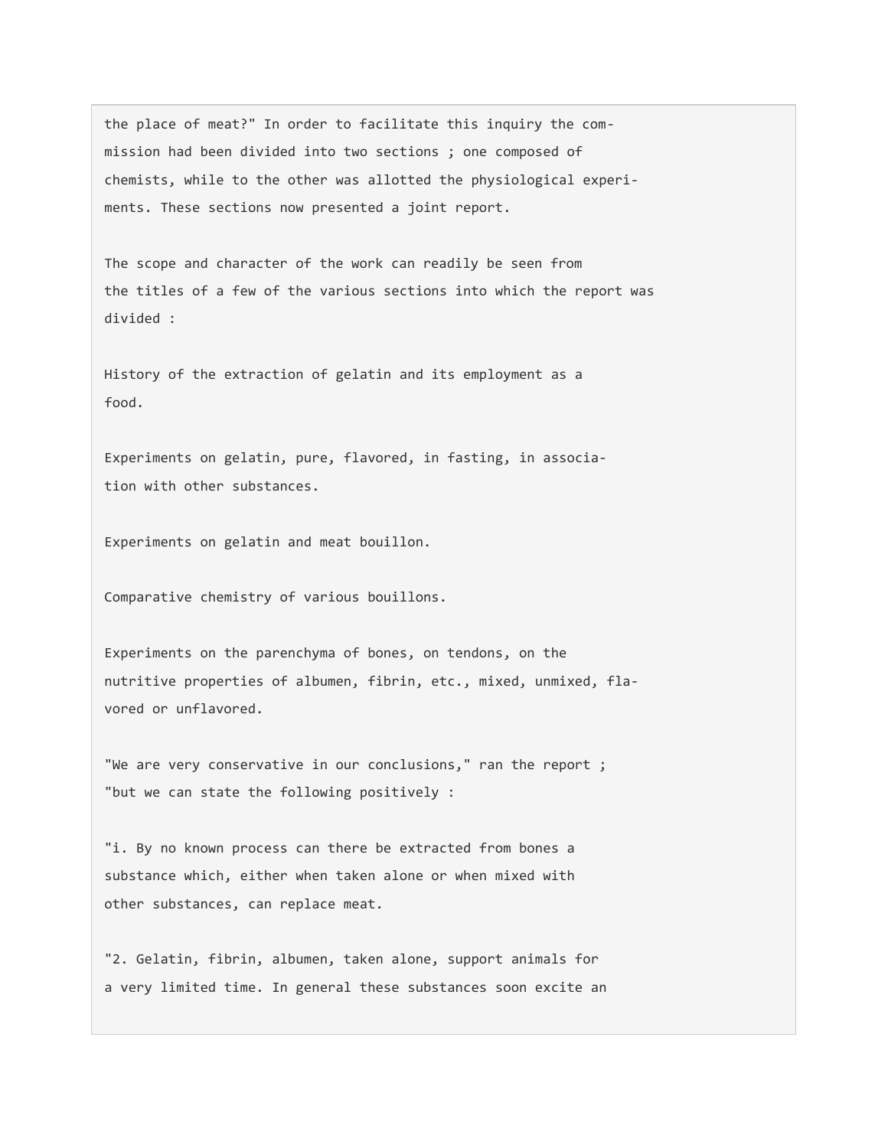the place of meat?" In order to facilitate this inquiry the commission had been divided into two sections ; one composed of chemists, while to the other was allotted the physiological experiments. These sections now presented a joint report.

The scope and character of the work can readily be seen from the titles of a few of the various sections into which the report was divided :

History of the extraction of gelatin and its employment as a food.

Experiments on gelatin, pure, flavored, in fasting, in association with other substances.

Experiments on gelatin and meat bouillon.

Comparative chemistry of various bouillons.

Experiments on the parenchyma of bones, on tendons, on the nutritive properties of albumen, fibrin, etc., mixed, unmixed, flavored or unflavored.

"We are very conservative in our conclusions," ran the report ; "but we can state the following positively :

"i. By no known process can there be extracted from bones a substance which, either when taken alone or when mixed with other substances, can replace meat.

"2. Gelatin, fibrin, albumen, taken alone, support animals for a very limited time. In general these substances soon excite an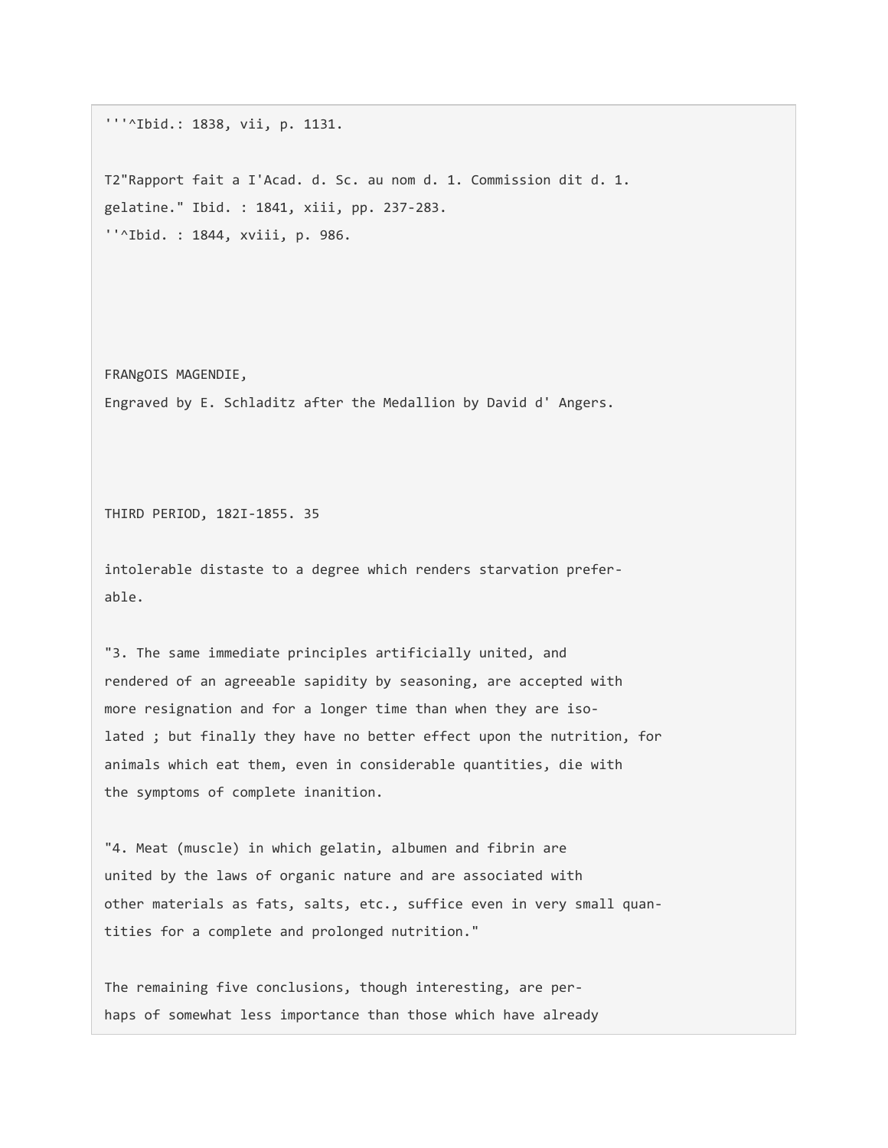'''^Ibid.: 1838, vii, p. 1131.

T2"Rapport fait a I'Acad. d. Sc. au nom d. 1. Commission dit d. 1. gelatine." Ibid. : 1841, xiii, pp. 237-283. ''^Ibid. : 1844, xviii, p. 986.

FRANgOIS MAGENDIE, Engraved by E. Schladitz after the Medallion by David d' Angers.

THIRD PERIOD, 182I-1855. 35

intolerable distaste to a degree which renders starvation preferable.

"3. The same immediate principles artificially united, and rendered of an agreeable sapidity by seasoning, are accepted with more resignation and for a longer time than when they are isolated ; but finally they have no better effect upon the nutrition, for animals which eat them, even in considerable quantities, die with the symptoms of complete inanition.

"4. Meat (muscle) in which gelatin, albumen and fibrin are united by the laws of organic nature and are associated with other materials as fats, salts, etc., suffice even in very small quantities for a complete and prolonged nutrition."

The remaining five conclusions, though interesting, are perhaps of somewhat less importance than those which have already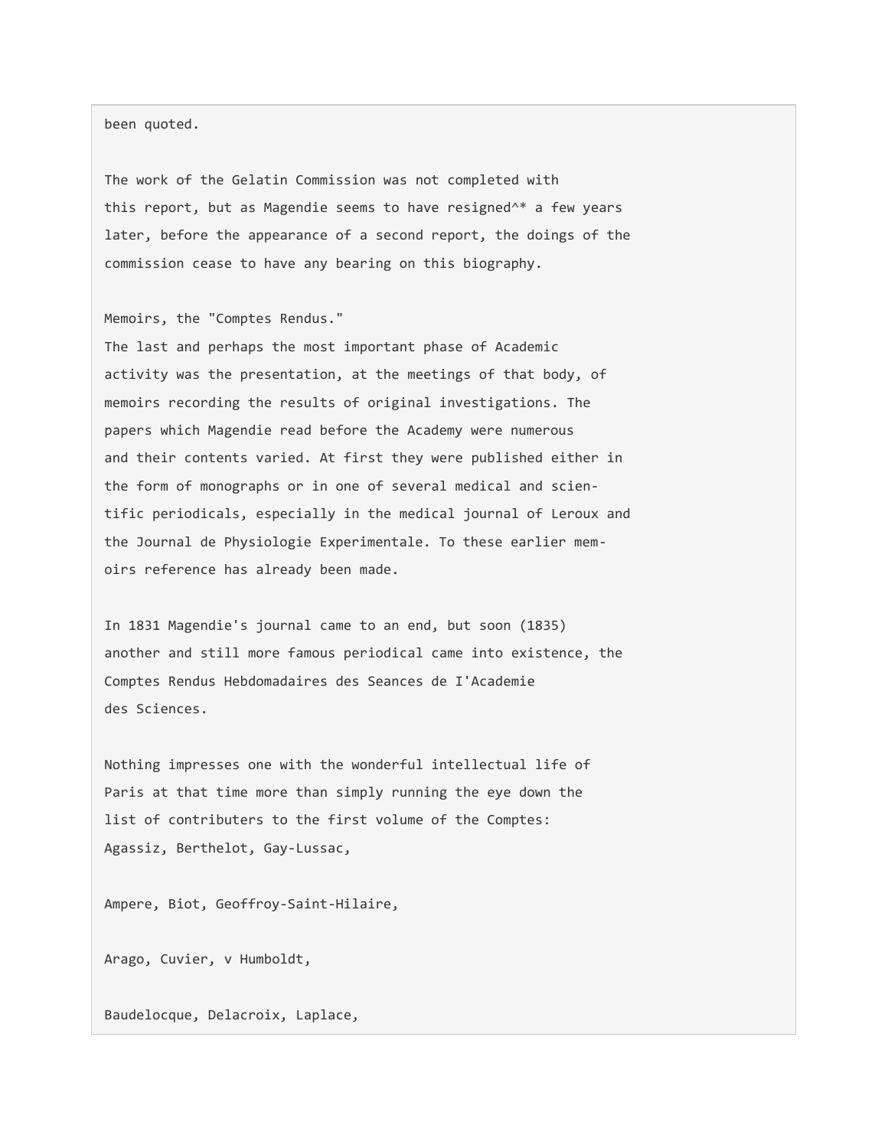been quoted.

The work of the Gelatin Commission was not completed with this report, but as Magendie seems to have resigned^\* a few years later, before the appearance of a second report, the doings of the commission cease to have any bearing on this biography.

Memoirs, the "Comptes Rendus."

The last and perhaps the most important phase of Academic activity was the presentation, at the meetings of that body, of memoirs recording the results of original investigations. The papers which Magendie read before the Academy were numerous and their contents varied. At first they were published either in the form of monographs or in one of several medical and scientific periodicals, especially in the medical journal of Leroux and the Journal de Physiologie Experimentale. To these earlier memoirs reference has already been made.

In 1831 Magendie's journal came to an end, but soon (1835) another and still more famous periodical came into existence, the Comptes Rendus Hebdomadaires des Seances de I'Academie des Sciences.

Nothing impresses one with the wonderful intellectual life of Paris at that time more than simply running the eye down the list of contributers to the first volume of the Comptes: Agassiz, Berthelot, Gay-Lussac,

Ampere, Biot, Geoffroy-Saint-Hilaire,

Arago, Cuvier, v Humboldt,

Baudelocque, Delacroix, Laplace,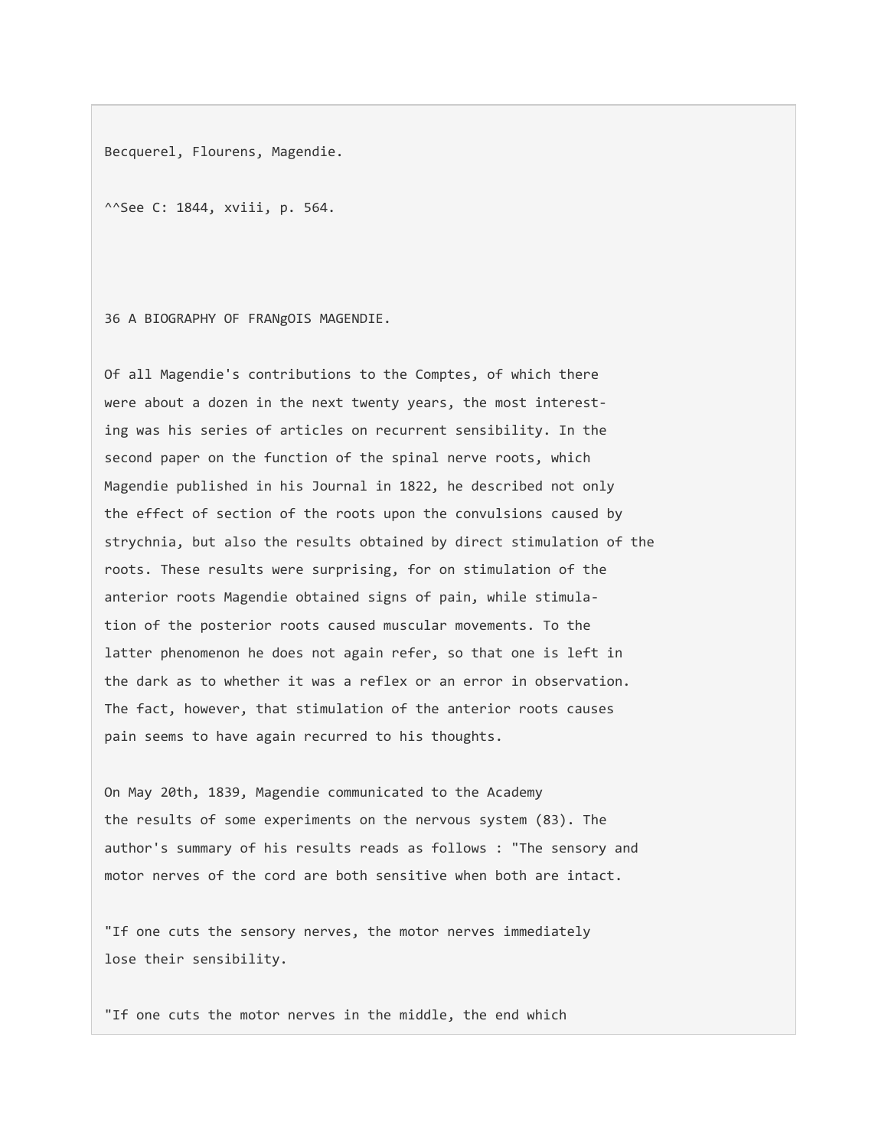Becquerel, Flourens, Magendie.

^^See C: 1844, xviii, p. 564.

36 A BIOGRAPHY OF FRANgOIS MAGENDIE.

Of all Magendie's contributions to the Comptes, of which there were about a dozen in the next twenty years, the most interesting was his series of articles on recurrent sensibility. In the second paper on the function of the spinal nerve roots, which Magendie published in his Journal in 1822, he described not only the effect of section of the roots upon the convulsions caused by strychnia, but also the results obtained by direct stimulation of the roots. These results were surprising, for on stimulation of the anterior roots Magendie obtained signs of pain, while stimulation of the posterior roots caused muscular movements. To the latter phenomenon he does not again refer, so that one is left in the dark as to whether it was a reflex or an error in observation. The fact, however, that stimulation of the anterior roots causes pain seems to have again recurred to his thoughts.

On May 20th, 1839, Magendie communicated to the Academy the results of some experiments on the nervous system (83). The author's summary of his results reads as follows : "The sensory and motor nerves of the cord are both sensitive when both are intact.

"If one cuts the sensory nerves, the motor nerves immediately lose their sensibility.

"If one cuts the motor nerves in the middle, the end which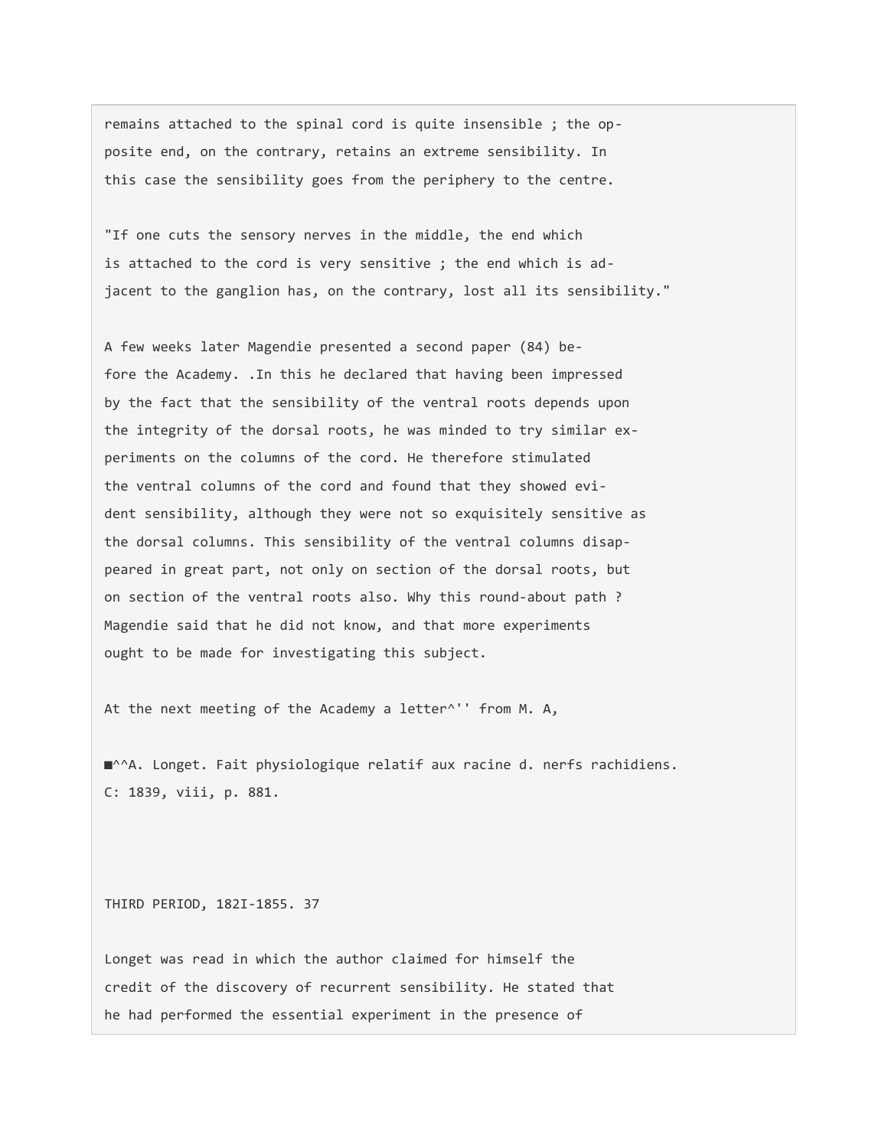remains attached to the spinal cord is quite insensible ; the opposite end, on the contrary, retains an extreme sensibility. In this case the sensibility goes from the periphery to the centre.

"If one cuts the sensory nerves in the middle, the end which is attached to the cord is very sensitive ; the end which is adjacent to the ganglion has, on the contrary, lost all its sensibility."

A few weeks later Magendie presented a second paper (84) before the Academy. .In this he declared that having been impressed by the fact that the sensibility of the ventral roots depends upon the integrity of the dorsal roots, he was minded to try similar experiments on the columns of the cord. He therefore stimulated the ventral columns of the cord and found that they showed evident sensibility, although they were not so exquisitely sensitive as the dorsal columns. This sensibility of the ventral columns disappeared in great part, not only on section of the dorsal roots, but on section of the ventral roots also. Why this round-about path ? Magendie said that he did not know, and that more experiments ought to be made for investigating this subject.

At the next meeting of the Academy a letter^'' from M. A,

■^^A. Longet. Fait physiologique relatif aux racine d. nerfs rachidiens. C: 1839, viii, p. 881.

THIRD PERIOD, 182I-1855. 37

Longet was read in which the author claimed for himself the credit of the discovery of recurrent sensibility. He stated that he had performed the essential experiment in the presence of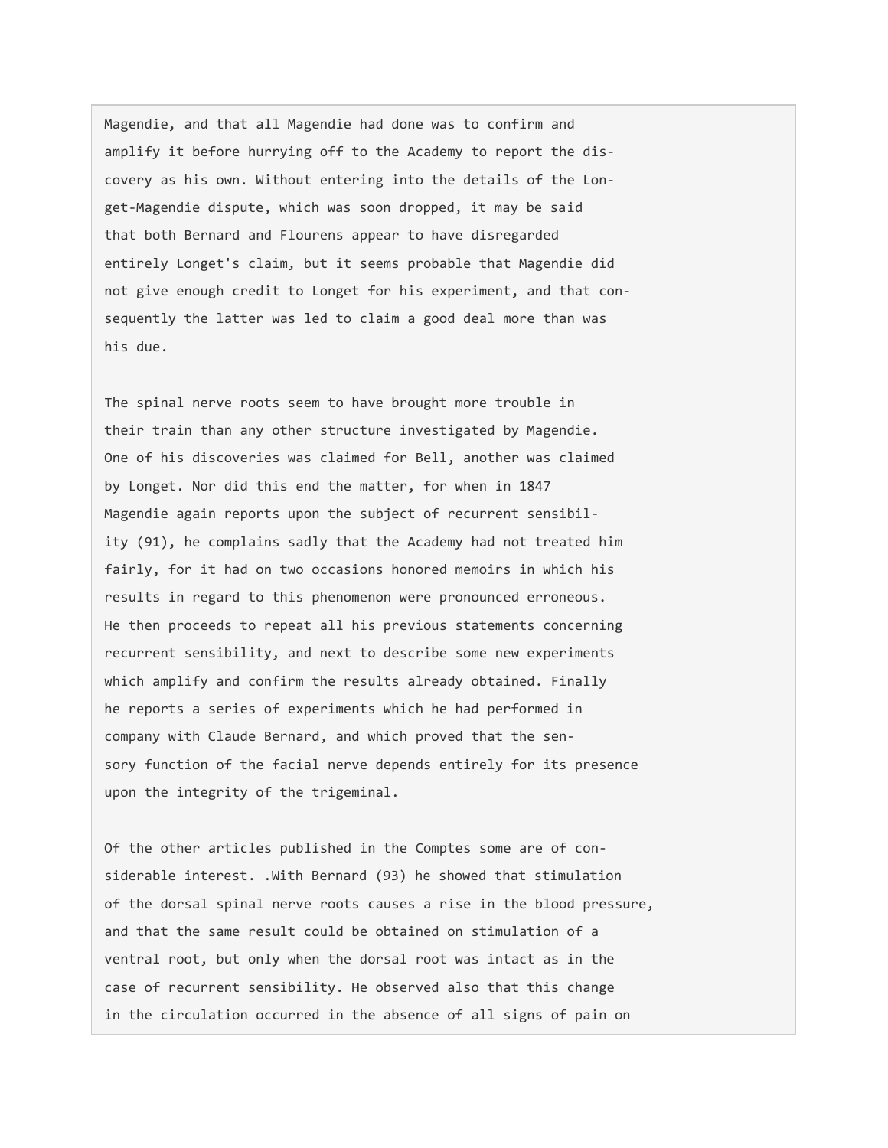Magendie, and that all Magendie had done was to confirm and amplify it before hurrying off to the Academy to report the discovery as his own. Without entering into the details of the Longet-Magendie dispute, which was soon dropped, it may be said that both Bernard and Flourens appear to have disregarded entirely Longet's claim, but it seems probable that Magendie did not give enough credit to Longet for his experiment, and that consequently the latter was led to claim a good deal more than was his due.

The spinal nerve roots seem to have brought more trouble in their train than any other structure investigated by Magendie. One of his discoveries was claimed for Bell, another was claimed by Longet. Nor did this end the matter, for when in 1847 Magendie again reports upon the subject of recurrent sensibility (91), he complains sadly that the Academy had not treated him fairly, for it had on two occasions honored memoirs in which his results in regard to this phenomenon were pronounced erroneous. He then proceeds to repeat all his previous statements concerning recurrent sensibility, and next to describe some new experiments which amplify and confirm the results already obtained. Finally he reports a series of experiments which he had performed in company with Claude Bernard, and which proved that the sensory function of the facial nerve depends entirely for its presence upon the integrity of the trigeminal.

Of the other articles published in the Comptes some are of considerable interest. .With Bernard (93) he showed that stimulation of the dorsal spinal nerve roots causes a rise in the blood pressure, and that the same result could be obtained on stimulation of a ventral root, but only when the dorsal root was intact as in the case of recurrent sensibility. He observed also that this change in the circulation occurred in the absence of all signs of pain on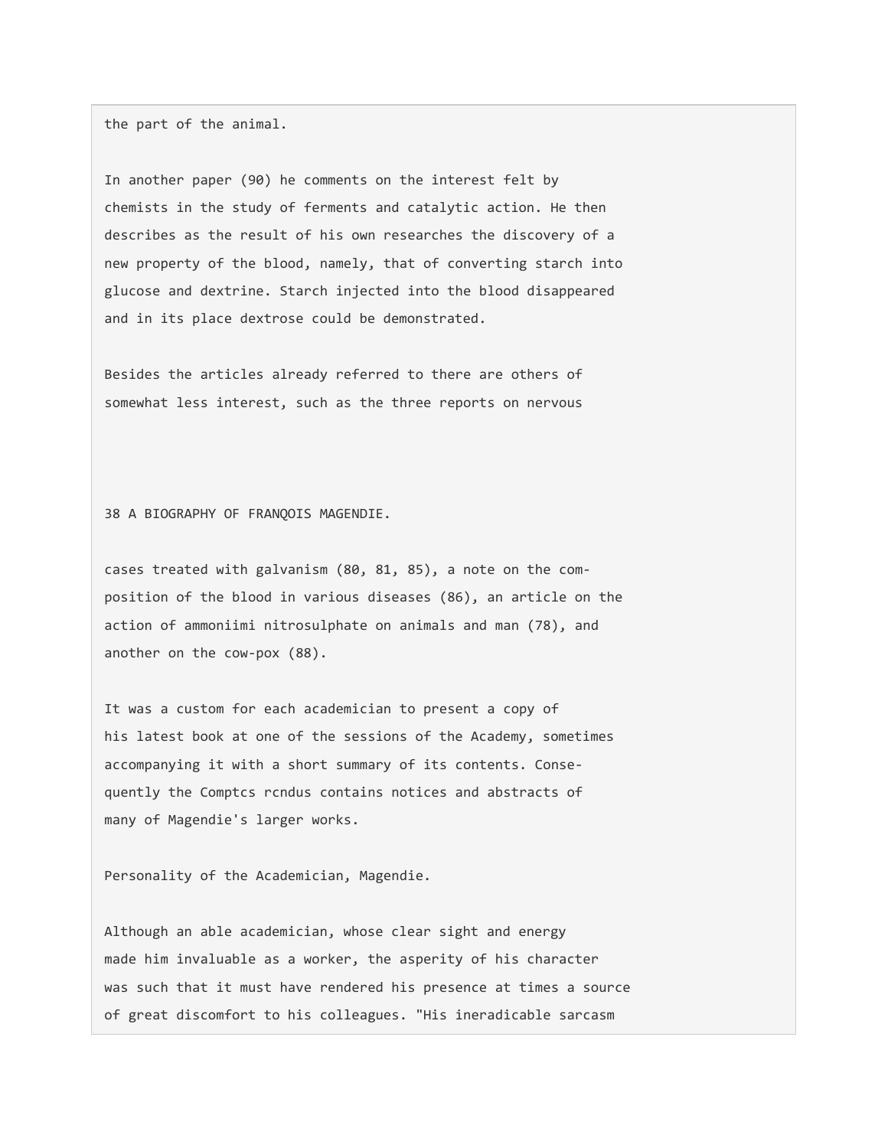the part of the animal.

In another paper (90) he comments on the interest felt by chemists in the study of ferments and catalytic action. He then describes as the result of his own researches the discovery of a new property of the blood, namely, that of converting starch into glucose and dextrine. Starch injected into the blood disappeared and in its place dextrose could be demonstrated.

Besides the articles already referred to there are others of somewhat less interest, such as the three reports on nervous

38 A BIOGRAPHY OF FRANQOIS MAGENDIE.

cases treated with galvanism (80, 81, 85), a note on the composition of the blood in various diseases (86), an article on the action of ammoniimi nitrosulphate on animals and man (78), and another on the cow-pox (88).

It was a custom for each academician to present a copy of his latest book at one of the sessions of the Academy, sometimes accompanying it with a short summary of its contents. Consequently the Comptcs rcndus contains notices and abstracts of many of Magendie's larger works.

Personality of the Academician, Magendie.

Although an able academician, whose clear sight and energy made him invaluable as a worker, the asperity of his character was such that it must have rendered his presence at times a source of great discomfort to his colleagues. "His ineradicable sarcasm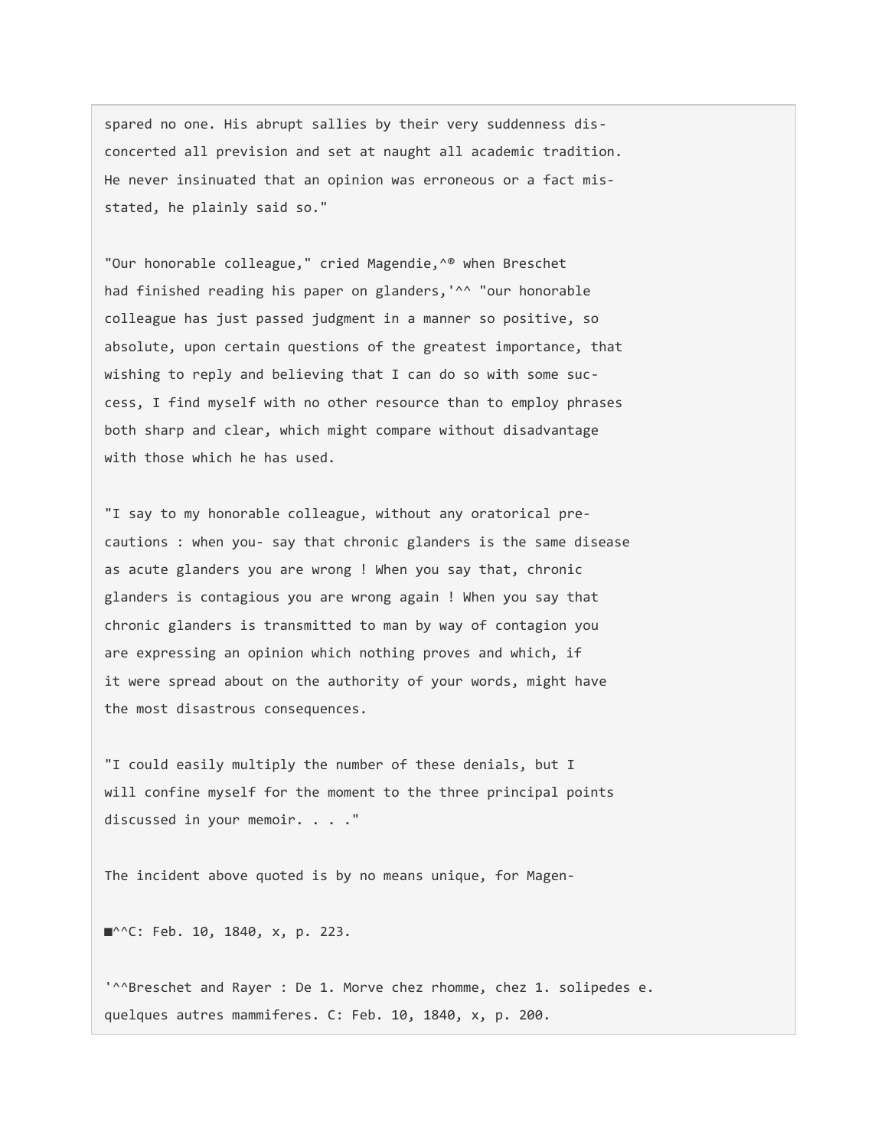spared no one. His abrupt sallies by their very suddenness disconcerted all prevision and set at naught all academic tradition. He never insinuated that an opinion was erroneous or a fact misstated, he plainly said so."

"Our honorable colleague," cried Magendie,^® when Breschet had finished reading his paper on glanders, '^^ "our honorable colleague has just passed judgment in a manner so positive, so absolute, upon certain questions of the greatest importance, that wishing to reply and believing that I can do so with some success, I find myself with no other resource than to employ phrases both sharp and clear, which might compare without disadvantage with those which he has used.

"I say to my honorable colleague, without any oratorical precautions : when you- say that chronic glanders is the same disease as acute glanders you are wrong ! When you say that, chronic glanders is contagious you are wrong again ! When you say that chronic glanders is transmitted to man by way of contagion you are expressing an opinion which nothing proves and which, if it were spread about on the authority of your words, might have the most disastrous consequences.

"I could easily multiply the number of these denials, but I will confine myself for the moment to the three principal points discussed in your memoir. . . ."

The incident above quoted is by no means unique, for Magen-

■<sup>^^</sup>C: Feb. 10, 1840, x, p. 223.

'^^Breschet and Rayer : De 1. Morve chez rhomme, chez 1. solipedes e. quelques autres mammiferes. C: Feb. 10, 1840, x, p. 200.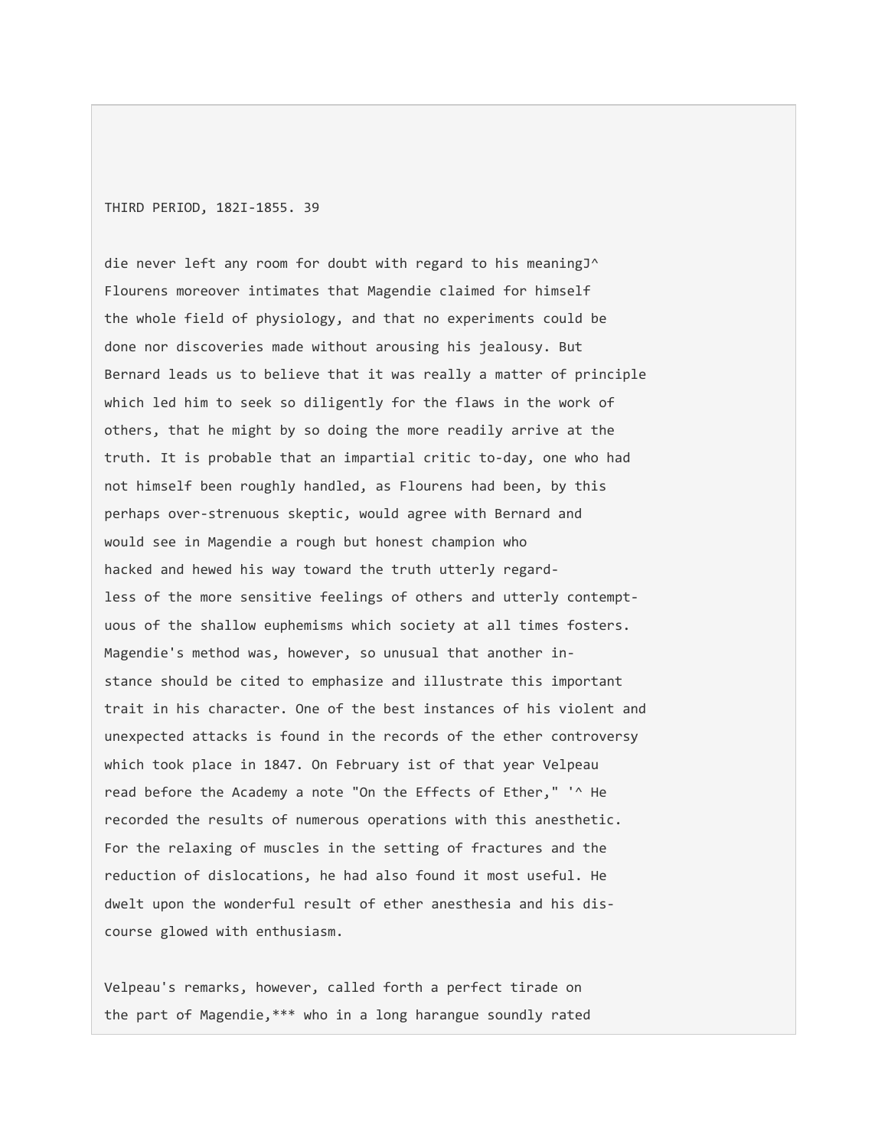THIRD PERIOD, 182I-1855. 39

die never left any room for doubt with regard to his meaningJ^ Flourens moreover intimates that Magendie claimed for himself the whole field of physiology, and that no experiments could be done nor discoveries made without arousing his jealousy. But Bernard leads us to believe that it was really a matter of principle which led him to seek so diligently for the flaws in the work of others, that he might by so doing the more readily arrive at the truth. It is probable that an impartial critic to-day, one who had not himself been roughly handled, as Flourens had been, by this perhaps over-strenuous skeptic, would agree with Bernard and would see in Magendie a rough but honest champion who hacked and hewed his way toward the truth utterly regardless of the more sensitive feelings of others and utterly contemptuous of the shallow euphemisms which society at all times fosters. Magendie's method was, however, so unusual that another instance should be cited to emphasize and illustrate this important trait in his character. One of the best instances of his violent and unexpected attacks is found in the records of the ether controversy which took place in 1847. On February ist of that year Velpeau read before the Academy a note "On the Effects of Ether," '^ He recorded the results of numerous operations with this anesthetic. For the relaxing of muscles in the setting of fractures and the reduction of dislocations, he had also found it most useful. He dwelt upon the wonderful result of ether anesthesia and his discourse glowed with enthusiasm.

Velpeau's remarks, however, called forth a perfect tirade on the part of Magendie,\*\*\* who in a long harangue soundly rated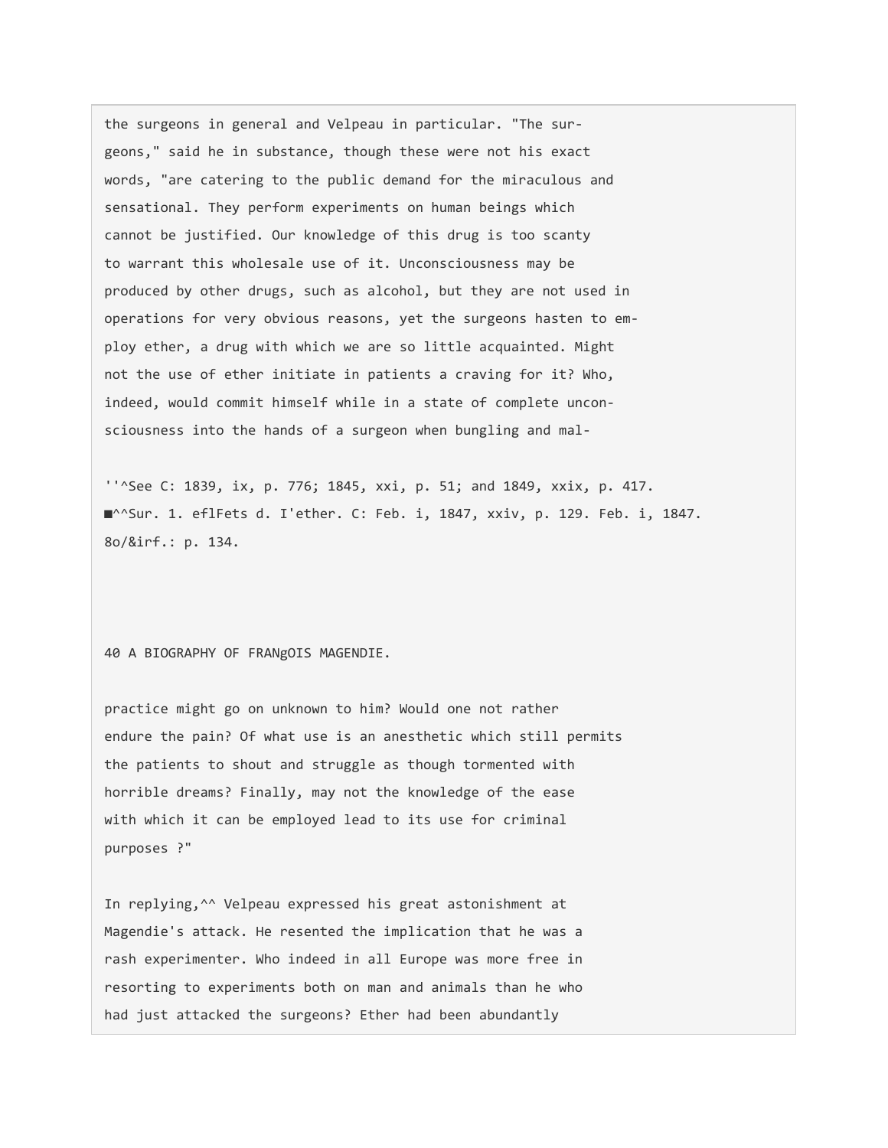the surgeons in general and Velpeau in particular. "The surgeons," said he in substance, though these were not his exact words, "are catering to the public demand for the miraculous and sensational. They perform experiments on human beings which cannot be justified. Our knowledge of this drug is too scanty to warrant this wholesale use of it. Unconsciousness may be produced by other drugs, such as alcohol, but they are not used in operations for very obvious reasons, yet the surgeons hasten to employ ether, a drug with which we are so little acquainted. Might not the use of ether initiate in patients a craving for it? Who, indeed, would commit himself while in a state of complete unconsciousness into the hands of a surgeon when bungling and mal-

''^See C: 1839, ix, p. 776; 1845, xxi, p. 51; and 1849, xxix, p. 417. ■^^Sur. 1. eflFets d. I'ether. C: Feb. i, 1847, xxiv, p. 129. Feb. i, 1847. 8o/&irf.: p. 134.

40 A BIOGRAPHY OF FRANgOIS MAGENDIE.

practice might go on unknown to him? Would one not rather endure the pain? Of what use is an anesthetic which still permits the patients to shout and struggle as though tormented with horrible dreams? Finally, may not the knowledge of the ease with which it can be employed lead to its use for criminal purposes ?"

In replying,^^ Velpeau expressed his great astonishment at Magendie's attack. He resented the implication that he was a rash experimenter. Who indeed in all Europe was more free in resorting to experiments both on man and animals than he who had just attacked the surgeons? Ether had been abundantly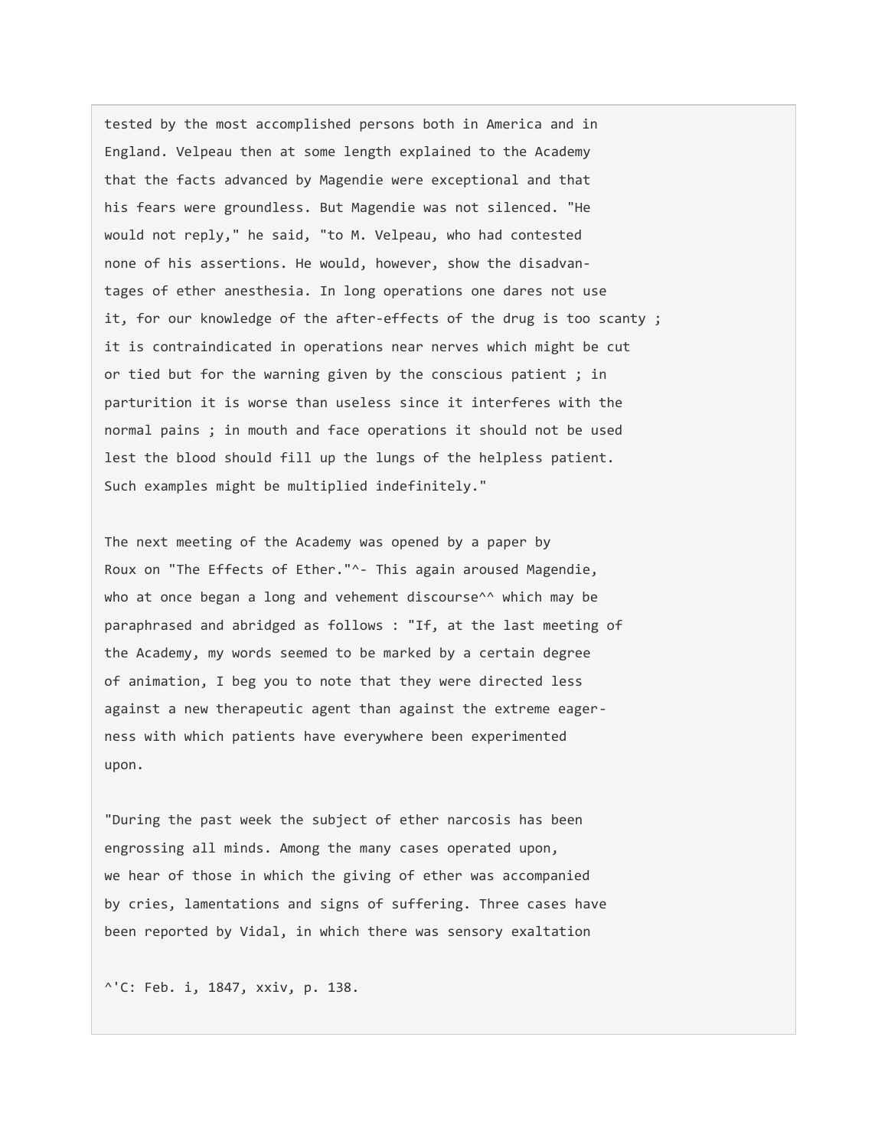tested by the most accomplished persons both in America and in England. Velpeau then at some length explained to the Academy that the facts advanced by Magendie were exceptional and that his fears were groundless. But Magendie was not silenced. "He would not reply," he said, "to M. Velpeau, who had contested none of his assertions. He would, however, show the disadvantages of ether anesthesia. In long operations one dares not use it, for our knowledge of the after-effects of the drug is too scanty ; it is contraindicated in operations near nerves which might be cut or tied but for the warning given by the conscious patient ; in parturition it is worse than useless since it interferes with the normal pains ; in mouth and face operations it should not be used lest the blood should fill up the lungs of the helpless patient. Such examples might be multiplied indefinitely."

The next meeting of the Academy was opened by a paper by Roux on "The Effects of Ether."^- This again aroused Magendie, who at once began a long and vehement discourse<sup>^^</sup> which may be paraphrased and abridged as follows : "If, at the last meeting of the Academy, my words seemed to be marked by a certain degree of animation, I beg you to note that they were directed less against a new therapeutic agent than against the extreme eagerness with which patients have everywhere been experimented upon.

"During the past week the subject of ether narcosis has been engrossing all minds. Among the many cases operated upon, we hear of those in which the giving of ether was accompanied by cries, lamentations and signs of suffering. Three cases have been reported by Vidal, in which there was sensory exaltation

^'C: Feb. i, 1847, xxiv, p. 138.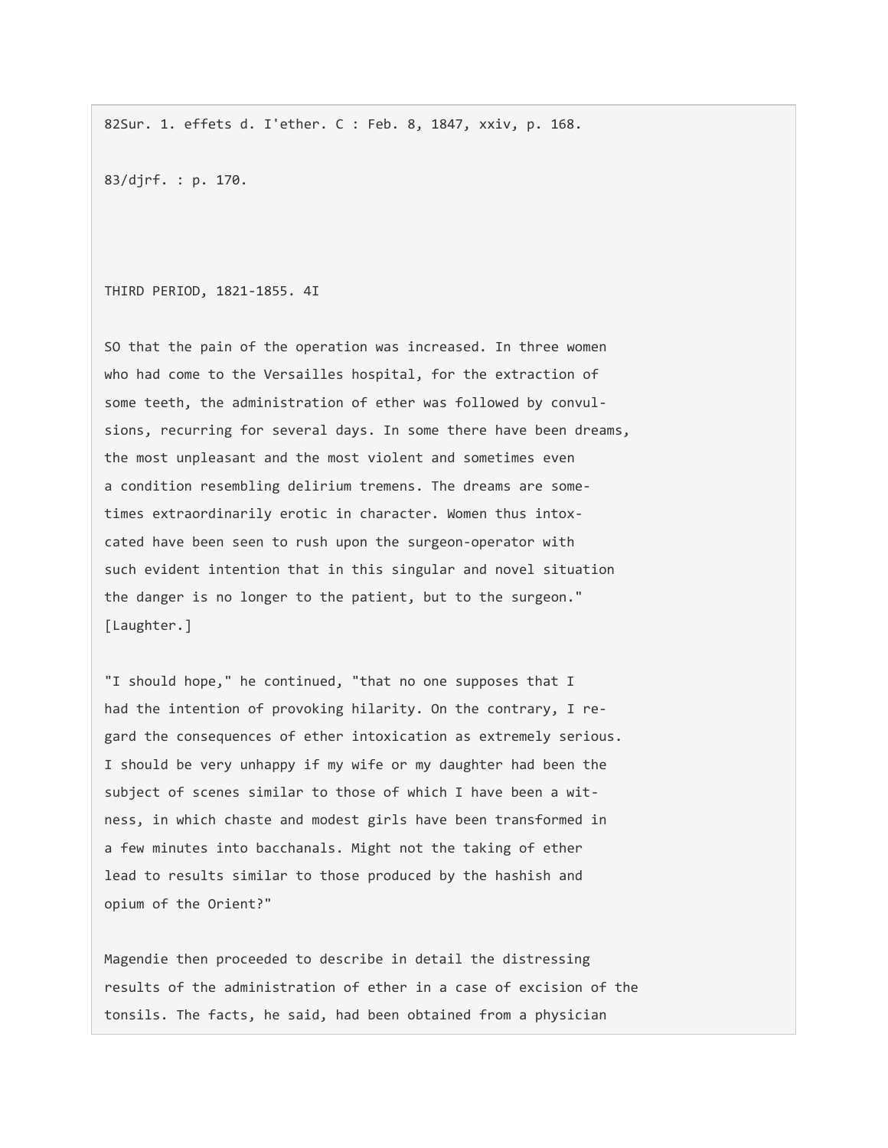82Sur. 1. effets d. I'ether. C : Feb. 8, 1847, xxiv, p. 168.

83/djrf. : p. 170.

THIRD PERIOD, 1821-1855. 4I

SO that the pain of the operation was increased. In three women who had come to the Versailles hospital, for the extraction of some teeth, the administration of ether was followed by convulsions, recurring for several days. In some there have been dreams, the most unpleasant and the most violent and sometimes even a condition resembling delirium tremens. The dreams are sometimes extraordinarily erotic in character. Women thus intoxcated have been seen to rush upon the surgeon-operator with such evident intention that in this singular and novel situation the danger is no longer to the patient, but to the surgeon." [Laughter.]

"I should hope," he continued, "that no one supposes that I had the intention of provoking hilarity. On the contrary, I regard the consequences of ether intoxication as extremely serious. I should be very unhappy if my wife or my daughter had been the subject of scenes similar to those of which I have been a witness, in which chaste and modest girls have been transformed in a few minutes into bacchanals. Might not the taking of ether lead to results similar to those produced by the hashish and opium of the Orient?"

Magendie then proceeded to describe in detail the distressing results of the administration of ether in a case of excision of the tonsils. The facts, he said, had been obtained from a physician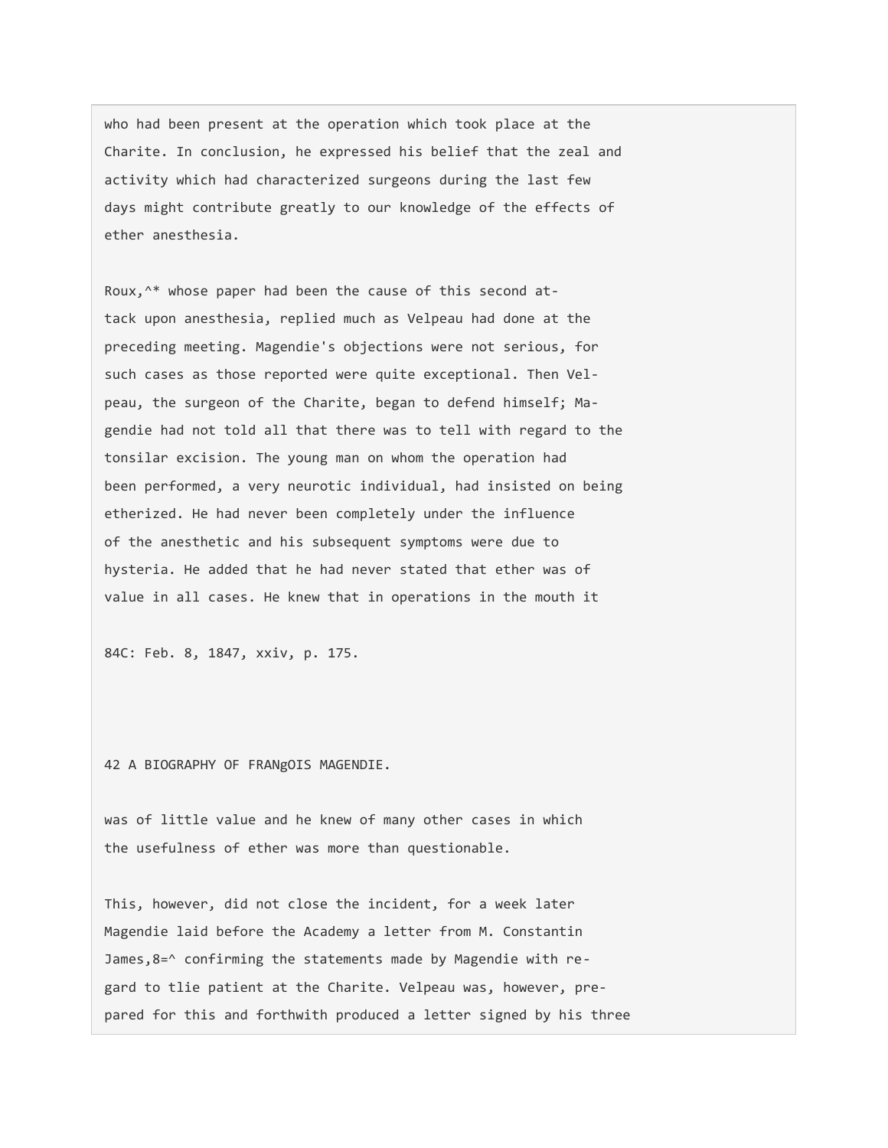who had been present at the operation which took place at the Charite. In conclusion, he expressed his belief that the zeal and activity which had characterized surgeons during the last few days might contribute greatly to our knowledge of the effects of ether anesthesia.

Roux,^\* whose paper had been the cause of this second attack upon anesthesia, replied much as Velpeau had done at the preceding meeting. Magendie's objections were not serious, for such cases as those reported were quite exceptional. Then Velpeau, the surgeon of the Charite, began to defend himself; Magendie had not told all that there was to tell with regard to the tonsilar excision. The young man on whom the operation had been performed, a very neurotic individual, had insisted on being etherized. He had never been completely under the influence of the anesthetic and his subsequent symptoms were due to hysteria. He added that he had never stated that ether was of value in all cases. He knew that in operations in the mouth it

84C: Feb. 8, 1847, xxiv, p. 175.

42 A BIOGRAPHY OF FRANgOIS MAGENDIE.

was of little value and he knew of many other cases in which the usefulness of ether was more than questionable.

This, however, did not close the incident, for a week later Magendie laid before the Academy a letter from M. Constantin James,8=^ confirming the statements made by Magendie with regard to tlie patient at the Charite. Velpeau was, however, prepared for this and forthwith produced a letter signed by his three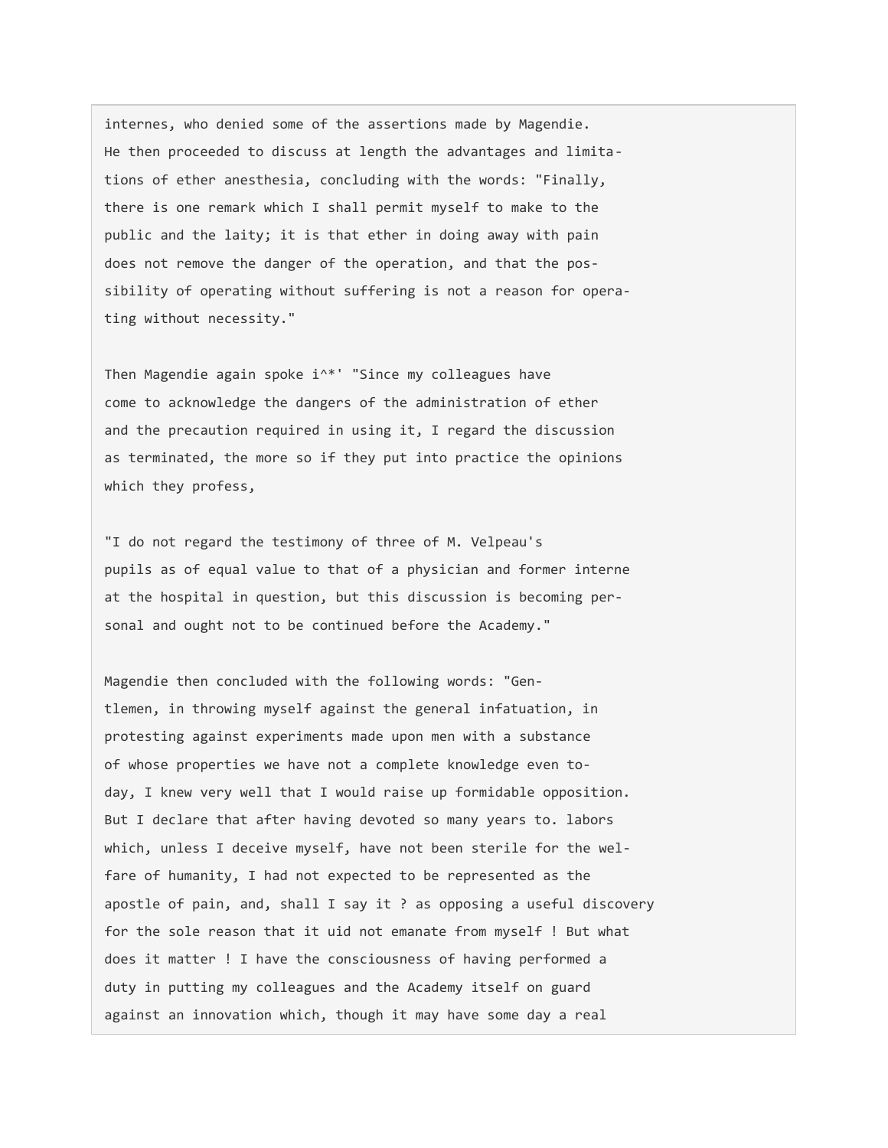internes, who denied some of the assertions made by Magendie. He then proceeded to discuss at length the advantages and limitations of ether anesthesia, concluding with the words: "Finally, there is one remark which I shall permit myself to make to the public and the laity; it is that ether in doing away with pain does not remove the danger of the operation, and that the possibility of operating without suffering is not a reason for operating without necessity."

Then Magendie again spoke i^\*' "Since my colleagues have come to acknowledge the dangers of the administration of ether and the precaution required in using it, I regard the discussion as terminated, the more so if they put into practice the opinions which they profess,

"I do not regard the testimony of three of M. Velpeau's pupils as of equal value to that of a physician and former interne at the hospital in question, but this discussion is becoming personal and ought not to be continued before the Academy."

Magendie then concluded with the following words: "Gentlemen, in throwing myself against the general infatuation, in protesting against experiments made upon men with a substance of whose properties we have not a complete knowledge even today, I knew very well that I would raise up formidable opposition. But I declare that after having devoted so many years to. labors which, unless I deceive myself, have not been sterile for the welfare of humanity, I had not expected to be represented as the apostle of pain, and, shall I say it ? as opposing a useful discovery for the sole reason that it uid not emanate from myself ! But what does it matter ! I have the consciousness of having performed a duty in putting my colleagues and the Academy itself on guard against an innovation which, though it may have some day a real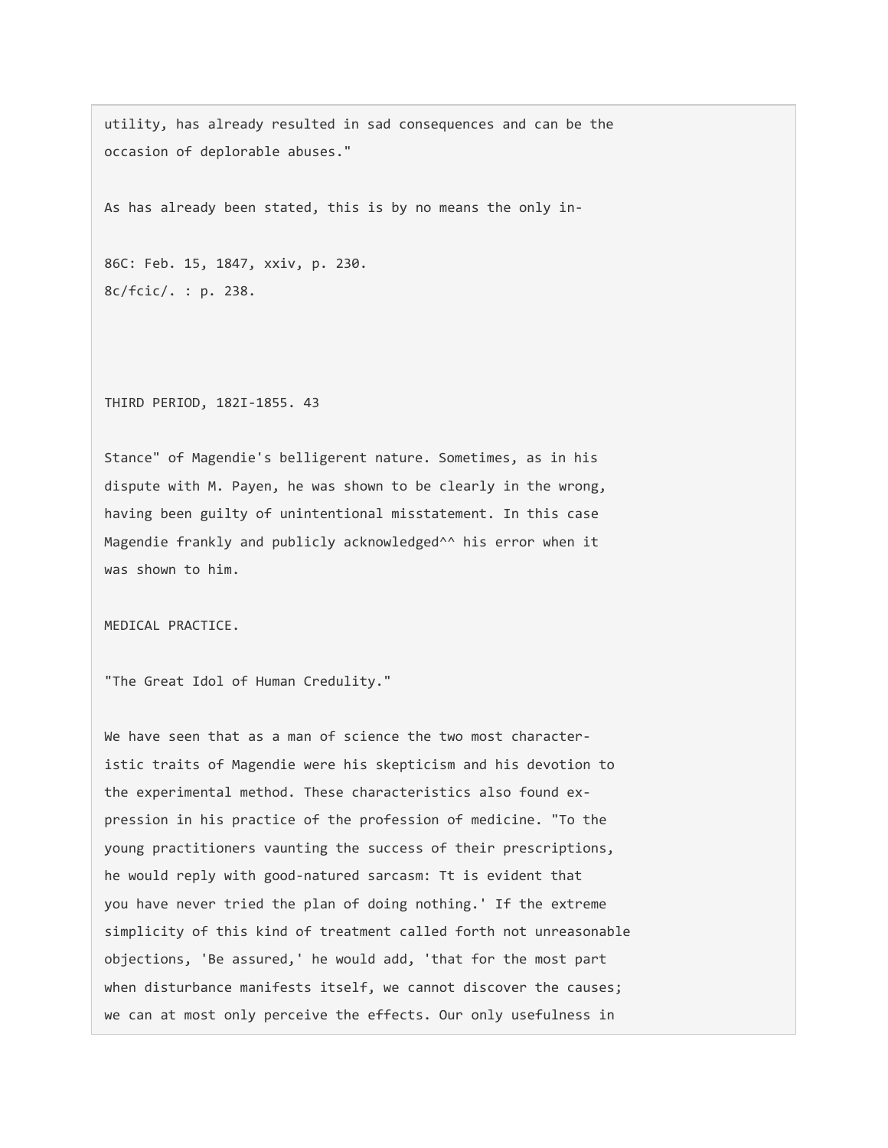utility, has already resulted in sad consequences and can be the occasion of deplorable abuses."

As has already been stated, this is by no means the only in-

86C: Feb. 15, 1847, xxiv, p. 230. 8c/fcic/. : p. 238.

THIRD PERIOD, 182I-1855. 43

Stance" of Magendie's belligerent nature. Sometimes, as in his dispute with M. Payen, he was shown to be clearly in the wrong, having been guilty of unintentional misstatement. In this case Magendie frankly and publicly acknowledged^^ his error when it was shown to him.

MEDICAL PRACTICE.

"The Great Idol of Human Credulity."

We have seen that as a man of science the two most characteristic traits of Magendie were his skepticism and his devotion to the experimental method. These characteristics also found expression in his practice of the profession of medicine. "To the young practitioners vaunting the success of their prescriptions, he would reply with good-natured sarcasm: Tt is evident that you have never tried the plan of doing nothing.' If the extreme simplicity of this kind of treatment called forth not unreasonable objections, 'Be assured,' he would add, 'that for the most part when disturbance manifests itself, we cannot discover the causes; we can at most only perceive the effects. Our only usefulness in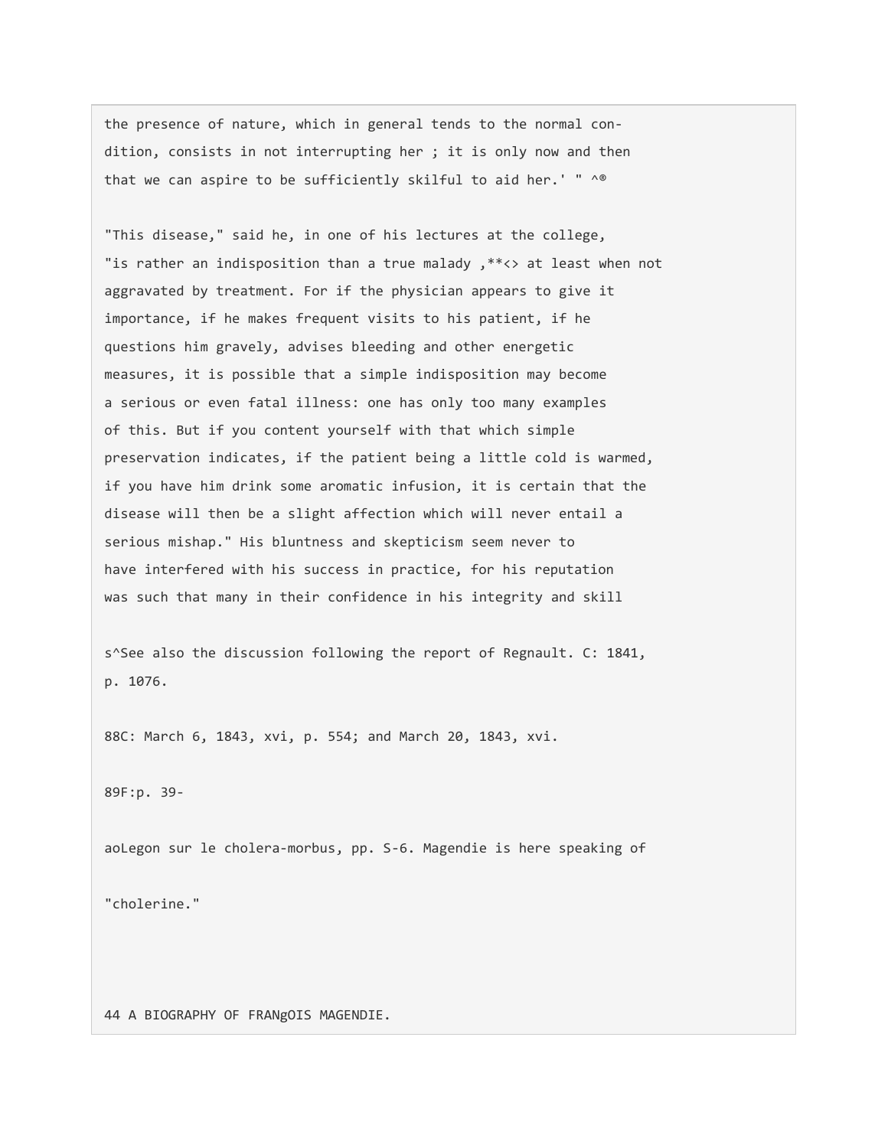the presence of nature, which in general tends to the normal condition, consists in not interrupting her ; it is only now and then that we can aspire to be sufficiently skilful to aid her.' " ^®

"This disease," said he, in one of his lectures at the college, "is rather an indisposition than a true malady ,\*\*<> at least when not aggravated by treatment. For if the physician appears to give it importance, if he makes frequent visits to his patient, if he questions him gravely, advises bleeding and other energetic measures, it is possible that a simple indisposition may become a serious or even fatal illness: one has only too many examples of this. But if you content yourself with that which simple preservation indicates, if the patient being a little cold is warmed, if you have him drink some aromatic infusion, it is certain that the disease will then be a slight affection which will never entail a serious mishap." His bluntness and skepticism seem never to have interfered with his success in practice, for his reputation was such that many in their confidence in his integrity and skill

s^See also the discussion following the report of Regnault. C: 1841, p. 1076.

88C: March 6, 1843, xvi, p. 554; and March 20, 1843, xvi.

89F:p. 39-

"cholerine."

aoLegon sur le cholera-morbus, pp. S-6. Magendie is here speaking of

44 A BIOGRAPHY OF FRANgOIS MAGENDIE.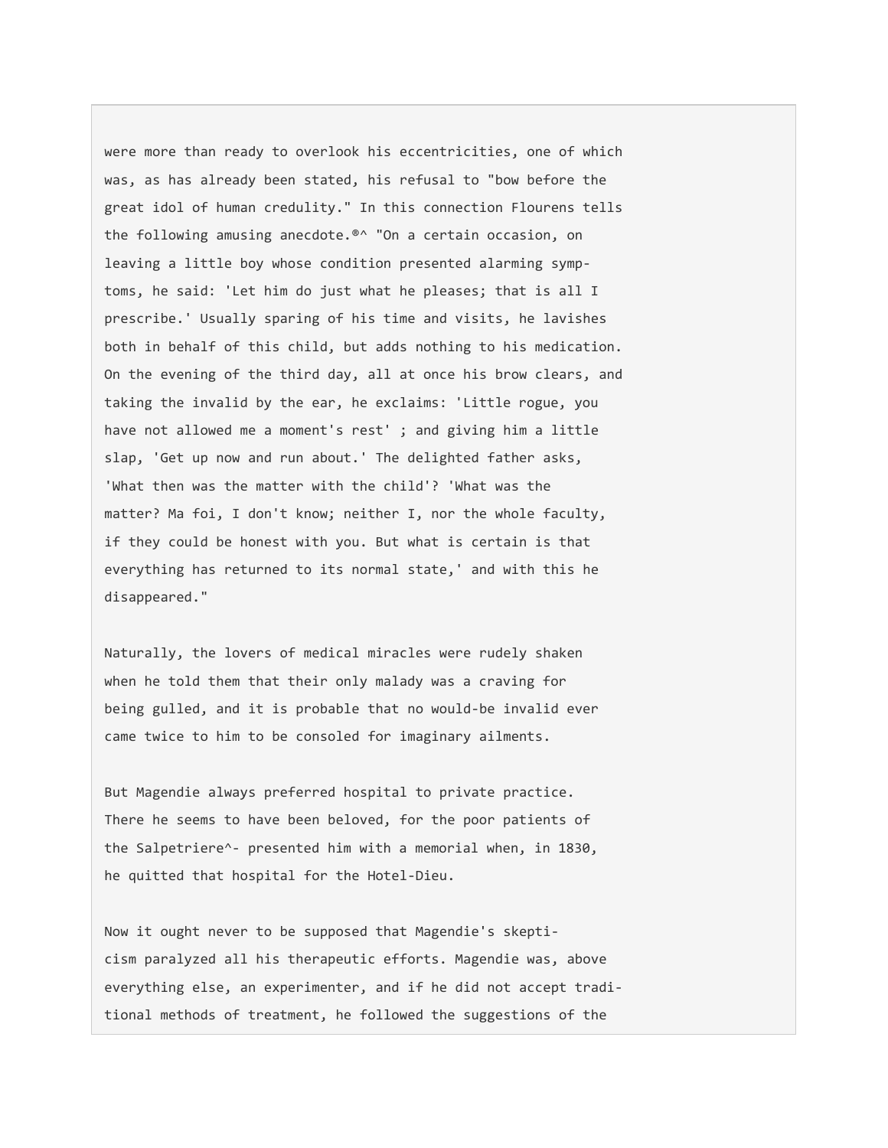were more than ready to overlook his eccentricities, one of which was, as has already been stated, his refusal to "bow before the great idol of human credulity." In this connection Flourens tells the following amusing anecdote.®^ "On a certain occasion, on leaving a little boy whose condition presented alarming symptoms, he said: 'Let him do just what he pleases; that is all I prescribe.' Usually sparing of his time and visits, he lavishes both in behalf of this child, but adds nothing to his medication. On the evening of the third day, all at once his brow clears, and taking the invalid by the ear, he exclaims: 'Little rogue, you have not allowed me a moment's rest'; and giving him a little slap, 'Get up now and run about.' The delighted father asks, 'What then was the matter with the child'? 'What was the matter? Ma foi, I don't know; neither I, nor the whole faculty, if they could be honest with you. But what is certain is that everything has returned to its normal state,' and with this he disappeared."

Naturally, the lovers of medical miracles were rudely shaken when he told them that their only malady was a craving for being gulled, and it is probable that no would-be invalid ever came twice to him to be consoled for imaginary ailments.

But Magendie always preferred hospital to private practice. There he seems to have been beloved, for the poor patients of the Salpetriere^- presented him with a memorial when, in 1830, he quitted that hospital for the Hotel-Dieu.

Now it ought never to be supposed that Magendie's skepticism paralyzed all his therapeutic efforts. Magendie was, above everything else, an experimenter, and if he did not accept traditional methods of treatment, he followed the suggestions of the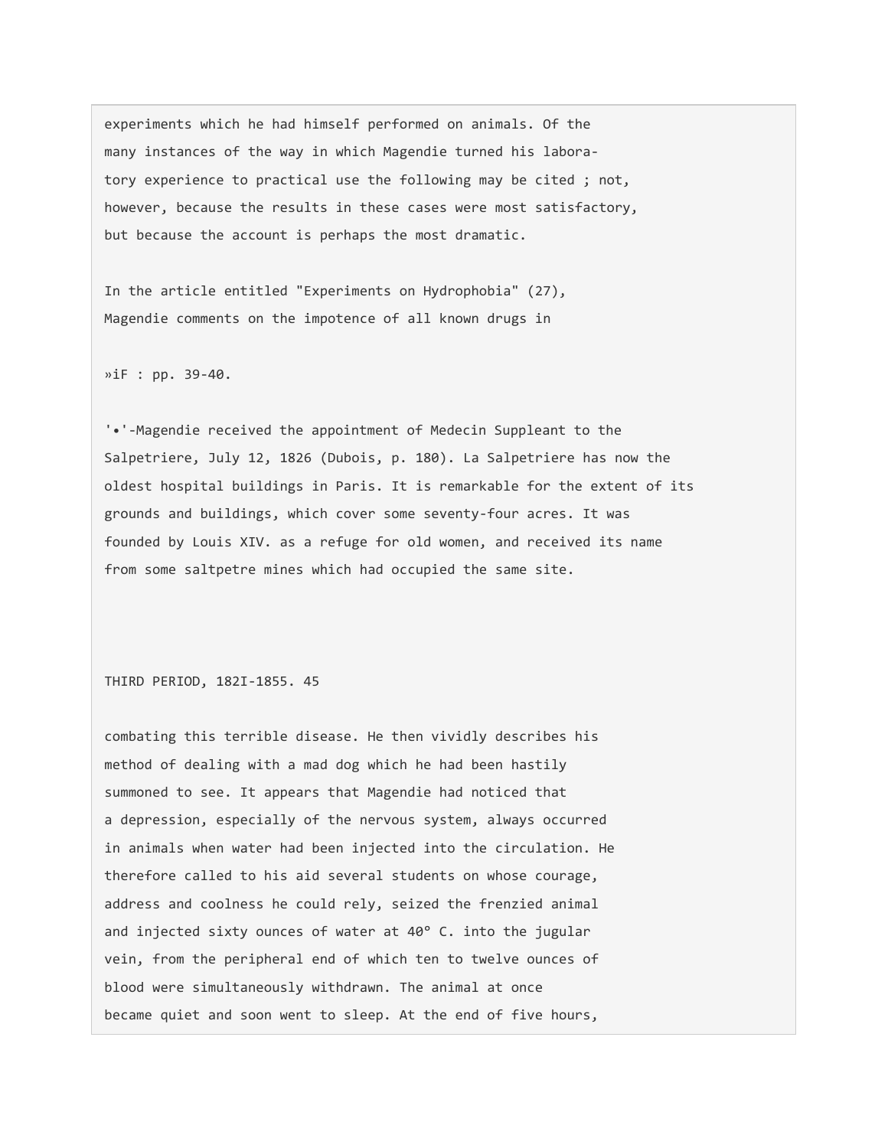experiments which he had himself performed on animals. Of the many instances of the way in which Magendie turned his laboratory experience to practical use the following may be cited ; not, however, because the results in these cases were most satisfactory, but because the account is perhaps the most dramatic.

In the article entitled "Experiments on Hydrophobia" (27), Magendie comments on the impotence of all known drugs in

»iF : pp. 39-40.

'•'-Magendie received the appointment of Medecin Suppleant to the Salpetriere, July 12, 1826 (Dubois, p. 180). La Salpetriere has now the oldest hospital buildings in Paris. It is remarkable for the extent of its grounds and buildings, which cover some seventy-four acres. It was founded by Louis XIV. as a refuge for old women, and received its name from some saltpetre mines which had occupied the same site.

THIRD PERIOD, 182I-1855. 45

combating this terrible disease. He then vividly describes his method of dealing with a mad dog which he had been hastily summoned to see. It appears that Magendie had noticed that a depression, especially of the nervous system, always occurred in animals when water had been injected into the circulation. He therefore called to his aid several students on whose courage, address and coolness he could rely, seized the frenzied animal and injected sixty ounces of water at 40° C. into the jugular vein, from the peripheral end of which ten to twelve ounces of blood were simultaneously withdrawn. The animal at once became quiet and soon went to sleep. At the end of five hours,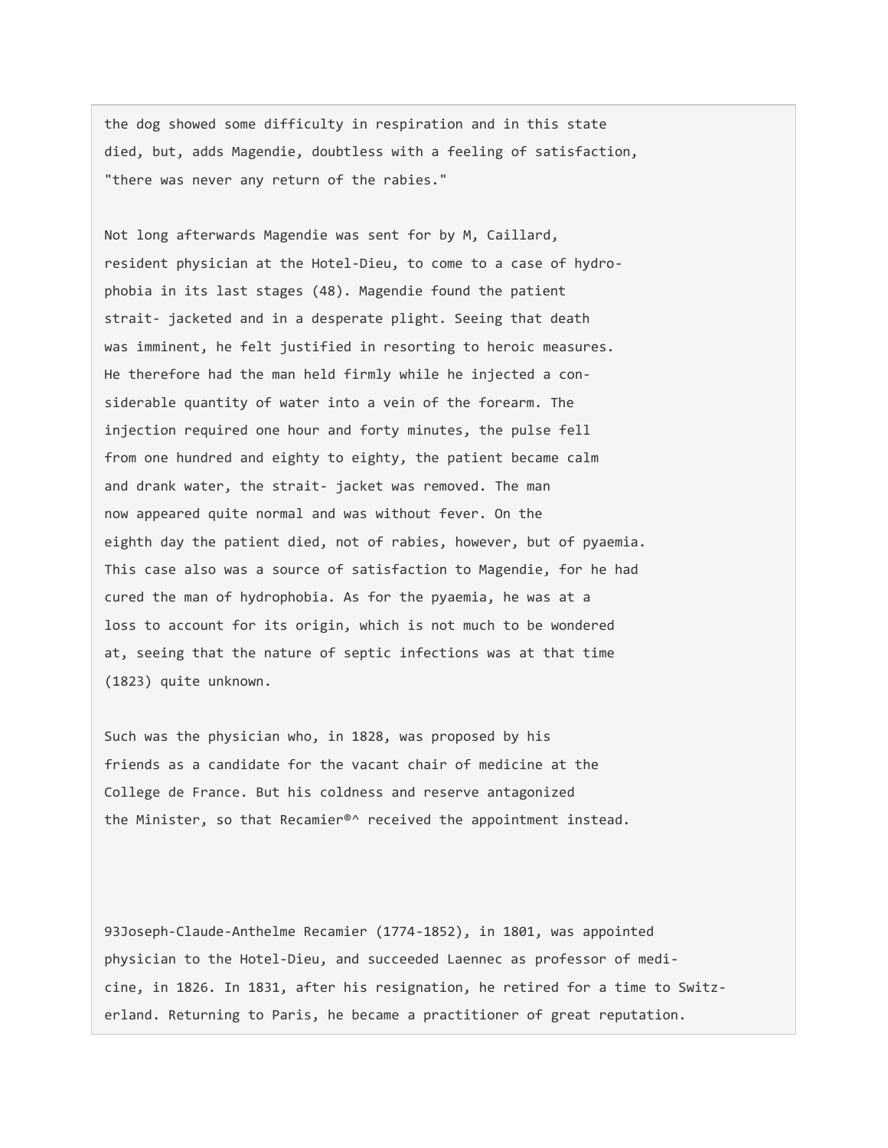the dog showed some difficulty in respiration and in this state died, but, adds Magendie, doubtless with a feeling of satisfaction, "there was never any return of the rabies."

Not long afterwards Magendie was sent for by M, Caillard, resident physician at the Hotel-Dieu, to come to a case of hydrophobia in its last stages (48). Magendie found the patient strait- jacketed and in a desperate plight. Seeing that death was imminent, he felt justified in resorting to heroic measures. He therefore had the man held firmly while he injected a considerable quantity of water into a vein of the forearm. The injection required one hour and forty minutes, the pulse fell from one hundred and eighty to eighty, the patient became calm and drank water, the strait- jacket was removed. The man now appeared quite normal and was without fever. On the eighth day the patient died, not of rabies, however, but of pyaemia. This case also was a source of satisfaction to Magendie, for he had cured the man of hydrophobia. As for the pyaemia, he was at a loss to account for its origin, which is not much to be wondered at, seeing that the nature of septic infections was at that time (1823) quite unknown.

Such was the physician who, in 1828, was proposed by his friends as a candidate for the vacant chair of medicine at the College de France. But his coldness and reserve antagonized the Minister, so that Recamier®^ received the appointment instead.

93Joseph-Claude-Anthelme Recamier (1774-1852), in 1801, was appointed physician to the Hotel-Dieu, and succeeded Laennec as professor of medicine, in 1826. In 1831, after his resignation, he retired for a time to Switzerland. Returning to Paris, he became a practitioner of great reputation.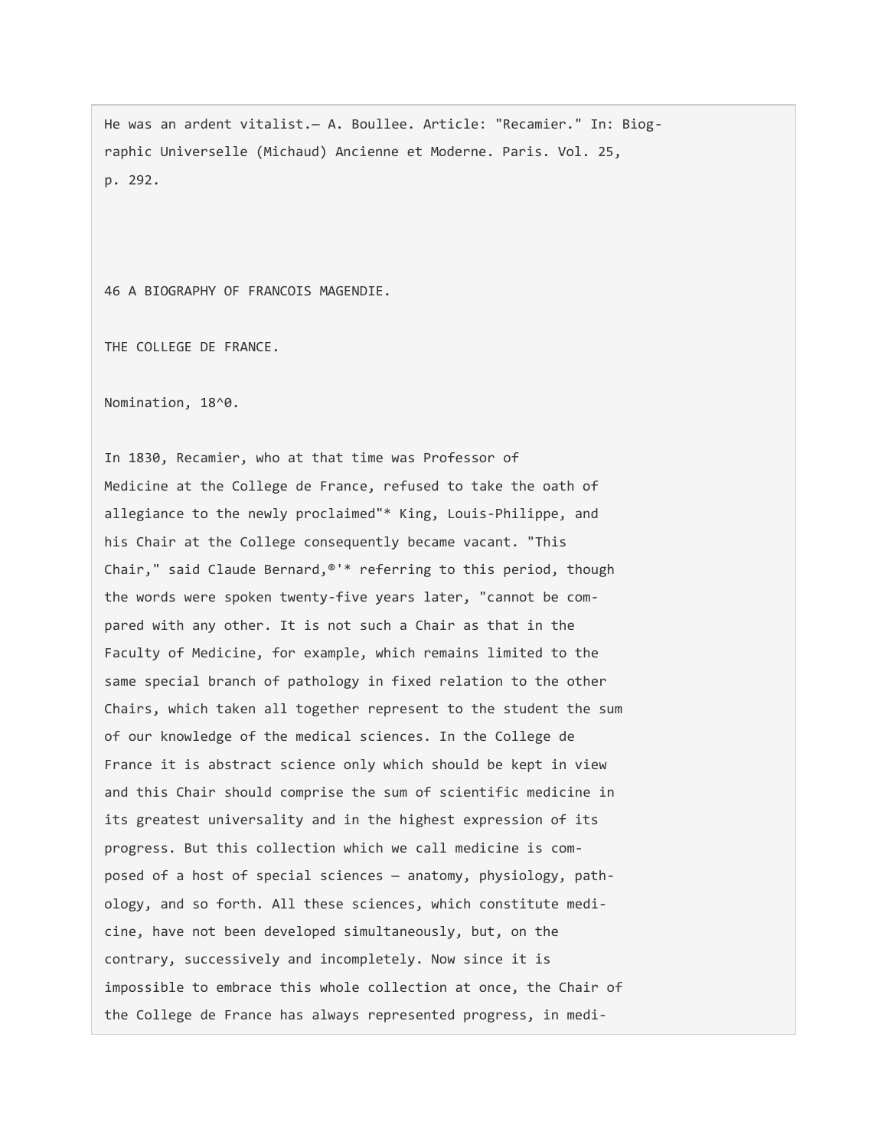He was an ardent vitalist.— A. Boullee. Article: "Recamier." In: Biographic Universelle (Michaud) Ancienne et Moderne. Paris. Vol. 25, p. 292.

46 A BIOGRAPHY OF FRANCOIS MAGENDIE.

THE COLLEGE DE FRANCE.

Nomination, 18^0.

In 1830, Recamier, who at that time was Professor of Medicine at the College de France, refused to take the oath of allegiance to the newly proclaimed"\* King, Louis-Philippe, and his Chair at the College consequently became vacant. "This Chair," said Claude Bernard,®'\* referring to this period, though the words were spoken twenty-five years later, "cannot be compared with any other. It is not such a Chair as that in the Faculty of Medicine, for example, which remains limited to the same special branch of pathology in fixed relation to the other Chairs, which taken all together represent to the student the sum of our knowledge of the medical sciences. In the College de France it is abstract science only which should be kept in view and this Chair should comprise the sum of scientific medicine in its greatest universality and in the highest expression of its progress. But this collection which we call medicine is composed of a host of special sciences — anatomy, physiology, pathology, and so forth. All these sciences, which constitute medicine, have not been developed simultaneously, but, on the contrary, successively and incompletely. Now since it is impossible to embrace this whole collection at once, the Chair of the College de France has always represented progress, in medi-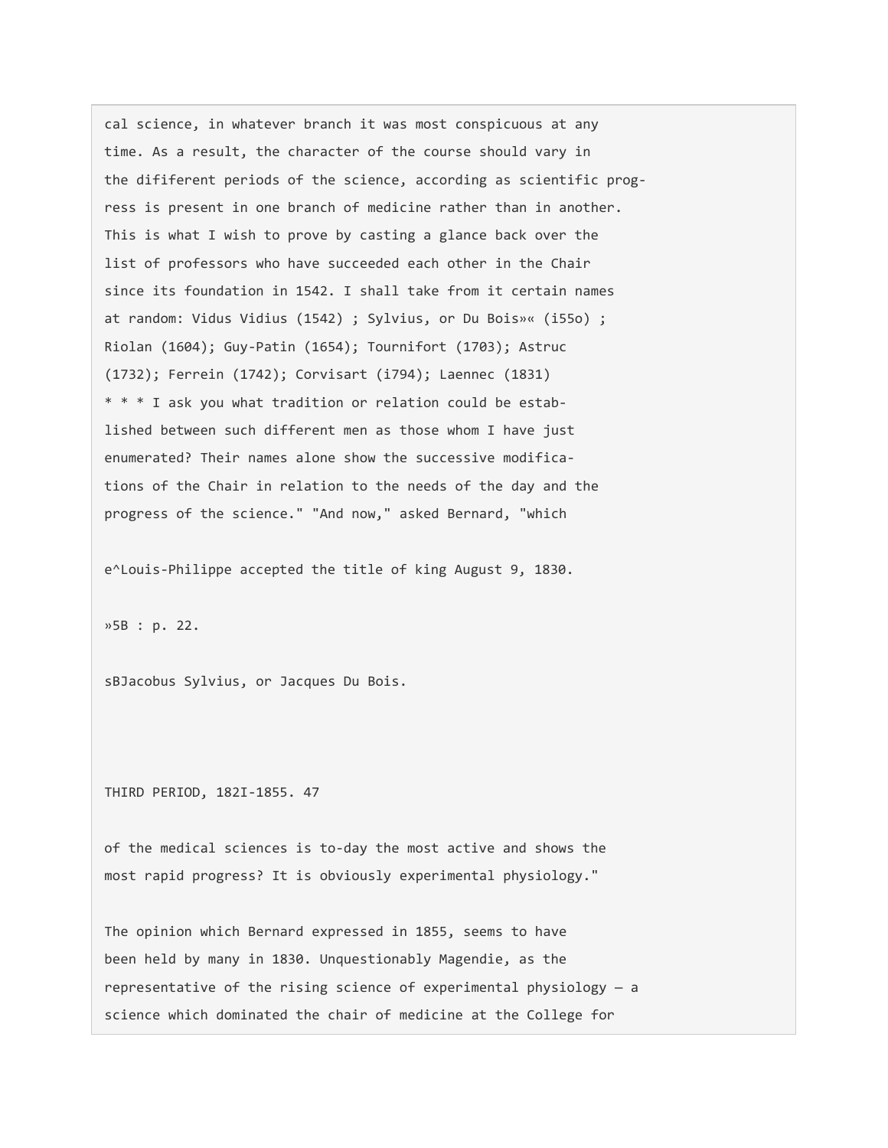cal science, in whatever branch it was most conspicuous at any time. As a result, the character of the course should vary in the dififerent periods of the science, according as scientific progress is present in one branch of medicine rather than in another. This is what I wish to prove by casting a glance back over the list of professors who have succeeded each other in the Chair since its foundation in 1542. I shall take from it certain names at random: Vidus Vidius (1542) ; Sylvius, or Du Bois»« (i55o) ; Riolan (1604); Guy-Patin (1654); Tournifort (1703); Astruc (1732); Ferrein (1742); Corvisart (i794); Laennec (1831) \* \* \* I ask you what tradition or relation could be established between such different men as those whom I have just enumerated? Their names alone show the successive modifications of the Chair in relation to the needs of the day and the progress of the science." "And now," asked Bernard, "which

e^Louis-Philippe accepted the title of king August 9, 1830.

»5B : p. 22.

sBJacobus Sylvius, or Jacques Du Bois.

THIRD PERIOD, 182I-1855. 47

of the medical sciences is to-day the most active and shows the most rapid progress? It is obviously experimental physiology."

The opinion which Bernard expressed in 1855, seems to have been held by many in 1830. Unquestionably Magendie, as the representative of the rising science of experimental physiology — a science which dominated the chair of medicine at the College for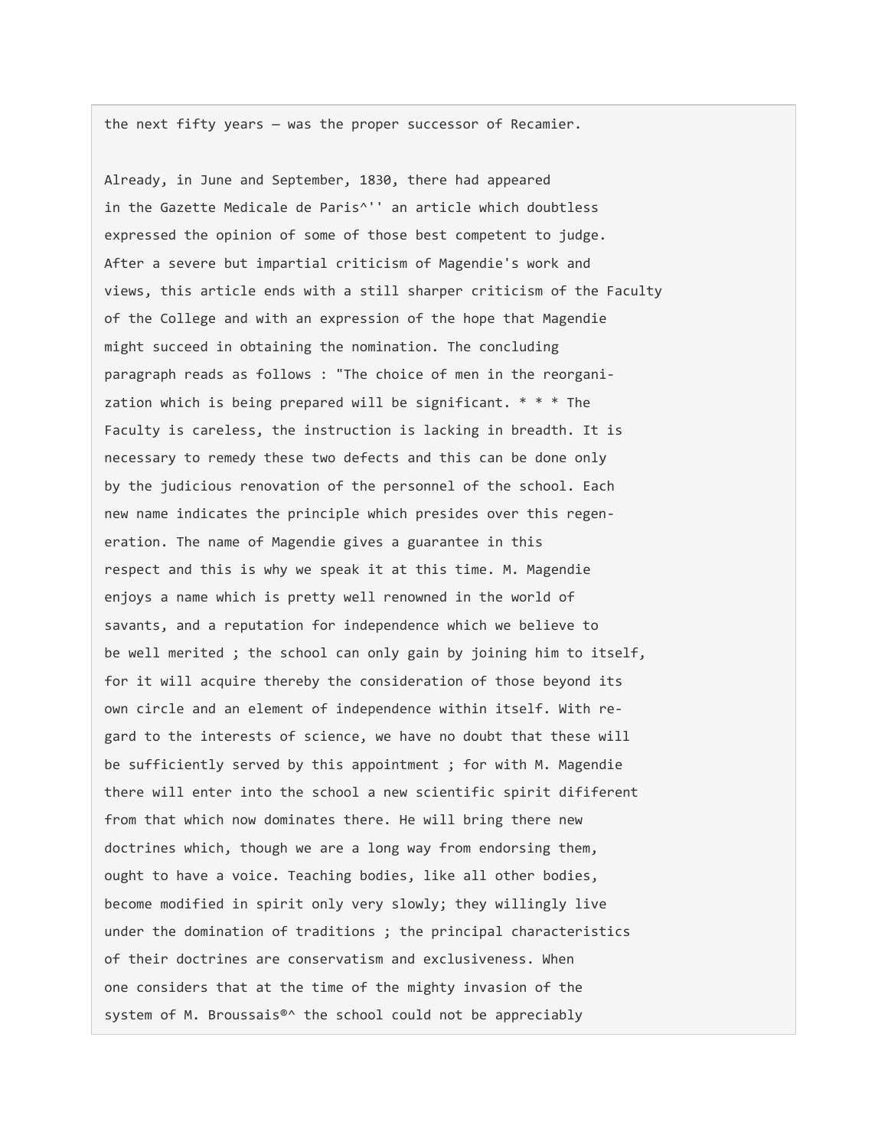the next fifty years — was the proper successor of Recamier.

Already, in June and September, 1830, there had appeared in the Gazette Medicale de Paris^'' an article which doubtless expressed the opinion of some of those best competent to judge. After a severe but impartial criticism of Magendie's work and views, this article ends with a still sharper criticism of the Faculty of the College and with an expression of the hope that Magendie might succeed in obtaining the nomination. The concluding paragraph reads as follows : "The choice of men in the reorganization which is being prepared will be significant. \* \* \* The Faculty is careless, the instruction is lacking in breadth. It is necessary to remedy these two defects and this can be done only by the judicious renovation of the personnel of the school. Each new name indicates the principle which presides over this regeneration. The name of Magendie gives a guarantee in this respect and this is why we speak it at this time. M. Magendie enjoys a name which is pretty well renowned in the world of savants, and a reputation for independence which we believe to be well merited ; the school can only gain by joining him to itself, for it will acquire thereby the consideration of those beyond its own circle and an element of independence within itself. With regard to the interests of science, we have no doubt that these will be sufficiently served by this appointment ; for with M. Magendie there will enter into the school a new scientific spirit dififerent from that which now dominates there. He will bring there new doctrines which, though we are a long way from endorsing them, ought to have a voice. Teaching bodies, like all other bodies, become modified in spirit only very slowly; they willingly live under the domination of traditions ; the principal characteristics of their doctrines are conservatism and exclusiveness. When one considers that at the time of the mighty invasion of the system of M. Broussais<sup>®</sup>^ the school could not be appreciably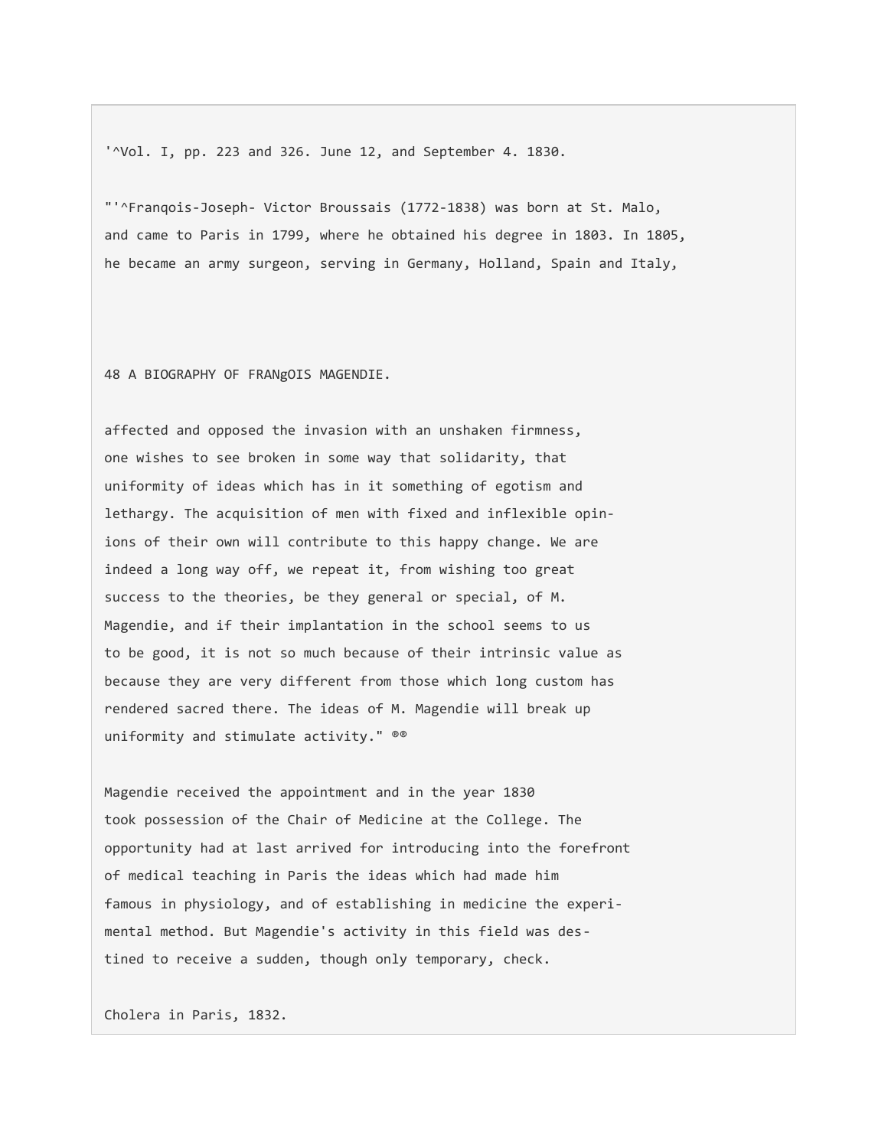'^Vol. I, pp. 223 and 326. June 12, and September 4. 1830.

"'^Franqois-Joseph- Victor Broussais (1772-1838) was born at St. Malo, and came to Paris in 1799, where he obtained his degree in 1803. In 1805, he became an army surgeon, serving in Germany, Holland, Spain and Italy,

48 A BIOGRAPHY OF FRANgOIS MAGENDIE.

affected and opposed the invasion with an unshaken firmness, one wishes to see broken in some way that solidarity, that uniformity of ideas which has in it something of egotism and lethargy. The acquisition of men with fixed and inflexible opinions of their own will contribute to this happy change. We are indeed a long way off, we repeat it, from wishing too great success to the theories, be they general or special, of M. Magendie, and if their implantation in the school seems to us to be good, it is not so much because of their intrinsic value as because they are very different from those which long custom has rendered sacred there. The ideas of M. Magendie will break up uniformity and stimulate activity." ®®

Magendie received the appointment and in the year 1830 took possession of the Chair of Medicine at the College. The opportunity had at last arrived for introducing into the forefront of medical teaching in Paris the ideas which had made him famous in physiology, and of establishing in medicine the experimental method. But Magendie's activity in this field was destined to receive a sudden, though only temporary, check.

Cholera in Paris, 1832.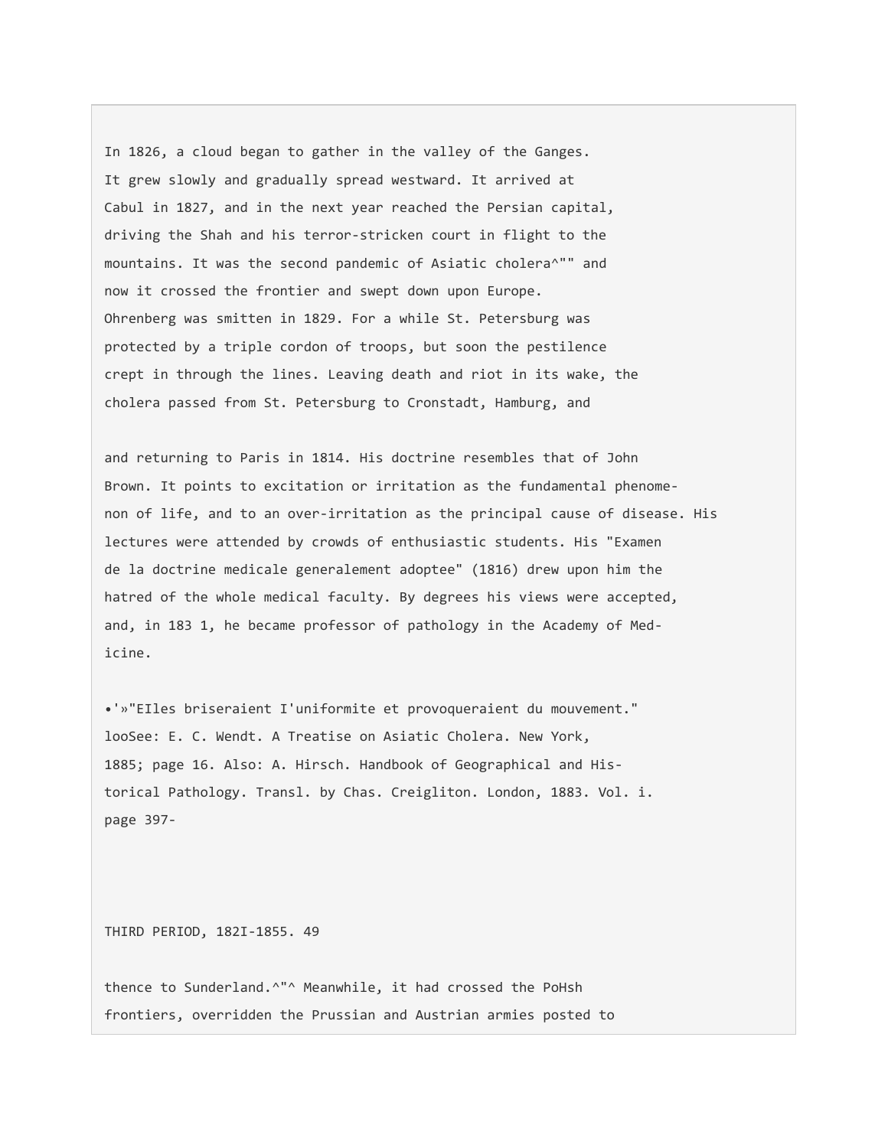In 1826, a cloud began to gather in the valley of the Ganges. It grew slowly and gradually spread westward. It arrived at Cabul in 1827, and in the next year reached the Persian capital, driving the Shah and his terror-stricken court in flight to the mountains. It was the second pandemic of Asiatic cholera^"" and now it crossed the frontier and swept down upon Europe. Ohrenberg was smitten in 1829. For a while St. Petersburg was protected by a triple cordon of troops, but soon the pestilence crept in through the lines. Leaving death and riot in its wake, the cholera passed from St. Petersburg to Cronstadt, Hamburg, and

and returning to Paris in 1814. His doctrine resembles that of John Brown. It points to excitation or irritation as the fundamental phenomenon of life, and to an over-irritation as the principal cause of disease. His lectures were attended by crowds of enthusiastic students. His "Examen de la doctrine medicale generalement adoptee" (1816) drew upon him the hatred of the whole medical faculty. By degrees his views were accepted, and, in 183 1, he became professor of pathology in the Academy of Medicine.

•'»"EIles briseraient I'uniformite et provoqueraient du mouvement." looSee: E. C. Wendt. A Treatise on Asiatic Cholera. New York, 1885; page 16. Also: A. Hirsch. Handbook of Geographical and Historical Pathology. Transl. by Chas. Creigliton. London, 1883. Vol. i. page 397-

THIRD PERIOD, 182I-1855. 49

thence to Sunderland.^"^ Meanwhile, it had crossed the PoHsh frontiers, overridden the Prussian and Austrian armies posted to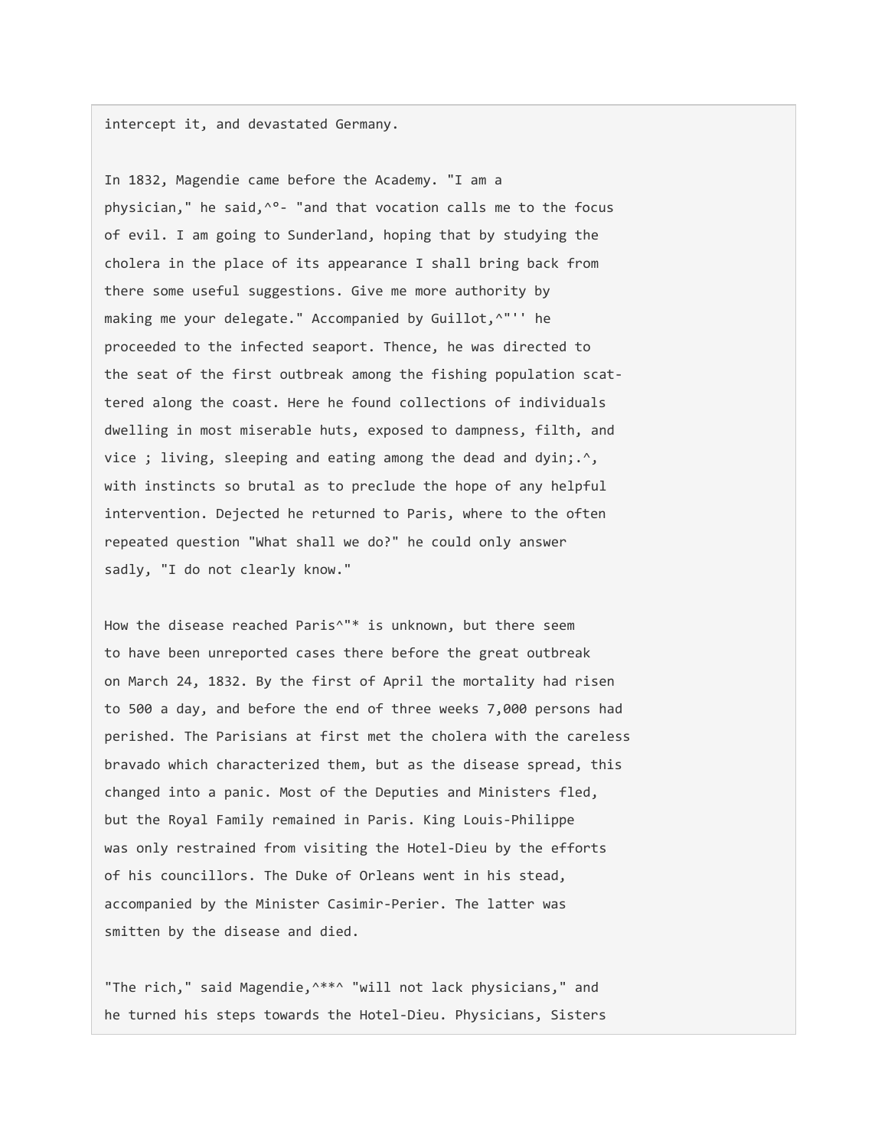intercept it, and devastated Germany.

In 1832, Magendie came before the Academy. "I am a physician," he said, ^°- "and that vocation calls me to the focus of evil. I am going to Sunderland, hoping that by studying the cholera in the place of its appearance I shall bring back from there some useful suggestions. Give me more authority by making me your delegate." Accompanied by Guillot, ^"'' he proceeded to the infected seaport. Thence, he was directed to the seat of the first outbreak among the fishing population scattered along the coast. Here he found collections of individuals dwelling in most miserable huts, exposed to dampness, filth, and vice ; living, sleeping and eating among the dead and dyin;.<sup>^</sup>, with instincts so brutal as to preclude the hope of any helpful intervention. Dejected he returned to Paris, where to the often repeated question "What shall we do?" he could only answer sadly, "I do not clearly know."

How the disease reached Paris<sup>^</sup>"\* is unknown, but there seem to have been unreported cases there before the great outbreak on March 24, 1832. By the first of April the mortality had risen to 500 a day, and before the end of three weeks 7,000 persons had perished. The Parisians at first met the cholera with the careless bravado which characterized them, but as the disease spread, this changed into a panic. Most of the Deputies and Ministers fled, but the Royal Family remained in Paris. King Louis-Philippe was only restrained from visiting the Hotel-Dieu by the efforts of his councillors. The Duke of Orleans went in his stead, accompanied by the Minister Casimir-Perier. The latter was smitten by the disease and died.

"The rich," said Magendie,^\*\*^ "will not lack physicians," and he turned his steps towards the Hotel-Dieu. Physicians, Sisters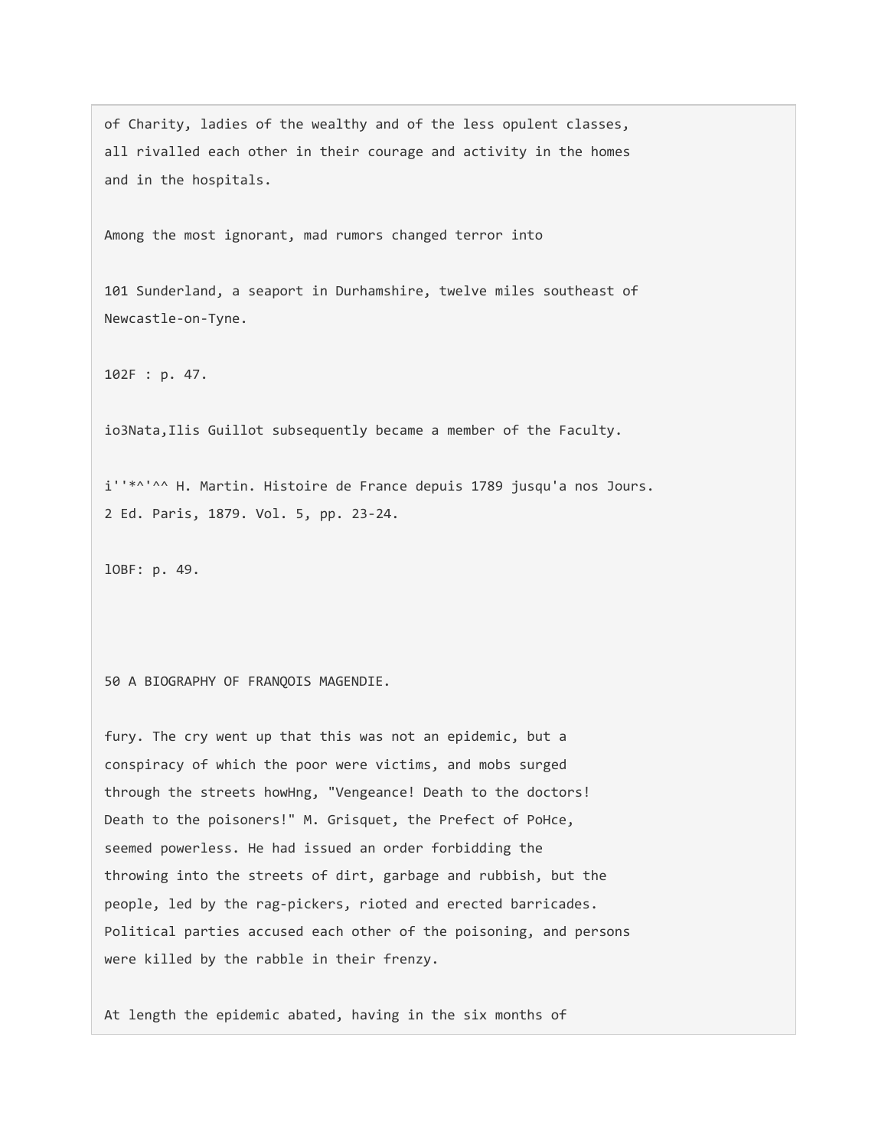of Charity, ladies of the wealthy and of the less opulent classes, all rivalled each other in their courage and activity in the homes and in the hospitals.

Among the most ignorant, mad rumors changed terror into

101 Sunderland, a seaport in Durhamshire, twelve miles southeast of Newcastle-on-Tyne.

102F : p. 47.

io3Nata,Ilis Guillot subsequently became a member of the Faculty.

i''\*^'^^ H. Martin. Histoire de France depuis 1789 jusqu'a nos Jours. 2 Ed. Paris, 1879. Vol. 5, pp. 23-24.

lOBF: p. 49.

50 A BIOGRAPHY OF FRANQOIS MAGENDIE.

fury. The cry went up that this was not an epidemic, but a conspiracy of which the poor were victims, and mobs surged through the streets howHng, "Vengeance! Death to the doctors! Death to the poisoners!" M. Grisquet, the Prefect of PoHce, seemed powerless. He had issued an order forbidding the throwing into the streets of dirt, garbage and rubbish, but the people, led by the rag-pickers, rioted and erected barricades. Political parties accused each other of the poisoning, and persons were killed by the rabble in their frenzy.

At length the epidemic abated, having in the six months of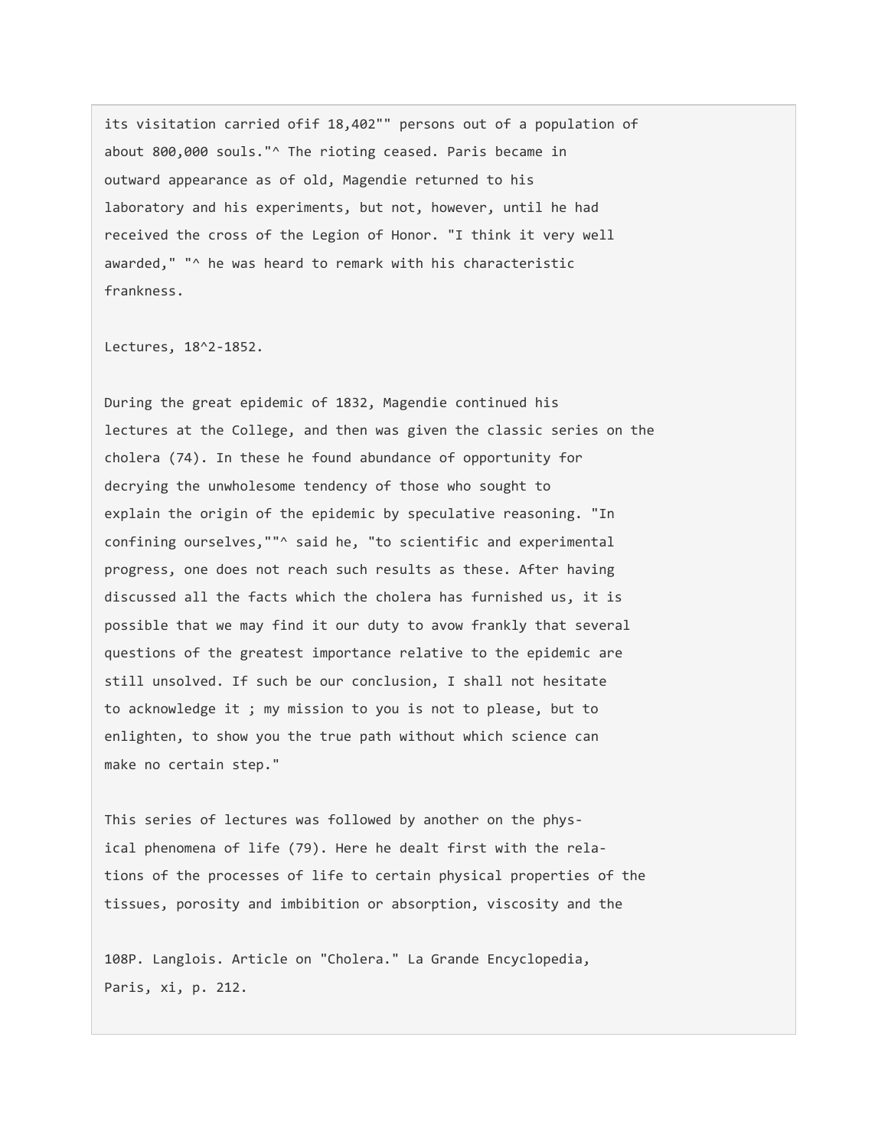its visitation carried ofif 18,402"" persons out of a population of about 800,000 souls."^ The rioting ceased. Paris became in outward appearance as of old, Magendie returned to his laboratory and his experiments, but not, however, until he had received the cross of the Legion of Honor. "I think it very well awarded," "^ he was heard to remark with his characteristic frankness.

Lectures, 18^2-1852.

During the great epidemic of 1832, Magendie continued his lectures at the College, and then was given the classic series on the cholera (74). In these he found abundance of opportunity for decrying the unwholesome tendency of those who sought to explain the origin of the epidemic by speculative reasoning. "In confining ourselves,""^ said he, "to scientific and experimental progress, one does not reach such results as these. After having discussed all the facts which the cholera has furnished us, it is possible that we may find it our duty to avow frankly that several questions of the greatest importance relative to the epidemic are still unsolved. If such be our conclusion, I shall not hesitate to acknowledge it ; my mission to you is not to please, but to enlighten, to show you the true path without which science can make no certain step."

This series of lectures was followed by another on the physical phenomena of life (79). Here he dealt first with the relations of the processes of life to certain physical properties of the tissues, porosity and imbibition or absorption, viscosity and the

108P. Langlois. Article on "Cholera." La Grande Encyclopedia, Paris, xi, p. 212.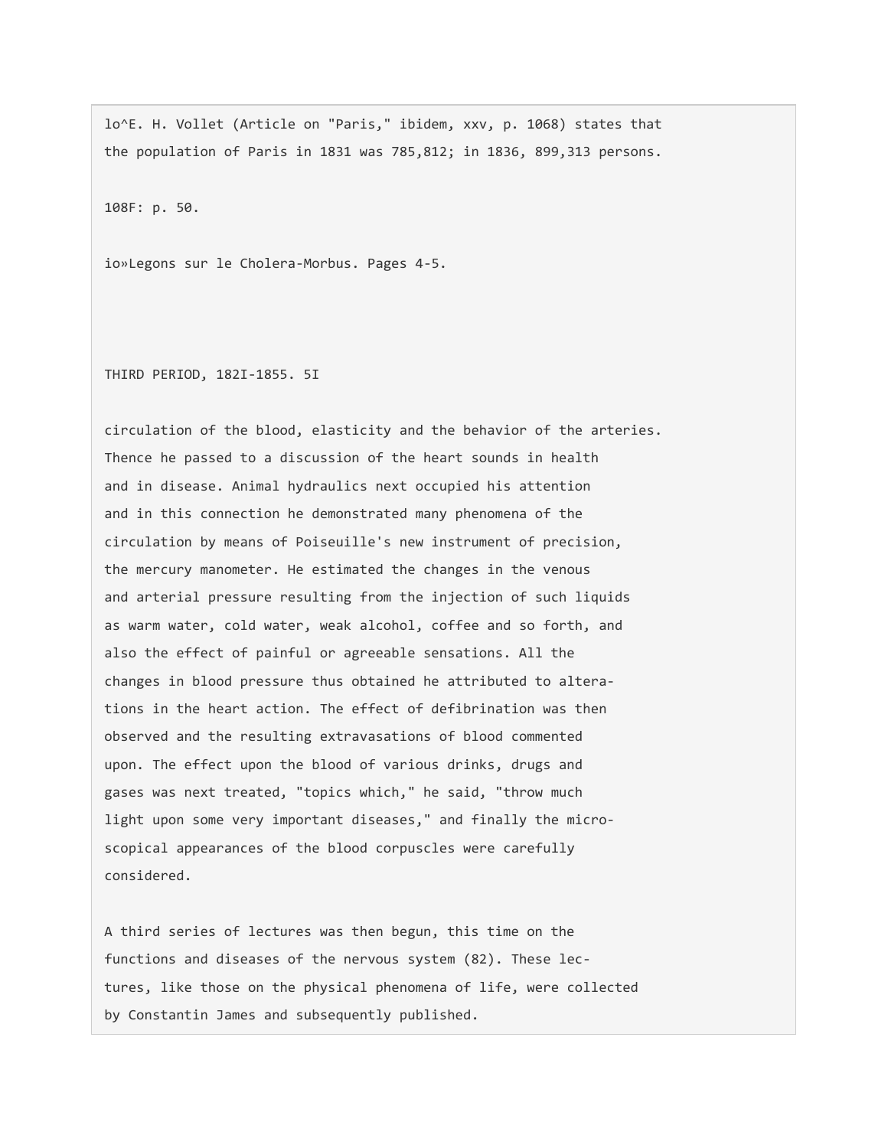lo^E. H. Vollet (Article on "Paris," ibidem, xxv, p. 1068) states that the population of Paris in 1831 was 785,812; in 1836, 899,313 persons.

108F: p. 50.

io»Legons sur le Cholera-Morbus. Pages 4-5.

THIRD PERIOD, 182I-1855. 5I

circulation of the blood, elasticity and the behavior of the arteries. Thence he passed to a discussion of the heart sounds in health and in disease. Animal hydraulics next occupied his attention and in this connection he demonstrated many phenomena of the circulation by means of Poiseuille's new instrument of precision, the mercury manometer. He estimated the changes in the venous and arterial pressure resulting from the injection of such liquids as warm water, cold water, weak alcohol, coffee and so forth, and also the effect of painful or agreeable sensations. All the changes in blood pressure thus obtained he attributed to alterations in the heart action. The effect of defibrination was then observed and the resulting extravasations of blood commented upon. The effect upon the blood of various drinks, drugs and gases was next treated, "topics which," he said, "throw much light upon some very important diseases," and finally the microscopical appearances of the blood corpuscles were carefully considered.

A third series of lectures was then begun, this time on the functions and diseases of the nervous system (82). These lectures, like those on the physical phenomena of life, were collected by Constantin James and subsequently published.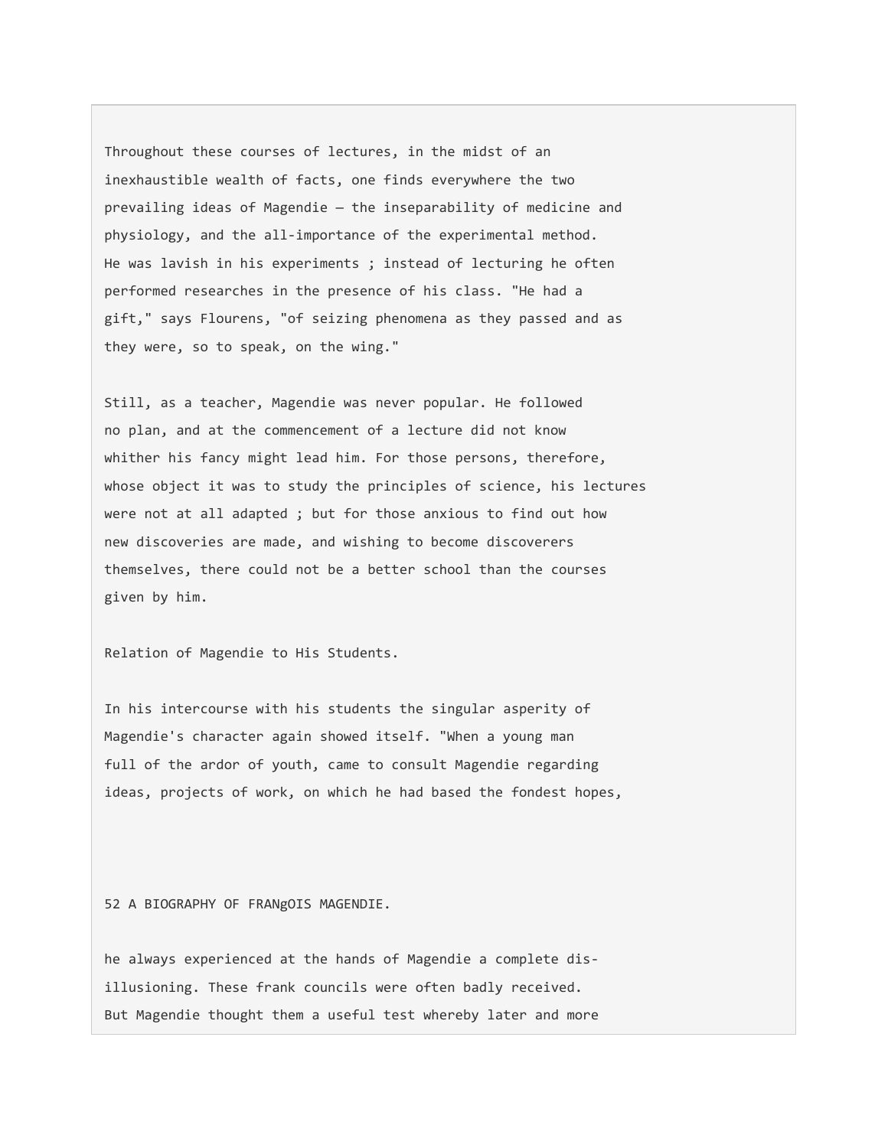Throughout these courses of lectures, in the midst of an inexhaustible wealth of facts, one finds everywhere the two prevailing ideas of Magendie — the inseparability of medicine and physiology, and the all-importance of the experimental method. He was lavish in his experiments ; instead of lecturing he often performed researches in the presence of his class. "He had a gift," says Flourens, "of seizing phenomena as they passed and as they were, so to speak, on the wing."

Still, as a teacher, Magendie was never popular. He followed no plan, and at the commencement of a lecture did not know whither his fancy might lead him. For those persons, therefore, whose object it was to study the principles of science, his lectures were not at all adapted ; but for those anxious to find out how new discoveries are made, and wishing to become discoverers themselves, there could not be a better school than the courses given by him.

Relation of Magendie to His Students.

In his intercourse with his students the singular asperity of Magendie's character again showed itself. "When a young man full of the ardor of youth, came to consult Magendie regarding ideas, projects of work, on which he had based the fondest hopes,

52 A BIOGRAPHY OF FRANgOIS MAGENDIE.

he always experienced at the hands of Magendie a complete disillusioning. These frank councils were often badly received. But Magendie thought them a useful test whereby later and more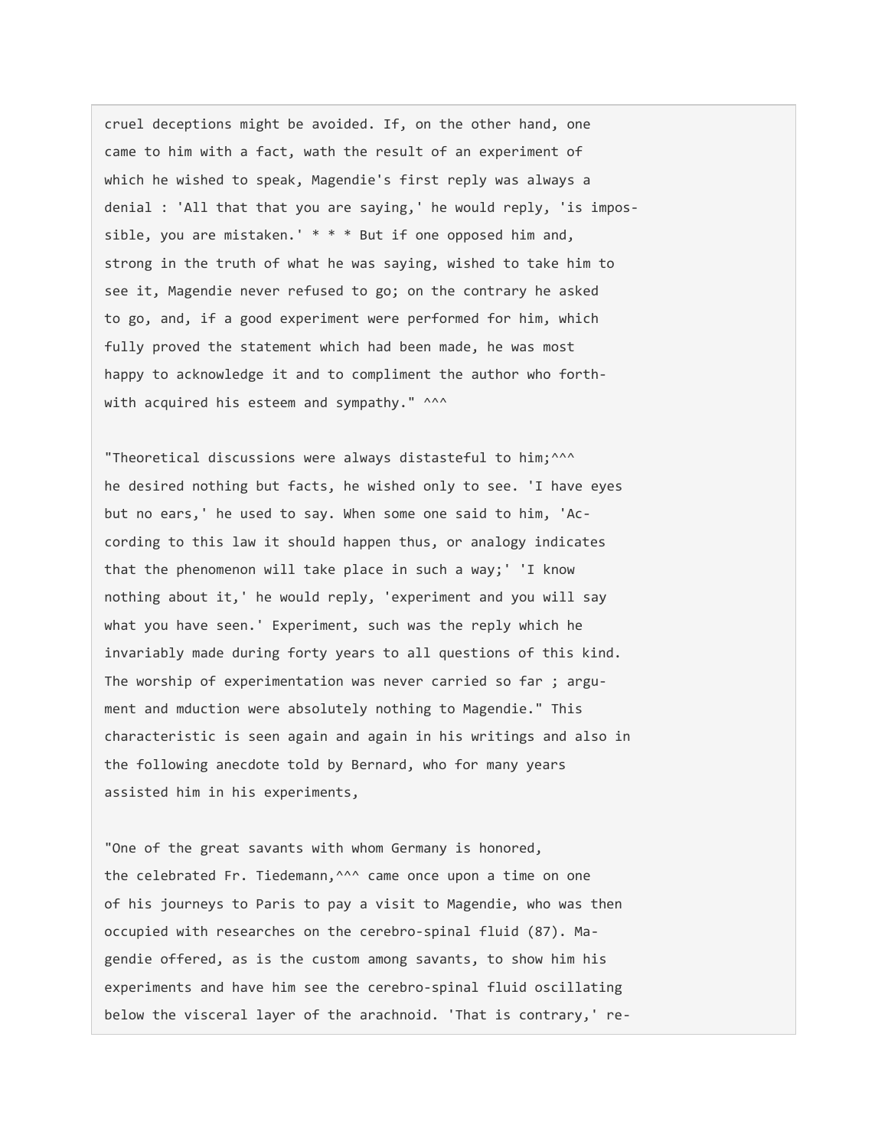cruel deceptions might be avoided. If, on the other hand, one came to him with a fact, wath the result of an experiment of which he wished to speak, Magendie's first reply was always a denial : 'All that that you are saying,' he would reply, 'is impossible, you are mistaken.' \* \* \* But if one opposed him and, strong in the truth of what he was saying, wished to take him to see it, Magendie never refused to go; on the contrary he asked to go, and, if a good experiment were performed for him, which fully proved the statement which had been made, he was most happy to acknowledge it and to compliment the author who forthwith acquired his esteem and sympathy." ^^^

"Theoretical discussions were always distasteful to him;^^^ he desired nothing but facts, he wished only to see. 'I have eyes but no ears,' he used to say. When some one said to him, 'According to this law it should happen thus, or analogy indicates that the phenomenon will take place in such a way;' 'I know nothing about it,' he would reply, 'experiment and you will say what you have seen.' Experiment, such was the reply which he invariably made during forty years to all questions of this kind. The worship of experimentation was never carried so far ; argument and mduction were absolutely nothing to Magendie." This characteristic is seen again and again in his writings and also in the following anecdote told by Bernard, who for many years assisted him in his experiments,

"One of the great savants with whom Germany is honored, the celebrated Fr. Tiedemann, ^^^ came once upon a time on one of his journeys to Paris to pay a visit to Magendie, who was then occupied with researches on the cerebro-spinal fluid (87). Magendie offered, as is the custom among savants, to show him his experiments and have him see the cerebro-spinal fluid oscillating below the visceral layer of the arachnoid. 'That is contrary,' re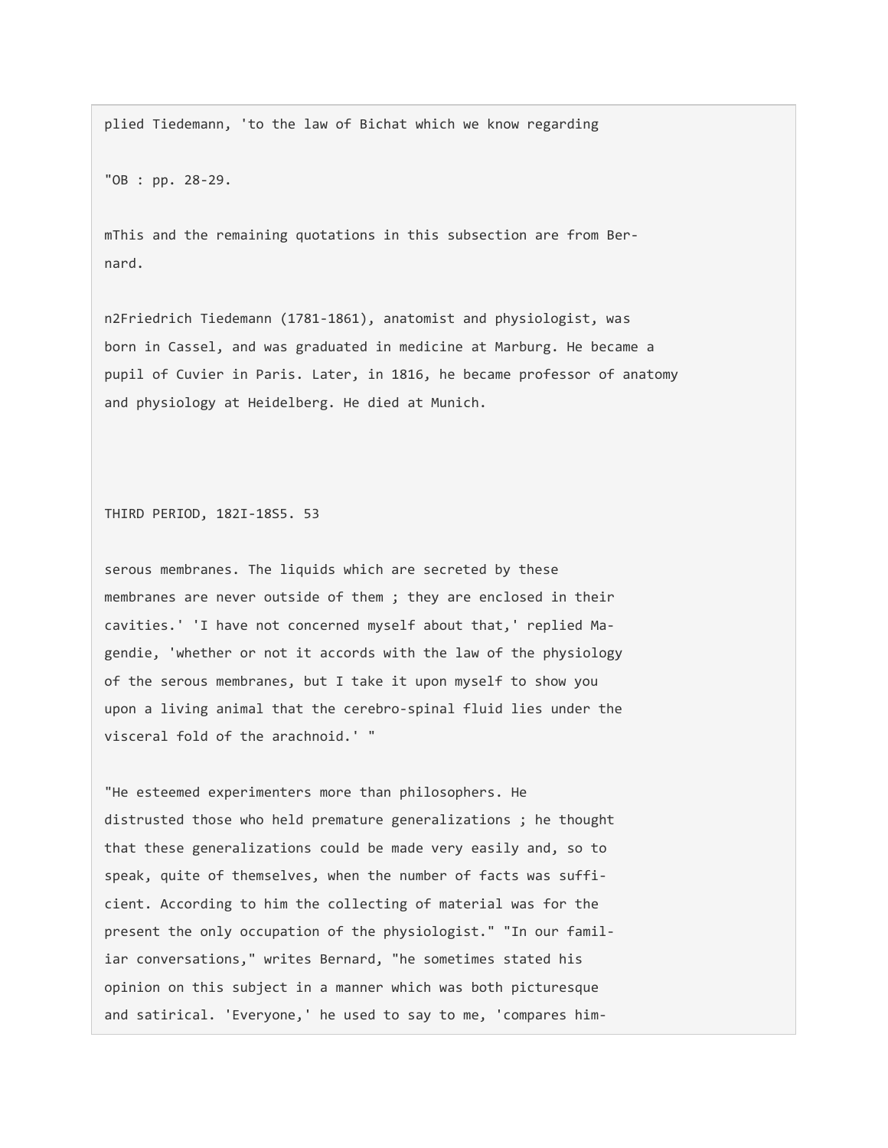plied Tiedemann, 'to the law of Bichat which we know regarding

"OB : pp. 28-29.

mThis and the remaining quotations in this subsection are from Bernard.

n2Friedrich Tiedemann (1781-1861), anatomist and physiologist, was born in Cassel, and was graduated in medicine at Marburg. He became a pupil of Cuvier in Paris. Later, in 1816, he became professor of anatomy and physiology at Heidelberg. He died at Munich.

THIRD PERIOD, 182I-18S5. 53

serous membranes. The liquids which are secreted by these membranes are never outside of them ; they are enclosed in their cavities.' 'I have not concerned myself about that,' replied Magendie, 'whether or not it accords with the law of the physiology of the serous membranes, but I take it upon myself to show you upon a living animal that the cerebro-spinal fluid lies under the visceral fold of the arachnoid.' "

"He esteemed experimenters more than philosophers. He distrusted those who held premature generalizations ; he thought that these generalizations could be made very easily and, so to speak, quite of themselves, when the number of facts was sufficient. According to him the collecting of material was for the present the only occupation of the physiologist." "In our familiar conversations," writes Bernard, "he sometimes stated his opinion on this subject in a manner which was both picturesque and satirical. 'Everyone,' he used to say to me, 'compares him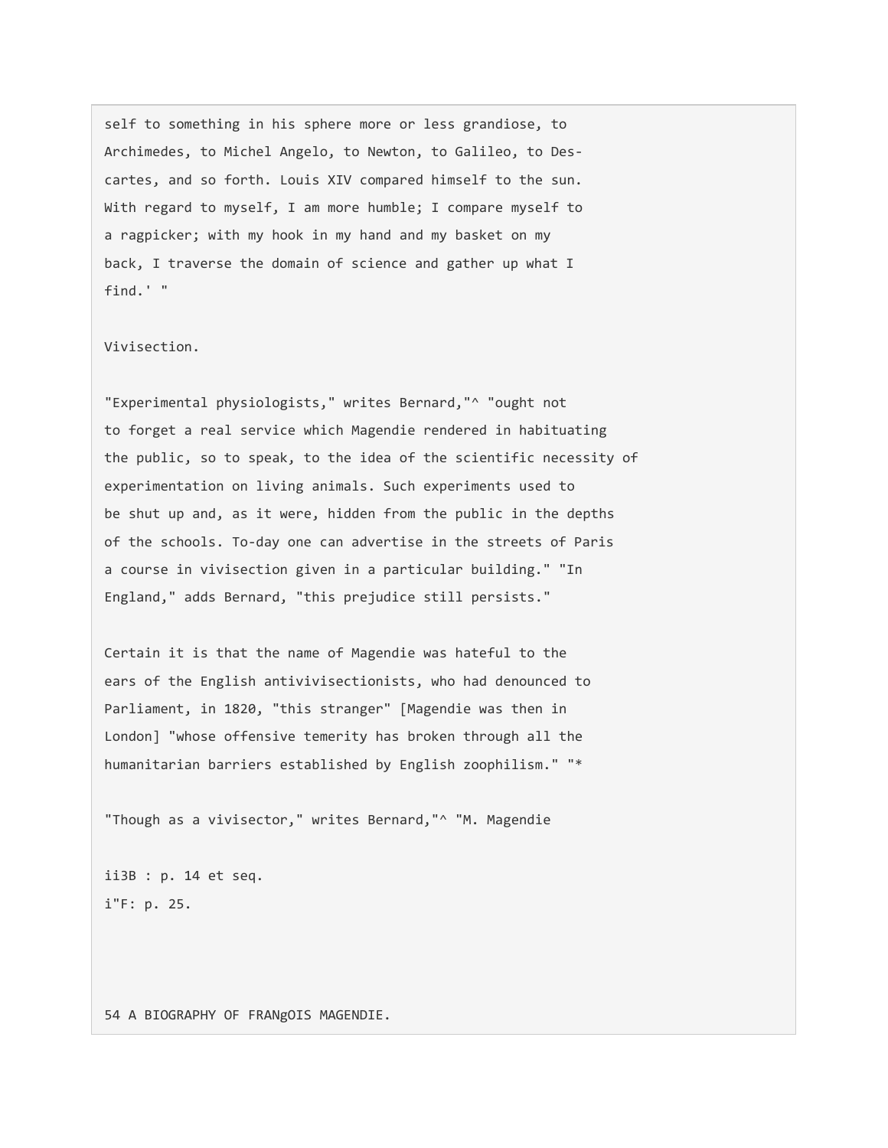self to something in his sphere more or less grandiose, to Archimedes, to Michel Angelo, to Newton, to Galileo, to Descartes, and so forth. Louis XIV compared himself to the sun. With regard to myself, I am more humble; I compare myself to a ragpicker; with my hook in my hand and my basket on my back, I traverse the domain of science and gather up what I find.' "

## Vivisection.

"Experimental physiologists," writes Bernard,"^ "ought not to forget a real service which Magendie rendered in habituating the public, so to speak, to the idea of the scientific necessity of experimentation on living animals. Such experiments used to be shut up and, as it were, hidden from the public in the depths of the schools. To-day one can advertise in the streets of Paris a course in vivisection given in a particular building." "In England," adds Bernard, "this prejudice still persists."

Certain it is that the name of Magendie was hateful to the ears of the English antivivisectionists, who had denounced to Parliament, in 1820, "this stranger" [Magendie was then in London] "whose offensive temerity has broken through all the humanitarian barriers established by English zoophilism." "\*

"Though as a vivisector," writes Bernard,"^ "M. Magendie

ii3B : p. 14 et seq. i"F: p. 25.

54 A BIOGRAPHY OF FRANgOIS MAGENDIE.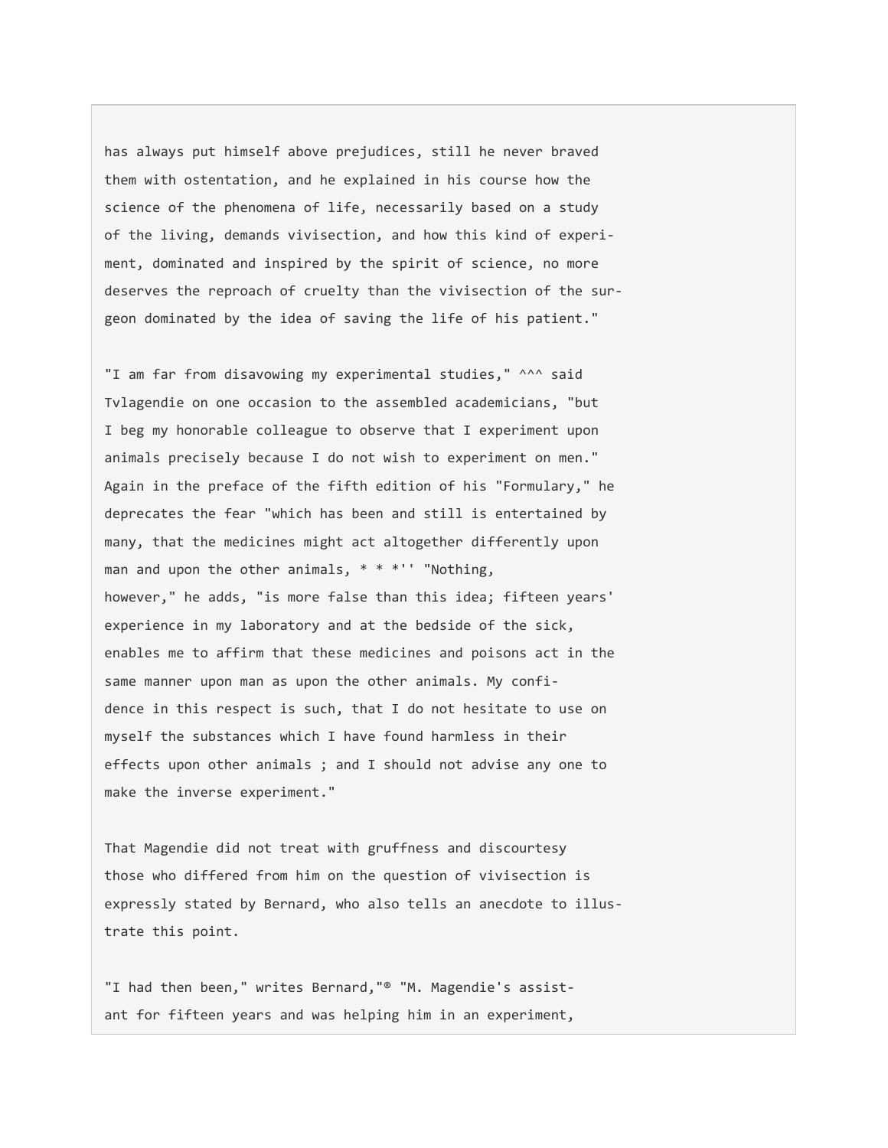has always put himself above prejudices, still he never braved them with ostentation, and he explained in his course how the science of the phenomena of life, necessarily based on a study of the living, demands vivisection, and how this kind of experiment, dominated and inspired by the spirit of science, no more deserves the reproach of cruelty than the vivisection of the surgeon dominated by the idea of saving the life of his patient."

"I am far from disavowing my experimental studies," ^^^ said Tvlagendie on one occasion to the assembled academicians, "but I beg my honorable colleague to observe that I experiment upon animals precisely because I do not wish to experiment on men." Again in the preface of the fifth edition of his "Formulary," he deprecates the fear "which has been and still is entertained by many, that the medicines might act altogether differently upon man and upon the other animals,  $* * * "$  "Nothing, however," he adds, "is more false than this idea; fifteen years' experience in my laboratory and at the bedside of the sick, enables me to affirm that these medicines and poisons act in the same manner upon man as upon the other animals. My confidence in this respect is such, that I do not hesitate to use on myself the substances which I have found harmless in their effects upon other animals ; and I should not advise any one to make the inverse experiment."

That Magendie did not treat with gruffness and discourtesy those who differed from him on the question of vivisection is expressly stated by Bernard, who also tells an anecdote to illustrate this point.

"I had then been," writes Bernard,"® "M. Magendie's assistant for fifteen years and was helping him in an experiment,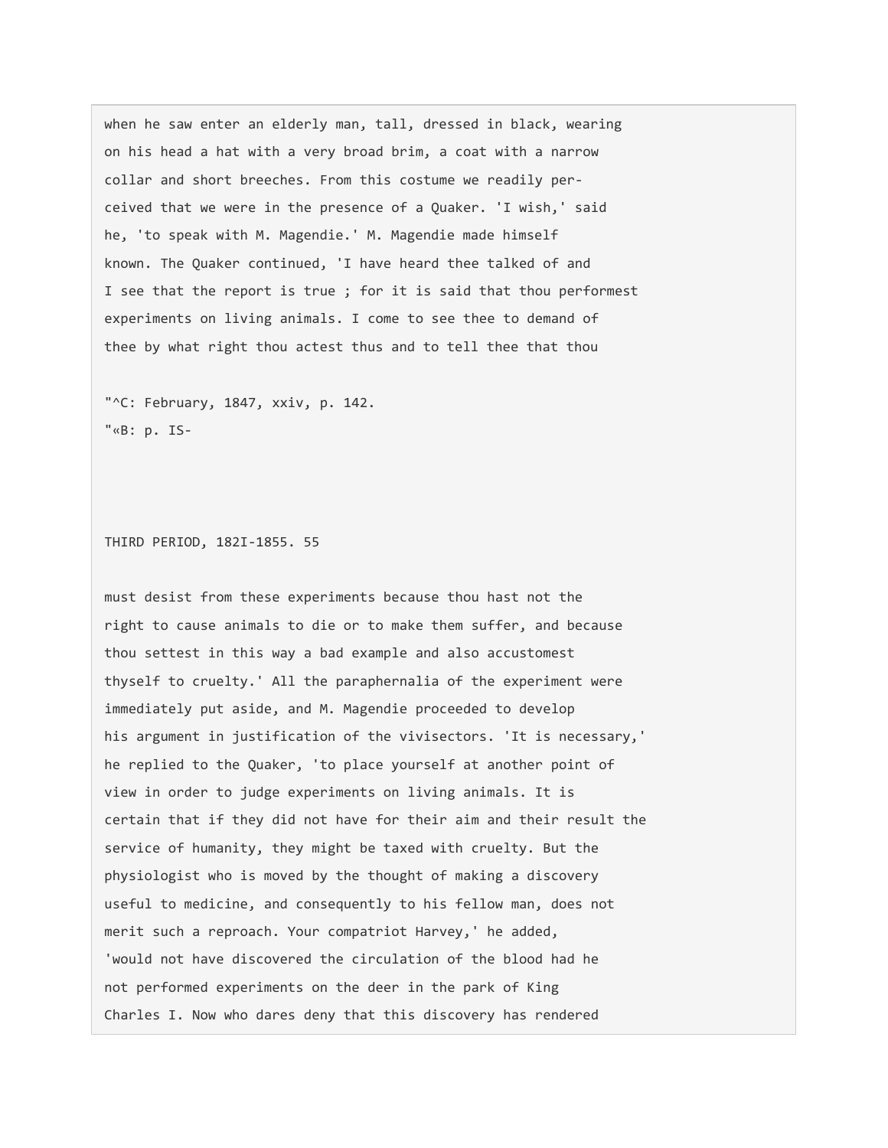when he saw enter an elderly man, tall, dressed in black, wearing on his head a hat with a very broad brim, a coat with a narrow collar and short breeches. From this costume we readily perceived that we were in the presence of a Quaker. 'I wish,' said he, 'to speak with M. Magendie.' M. Magendie made himself known. The Quaker continued, 'I have heard thee talked of and I see that the report is true ; for it is said that thou performest experiments on living animals. I come to see thee to demand of thee by what right thou actest thus and to tell thee that thou

"^C: February, 1847, xxiv, p. 142. "«B: p. IS-

THIRD PERIOD, 182I-1855. 55

must desist from these experiments because thou hast not the right to cause animals to die or to make them suffer, and because thou settest in this way a bad example and also accustomest thyself to cruelty.' All the paraphernalia of the experiment were immediately put aside, and M. Magendie proceeded to develop his argument in justification of the vivisectors. 'It is necessary,' he replied to the Quaker, 'to place yourself at another point of view in order to judge experiments on living animals. It is certain that if they did not have for their aim and their result the service of humanity, they might be taxed with cruelty. But the physiologist who is moved by the thought of making a discovery useful to medicine, and consequently to his fellow man, does not merit such a reproach. Your compatriot Harvey,' he added, 'would not have discovered the circulation of the blood had he not performed experiments on the deer in the park of King Charles I. Now who dares deny that this discovery has rendered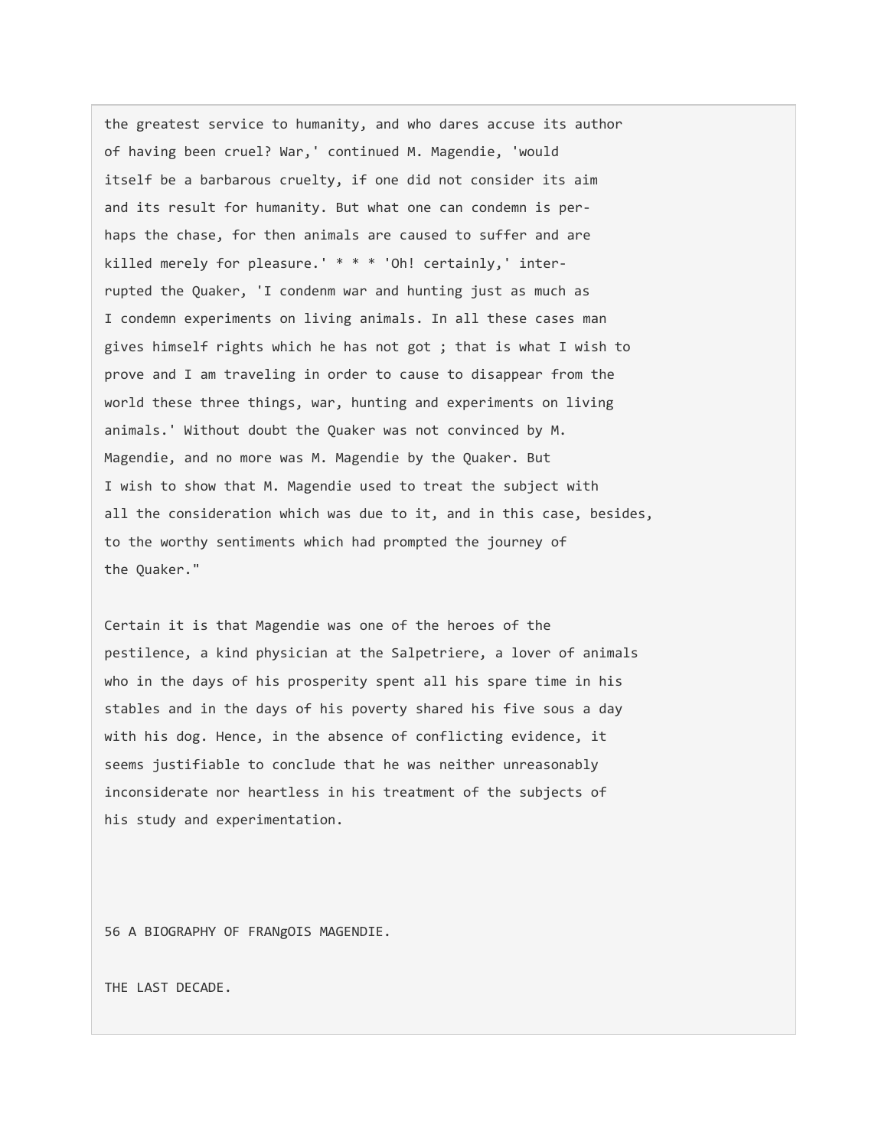the greatest service to humanity, and who dares accuse its author of having been cruel? War,' continued M. Magendie, 'would itself be a barbarous cruelty, if one did not consider its aim and its result for humanity. But what one can condemn is perhaps the chase, for then animals are caused to suffer and are killed merely for pleasure.' \* \* \* 'Oh! certainly,' interrupted the Quaker, 'I condenm war and hunting just as much as I condemn experiments on living animals. In all these cases man gives himself rights which he has not got ; that is what I wish to prove and I am traveling in order to cause to disappear from the world these three things, war, hunting and experiments on living animals.' Without doubt the Quaker was not convinced by M. Magendie, and no more was M. Magendie by the Quaker. But I wish to show that M. Magendie used to treat the subject with all the consideration which was due to it, and in this case, besides, to the worthy sentiments which had prompted the journey of the Quaker."

Certain it is that Magendie was one of the heroes of the pestilence, a kind physician at the Salpetriere, a lover of animals who in the days of his prosperity spent all his spare time in his stables and in the days of his poverty shared his five sous a day with his dog. Hence, in the absence of conflicting evidence, it seems justifiable to conclude that he was neither unreasonably inconsiderate nor heartless in his treatment of the subjects of his study and experimentation.

56 A BIOGRAPHY OF FRANgOIS MAGENDIE.

THE LAST DECADE.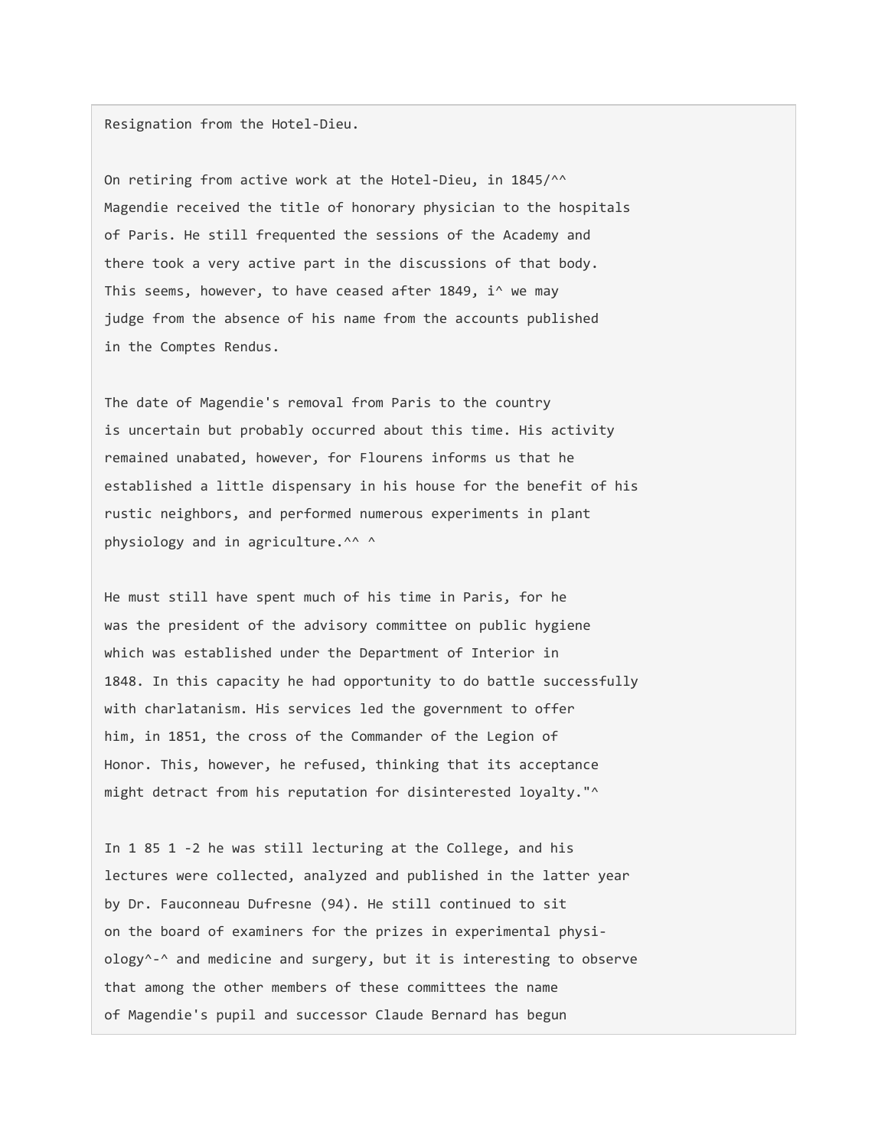Resignation from the Hotel-Dieu.

On retiring from active work at the Hotel-Dieu, in 1845/^^ Magendie received the title of honorary physician to the hospitals of Paris. He still frequented the sessions of the Academy and there took a very active part in the discussions of that body. This seems, however, to have ceased after 1849, i^ we may judge from the absence of his name from the accounts published in the Comptes Rendus.

The date of Magendie's removal from Paris to the country is uncertain but probably occurred about this time. His activity remained unabated, however, for Flourens informs us that he established a little dispensary in his house for the benefit of his rustic neighbors, and performed numerous experiments in plant physiology and in agriculture.^^ ^

He must still have spent much of his time in Paris, for he was the president of the advisory committee on public hygiene which was established under the Department of Interior in 1848. In this capacity he had opportunity to do battle successfully with charlatanism. His services led the government to offer him, in 1851, the cross of the Commander of the Legion of Honor. This, however, he refused, thinking that its acceptance might detract from his reputation for disinterested loyalty."<sup>^</sup>

In 1 85 1 -2 he was still lecturing at the College, and his lectures were collected, analyzed and published in the latter year by Dr. Fauconneau Dufresne (94). He still continued to sit on the board of examiners for the prizes in experimental physiology^-^ and medicine and surgery, but it is interesting to observe that among the other members of these committees the name of Magendie's pupil and successor Claude Bernard has begun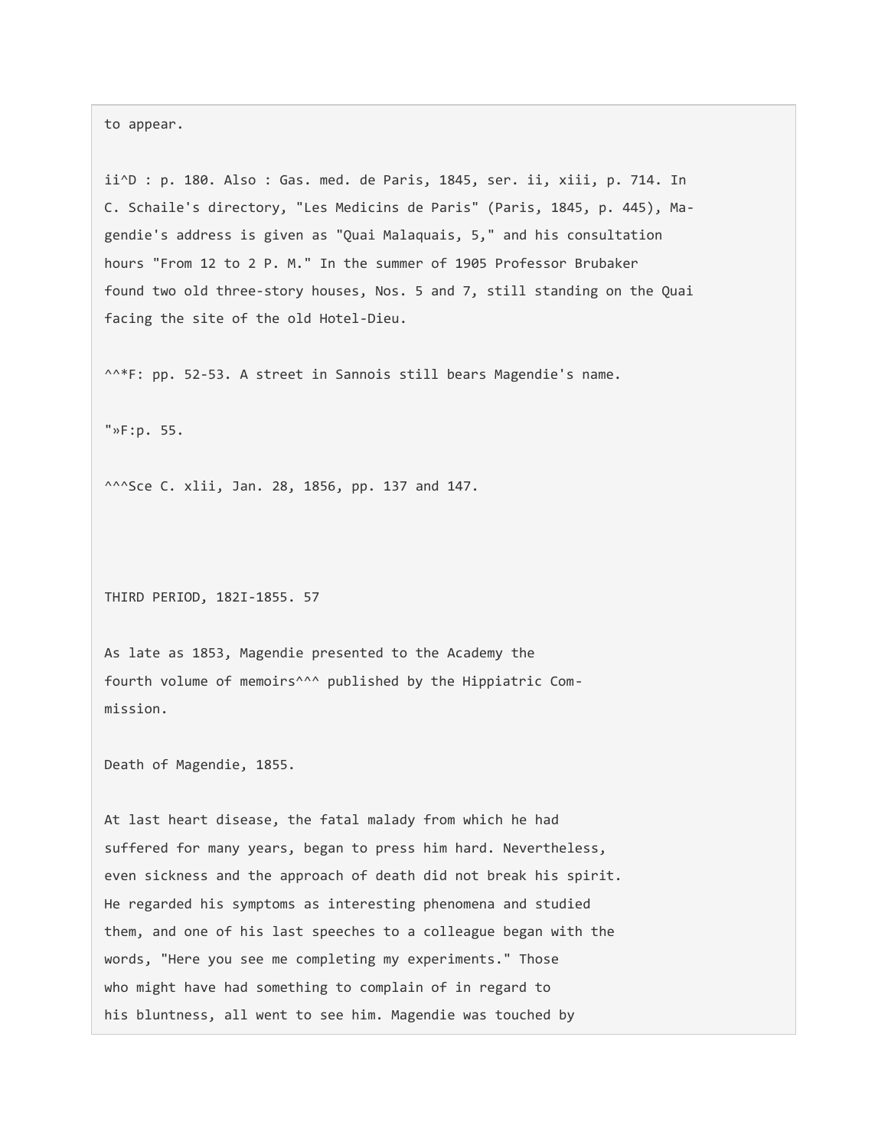to appear.

ii^D : p. 180. Also : Gas. med. de Paris, 1845, ser. ii, xiii, p. 714. In C. Schaile's directory, "Les Medicins de Paris" (Paris, 1845, p. 445), Magendie's address is given as "Quai Malaquais, 5," and his consultation hours "From 12 to 2 P. M." In the summer of 1905 Professor Brubaker found two old three-story houses, Nos. 5 and 7, still standing on the Quai facing the site of the old Hotel-Dieu.

^^\*F: pp. 52-53. A street in Sannois still bears Magendie's name.

"»F:p. 55.

^^^Sce C. xlii, Jan. 28, 1856, pp. 137 and 147.

THIRD PERIOD, 182I-1855. 57

As late as 1853, Magendie presented to the Academy the fourth volume of memoirs^^^ published by the Hippiatric Commission.

Death of Magendie, 1855.

At last heart disease, the fatal malady from which he had suffered for many years, began to press him hard. Nevertheless, even sickness and the approach of death did not break his spirit. He regarded his symptoms as interesting phenomena and studied them, and one of his last speeches to a colleague began with the words, "Here you see me completing my experiments." Those who might have had something to complain of in regard to his bluntness, all went to see him. Magendie was touched by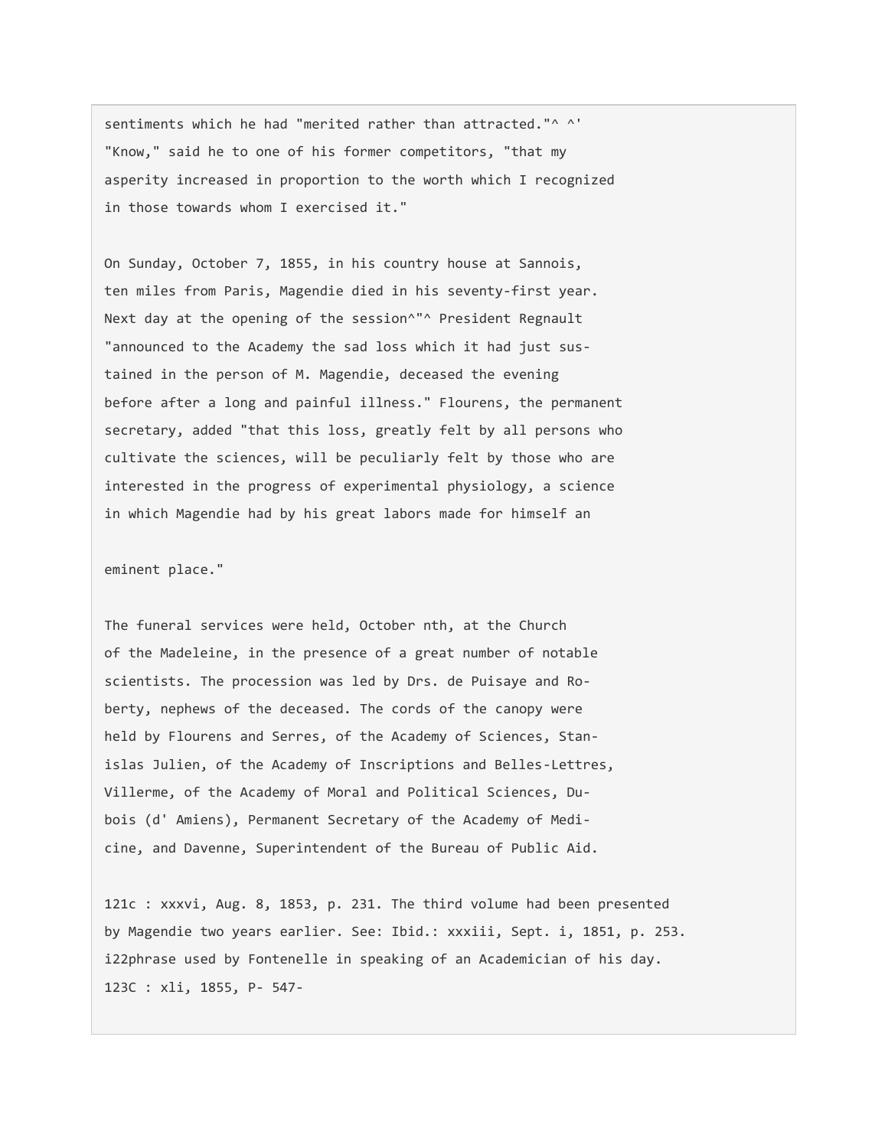sentiments which he had "merited rather than attracted."^ ^' "Know," said he to one of his former competitors, "that my asperity increased in proportion to the worth which I recognized in those towards whom I exercised it."

On Sunday, October 7, 1855, in his country house at Sannois, ten miles from Paris, Magendie died in his seventy-first year. Next day at the opening of the session^"^ President Regnault "announced to the Academy the sad loss which it had just sustained in the person of M. Magendie, deceased the evening before after a long and painful illness." Flourens, the permanent secretary, added "that this loss, greatly felt by all persons who cultivate the sciences, will be peculiarly felt by those who are interested in the progress of experimental physiology, a science in which Magendie had by his great labors made for himself an

eminent place."

The funeral services were held, October nth, at the Church of the Madeleine, in the presence of a great number of notable scientists. The procession was led by Drs. de Puisaye and Roberty, nephews of the deceased. The cords of the canopy were held by Flourens and Serres, of the Academy of Sciences, Stanislas Julien, of the Academy of Inscriptions and Belles-Lettres, Villerme, of the Academy of Moral and Political Sciences, Dubois (d' Amiens), Permanent Secretary of the Academy of Medicine, and Davenne, Superintendent of the Bureau of Public Aid.

121c : xxxvi, Aug. 8, 1853, p. 231. The third volume had been presented by Magendie two years earlier. See: Ibid.: xxxiii, Sept. i, 1851, p. 253. i22phrase used by Fontenelle in speaking of an Academician of his day. 123C : xli, 1855, P- 547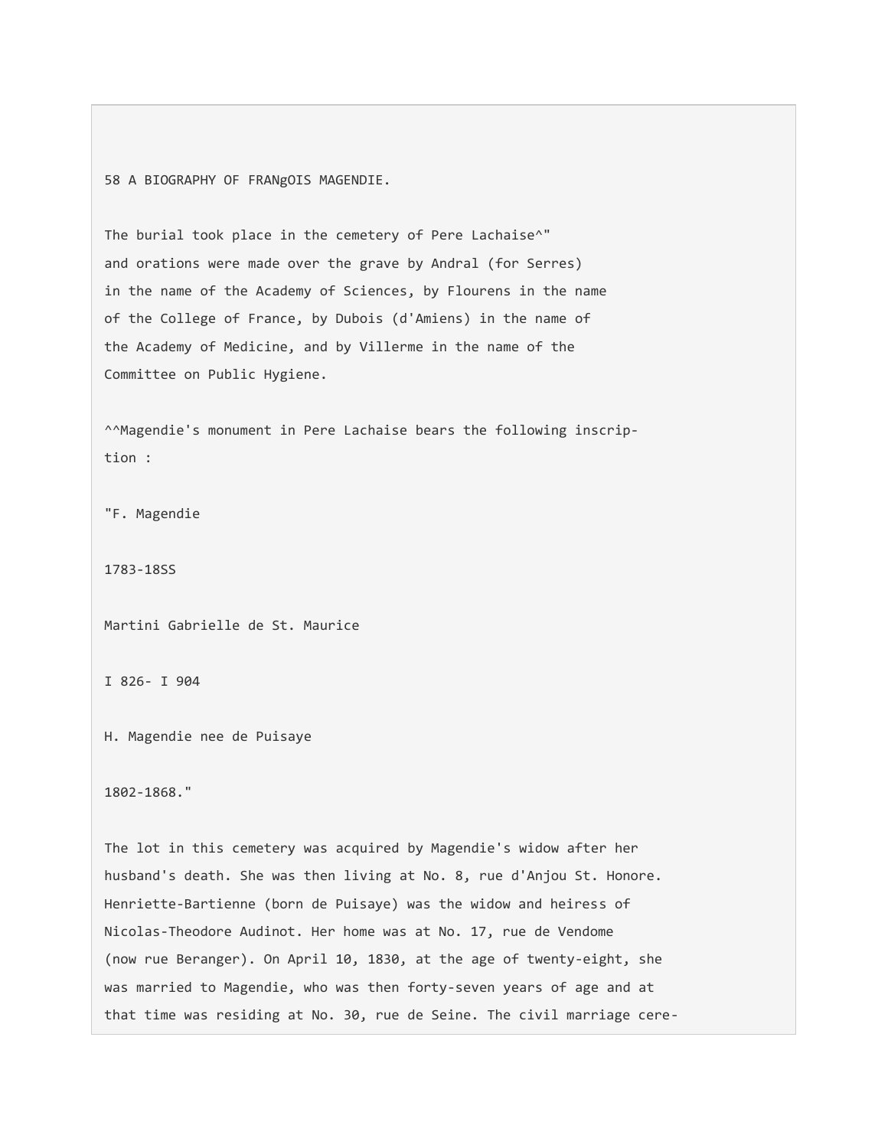58 A BIOGRAPHY OF FRANgOIS MAGENDIE.

The burial took place in the cemetery of Pere Lachaise<sup>^</sup>" and orations were made over the grave by Andral (for Serres) in the name of the Academy of Sciences, by Flourens in the name of the College of France, by Dubois (d'Amiens) in the name of the Academy of Medicine, and by Villerme in the name of the Committee on Public Hygiene.

^^Magendie's monument in Pere Lachaise bears the following inscription :

"F. Magendie

1783-18SS

Martini Gabrielle de St. Maurice

I 826- I 904

H. Magendie nee de Puisaye

1802-1868."

The lot in this cemetery was acquired by Magendie's widow after her husband's death. She was then living at No. 8, rue d'Anjou St. Honore. Henriette-Bartienne (born de Puisaye) was the widow and heiress of Nicolas-Theodore Audinot. Her home was at No. 17, rue de Vendome (now rue Beranger). On April 10, 1830, at the age of twenty-eight, she was married to Magendie, who was then forty-seven years of age and at that time was residing at No. 30, rue de Seine. The civil marriage cere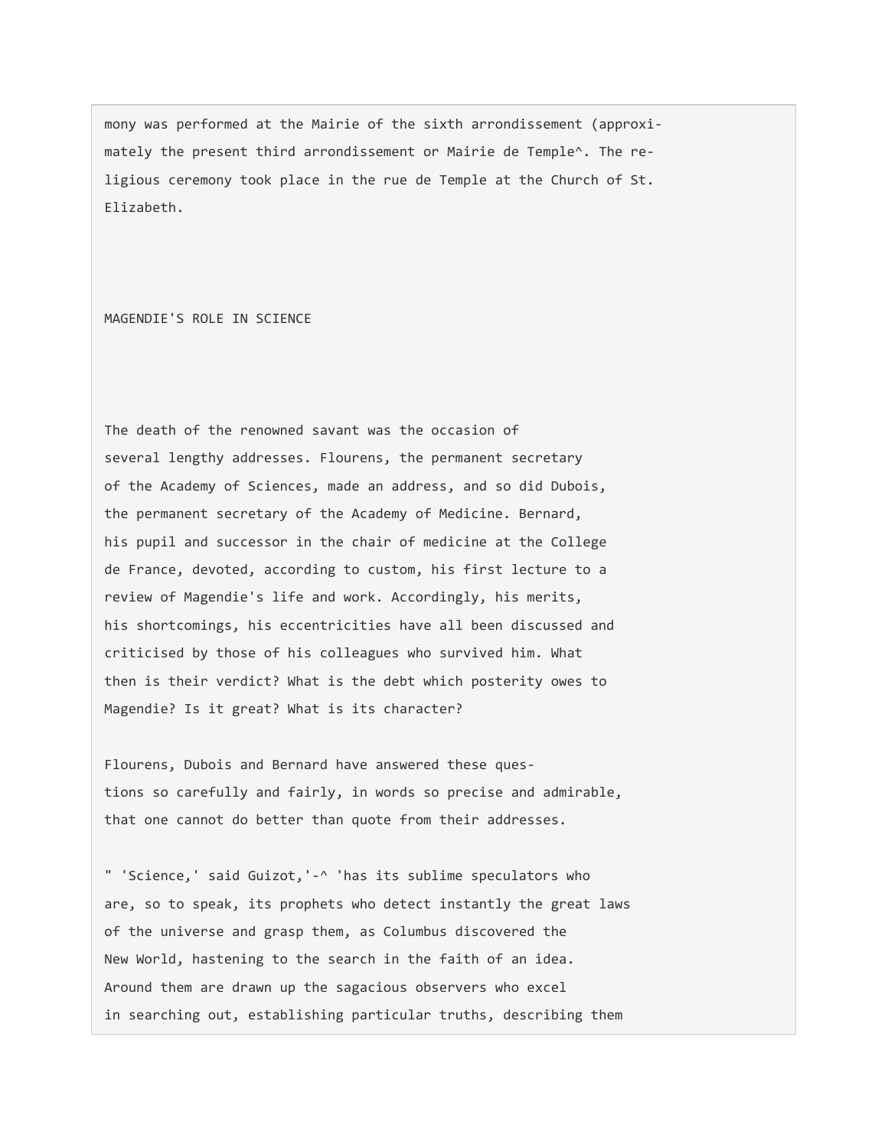mony was performed at the Mairie of the sixth arrondissement (approximately the present third arrondissement or Mairie de Temple^. The religious ceremony took place in the rue de Temple at the Church of St. Elizabeth.

MAGENDIE'S ROLE IN SCIENCE

The death of the renowned savant was the occasion of several lengthy addresses. Flourens, the permanent secretary of the Academy of Sciences, made an address, and so did Dubois, the permanent secretary of the Academy of Medicine. Bernard, his pupil and successor in the chair of medicine at the College de France, devoted, according to custom, his first lecture to a review of Magendie's life and work. Accordingly, his merits, his shortcomings, his eccentricities have all been discussed and criticised by those of his colleagues who survived him. What then is their verdict? What is the debt which posterity owes to Magendie? Is it great? What is its character?

Flourens, Dubois and Bernard have answered these questions so carefully and fairly, in words so precise and admirable, that one cannot do better than quote from their addresses.

" 'Science,' said Guizot,'-^ 'has its sublime speculators who are, so to speak, its prophets who detect instantly the great laws of the universe and grasp them, as Columbus discovered the New World, hastening to the search in the faith of an idea. Around them are drawn up the sagacious observers who excel in searching out, establishing particular truths, describing them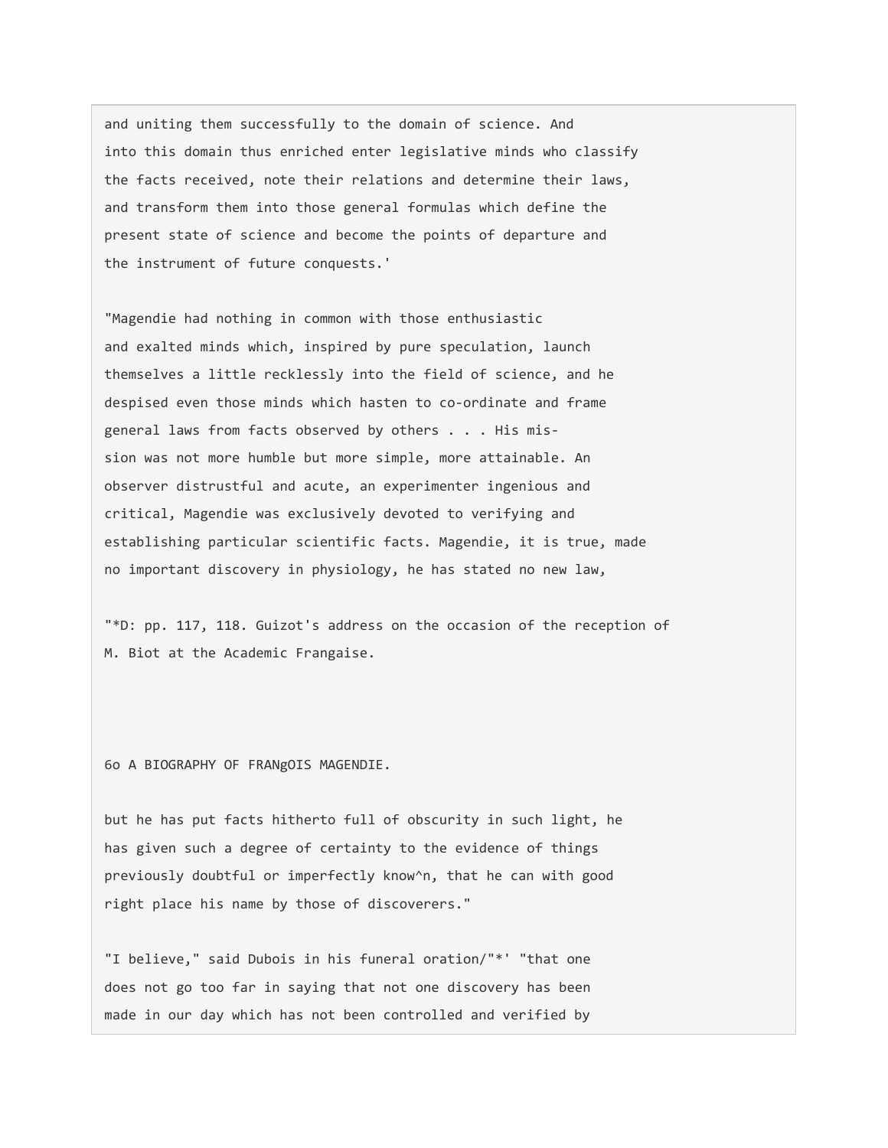and uniting them successfully to the domain of science. And into this domain thus enriched enter legislative minds who classify the facts received, note their relations and determine their laws, and transform them into those general formulas which define the present state of science and become the points of departure and the instrument of future conquests.'

"Magendie had nothing in common with those enthusiastic and exalted minds which, inspired by pure speculation, launch themselves a little recklessly into the field of science, and he despised even those minds which hasten to co-ordinate and frame general laws from facts observed by others . . . His mission was not more humble but more simple, more attainable. An observer distrustful and acute, an experimenter ingenious and critical, Magendie was exclusively devoted to verifying and establishing particular scientific facts. Magendie, it is true, made no important discovery in physiology, he has stated no new law,

"\*D: pp. 117, 118. Guizot's address on the occasion of the reception of M. Biot at the Academic Frangaise.

6o A BIOGRAPHY OF FRANgOIS MAGENDIE.

but he has put facts hitherto full of obscurity in such light, he has given such a degree of certainty to the evidence of things previously doubtful or imperfectly know^n, that he can with good right place his name by those of discoverers."

"I believe," said Dubois in his funeral oration/"\*' "that one does not go too far in saying that not one discovery has been made in our day which has not been controlled and verified by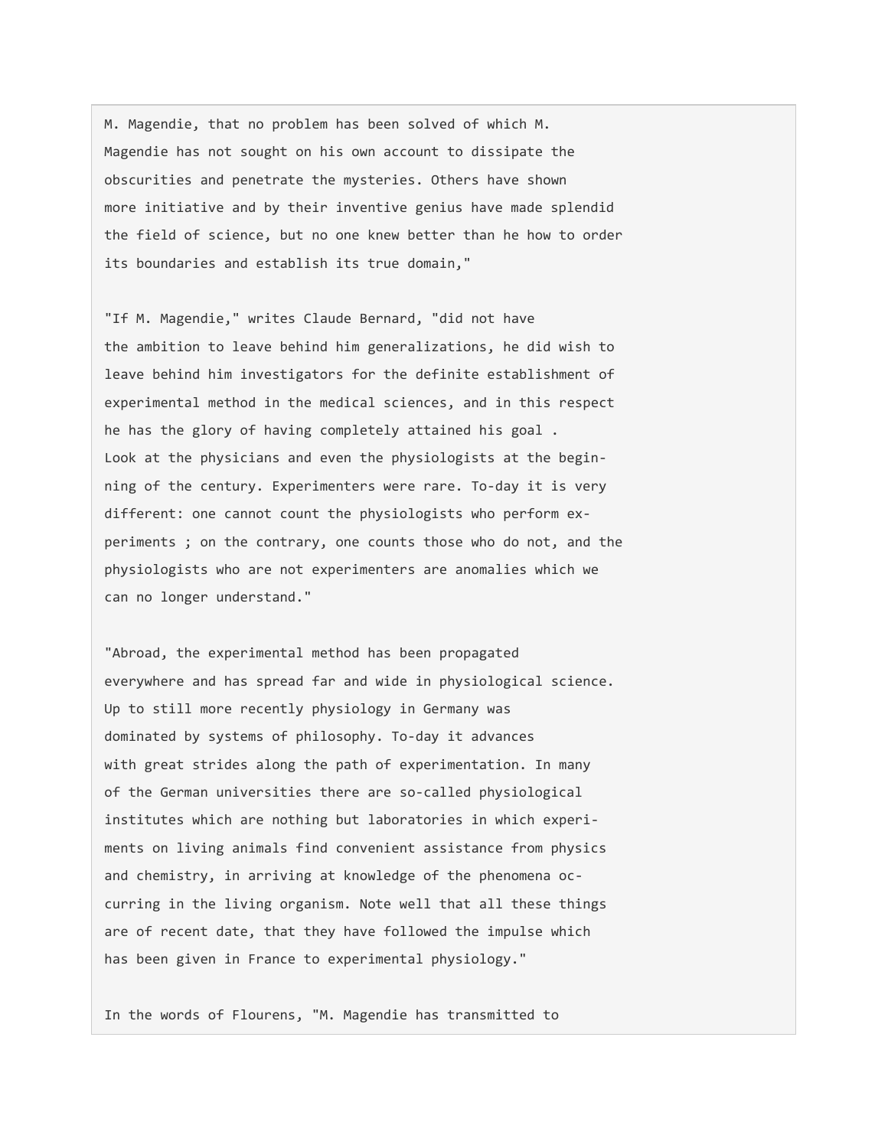M. Magendie, that no problem has been solved of which M. Magendie has not sought on his own account to dissipate the obscurities and penetrate the mysteries. Others have shown more initiative and by their inventive genius have made splendid the field of science, but no one knew better than he how to order its boundaries and establish its true domain,"

"If M. Magendie," writes Claude Bernard, "did not have the ambition to leave behind him generalizations, he did wish to leave behind him investigators for the definite establishment of experimental method in the medical sciences, and in this respect he has the glory of having completely attained his goal . Look at the physicians and even the physiologists at the beginning of the century. Experimenters were rare. To-day it is very different: one cannot count the physiologists who perform experiments ; on the contrary, one counts those who do not, and the physiologists who are not experimenters are anomalies which we can no longer understand."

"Abroad, the experimental method has been propagated everywhere and has spread far and wide in physiological science. Up to still more recently physiology in Germany was dominated by systems of philosophy. To-day it advances with great strides along the path of experimentation. In many of the German universities there are so-called physiological institutes which are nothing but laboratories in which experiments on living animals find convenient assistance from physics and chemistry, in arriving at knowledge of the phenomena occurring in the living organism. Note well that all these things are of recent date, that they have followed the impulse which has been given in France to experimental physiology."

In the words of Flourens, "M. Magendie has transmitted to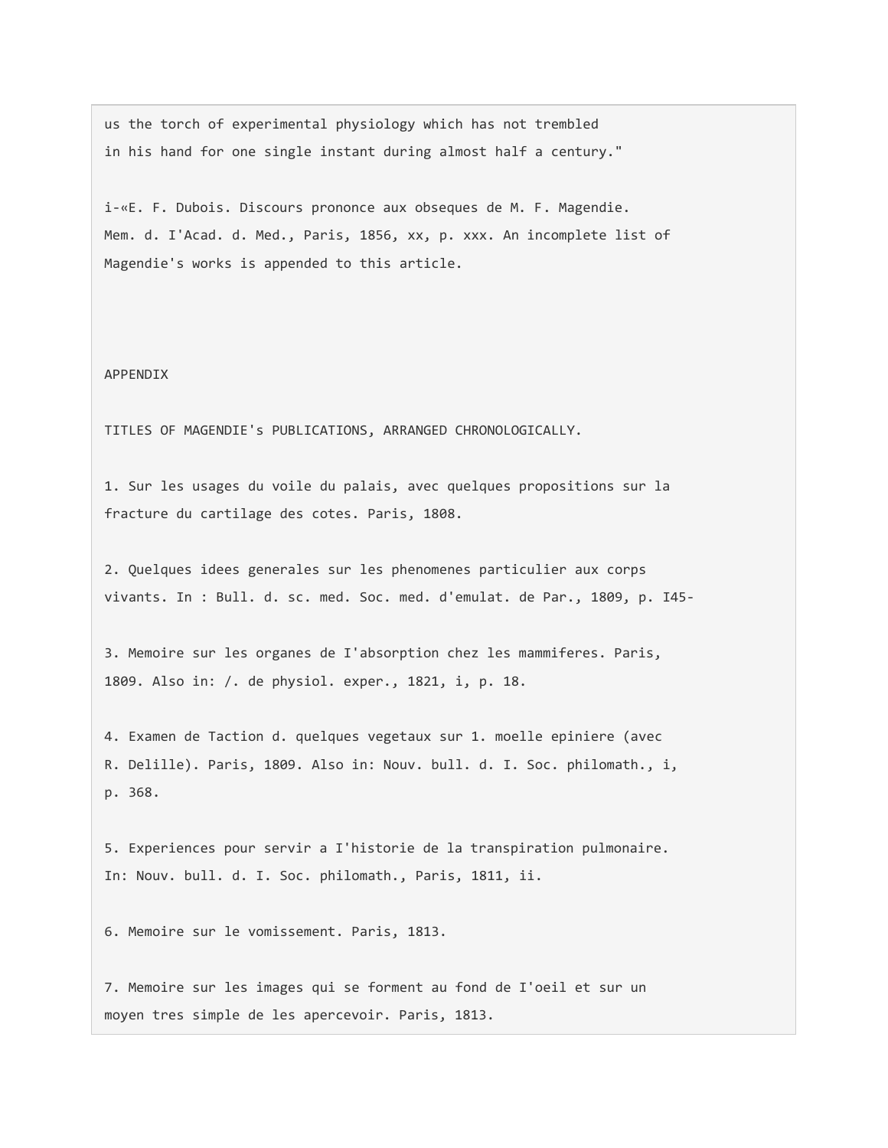us the torch of experimental physiology which has not trembled in his hand for one single instant during almost half a century."

i-«E. F. Dubois. Discours prononce aux obseques de M. F. Magendie. Mem. d. I'Acad. d. Med., Paris, 1856, xx, p. xxx. An incomplete list of Magendie's works is appended to this article.

## APPENDIX

TITLES OF MAGENDIE's PUBLICATIONS, ARRANGED CHRONOLOGICALLY.

1. Sur les usages du voile du palais, avec quelques propositions sur la fracture du cartilage des cotes. Paris, 1808.

2. Quelques idees generales sur les phenomenes particulier aux corps vivants. In : Bull. d. sc. med. Soc. med. d'emulat. de Par., 1809, p. I45-

3. Memoire sur les organes de I'absorption chez les mammiferes. Paris, 1809. Also in: /. de physiol. exper., 1821, i, p. 18.

4. Examen de Taction d. quelques vegetaux sur 1. moelle epiniere (avec R. Delille). Paris, 1809. Also in: Nouv. bull. d. I. Soc. philomath., i, p. 368.

5. Experiences pour servir a I'historie de la transpiration pulmonaire. In: Nouv. bull. d. I. Soc. philomath., Paris, 1811, ii.

6. Memoire sur le vomissement. Paris, 1813.

7. Memoire sur les images qui se forment au fond de I'oeil et sur un moyen tres simple de les apercevoir. Paris, 1813.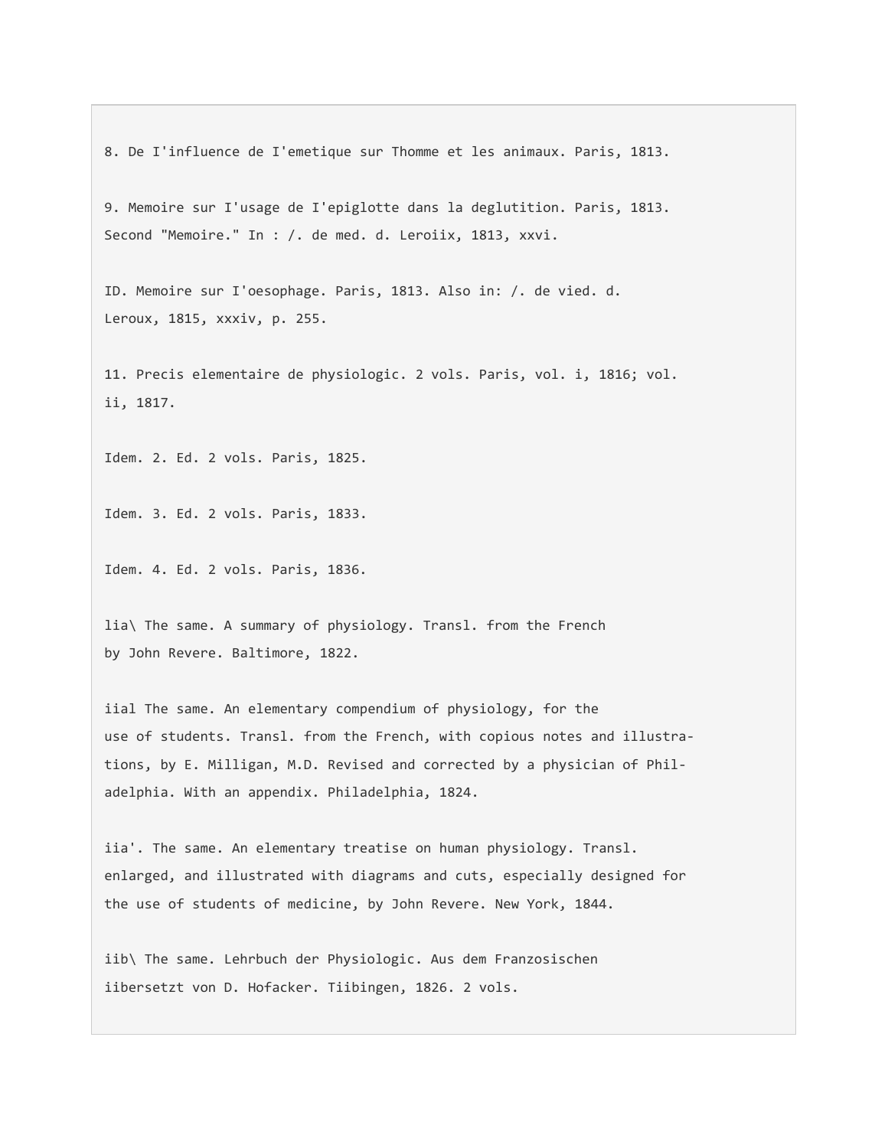8. De I'influence de I'emetique sur Thomme et les animaux. Paris, 1813.

9. Memoire sur I'usage de I'epiglotte dans la deglutition. Paris, 1813. Second "Memoire." In : /. de med. d. Leroiix, 1813, xxvi.

ID. Memoire sur I'oesophage. Paris, 1813. Also in: /. de vied. d. Leroux, 1815, xxxiv, p. 255.

11. Precis elementaire de physiologic. 2 vols. Paris, vol. i, 1816; vol. ii, 1817.

Idem. 2. Ed. 2 vols. Paris, 1825.

Idem. 3. Ed. 2 vols. Paris, 1833.

Idem. 4. Ed. 2 vols. Paris, 1836.

lia\ The same. A summary of physiology. Transl. from the French by John Revere. Baltimore, 1822.

iial The same. An elementary compendium of physiology, for the use of students. Transl. from the French, with copious notes and illustrations, by E. Milligan, M.D. Revised and corrected by a physician of Philadelphia. With an appendix. Philadelphia, 1824.

iia'. The same. An elementary treatise on human physiology. Transl. enlarged, and illustrated with diagrams and cuts, especially designed for the use of students of medicine, by John Revere. New York, 1844.

iib\ The same. Lehrbuch der Physiologic. Aus dem Franzosischen iibersetzt von D. Hofacker. Tiibingen, 1826. 2 vols.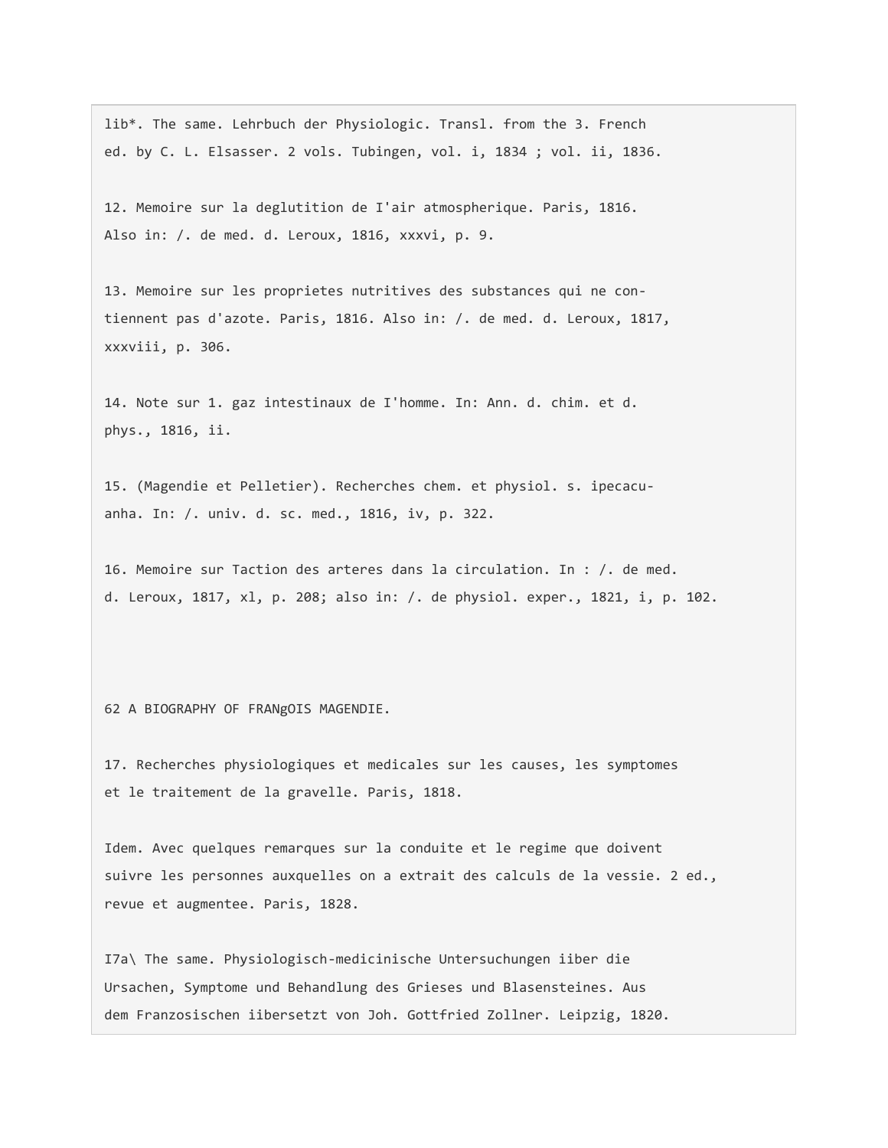lib\*. The same. Lehrbuch der Physiologic. Transl. from the 3. French ed. by C. L. Elsasser. 2 vols. Tubingen, vol. i, 1834 ; vol. ii, 1836.

12. Memoire sur la deglutition de I'air atmospherique. Paris, 1816. Also in: /. de med. d. Leroux, 1816, xxxvi, p. 9.

13. Memoire sur les proprietes nutritives des substances qui ne contiennent pas d'azote. Paris, 1816. Also in: /. de med. d. Leroux, 1817, xxxviii, p. 306.

14. Note sur 1. gaz intestinaux de I'homme. In: Ann. d. chim. et d. phys., 1816, ii.

15. (Magendie et Pelletier). Recherches chem. et physiol. s. ipecacuanha. In: /. univ. d. sc. med., 1816, iv, p. 322.

16. Memoire sur Taction des arteres dans la circulation. In : /. de med. d. Leroux, 1817, xl, p. 208; also in: /. de physiol. exper., 1821, i, p. 102.

62 A BIOGRAPHY OF FRANgOIS MAGENDIE.

17. Recherches physiologiques et medicales sur les causes, les symptomes et le traitement de la gravelle. Paris, 1818.

Idem. Avec quelques remarques sur la conduite et le regime que doivent suivre les personnes auxquelles on a extrait des calculs de la vessie. 2 ed., revue et augmentee. Paris, 1828.

I7a\ The same. Physiologisch-medicinische Untersuchungen iiber die Ursachen, Symptome und Behandlung des Grieses und Blasensteines. Aus dem Franzosischen iibersetzt von Joh. Gottfried Zollner. Leipzig, 1820.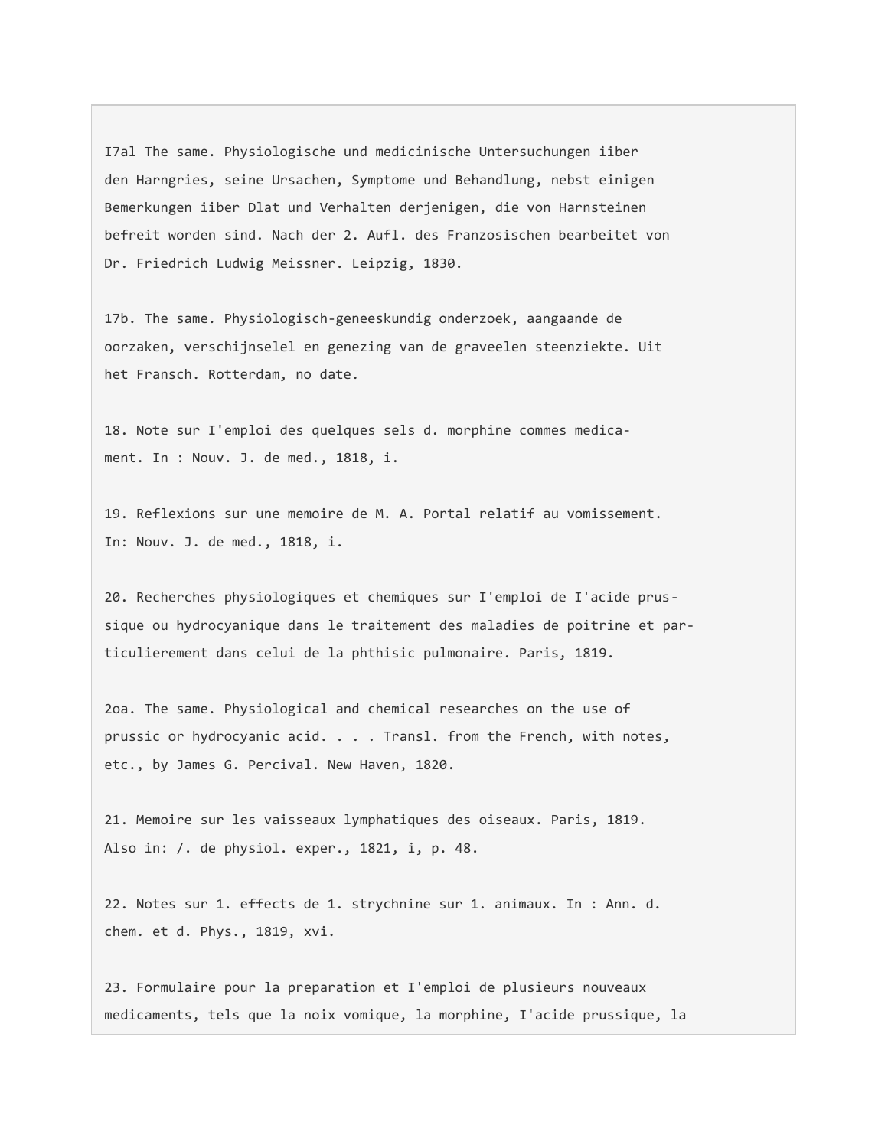I7al The same. Physiologische und medicinische Untersuchungen iiber den Harngries, seine Ursachen, Symptome und Behandlung, nebst einigen Bemerkungen iiber Dlat und Verhalten derjenigen, die von Harnsteinen befreit worden sind. Nach der 2. Aufl. des Franzosischen bearbeitet von Dr. Friedrich Ludwig Meissner. Leipzig, 1830.

17b. The same. Physiologisch-geneeskundig onderzoek, aangaande de oorzaken, verschijnselel en genezing van de graveelen steenziekte. Uit het Fransch. Rotterdam, no date.

18. Note sur I'emploi des quelques sels d. morphine commes medicament. In : Nouv. J. de med., 1818, i.

19. Reflexions sur une memoire de M. A. Portal relatif au vomissement. In: Nouv. J. de med., 1818, i.

20. Recherches physiologiques et chemiques sur I'emploi de I'acide prussique ou hydrocyanique dans le traitement des maladies de poitrine et particulierement dans celui de la phthisic pulmonaire. Paris, 1819.

2oa. The same. Physiological and chemical researches on the use of prussic or hydrocyanic acid. . . . Transl. from the French, with notes, etc., by James G. Percival. New Haven, 1820.

21. Memoire sur les vaisseaux lymphatiques des oiseaux. Paris, 1819. Also in: /. de physiol. exper., 1821, i, p. 48.

22. Notes sur 1. effects de 1. strychnine sur 1. animaux. In : Ann. d. chem. et d. Phys., 1819, xvi.

23. Formulaire pour la preparation et I'emploi de plusieurs nouveaux medicaments, tels que la noix vomique, la morphine, I'acide prussique, la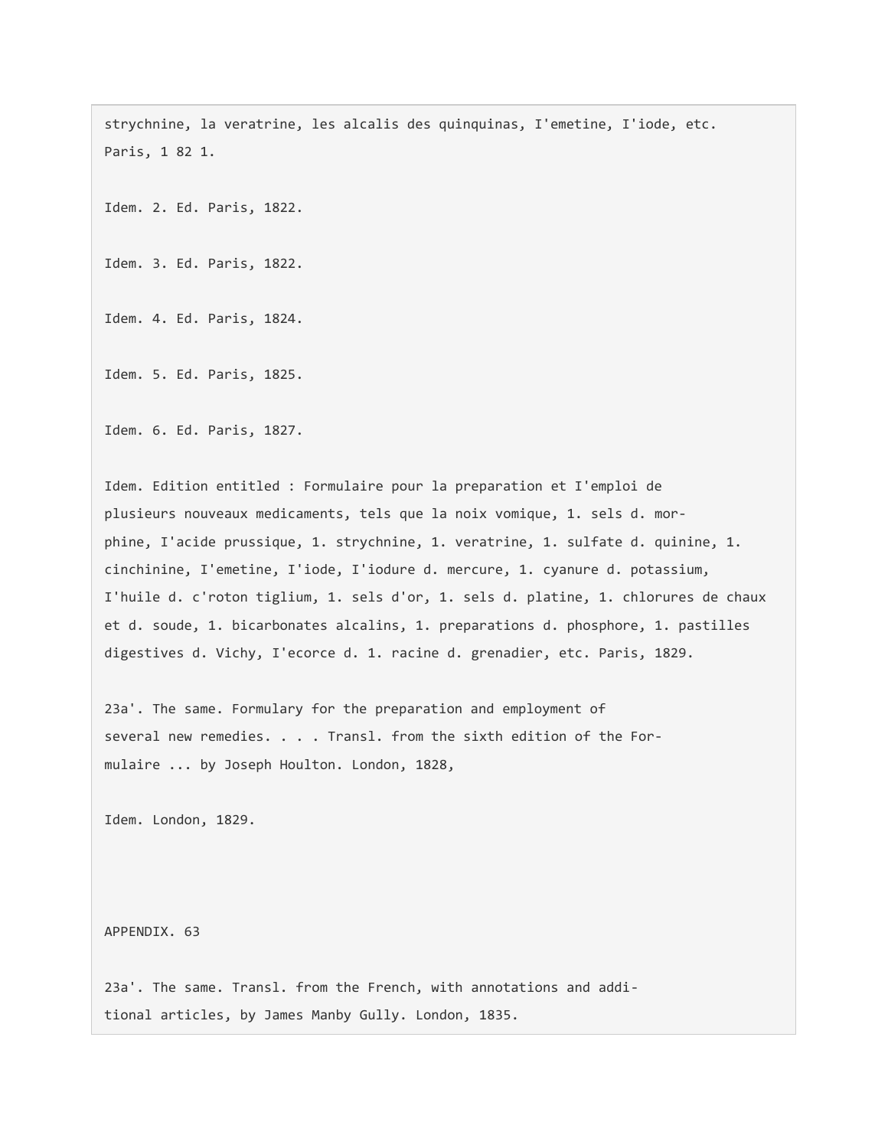strychnine, la veratrine, les alcalis des quinquinas, I'emetine, I'iode, etc. Paris, 1 82 1.

Idem. 2. Ed. Paris, 1822.

Idem. 3. Ed. Paris, 1822.

Idem. 4. Ed. Paris, 1824.

Idem. 5. Ed. Paris, 1825.

Idem. 6. Ed. Paris, 1827.

Idem. Edition entitled : Formulaire pour la preparation et I'emploi de plusieurs nouveaux medicaments, tels que la noix vomique, 1. sels d. morphine, I'acide prussique, 1. strychnine, 1. veratrine, 1. sulfate d. quinine, 1. cinchinine, I'emetine, I'iode, I'iodure d. mercure, 1. cyanure d. potassium, I'huile d. c'roton tiglium, 1. sels d'or, 1. sels d. platine, 1. chlorures de chaux et d. soude, 1. bicarbonates alcalins, 1. preparations d. phosphore, 1. pastilles digestives d. Vichy, I'ecorce d. 1. racine d. grenadier, etc. Paris, 1829.

23a'. The same. Formulary for the preparation and employment of several new remedies. . . . Transl. from the sixth edition of the Formulaire ... by Joseph Houlton. London, 1828,

Idem. London, 1829.

APPENDIX. 63

23a'. The same. Transl. from the French, with annotations and additional articles, by James Manby Gully. London, 1835.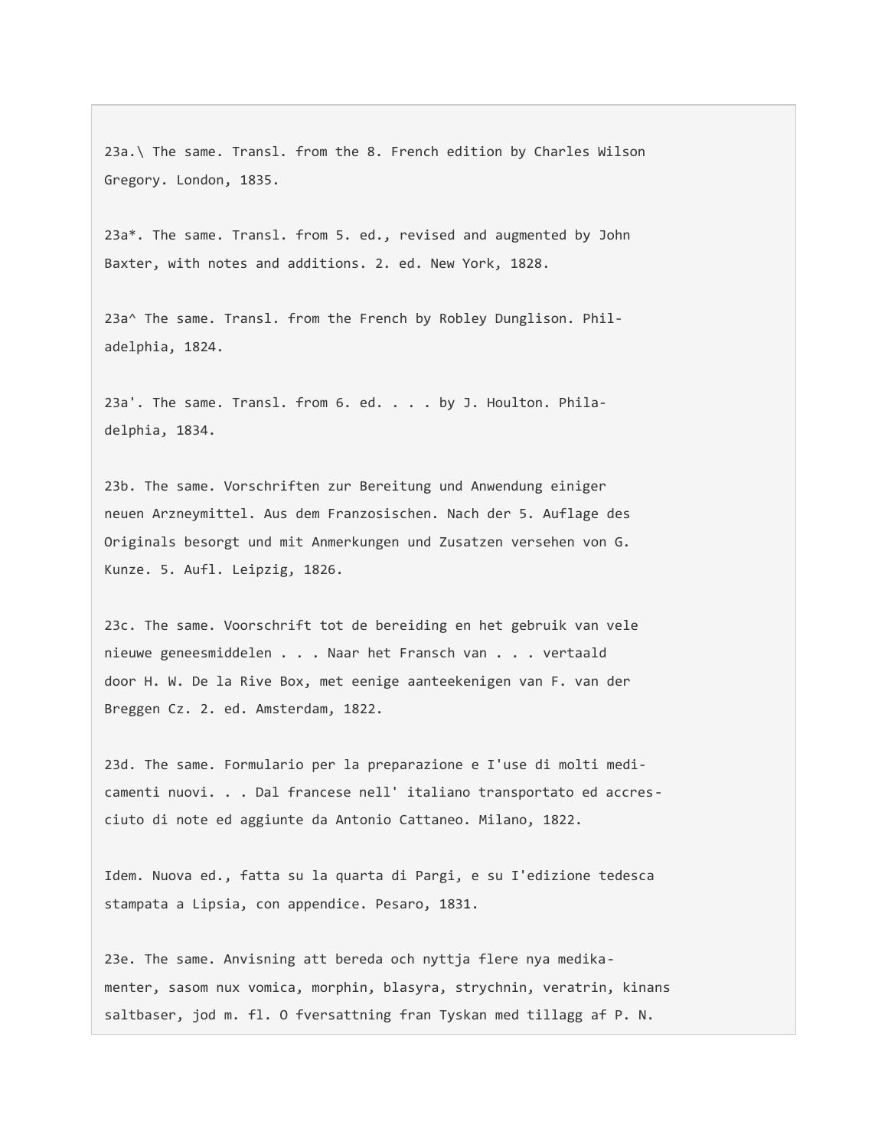23a.\ The same. Transl. from the 8. French edition by Charles Wilson Gregory. London, 1835.

23a\*. The same. Transl. from 5. ed., revised and augmented by John Baxter, with notes and additions. 2. ed. New York, 1828.

23a^ The same. Transl. from the French by Robley Dunglison. Philadelphia, 1824.

23a'. The same. Transl. from 6. ed. . . . by J. Houlton. Philadelphia, 1834.

23b. The same. Vorschriften zur Bereitung und Anwendung einiger neuen Arzneymittel. Aus dem Franzosischen. Nach der 5. Auflage des Originals besorgt und mit Anmerkungen und Zusatzen versehen von G. Kunze. 5. Aufl. Leipzig, 1826.

23c. The same. Voorschrift tot de bereiding en het gebruik van vele nieuwe geneesmiddelen . . . Naar het Fransch van . . . vertaald door H. W. De la Rive Box, met eenige aanteekenigen van F. van der Breggen Cz. 2. ed. Amsterdam, 1822.

23d. The same. Formulario per la preparazione e I'use di molti medicamenti nuovi. . . Dal francese nell' italiano transportato ed accresciuto di note ed aggiunte da Antonio Cattaneo. Milano, 1822.

Idem. Nuova ed., fatta su la quarta di Pargi, e su I'edizione tedesca stampata a Lipsia, con appendice. Pesaro, 1831.

23e. The same. Anvisning att bereda och nyttja flere nya medikamenter, sasom nux vomica, morphin, blasyra, strychnin, veratrin, kinans saltbaser, jod m. fl. O fversattning fran Tyskan med tillagg af P. N.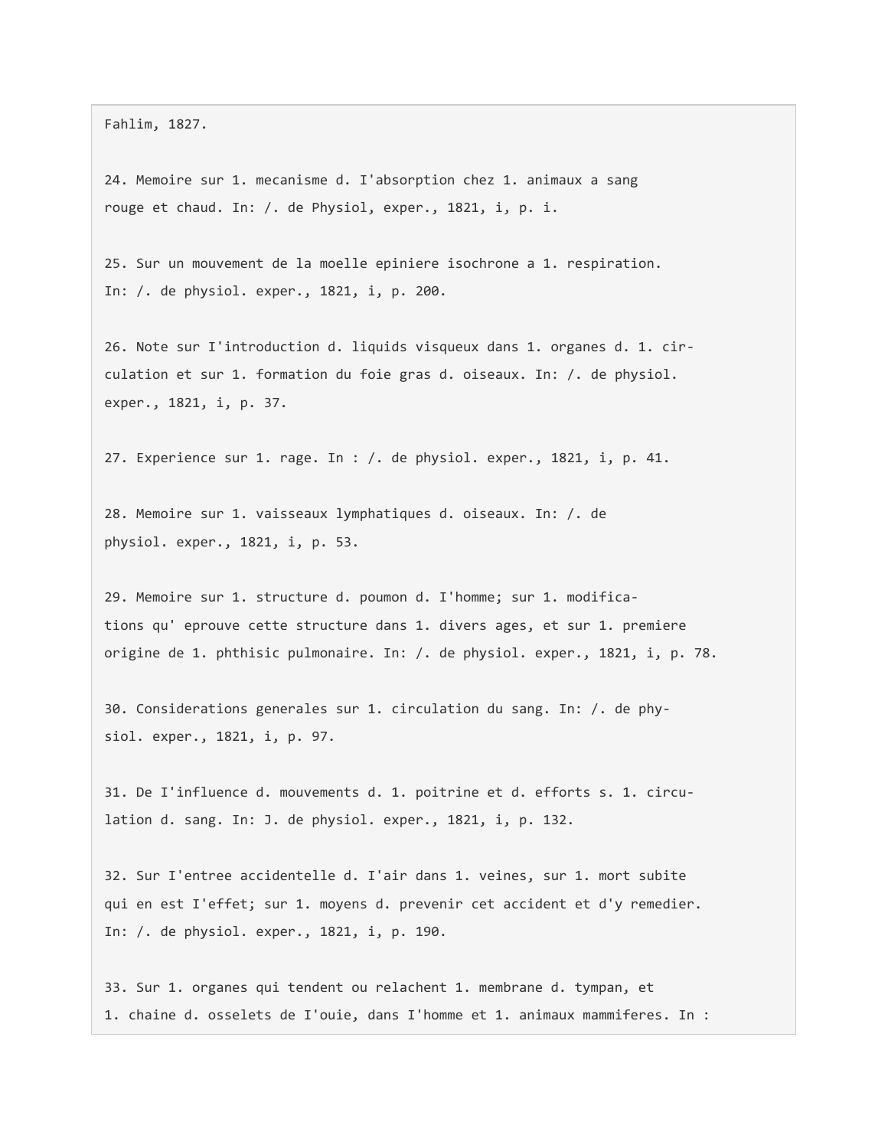Fahlim, 1827.

24. Memoire sur 1. mecanisme d. I'absorption chez 1. animaux a sang rouge et chaud. In: /. de Physiol, exper., 1821, i, p. i.

25. Sur un mouvement de la moelle epiniere isochrone a 1. respiration. In: /. de physiol. exper., 1821, i, p. 200.

26. Note sur I'introduction d. liquids visqueux dans 1. organes d. 1. circulation et sur 1. formation du foie gras d. oiseaux. In: /. de physiol. exper., 1821, i, p. 37.

27. Experience sur 1. rage. In : /. de physiol. exper., 1821, i, p. 41.

28. Memoire sur 1. vaisseaux lymphatiques d. oiseaux. In: /. de physiol. exper., 1821, i, p. 53.

29. Memoire sur 1. structure d. poumon d. I'homme; sur 1. modifications qu' eprouve cette structure dans 1. divers ages, et sur 1. premiere origine de 1. phthisic pulmonaire. In: /. de physiol. exper., 1821, i, p. 78.

30. Considerations generales sur 1. circulation du sang. In: /. de physiol. exper., 1821, i, p. 97.

31. De I'influence d. mouvements d. 1. poitrine et d. efforts s. 1. circulation d. sang. In: J. de physiol. exper., 1821, i, p. 132.

32. Sur I'entree accidentelle d. I'air dans 1. veines, sur 1. mort subite qui en est I'effet; sur 1. moyens d. prevenir cet accident et d'y remedier. In: /. de physiol. exper., 1821, i, p. 190.

33. Sur 1. organes qui tendent ou relachent 1. membrane d. tympan, et 1. chaine d. osselets de I'ouie, dans I'homme et 1. animaux mammiferes. In :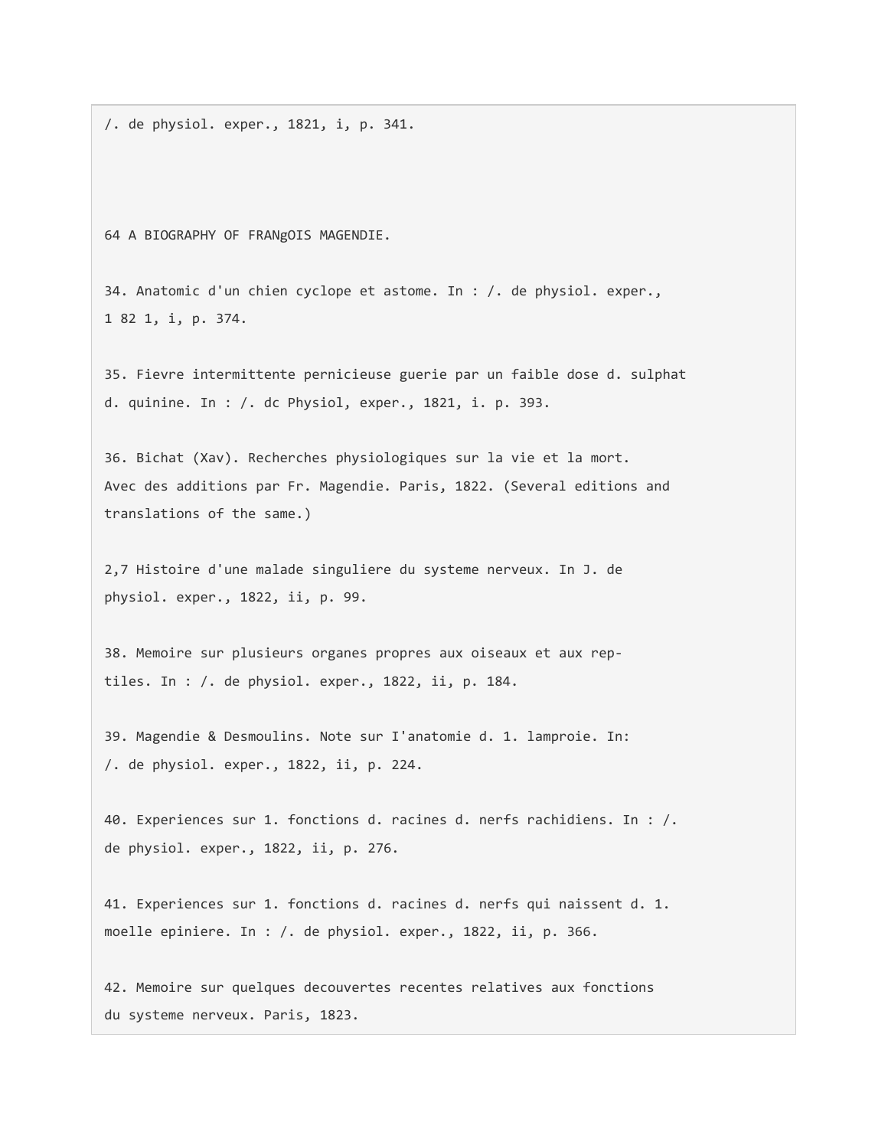/. de physiol. exper., 1821, i, p. 341.

64 A BIOGRAPHY OF FRANgOIS MAGENDIE.

34. Anatomic d'un chien cyclope et astome. In : /. de physiol. exper., 1 82 1, i, p. 374.

35. Fievre intermittente pernicieuse guerie par un faible dose d. sulphat d. quinine. In : /. dc Physiol, exper., 1821, i. p. 393.

36. Bichat (Xav). Recherches physiologiques sur la vie et la mort. Avec des additions par Fr. Magendie. Paris, 1822. (Several editions and translations of the same.)

2,7 Histoire d'une malade singuliere du systeme nerveux. In J. de physiol. exper., 1822, ii, p. 99.

38. Memoire sur plusieurs organes propres aux oiseaux et aux reptiles. In : /. de physiol. exper., 1822, ii, p. 184.

39. Magendie & Desmoulins. Note sur I'anatomie d. 1. lamproie. In: /. de physiol. exper., 1822, ii, p. 224.

40. Experiences sur 1. fonctions d. racines d. nerfs rachidiens. In : /. de physiol. exper., 1822, ii, p. 276.

41. Experiences sur 1. fonctions d. racines d. nerfs qui naissent d. 1. moelle epiniere. In : /. de physiol. exper., 1822, ii, p. 366.

42. Memoire sur quelques decouvertes recentes relatives aux fonctions du systeme nerveux. Paris, 1823.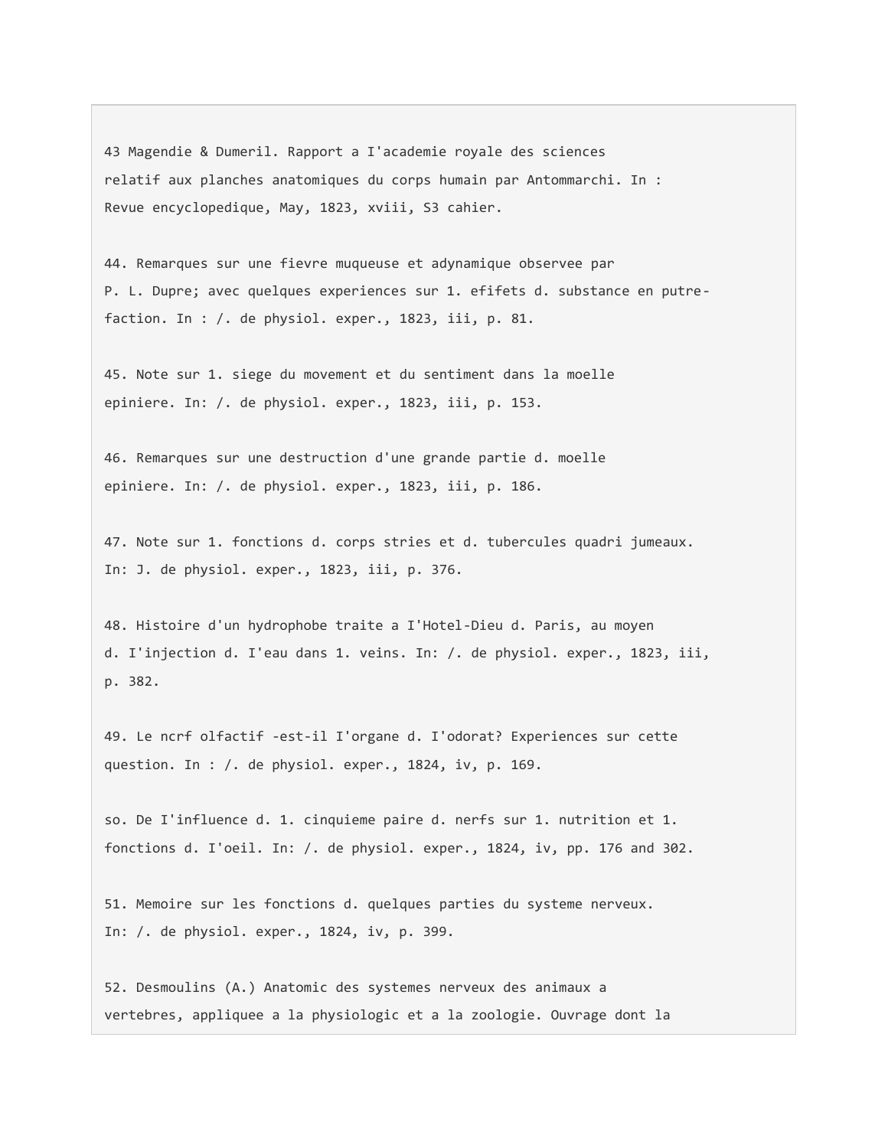43 Magendie & Dumeril. Rapport a I'academie royale des sciences relatif aux planches anatomiques du corps humain par Antommarchi. In : Revue encyclopedique, May, 1823, xviii, S3 cahier.

44. Remarques sur une fievre muqueuse et adynamique observee par P. L. Dupre; avec quelques experiences sur 1. efifets d. substance en putrefaction. In : /. de physiol. exper., 1823, iii, p. 81.

45. Note sur 1. siege du movement et du sentiment dans la moelle epiniere. In: /. de physiol. exper., 1823, iii, p. 153.

46. Remarques sur une destruction d'une grande partie d. moelle epiniere. In: /. de physiol. exper., 1823, iii, p. 186.

47. Note sur 1. fonctions d. corps stries et d. tubercules quadri jumeaux. In: J. de physiol. exper., 1823, iii, p. 376.

48. Histoire d'un hydrophobe traite a I'Hotel-Dieu d. Paris, au moyen d. I'injection d. I'eau dans 1. veins. In: /. de physiol. exper., 1823, iii, p. 382.

49. Le ncrf olfactif -est-il I'organe d. I'odorat? Experiences sur cette question. In : /. de physiol. exper., 1824, iv, p. 169.

so. De I'influence d. 1. cinquieme paire d. nerfs sur 1. nutrition et 1. fonctions d. I'oeil. In: /. de physiol. exper., 1824, iv, pp. 176 and 302.

51. Memoire sur les fonctions d. quelques parties du systeme nerveux. In: /. de physiol. exper., 1824, iv, p. 399.

52. Desmoulins (A.) Anatomic des systemes nerveux des animaux a vertebres, appliquee a la physiologic et a la zoologie. Ouvrage dont la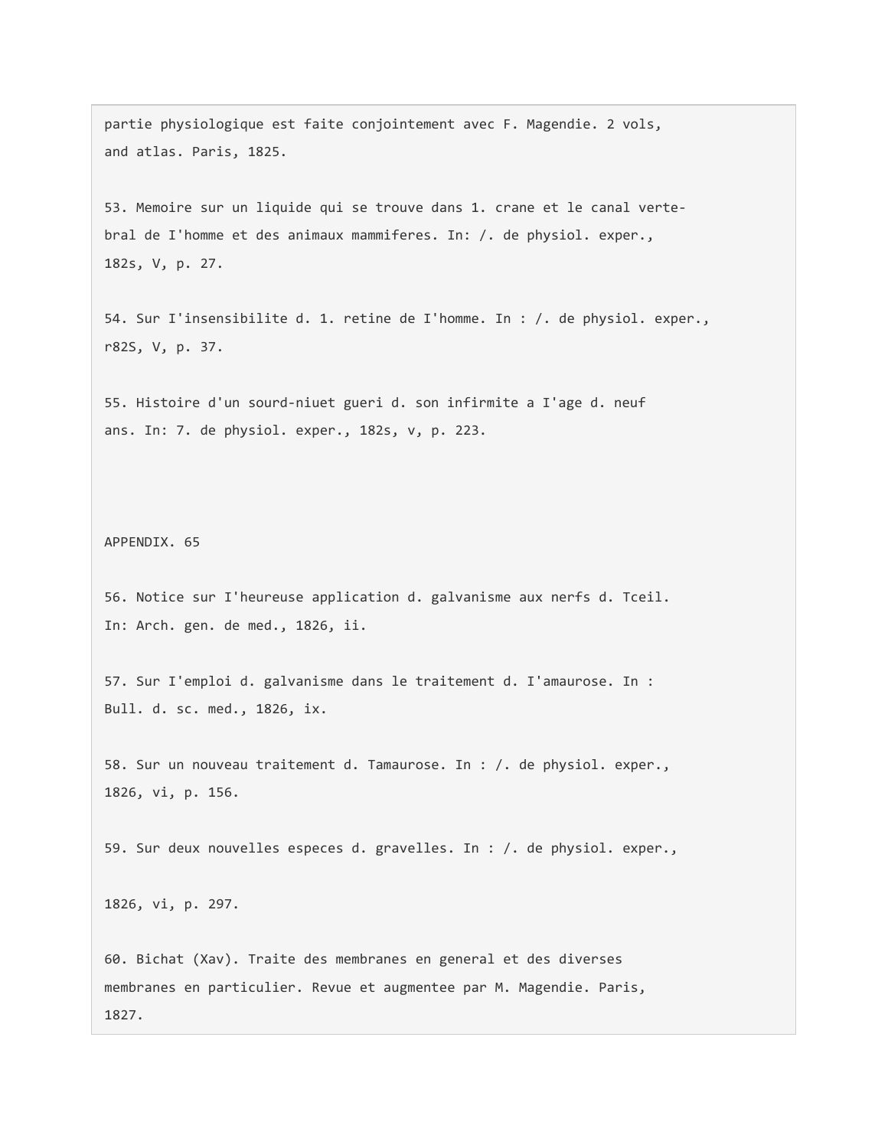partie physiologique est faite conjointement avec F. Magendie. 2 vols, and atlas. Paris, 1825.

53. Memoire sur un liquide qui se trouve dans 1. crane et le canal vertebral de I'homme et des animaux mammiferes. In: /. de physiol. exper., 182s, V, p. 27.

54. Sur I'insensibilite d. 1. retine de I'homme. In : /. de physiol. exper., r82S, V, p. 37.

55. Histoire d'un sourd-niuet gueri d. son infirmite a I'age d. neuf ans. In: 7. de physiol. exper., 182s, v, p. 223.

APPENDIX. 65

56. Notice sur I'heureuse application d. galvanisme aux nerfs d. Tceil. In: Arch. gen. de med., 1826, ii.

57. Sur I'emploi d. galvanisme dans le traitement d. I'amaurose. In : Bull. d. sc. med., 1826, ix.

58. Sur un nouveau traitement d. Tamaurose. In : /. de physiol. exper., 1826, vi, p. 156.

59. Sur deux nouvelles especes d. gravelles. In : /. de physiol. exper.,

1826, vi, p. 297.

60. Bichat (Xav). Traite des membranes en general et des diverses membranes en particulier. Revue et augmentee par M. Magendie. Paris, 1827.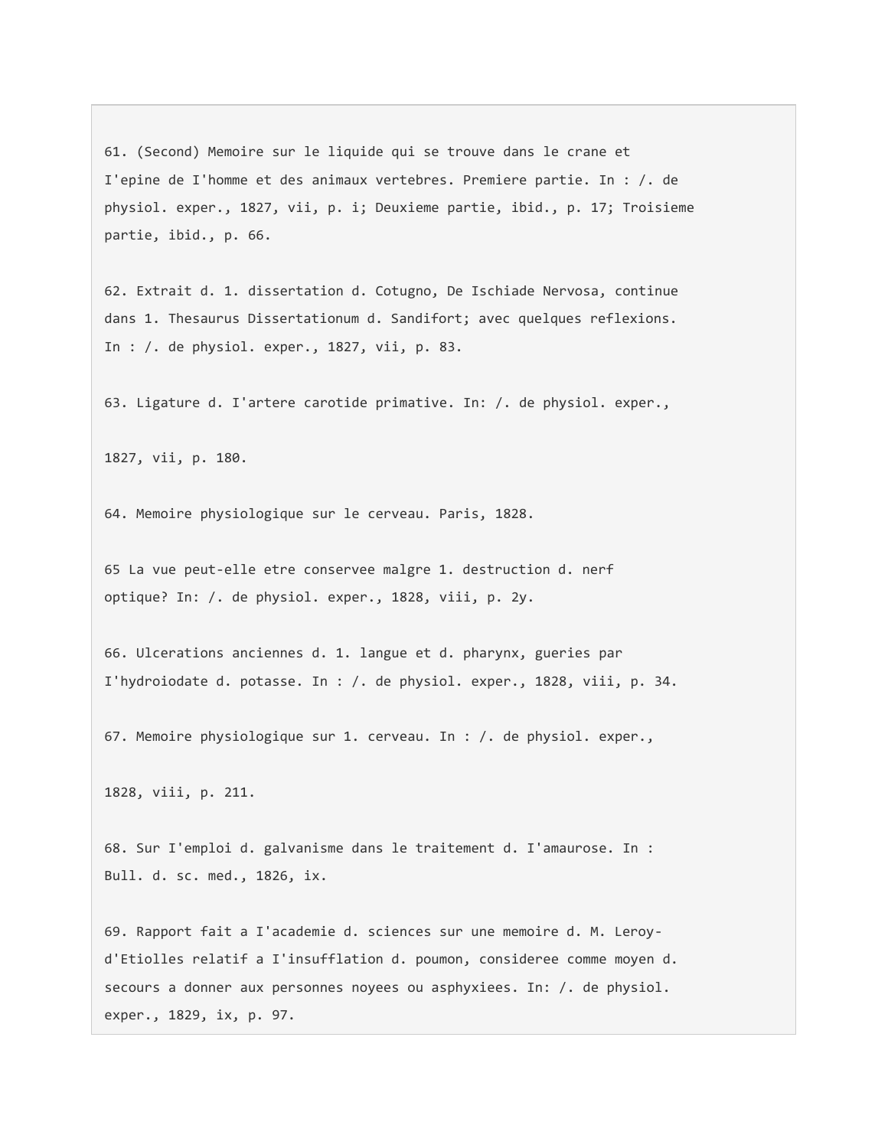61. (Second) Memoire sur le liquide qui se trouve dans le crane et I'epine de I'homme et des animaux vertebres. Premiere partie. In : /. de physiol. exper., 1827, vii, p. i; Deuxieme partie, ibid., p. 17; Troisieme partie, ibid., p. 66.

62. Extrait d. 1. dissertation d. Cotugno, De Ischiade Nervosa, continue dans 1. Thesaurus Dissertationum d. Sandifort; avec quelques reflexions. In : /. de physiol. exper., 1827, vii, p. 83.

63. Ligature d. I'artere carotide primative. In: /. de physiol. exper.,

1827, vii, p. 180.

64. Memoire physiologique sur le cerveau. Paris, 1828.

65 La vue peut-elle etre conservee malgre 1. destruction d. nerf optique? In: /. de physiol. exper., 1828, viii, p. 2y.

66. Ulcerations anciennes d. 1. langue et d. pharynx, gueries par I'hydroiodate d. potasse. In : /. de physiol. exper., 1828, viii, p. 34.

67. Memoire physiologique sur 1. cerveau. In : /. de physiol. exper.,

1828, viii, p. 211.

68. Sur I'emploi d. galvanisme dans le traitement d. I'amaurose. In : Bull. d. sc. med., 1826, ix.

69. Rapport fait a I'academie d. sciences sur une memoire d. M. Leroyd'Etiolles relatif a I'insufflation d. poumon, consideree comme moyen d. secours a donner aux personnes noyees ou asphyxiees. In: /. de physiol. exper., 1829, ix, p. 97.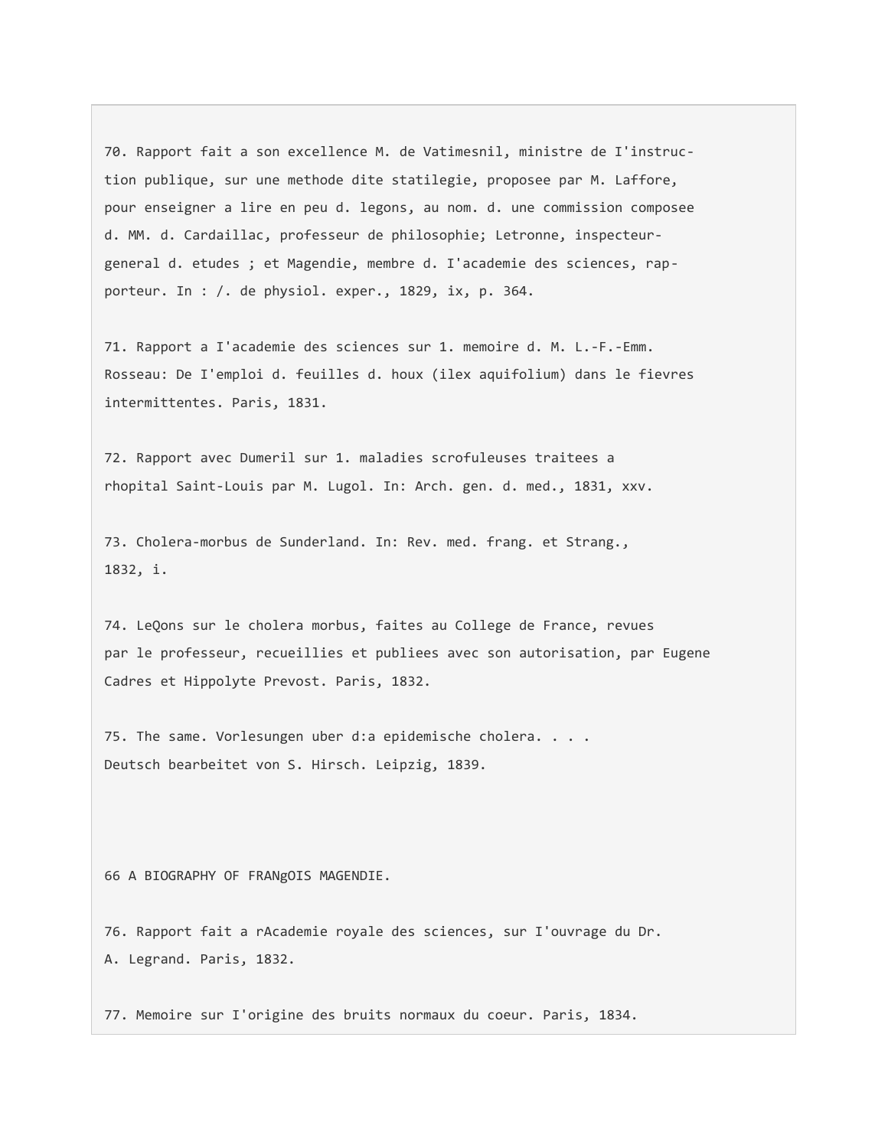70. Rapport fait a son excellence M. de Vatimesnil, ministre de I'instruction publique, sur une methode dite statilegie, proposee par M. Laffore, pour enseigner a lire en peu d. legons, au nom. d. une commission composee d. MM. d. Cardaillac, professeur de philosophie; Letronne, inspecteurgeneral d. etudes ; et Magendie, membre d. I'academie des sciences, rapporteur. In : /. de physiol. exper., 1829, ix, p. 364.

71. Rapport a I'academie des sciences sur 1. memoire d. M. L.-F.-Emm. Rosseau: De I'emploi d. feuilles d. houx (ilex aquifolium) dans le fievres intermittentes. Paris, 1831.

72. Rapport avec Dumeril sur 1. maladies scrofuleuses traitees a rhopital Saint-Louis par M. Lugol. In: Arch. gen. d. med., 1831, xxv.

73. Cholera-morbus de Sunderland. In: Rev. med. frang. et Strang., 1832, i.

74. LeQons sur le cholera morbus, faites au College de France, revues par le professeur, recueillies et publiees avec son autorisation, par Eugene Cadres et Hippolyte Prevost. Paris, 1832.

75. The same. Vorlesungen uber d:a epidemische cholera. . . . Deutsch bearbeitet von S. Hirsch. Leipzig, 1839.

66 A BIOGRAPHY OF FRANgOIS MAGENDIE.

76. Rapport fait a rAcademie royale des sciences, sur I'ouvrage du Dr. A. Legrand. Paris, 1832.

77. Memoire sur I'origine des bruits normaux du coeur. Paris, 1834.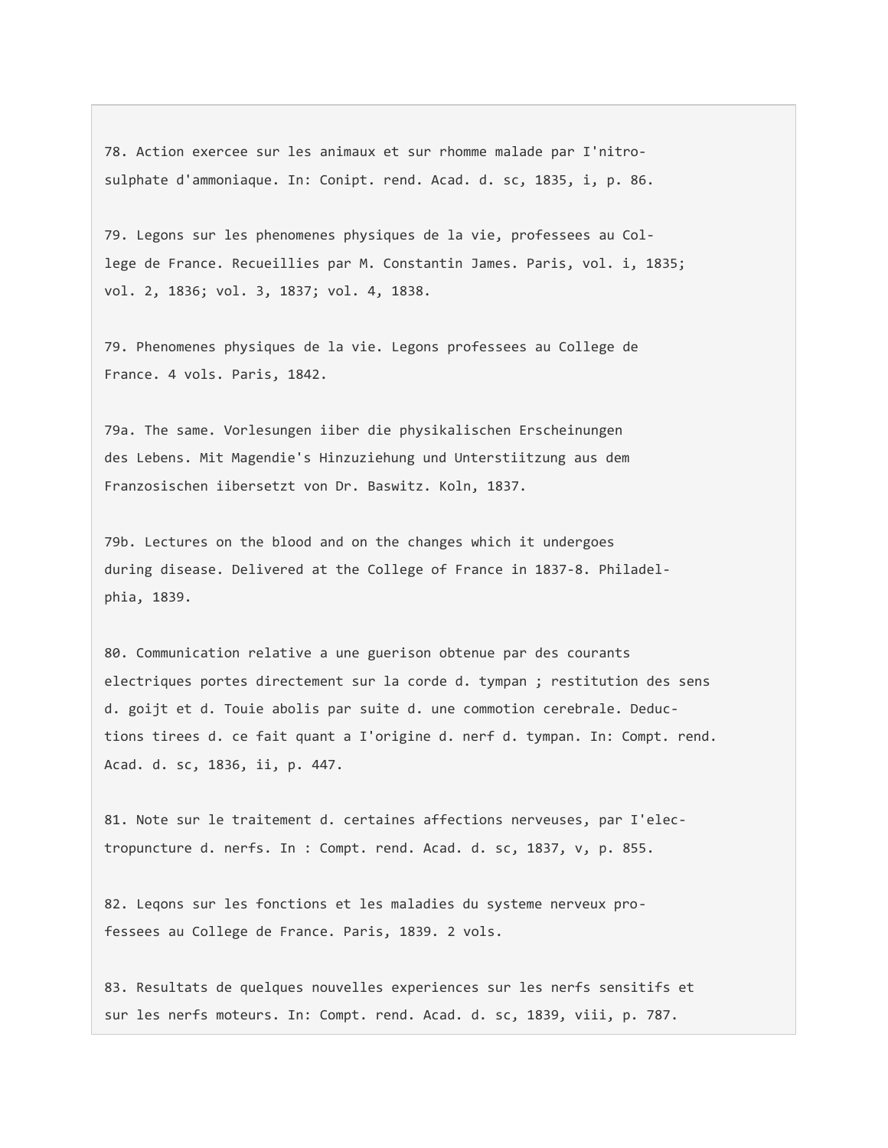78. Action exercee sur les animaux et sur rhomme malade par I'nitrosulphate d'ammoniaque. In: Conipt. rend. Acad. d. sc, 1835, i, p. 86.

79. Legons sur les phenomenes physiques de la vie, professees au College de France. Recueillies par M. Constantin James. Paris, vol. i, 1835; vol. 2, 1836; vol. 3, 1837; vol. 4, 1838.

79. Phenomenes physiques de la vie. Legons professees au College de France. 4 vols. Paris, 1842.

79a. The same. Vorlesungen iiber die physikalischen Erscheinungen des Lebens. Mit Magendie's Hinzuziehung und Unterstiitzung aus dem Franzosischen iibersetzt von Dr. Baswitz. Koln, 1837.

79b. Lectures on the blood and on the changes which it undergoes during disease. Delivered at the College of France in 1837-8. Philadelphia, 1839.

80. Communication relative a une guerison obtenue par des courants electriques portes directement sur la corde d. tympan ; restitution des sens d. goijt et d. Touie abolis par suite d. une commotion cerebrale. Deductions tirees d. ce fait quant a I'origine d. nerf d. tympan. In: Compt. rend. Acad. d. sc, 1836, ii, p. 447.

81. Note sur le traitement d. certaines affections nerveuses, par I'electropuncture d. nerfs. In : Compt. rend. Acad. d. sc, 1837, v, p. 855.

82. Leqons sur les fonctions et les maladies du systeme nerveux professees au College de France. Paris, 1839. 2 vols.

83. Resultats de quelques nouvelles experiences sur les nerfs sensitifs et sur les nerfs moteurs. In: Compt. rend. Acad. d. sc, 1839, viii, p. 787.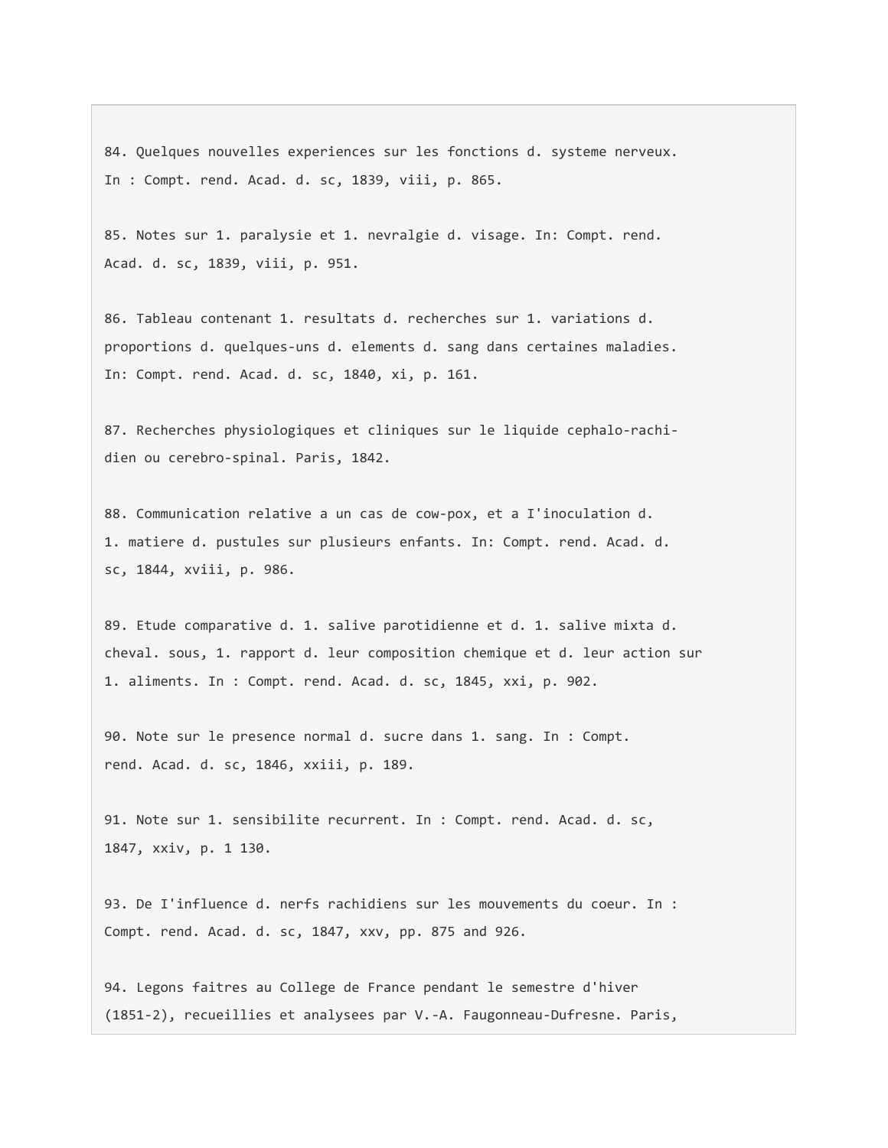84. Quelques nouvelles experiences sur les fonctions d. systeme nerveux. In : Compt. rend. Acad. d. sc, 1839, viii, p. 865.

85. Notes sur 1. paralysie et 1. nevralgie d. visage. In: Compt. rend. Acad. d. sc, 1839, viii, p. 951.

86. Tableau contenant 1. resultats d. recherches sur 1. variations d. proportions d. quelques-uns d. elements d. sang dans certaines maladies. In: Compt. rend. Acad. d. sc, 1840, xi, p. 161.

87. Recherches physiologiques et cliniques sur le liquide cephalo-rachidien ou cerebro-spinal. Paris, 1842.

88. Communication relative a un cas de cow-pox, et a I'inoculation d. 1. matiere d. pustules sur plusieurs enfants. In: Compt. rend. Acad. d. sc, 1844, xviii, p. 986.

89. Etude comparative d. 1. salive parotidienne et d. 1. salive mixta d. cheval. sous, 1. rapport d. leur composition chemique et d. leur action sur 1. aliments. In : Compt. rend. Acad. d. sc, 1845, xxi, p. 902.

90. Note sur le presence normal d. sucre dans 1. sang. In : Compt. rend. Acad. d. sc, 1846, xxiii, p. 189.

91. Note sur 1. sensibilite recurrent. In : Compt. rend. Acad. d. sc, 1847, xxiv, p. 1 130.

93. De I'influence d. nerfs rachidiens sur les mouvements du coeur. In : Compt. rend. Acad. d. sc, 1847, xxv, pp. 875 and 926.

94. Legons faitres au College de France pendant le semestre d'hiver (1851-2), recueillies et analysees par V.-A. Faugonneau-Dufresne. Paris,